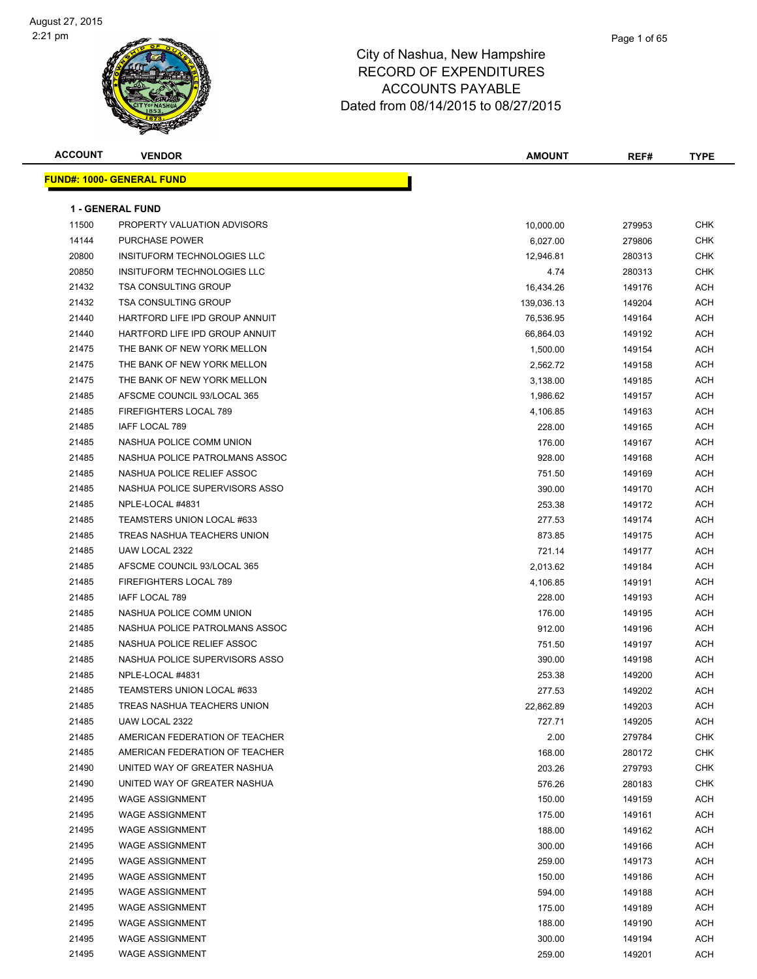| <b>ACCOUNT</b> | <b>VENDOR</b>                    | AMOUNT     | REF#   | <b>TYPE</b> |
|----------------|----------------------------------|------------|--------|-------------|
|                | <b>FUND#: 1000- GENERAL FUND</b> |            |        |             |
|                |                                  |            |        |             |
|                | <b>1 - GENERAL FUND</b>          |            |        |             |
| 11500          | PROPERTY VALUATION ADVISORS      | 10,000.00  | 279953 | CHK         |
| 14144          | <b>PURCHASE POWER</b>            | 6,027.00   | 279806 | CHK         |
| 20800          | INSITUFORM TECHNOLOGIES LLC      | 12,946.81  | 280313 | <b>CHK</b>  |
| 20850          | INSITUFORM TECHNOLOGIES LLC      | 4.74       | 280313 | CHK         |
| 21432          | <b>TSA CONSULTING GROUP</b>      | 16,434.26  | 149176 | <b>ACH</b>  |
| 21432          | <b>TSA CONSULTING GROUP</b>      | 139,036.13 | 149204 | <b>ACH</b>  |
| 21440          | HARTFORD LIFE IPD GROUP ANNUIT   | 76,536.95  | 149164 | ACH         |
| 21440          | HARTFORD LIFE IPD GROUP ANNUIT   | 66,864.03  | 149192 | ACH         |
| 21475          | THE BANK OF NEW YORK MELLON      | 1,500.00   | 149154 | ACH         |
| 21475          | THE BANK OF NEW YORK MELLON      | 2,562.72   | 149158 | ACH         |
| 21475          | THE BANK OF NEW YORK MELLON      | 3,138.00   | 149185 | ACH         |
| 21485          | AFSCME COUNCIL 93/LOCAL 365      | 1,986.62   | 149157 | ACH         |
| 21485          | FIREFIGHTERS LOCAL 789           | 4,106.85   | 149163 | ACH         |
| 21485          | <b>IAFF LOCAL 789</b>            | 228.00     | 149165 | ACH         |
| 21485          | NASHUA POLICE COMM UNION         | 176.00     | 149167 | ACH         |
| 21485          | NASHUA POLICE PATROLMANS ASSOC   | 928.00     | 149168 | ACH         |
| 21485          | NASHUA POLICE RELIEF ASSOC       | 751.50     | 149169 | ACH         |
| 21485          | NASHUA POLICE SUPERVISORS ASSO   | 390.00     | 149170 | ACH         |
| 21485          | NPLE-LOCAL #4831                 | 253.38     | 149172 | ACH         |
| 21485          | TEAMSTERS UNION LOCAL #633       | 277.53     | 149174 | ACH         |
| 21485          | TREAS NASHUA TEACHERS UNION      | 873.85     | 149175 | ACH         |
| 21485          | UAW LOCAL 2322                   | 721.14     | 149177 | ACH         |
| 21485          | AFSCME COUNCIL 93/LOCAL 365      | 2,013.62   | 149184 | ACH         |
| 21485          | FIREFIGHTERS LOCAL 789           | 4,106.85   | 149191 | <b>ACH</b>  |
| 21485          | IAFF LOCAL 789                   | 228.00     | 149193 | <b>ACH</b>  |
| 21485          | NASHUA POLICE COMM UNION         | 176.00     | 149195 | ACH         |
| 21485          | NASHUA POLICE PATROLMANS ASSOC   | 912.00     | 149196 | ACH         |
| 21485          | NASHUA POLICE RELIEF ASSOC       | 751.50     | 149197 | ACH         |
| 21485          | NASHUA POLICE SUPERVISORS ASSO   | 390.00     | 149198 | ACH         |
| 21485          | NPLE-LOCAL #4831                 | 253.38     | 149200 | ACH         |
| 21485          | TEAMSTERS UNION LOCAL #633       | 277.53     | 149202 | ACH         |
| 21485          | TREAS NASHUA TEACHERS UNION      | 22,862.89  | 149203 | ACH         |
| 21485          | UAW LOCAL 2322                   | 727.71     | 149205 | <b>ACH</b>  |
| 21485          | AMERICAN FEDERATION OF TEACHER   | 2.00       | 279784 | <b>CHK</b>  |
| 21485          | AMERICAN FEDERATION OF TEACHER   | 168.00     | 280172 | <b>CHK</b>  |
| 21490          | UNITED WAY OF GREATER NASHUA     | 203.26     | 279793 | <b>CHK</b>  |
| 21490          | UNITED WAY OF GREATER NASHUA     | 576.26     | 280183 | <b>CHK</b>  |
| 21495          | <b>WAGE ASSIGNMENT</b>           | 150.00     | 149159 | <b>ACH</b>  |
| 21495          | <b>WAGE ASSIGNMENT</b>           | 175.00     | 149161 | <b>ACH</b>  |
| 21495          | <b>WAGE ASSIGNMENT</b>           | 188.00     | 149162 | <b>ACH</b>  |
| 21495          | <b>WAGE ASSIGNMENT</b>           | 300.00     | 149166 | <b>ACH</b>  |
| 21495          | <b>WAGE ASSIGNMENT</b>           | 259.00     | 149173 | <b>ACH</b>  |
| 21495          | <b>WAGE ASSIGNMENT</b>           | 150.00     | 149186 | <b>ACH</b>  |
| 21495          | <b>WAGE ASSIGNMENT</b>           | 594.00     | 149188 | <b>ACH</b>  |
| 21495          | <b>WAGE ASSIGNMENT</b>           | 175.00     | 149189 | <b>ACH</b>  |
| 21495          | <b>WAGE ASSIGNMENT</b>           | 188.00     | 149190 | <b>ACH</b>  |
| 21495          | <b>WAGE ASSIGNMENT</b>           | 300.00     | 149194 | <b>ACH</b>  |
| 21495          | <b>WAGE ASSIGNMENT</b>           | 259.00     | 149201 | <b>ACH</b>  |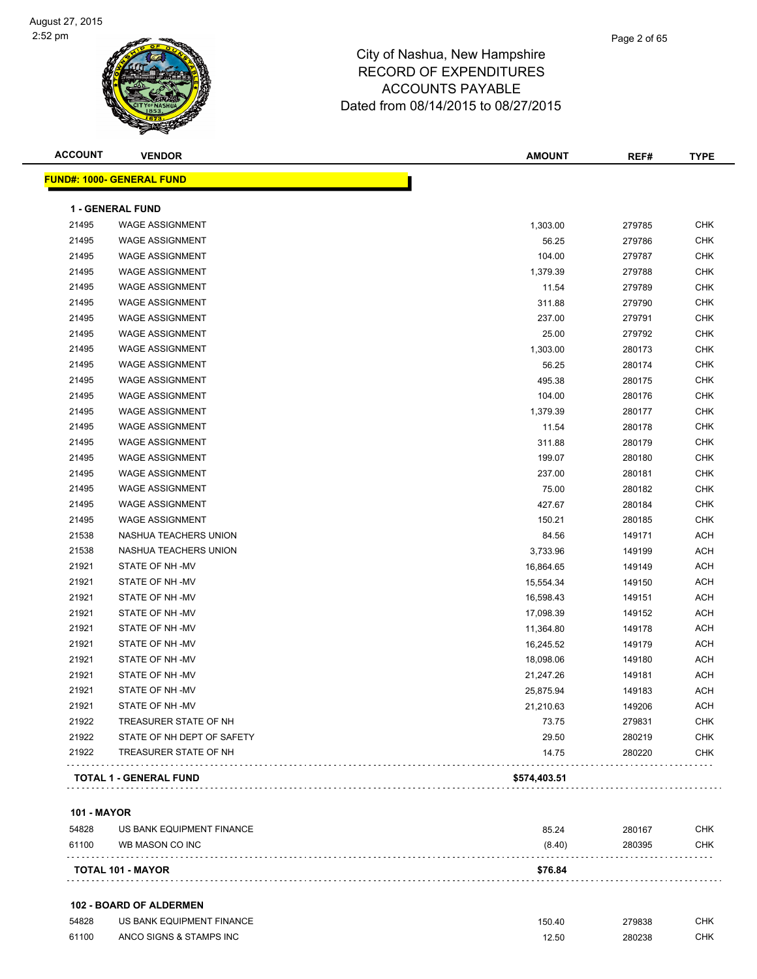#### Page 2 of 65

#### City of Nashua, New Hampshire RECORD OF EXPENDITURES ACCOUNTS PAYABLE Dated from 08/14/2015 to 08/27/2015

| <b>ACCOUNT</b> | <b>VENDOR</b>                    | <b>AMOUNT</b> | REF#   | <b>TYPE</b> |
|----------------|----------------------------------|---------------|--------|-------------|
|                | <b>FUND#: 1000- GENERAL FUND</b> |               |        |             |
|                | <b>1 - GENERAL FUND</b>          |               |        |             |
| 21495          | <b>WAGE ASSIGNMENT</b>           | 1,303.00      | 279785 | <b>CHK</b>  |
| 21495          | <b>WAGE ASSIGNMENT</b>           | 56.25         | 279786 | <b>CHK</b>  |
| 21495          | <b>WAGE ASSIGNMENT</b>           | 104.00        | 279787 | <b>CHK</b>  |
| 21495          | <b>WAGE ASSIGNMENT</b>           | 1,379.39      | 279788 | <b>CHK</b>  |
| 21495          | <b>WAGE ASSIGNMENT</b>           | 11.54         | 279789 | <b>CHK</b>  |
| 21495          | <b>WAGE ASSIGNMENT</b>           | 311.88        | 279790 | <b>CHK</b>  |
| 21495          | <b>WAGE ASSIGNMENT</b>           | 237.00        | 279791 | <b>CHK</b>  |
| 21495          | <b>WAGE ASSIGNMENT</b>           | 25.00         | 279792 | <b>CHK</b>  |
| 21495          | <b>WAGE ASSIGNMENT</b>           | 1,303.00      | 280173 | <b>CHK</b>  |
| 21495          | <b>WAGE ASSIGNMENT</b>           | 56.25         | 280174 | <b>CHK</b>  |
| 21495          | <b>WAGE ASSIGNMENT</b>           | 495.38        | 280175 | <b>CHK</b>  |
| 21495          | <b>WAGE ASSIGNMENT</b>           | 104.00        | 280176 | <b>CHK</b>  |
| 21495          | <b>WAGE ASSIGNMENT</b>           | 1,379.39      | 280177 | <b>CHK</b>  |
| 21495          | <b>WAGE ASSIGNMENT</b>           | 11.54         | 280178 | <b>CHK</b>  |
| 21495          | <b>WAGE ASSIGNMENT</b>           | 311.88        | 280179 | <b>CHK</b>  |
| 21495          | <b>WAGE ASSIGNMENT</b>           | 199.07        | 280180 | <b>CHK</b>  |
| 21495          | <b>WAGE ASSIGNMENT</b>           | 237.00        | 280181 | <b>CHK</b>  |
| 21495          | <b>WAGE ASSIGNMENT</b>           | 75.00         | 280182 | <b>CHK</b>  |
| 21495          | <b>WAGE ASSIGNMENT</b>           | 427.67        | 280184 | <b>CHK</b>  |
| 21495          | <b>WAGE ASSIGNMENT</b>           | 150.21        | 280185 | <b>CHK</b>  |
| 21538          | NASHUA TEACHERS UNION            | 84.56         | 149171 | <b>ACH</b>  |
| 21538          | NASHUA TEACHERS UNION            | 3,733.96      | 149199 | <b>ACH</b>  |
| 21921          | STATE OF NH-MV                   | 16,864.65     | 149149 | <b>ACH</b>  |
| 21921          | STATE OF NH-MV                   | 15,554.34     | 149150 | <b>ACH</b>  |
| 21921          | STATE OF NH-MV                   | 16,598.43     | 149151 | <b>ACH</b>  |
| 21921          | STATE OF NH-MV                   | 17,098.39     | 149152 | <b>ACH</b>  |
| 21921          | STATE OF NH-MV                   | 11,364.80     | 149178 | <b>ACH</b>  |
| 21921          | STATE OF NH-MV                   | 16,245.52     | 149179 | <b>ACH</b>  |
| 21921          | STATE OF NH-MV                   | 18,098.06     | 149180 | <b>ACH</b>  |
| 21921          | STATE OF NH-MV                   | 21,247.26     | 149181 | <b>ACH</b>  |
| 21921          | STATE OF NH-MV                   | 25,875.94     | 149183 | <b>ACH</b>  |
| 21921          | STATE OF NH-MV                   | 21,210.63     | 149206 | <b>ACH</b>  |
| 21922          | TREASURER STATE OF NH            | 73.75         | 279831 | <b>CHK</b>  |
| 21922          | STATE OF NH DEPT OF SAFETY       | 29.50         | 280219 | <b>CHK</b>  |
| 21922          | TREASURER STATE OF NH            | 14.75         | 280220 | CHK         |

#### **101 - MAYOR**

| 54828 | US BANK EQUIPMENT FINANCE | 85.24   | 280167 | CHK        |
|-------|---------------------------|---------|--------|------------|
| 61100 | WB MASON CO INC           | (8.40)  | 280395 | <b>CHK</b> |
|       | <b>TOTAL 101 - MAYOR</b>  | \$76.84 |        |            |

#### **102 - BOARD OF ALDERMEN**

| 54828 | US BANK EQUIPMENT FINANCE | 150.40 | 279838 | СНК |
|-------|---------------------------|--------|--------|-----|
| 61100 | ANCO SIGNS & STAMPS INC   |        | 280238 | СНК |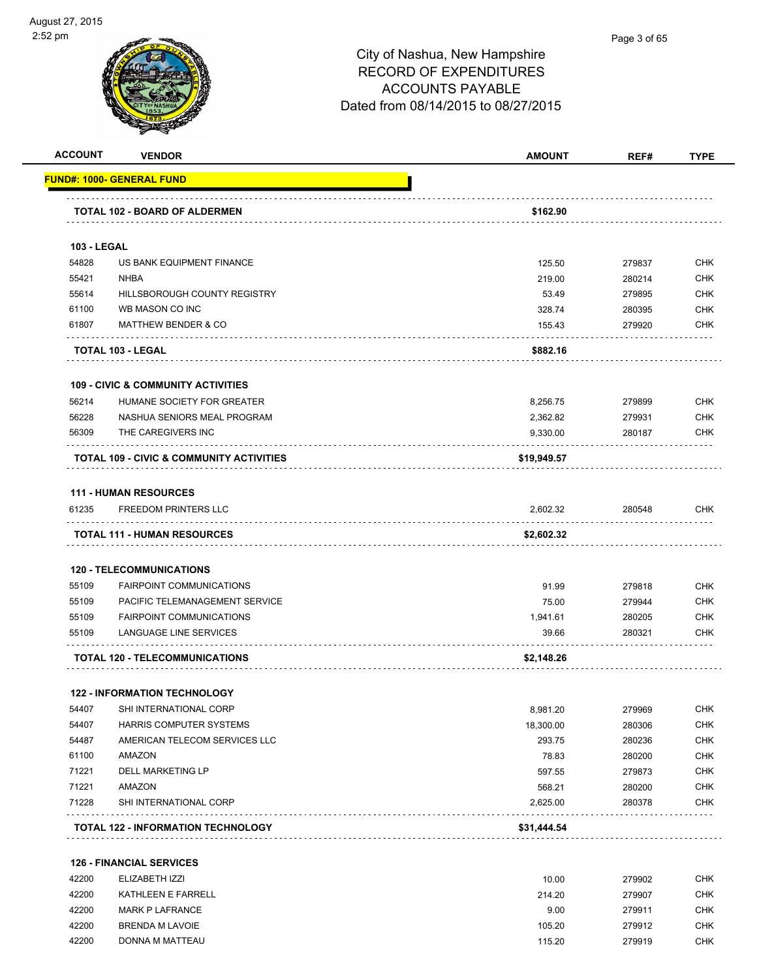

| <b>ACCOUNT</b>     | <b>VENDOR</b>                                               | <b>AMOUNT</b> | REF#   | <b>TYPE</b> |
|--------------------|-------------------------------------------------------------|---------------|--------|-------------|
|                    | <u> FUND#: 1000- GENERAL FUND</u>                           |               |        |             |
|                    | TOTAL 102 - BOARD OF ALDERMEN                               | \$162.90      |        |             |
| <b>103 - LEGAL</b> |                                                             |               |        |             |
| 54828              | US BANK EQUIPMENT FINANCE                                   | 125.50        | 279837 | <b>CHK</b>  |
| 55421              | <b>NHBA</b>                                                 | 219.00        | 280214 | <b>CHK</b>  |
| 55614              | HILLSBOROUGH COUNTY REGISTRY                                | 53.49         | 279895 | <b>CHK</b>  |
| 61100              | WB MASON CO INC                                             | 328.74        | 280395 | <b>CHK</b>  |
| 61807              | <b>MATTHEW BENDER &amp; CO</b>                              | 155.43        | 279920 | <b>CHK</b>  |
|                    | TOTAL 103 - LEGAL                                           | \$882.16      |        |             |
|                    | <b>109 - CIVIC &amp; COMMUNITY ACTIVITIES</b>               |               |        |             |
| 56214              | HUMANE SOCIETY FOR GREATER                                  | 8,256.75      | 279899 | <b>CHK</b>  |
| 56228              | NASHUA SENIORS MEAL PROGRAM                                 | 2,362.82      | 279931 | <b>CHK</b>  |
| 56309              | THE CAREGIVERS INC                                          | 9,330.00      | 280187 | <b>CHK</b>  |
|                    | TOTAL 109 - CIVIC & COMMUNITY ACTIVITIES                    | \$19,949.57   |        |             |
|                    |                                                             |               |        |             |
| 61235              | <b>111 - HUMAN RESOURCES</b><br><b>FREEDOM PRINTERS LLC</b> | 2,602.32      | 280548 | <b>CHK</b>  |
|                    |                                                             |               |        |             |
|                    | <b>TOTAL 111 - HUMAN RESOURCES</b>                          | \$2,602.32    |        |             |
|                    | <b>120 - TELECOMMUNICATIONS</b>                             |               |        |             |
| 55109              | <b>FAIRPOINT COMMUNICATIONS</b>                             | 91.99         | 279818 | <b>CHK</b>  |
| 55109              | PACIFIC TELEMANAGEMENT SERVICE                              | 75.00         | 279944 | <b>CHK</b>  |
| 55109              | <b>FAIRPOINT COMMUNICATIONS</b>                             | 1,941.61      | 280205 | <b>CHK</b>  |
| 55109              | LANGUAGE LINE SERVICES                                      | 39.66         | 280321 | <b>CHK</b>  |
|                    | <b>TOTAL 120 - TELECOMMUNICATIONS</b>                       | \$2,148.26    |        |             |
|                    | <b>122 - INFORMATION TECHNOLOGY</b>                         |               |        |             |
| 54407              | SHI INTERNATIONAL CORP                                      | 8,981.20      | 279969 | <b>CHK</b>  |
| 54407              | HARRIS COMPUTER SYSTEMS                                     | 18,300.00     | 280306 | <b>CHK</b>  |
| 54487              | AMERICAN TELECOM SERVICES LLC                               | 293.75        | 280236 | <b>CHK</b>  |
| 61100              | AMAZON                                                      | 78.83         | 280200 | <b>CHK</b>  |
| 71221              | <b>DELL MARKETING LP</b>                                    | 597.55        | 279873 | <b>CHK</b>  |
| 71221              | AMAZON                                                      | 568.21        | 280200 | <b>CHK</b>  |
| 71228              | SHI INTERNATIONAL CORP                                      | 2,625.00      | 280378 | <b>CHK</b>  |
|                    | TOTAL 122 - INFORMATION TECHNOLOGY                          | \$31,444.54   |        |             |
|                    | <b>126 - FINANCIAL SERVICES</b>                             |               |        |             |
| 42200              | ELIZABETH IZZI                                              | 10.00         | 279902 | <b>CHK</b>  |
| 42200              | KATHLEEN E FARRELL                                          | 214.20        | 279907 | <b>CHK</b>  |
| 42200              | <b>MARK P LAFRANCE</b>                                      | 9.00          | 279911 | <b>CHK</b>  |
| 42200              | <b>BRENDA M LAVOIE</b>                                      | 105.20        | 279912 | <b>CHK</b>  |
| 42200              | DONNA M MATTEAU                                             | 115.20        | 279919 | <b>CHK</b>  |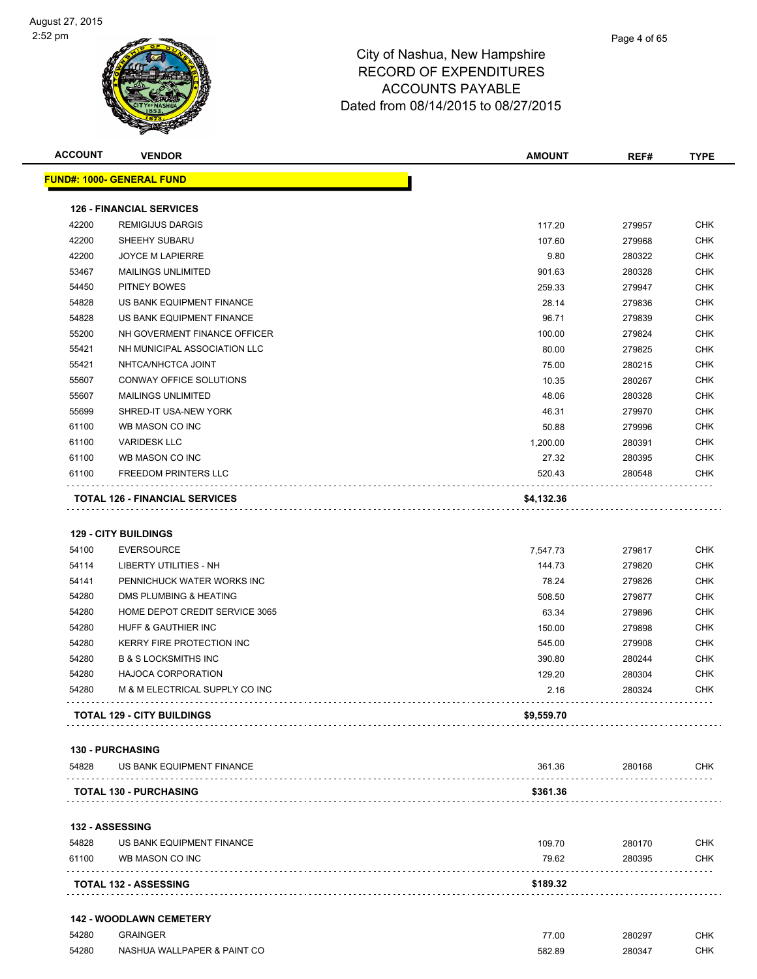| <b>ACCOUNT</b> | <b>VENDOR</b>                         | <b>AMOUNT</b>   | REF#             | <b>TYPE</b> |
|----------------|---------------------------------------|-----------------|------------------|-------------|
|                | <b>FUND#: 1000- GENERAL FUND</b>      |                 |                  |             |
|                | <b>126 - FINANCIAL SERVICES</b>       |                 |                  |             |
| 42200          | <b>REMIGIJUS DARGIS</b>               | 117.20          | 279957           | <b>CHK</b>  |
| 42200          | SHEEHY SUBARU                         | 107.60          | 279968           | <b>CHK</b>  |
| 42200          | <b>JOYCE M LAPIERRE</b>               | 9.80            | 280322           | <b>CHK</b>  |
| 53467          | <b>MAILINGS UNLIMITED</b>             |                 |                  | <b>CHK</b>  |
| 54450          | PITNEY BOWES                          | 901.63          | 280328           | <b>CHK</b>  |
| 54828          | US BANK EQUIPMENT FINANCE             | 259.33<br>28.14 | 279947           | <b>CHK</b>  |
| 54828          | US BANK EQUIPMENT FINANCE             | 96.71           | 279836<br>279839 | CHK         |
| 55200          | NH GOVERMENT FINANCE OFFICER          | 100.00          | 279824           | CHK         |
| 55421          | NH MUNICIPAL ASSOCIATION LLC          | 80.00           | 279825           | <b>CHK</b>  |
| 55421          | NHTCA/NHCTCA JOINT                    | 75.00           | 280215           | <b>CHK</b>  |
| 55607          | CONWAY OFFICE SOLUTIONS               | 10.35           | 280267           | <b>CHK</b>  |
| 55607          | <b>MAILINGS UNLIMITED</b>             | 48.06           | 280328           | <b>CHK</b>  |
| 55699          | SHRED-IT USA-NEW YORK                 | 46.31           | 279970           | CHK         |
| 61100          | WB MASON CO INC                       | 50.88           | 279996           | <b>CHK</b>  |
| 61100          | <b>VARIDESK LLC</b>                   | 1,200.00        | 280391           | <b>CHK</b>  |
| 61100          | WB MASON CO INC                       | 27.32           | 280395           | CHK         |
| 61100          | <b>FREEDOM PRINTERS LLC</b>           | 520.43          | 280548           | CHK         |
|                |                                       |                 |                  |             |
|                | <b>TOTAL 126 - FINANCIAL SERVICES</b> | \$4,132.36      |                  |             |
|                | <b>129 - CITY BUILDINGS</b>           |                 |                  |             |
| 54100          | <b>EVERSOURCE</b>                     | 7,547.73        | 279817           | <b>CHK</b>  |
| 54114          | LIBERTY UTILITIES - NH                | 144.73          | 279820           | <b>CHK</b>  |
| 54141          | PENNICHUCK WATER WORKS INC            | 78.24           | 279826           | <b>CHK</b>  |
| 54280          | DMS PLUMBING & HEATING                | 508.50          | 279877           | CHK         |
| 54280          | HOME DEPOT CREDIT SERVICE 3065        | 63.34           | 279896           | <b>CHK</b>  |
| 54280          | <b>HUFF &amp; GAUTHIER INC</b>        | 150.00          | 279898           | <b>CHK</b>  |
| 54280          | KERRY FIRE PROTECTION INC             | 545.00          | 279908           | <b>CHK</b>  |
| 54280          | <b>B &amp; S LOCKSMITHS INC</b>       | 390.80          | 280244           | <b>CHK</b>  |
| 54280          | <b>HAJOCA CORPORATION</b>             | 129.20          | 280304           | <b>CHK</b>  |
| 54280          | M & M ELECTRICAL SUPPLY CO INC        | 2.16            | 280324           | <b>CHK</b>  |
|                | <b>TOTAL 129 - CITY BUILDINGS</b>     | \$9,559.70      |                  |             |
|                |                                       |                 |                  |             |
|                | <b>130 - PURCHASING</b>               |                 |                  |             |
| 54828          | US BANK EQUIPMENT FINANCE             | 361.36          | 280168<br>.      | CHK         |
|                | <b>TOTAL 130 - PURCHASING</b>         | \$361.36        |                  |             |
|                | <b>132 - ASSESSING</b>                |                 |                  |             |
| 54828          | US BANK EQUIPMENT FINANCE             | 109.70          | 280170           | CHK         |
| 61100          | WB MASON CO INC                       | 79.62           | 280395           | <b>CHK</b>  |
|                | <b>TOTAL 132 - ASSESSING</b>          | \$189.32        |                  |             |
|                | <b>142 - WOODLAWN CEMETERY</b>        |                 |                  |             |
| 54280          | <b>GRAINGER</b>                       | 77.00           | 280297           | CHK         |
| 54280          | NASHUA WALLPAPER & PAINT CO           | 582.89          | 280347           | CHK         |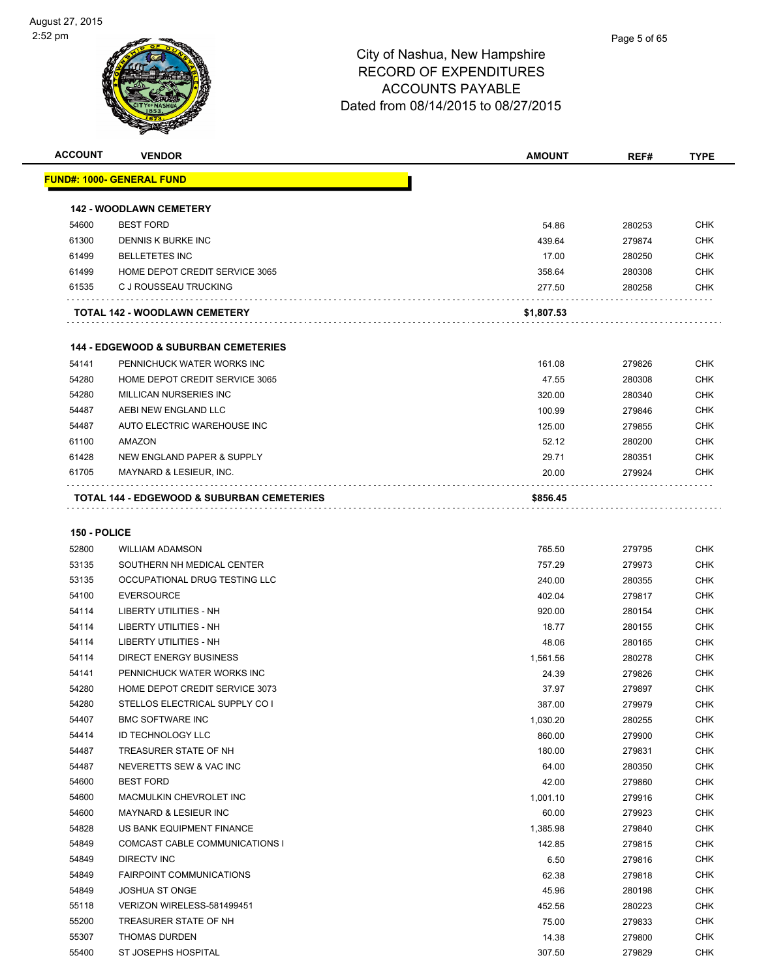| <b>ACCOUNT</b> | <b>VENDOR</b>                                         | <b>AMOUNT</b> | REF#   | <b>TYPE</b> |
|----------------|-------------------------------------------------------|---------------|--------|-------------|
|                | <u> FUND#: 1000- GENERAL FUND</u>                     |               |        |             |
|                |                                                       |               |        |             |
|                | <b>142 - WOODLAWN CEMETERY</b>                        |               |        |             |
| 54600          | <b>BEST FORD</b>                                      | 54.86         | 280253 | <b>CHK</b>  |
| 61300          | DENNIS K BURKE INC                                    | 439.64        | 279874 | <b>CHK</b>  |
| 61499          | <b>BELLETETES INC</b>                                 | 17.00         | 280250 | <b>CHK</b>  |
| 61499          | HOME DEPOT CREDIT SERVICE 3065                        | 358.64        | 280308 | <b>CHK</b>  |
| 61535          | C J ROUSSEAU TRUCKING                                 | 277.50        | 280258 | <b>CHK</b>  |
|                | TOTAL 142 - WOODLAWN CEMETERY                         | \$1,807.53    |        |             |
|                | <b>144 - EDGEWOOD &amp; SUBURBAN CEMETERIES</b>       |               |        |             |
| 54141          | PENNICHUCK WATER WORKS INC                            | 161.08        | 279826 | <b>CHK</b>  |
| 54280          | HOME DEPOT CREDIT SERVICE 3065                        | 47.55         | 280308 | <b>CHK</b>  |
| 54280          | MILLICAN NURSERIES INC                                | 320.00        | 280340 | <b>CHK</b>  |
| 54487          | AEBI NEW ENGLAND LLC                                  | 100.99        | 279846 | <b>CHK</b>  |
| 54487          | AUTO ELECTRIC WAREHOUSE INC                           | 125.00        | 279855 | <b>CHK</b>  |
| 61100          | <b>AMAZON</b>                                         | 52.12         | 280200 | <b>CHK</b>  |
| 61428          | NEW ENGLAND PAPER & SUPPLY                            | 29.71         | 280351 | <b>CHK</b>  |
| 61705          | MAYNARD & LESIEUR, INC.                               | 20.00         | 279924 | CHK         |
|                | <b>TOTAL 144 - EDGEWOOD &amp; SUBURBAN CEMETERIES</b> | \$856.45      |        |             |
|                |                                                       |               |        |             |
| 150 - POLICE   |                                                       |               |        |             |
| 52800          | <b>WILLIAM ADAMSON</b>                                | 765.50        | 279795 | <b>CHK</b>  |
| 53135          | SOUTHERN NH MEDICAL CENTER                            | 757.29        | 279973 | <b>CHK</b>  |
| 53135          | OCCUPATIONAL DRUG TESTING LLC                         | 240.00        | 280355 | <b>CHK</b>  |
| 54100          | <b>EVERSOURCE</b>                                     | 402.04        | 279817 | <b>CHK</b>  |
| 54114          | LIBERTY UTILITIES - NH                                | 920.00        | 280154 | <b>CHK</b>  |
| 54114          | LIBERTY UTILITIES - NH                                | 18.77         | 280155 | <b>CHK</b>  |
| 54114          | LIBERTY UTILITIES - NH                                | 48.06         | 280165 | <b>CHK</b>  |
| 54114          | <b>DIRECT ENERGY BUSINESS</b>                         | 1,561.56      | 280278 | <b>CHK</b>  |
| 54141          | PENNICHUCK WATER WORKS INC                            | 24.39         | 279826 | <b>CHK</b>  |
| 54280          | HOME DEPOT CREDIT SERVICE 3073                        | 37.97         | 279897 | <b>CHK</b>  |
| 54280          | STELLOS ELECTRICAL SUPPLY CO I                        | 387.00        | 279979 | <b>CHK</b>  |
| 54407          | <b>BMC SOFTWARE INC</b>                               | 1,030.20      | 280255 | <b>CHK</b>  |
| 54414          | <b>ID TECHNOLOGY LLC</b>                              | 860.00        | 279900 | <b>CHK</b>  |
| 54487          | TREASURER STATE OF NH                                 | 180.00        | 279831 | <b>CHK</b>  |
| 54487          | NEVERETTS SEW & VAC INC                               | 64.00         | 280350 | <b>CHK</b>  |
| 54600          | <b>BEST FORD</b>                                      | 42.00         | 279860 | <b>CHK</b>  |
| 54600          | MACMULKIN CHEVROLET INC                               | 1,001.10      | 279916 | <b>CHK</b>  |
| 54600          | MAYNARD & LESIEUR INC                                 | 60.00         | 279923 | <b>CHK</b>  |
| 54828          | US BANK EQUIPMENT FINANCE                             | 1,385.98      | 279840 | <b>CHK</b>  |
| 54849          | COMCAST CABLE COMMUNICATIONS I                        | 142.85        | 279815 | <b>CHK</b>  |
| 54849          | <b>DIRECTV INC</b>                                    | 6.50          | 279816 | <b>CHK</b>  |
| 54849          | FAIRPOINT COMMUNICATIONS                              | 62.38         | 279818 | <b>CHK</b>  |
| 54849          | JOSHUA ST ONGE                                        | 45.96         | 280198 | <b>CHK</b>  |
| 55118          | VERIZON WIRELESS-581499451                            | 452.56        | 280223 | <b>CHK</b>  |
| 55200          | TREASURER STATE OF NH                                 | 75.00         | 279833 | <b>CHK</b>  |
| 55307          | <b>THOMAS DURDEN</b>                                  | 14.38         | 279800 | <b>CHK</b>  |

ST JOSEPHS HOSPITAL 307.50 279829 CHK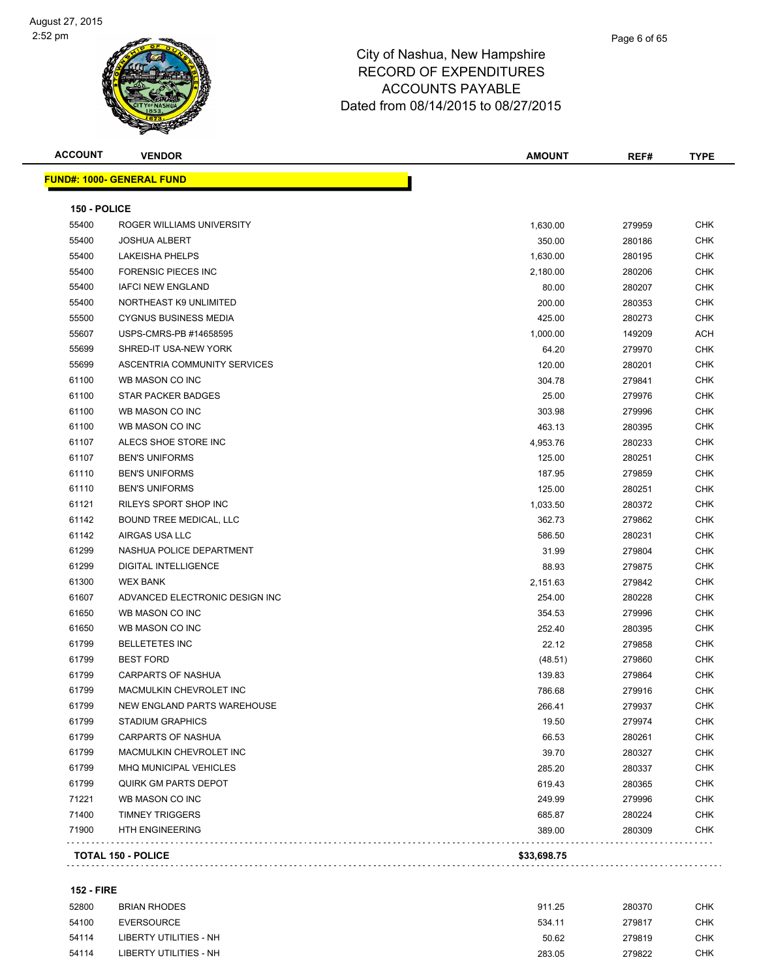#### Page 6 of 65

## City of Nashua, New Hampshire RECORD OF EXPENDITURES ACCOUNTS PAYABLE Dated from 08/14/2015 to 08/27/2015

| <b>ACCOUNT</b> | <b>VENDOR</b>                    | AMOUNT      | REF#   | <b>TYPE</b> |
|----------------|----------------------------------|-------------|--------|-------------|
|                | <b>FUND#: 1000- GENERAL FUND</b> |             |        |             |
| 150 - POLICE   |                                  |             |        |             |
| 55400          | ROGER WILLIAMS UNIVERSITY        | 1,630.00    | 279959 | CHK         |
| 55400          | <b>JOSHUA ALBERT</b>             | 350.00      | 280186 | <b>CHK</b>  |
| 55400          | <b>LAKEISHA PHELPS</b>           | 1,630.00    | 280195 | <b>CHK</b>  |
| 55400          | <b>FORENSIC PIECES INC</b>       | 2,180.00    | 280206 | <b>CHK</b>  |
| 55400          | <b>IAFCI NEW ENGLAND</b>         | 80.00       | 280207 | <b>CHK</b>  |
| 55400          | NORTHEAST K9 UNLIMITED           | 200.00      | 280353 | <b>CHK</b>  |
| 55500          | <b>CYGNUS BUSINESS MEDIA</b>     | 425.00      | 280273 | <b>CHK</b>  |
| 55607          | USPS-CMRS-PB #14658595           | 1,000.00    | 149209 | ACH         |
| 55699          | SHRED-IT USA-NEW YORK            | 64.20       | 279970 | CHK         |
| 55699          | ASCENTRIA COMMUNITY SERVICES     | 120.00      | 280201 | CHK         |
| 61100          | WB MASON CO INC                  | 304.78      | 279841 | CHK         |
| 61100          | <b>STAR PACKER BADGES</b>        | 25.00       | 279976 | <b>CHK</b>  |
| 61100          | WB MASON CO INC                  | 303.98      | 279996 | <b>CHK</b>  |
| 61100          | WB MASON CO INC                  | 463.13      | 280395 | CHK         |
| 61107          | ALECS SHOE STORE INC             | 4,953.76    | 280233 | CHK         |
| 61107          | <b>BEN'S UNIFORMS</b>            | 125.00      | 280251 | <b>CHK</b>  |
| 61110          | <b>BEN'S UNIFORMS</b>            | 187.95      | 279859 | CHK         |
| 61110          | <b>BEN'S UNIFORMS</b>            | 125.00      | 280251 | <b>CHK</b>  |
| 61121          | RILEYS SPORT SHOP INC            | 1,033.50    | 280372 | CHK         |
| 61142          | BOUND TREE MEDICAL, LLC          | 362.73      | 279862 | CHK         |
| 61142          | AIRGAS USA LLC                   | 586.50      | 280231 | <b>CHK</b>  |
| 61299          | NASHUA POLICE DEPARTMENT         | 31.99       | 279804 | <b>CHK</b>  |
| 61299          | <b>DIGITAL INTELLIGENCE</b>      | 88.93       | 279875 | <b>CHK</b>  |
| 61300          | <b>WEX BANK</b>                  | 2,151.63    | 279842 | <b>CHK</b>  |
| 61607          | ADVANCED ELECTRONIC DESIGN INC   | 254.00      | 280228 | <b>CHK</b>  |
| 61650          | WB MASON CO INC                  | 354.53      | 279996 | <b>CHK</b>  |
| 61650          | WB MASON CO INC                  | 252.40      | 280395 | <b>CHK</b>  |
| 61799          | <b>BELLETETES INC</b>            | 22.12       | 279858 | CHK         |
| 61799          | <b>BEST FORD</b>                 | (48.51)     | 279860 | <b>CHK</b>  |
| 61799          | <b>CARPARTS OF NASHUA</b>        | 139.83      | 279864 | CHK         |
| 61799          | MACMULKIN CHEVROLET INC          | 786.68      | 279916 | <b>CHK</b>  |
| 61799          | NEW ENGLAND PARTS WAREHOUSE      | 266.41      | 279937 | <b>CHK</b>  |
| 61799          | <b>STADIUM GRAPHICS</b>          | 19.50       | 279974 | <b>CHK</b>  |
| 61799          | CARPARTS OF NASHUA               | 66.53       | 280261 | <b>CHK</b>  |
| 61799          | MACMULKIN CHEVROLET INC          | 39.70       | 280327 | <b>CHK</b>  |
| 61799          | MHQ MUNICIPAL VEHICLES           | 285.20      | 280337 | <b>CHK</b>  |
| 61799          | QUIRK GM PARTS DEPOT             | 619.43      | 280365 | <b>CHK</b>  |
| 71221          | WB MASON CO INC                  | 249.99      | 279996 | <b>CHK</b>  |
| 71400          | <b>TIMNEY TRIGGERS</b>           | 685.87      | 280224 | <b>CHK</b>  |
| 71900          | <b>HTH ENGINEERING</b>           | 389.00      | 280309 | <b>CHK</b>  |
|                | <b>TOTAL 150 - POLICE</b>        | \$33,698.75 |        |             |
|                |                                  |             |        |             |

#### **152 - FIRE**

| 52800 | BRIAN RHODES           | 911.25 | 280370 | снк  |
|-------|------------------------|--------|--------|------|
| 54100 | EVERSOURCE             | 534.11 | 279817 | CHK. |
| 54114 | LIBERTY UTILITIES - NH | 50.62  | 279819 | CHK. |
| 54114 | LIBERTY UTILITIES - NH | 283.05 | 279822 | СНК  |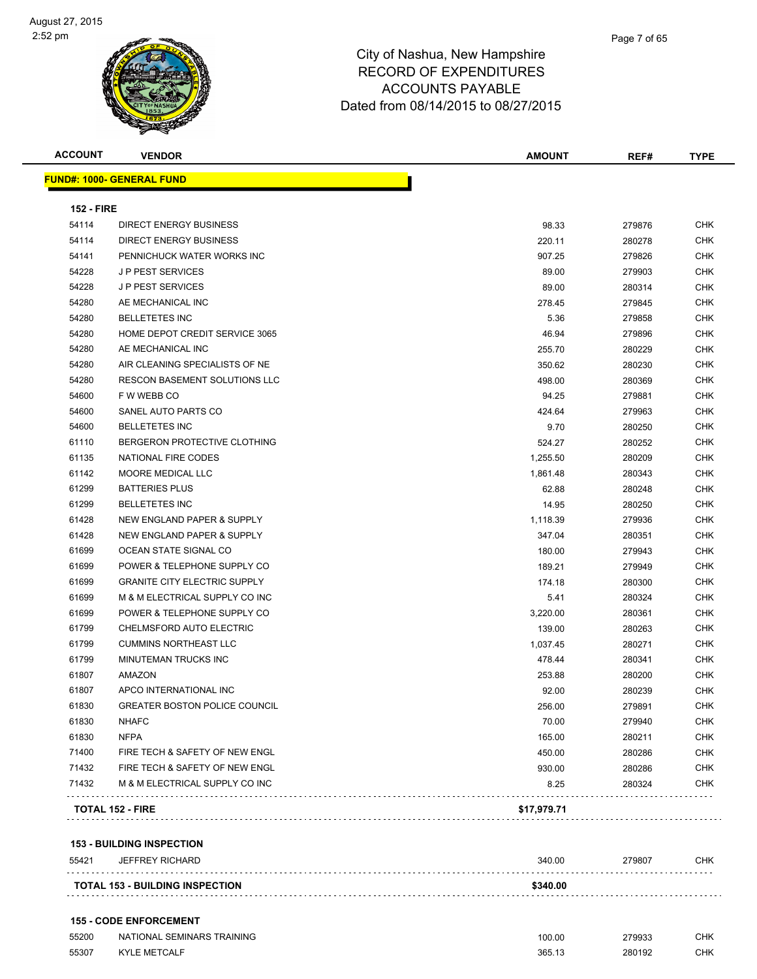| <b>ACCOUNT</b>    | <b>VENDOR</b>                          | <b>AMOUNT</b> | REF#   | <b>TYPE</b> |
|-------------------|----------------------------------------|---------------|--------|-------------|
|                   | <b>FUND#: 1000- GENERAL FUND</b>       |               |        |             |
| <b>152 - FIRE</b> |                                        |               |        |             |
| 54114             | DIRECT ENERGY BUSINESS                 | 98.33         | 279876 | CHK         |
| 54114             | DIRECT ENERGY BUSINESS                 | 220.11        | 280278 | <b>CHK</b>  |
| 54141             | PENNICHUCK WATER WORKS INC             | 907.25        | 279826 | <b>CHK</b>  |
| 54228             | <b>JP PEST SERVICES</b>                | 89.00         | 279903 | <b>CHK</b>  |
| 54228             | <b>JP PEST SERVICES</b>                | 89.00         | 280314 | <b>CHK</b>  |
| 54280             | AE MECHANICAL INC                      | 278.45        | 279845 | <b>CHK</b>  |
| 54280             | <b>BELLETETES INC</b>                  | 5.36          | 279858 | <b>CHK</b>  |
| 54280             | HOME DEPOT CREDIT SERVICE 3065         | 46.94         | 279896 | <b>CHK</b>  |
| 54280             | AE MECHANICAL INC                      | 255.70        | 280229 | <b>CHK</b>  |
| 54280             | AIR CLEANING SPECIALISTS OF NE         | 350.62        | 280230 | <b>CHK</b>  |
| 54280             | <b>RESCON BASEMENT SOLUTIONS LLC</b>   | 498.00        | 280369 | <b>CHK</b>  |
| 54600             | F W WEBB CO                            | 94.25         | 279881 | <b>CHK</b>  |
| 54600             | SANEL AUTO PARTS CO                    | 424.64        | 279963 | <b>CHK</b>  |
| 54600             | <b>BELLETETES INC</b>                  | 9.70          | 280250 | <b>CHK</b>  |
| 61110             | BERGERON PROTECTIVE CLOTHING           | 524.27        | 280252 | <b>CHK</b>  |
| 61135             | NATIONAL FIRE CODES                    | 1,255.50      | 280209 | <b>CHK</b>  |
| 61142             | MOORE MEDICAL LLC                      | 1,861.48      | 280343 | <b>CHK</b>  |
| 61299             | <b>BATTERIES PLUS</b>                  | 62.88         | 280248 | <b>CHK</b>  |
| 61299             | <b>BELLETETES INC</b>                  | 14.95         | 280250 | <b>CHK</b>  |
| 61428             | NEW ENGLAND PAPER & SUPPLY             | 1,118.39      | 279936 | <b>CHK</b>  |
| 61428             | NEW ENGLAND PAPER & SUPPLY             | 347.04        | 280351 | <b>CHK</b>  |
| 61699             | OCEAN STATE SIGNAL CO                  | 180.00        | 279943 | <b>CHK</b>  |
| 61699             | POWER & TELEPHONE SUPPLY CO            | 189.21        | 279949 | <b>CHK</b>  |
| 61699             | <b>GRANITE CITY ELECTRIC SUPPLY</b>    | 174.18        | 280300 | <b>CHK</b>  |
| 61699             | M & M ELECTRICAL SUPPLY CO INC         | 5.41          | 280324 | <b>CHK</b>  |
| 61699             | POWER & TELEPHONE SUPPLY CO            | 3,220.00      | 280361 | <b>CHK</b>  |
| 61799             | CHELMSFORD AUTO ELECTRIC               | 139.00        | 280263 | <b>CHK</b>  |
| 61799             | <b>CUMMINS NORTHEAST LLC</b>           | 1,037.45      | 280271 | <b>CHK</b>  |
| 61799             | MINUTEMAN TRUCKS INC                   | 478.44        | 280341 | <b>CHK</b>  |
| 61807             | AMAZON                                 | 253.88        | 280200 | <b>CHK</b>  |
| 61807             | APCO INTERNATIONAL INC                 | 92.00         | 280239 | <b>CHK</b>  |
| 61830             | <b>GREATER BOSTON POLICE COUNCIL</b>   | 256.00        | 279891 | <b>CHK</b>  |
| 61830             | <b>NHAFC</b>                           | 70.00         | 279940 | <b>CHK</b>  |
| 61830             | <b>NFPA</b>                            | 165.00        | 280211 | <b>CHK</b>  |
| 71400             | FIRE TECH & SAFETY OF NEW ENGL         | 450.00        | 280286 | <b>CHK</b>  |
| 71432             | FIRE TECH & SAFETY OF NEW ENGL         | 930.00        | 280286 | <b>CHK</b>  |
| 71432             | M & M ELECTRICAL SUPPLY CO INC         | 8.25          | 280324 | <b>CHK</b>  |
|                   | <b>TOTAL 152 - FIRE</b>                | \$17,979.71   |        |             |
|                   | <b>153 - BUILDING INSPECTION</b>       |               |        |             |
| 55421             | <b>JEFFREY RICHARD</b>                 | 340.00        | 279807 | <b>CHK</b>  |
|                   |                                        |               |        |             |
|                   | <b>TOTAL 153 - BUILDING INSPECTION</b> | \$340.00      |        |             |

| <b>155 - CODE ENFORCEMENT</b> |                            |        |        |     |
|-------------------------------|----------------------------|--------|--------|-----|
| 55200                         | NATIONAL SEMINARS TRAINING | 100.00 | 279933 | CHK |
| 55307                         | <b>KYLE METCALF</b>        | 365.13 | 280192 | CHK |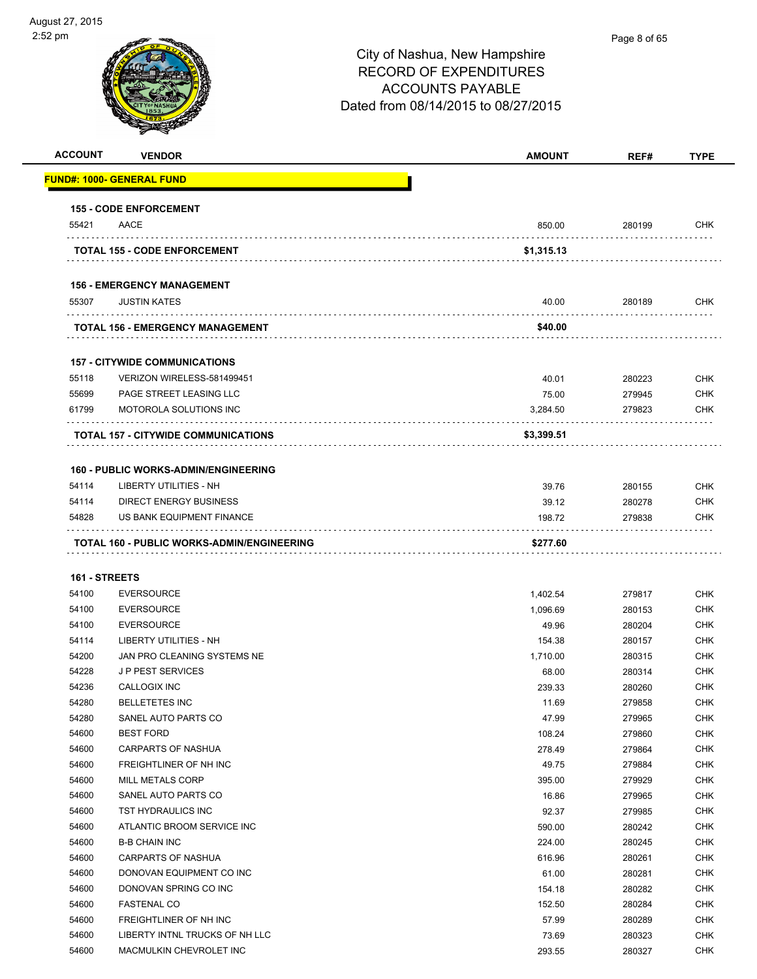| <b>ACCOUNT</b> | <b>VENDOR</b>                                     | <b>AMOUNT</b>   | REF#             | <b>TYPE</b>              |
|----------------|---------------------------------------------------|-----------------|------------------|--------------------------|
|                | <u> FUND#: 1000- GENERAL FUND</u>                 |                 |                  |                          |
|                | <b>155 - CODE ENFORCEMENT</b>                     |                 |                  |                          |
| 55421          | AACE                                              | 850.00          | 280199           | <b>CHK</b>               |
|                | <b>TOTAL 155 - CODE ENFORCEMENT</b>               | \$1,315.13      |                  |                          |
|                |                                                   |                 |                  |                          |
|                | <b>156 - EMERGENCY MANAGEMENT</b>                 |                 |                  |                          |
| 55307          | <b>JUSTIN KATES</b>                               | 40.00           | 280189           | <b>CHK</b>               |
|                | <b>TOTAL 156 - EMERGENCY MANAGEMENT</b>           | \$40.00         |                  |                          |
|                |                                                   |                 |                  |                          |
|                | <b>157 - CITYWIDE COMMUNICATIONS</b>              |                 |                  |                          |
| 55118          | VERIZON WIRELESS-581499451                        | 40.01           | 280223           | <b>CHK</b>               |
| 55699          | PAGE STREET LEASING LLC                           | 75.00           | 279945           | <b>CHK</b>               |
| 61799          | MOTOROLA SOLUTIONS INC<br>.                       | 3,284.50        | 279823           | <b>CHK</b>               |
|                | <b>TOTAL 157 - CITYWIDE COMMUNICATIONS</b>        | \$3,399.51      |                  |                          |
|                |                                                   |                 |                  |                          |
|                | <b>160 - PUBLIC WORKS-ADMIN/ENGINEERING</b>       |                 |                  |                          |
| 54114          | <b>LIBERTY UTILITIES - NH</b>                     | 39.76           | 280155           | <b>CHK</b>               |
| 54114          | <b>DIRECT ENERGY BUSINESS</b>                     | 39.12           | 280278           | <b>CHK</b>               |
| 54828          | US BANK EQUIPMENT FINANCE                         | 198.72          | 279838           | <b>CHK</b>               |
|                | TOTAL 160 - PUBLIC WORKS-ADMIN/ENGINEERING        | \$277.60        |                  |                          |
|                |                                                   |                 |                  |                          |
| 161 - STREETS  |                                                   |                 |                  |                          |
| 54100          | <b>EVERSOURCE</b>                                 | 1,402.54        | 279817           | <b>CHK</b>               |
| 54100          | <b>EVERSOURCE</b>                                 | 1,096.69        | 280153           | <b>CHK</b>               |
| 54100          | <b>EVERSOURCE</b>                                 | 49.96           | 280204           | <b>CHK</b>               |
| 54114          | LIBERTY UTILITIES - NH                            | 154.38          | 280157           | <b>CHK</b>               |
| 54200          | JAN PRO CLEANING SYSTEMS NE                       | 1,710.00        | 280315           | <b>CHK</b>               |
| 54228          | <b>JP PEST SERVICES</b>                           | 68.00           | 280314           | <b>CHK</b>               |
| 54236          | <b>CALLOGIX INC</b>                               | 239.33          | 280260           | CHK                      |
| 54280          | <b>BELLETETES INC</b>                             | 11.69           | 279858           | <b>CHK</b>               |
| 54280          | SANEL AUTO PARTS CO                               | 47.99           | 279965           | CHK                      |
| 54600          | <b>BEST FORD</b>                                  | 108.24          | 279860           | <b>CHK</b>               |
| 54600          | <b>CARPARTS OF NASHUA</b>                         | 278.49          | 279864           | <b>CHK</b>               |
| 54600          | FREIGHTLINER OF NH INC                            | 49.75           | 279884           | <b>CHK</b>               |
| 54600          | MILL METALS CORP                                  | 395.00          | 279929           | <b>CHK</b>               |
| 54600          | SANEL AUTO PARTS CO                               | 16.86           | 279965           | <b>CHK</b>               |
| 54600          | TST HYDRAULICS INC                                | 92.37           | 279985           | <b>CHK</b>               |
| 54600          | ATLANTIC BROOM SERVICE INC                        | 590.00          | 280242           | <b>CHK</b>               |
| 54600          | <b>B-B CHAIN INC</b>                              | 224.00          | 280245           | <b>CHK</b><br><b>CHK</b> |
| 54600          | CARPARTS OF NASHUA                                | 616.96          | 280261           |                          |
| 54600<br>54600 | DONOVAN EQUIPMENT CO INC<br>DONOVAN SPRING CO INC | 61.00           | 280281           | <b>CHK</b><br><b>CHK</b> |
|                |                                                   | 154.18          | 280282           | <b>CHK</b>               |
| 54600<br>54600 | <b>FASTENAL CO</b><br>FREIGHTLINER OF NH INC      | 152.50<br>57.99 | 280284<br>280289 | <b>CHK</b>               |
| 54600          | LIBERTY INTNL TRUCKS OF NH LLC                    | 73.69           | 280323           | <b>CHK</b>               |
| 54600          | MACMULKIN CHEVROLET INC                           | 293.55          | 280327           | <b>CHK</b>               |
|                |                                                   |                 |                  |                          |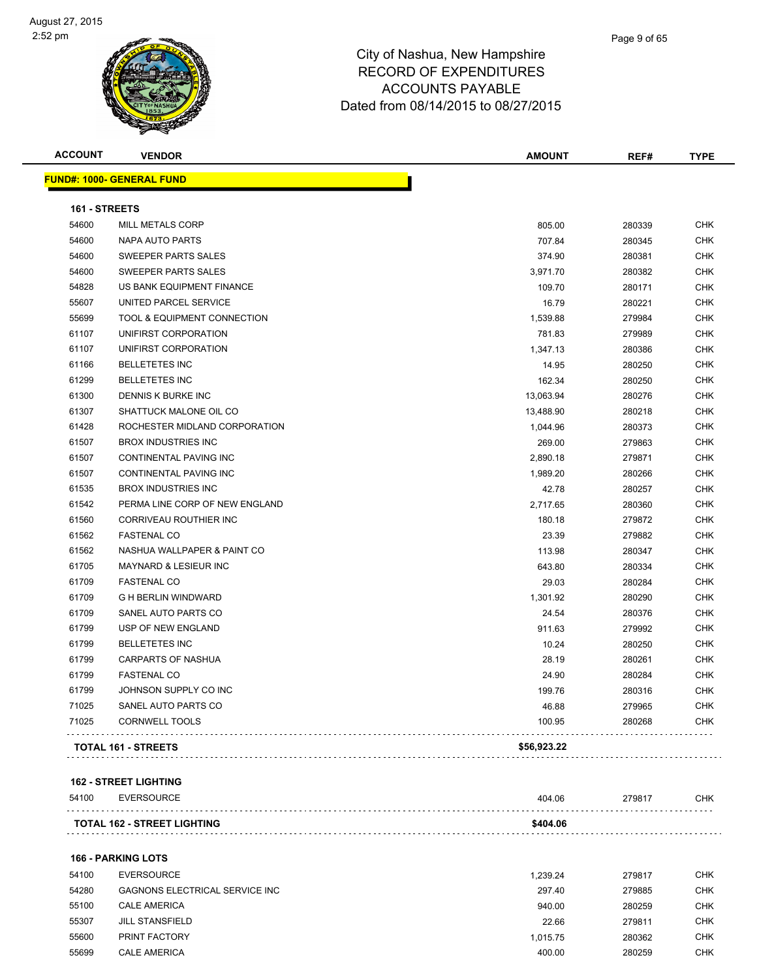| <b>ACCOUNT</b> | <b>VENDOR</b>                          | AMOUNT      | REF#   | <b>TYPE</b> |
|----------------|----------------------------------------|-------------|--------|-------------|
|                | <u> FUND#: 1000- GENERAL FUND</u>      |             |        |             |
| 161 - STREETS  |                                        |             |        |             |
| 54600          | MILL METALS CORP                       | 805.00      | 280339 | <b>CHK</b>  |
| 54600          | <b>NAPA AUTO PARTS</b>                 | 707.84      | 280345 | <b>CHK</b>  |
| 54600          | SWEEPER PARTS SALES                    | 374.90      | 280381 | <b>CHK</b>  |
| 54600          | SWEEPER PARTS SALES                    | 3,971.70    | 280382 | <b>CHK</b>  |
| 54828          | US BANK EQUIPMENT FINANCE              | 109.70      | 280171 | <b>CHK</b>  |
| 55607          | UNITED PARCEL SERVICE                  | 16.79       | 280221 | <b>CHK</b>  |
| 55699          | <b>TOOL &amp; EQUIPMENT CONNECTION</b> | 1,539.88    | 279984 | <b>CHK</b>  |
| 61107          | UNIFIRST CORPORATION                   | 781.83      | 279989 | <b>CHK</b>  |
| 61107          | UNIFIRST CORPORATION                   | 1,347.13    | 280386 | <b>CHK</b>  |
| 61166          | <b>BELLETETES INC</b>                  | 14.95       | 280250 | <b>CHK</b>  |
| 61299          | <b>BELLETETES INC</b>                  | 162.34      | 280250 | <b>CHK</b>  |
| 61300          | <b>DENNIS K BURKE INC</b>              | 13,063.94   | 280276 | <b>CHK</b>  |
| 61307          | SHATTUCK MALONE OIL CO                 | 13,488.90   | 280218 | <b>CHK</b>  |
| 61428          | ROCHESTER MIDLAND CORPORATION          | 1,044.96    | 280373 | <b>CHK</b>  |
| 61507          | <b>BROX INDUSTRIES INC</b>             | 269.00      | 279863 | <b>CHK</b>  |
| 61507          | CONTINENTAL PAVING INC                 | 2,890.18    | 279871 | <b>CHK</b>  |
| 61507          | CONTINENTAL PAVING INC                 | 1,989.20    | 280266 | <b>CHK</b>  |
| 61535          | <b>BROX INDUSTRIES INC</b>             | 42.78       | 280257 | <b>CHK</b>  |
| 61542          | PERMA LINE CORP OF NEW ENGLAND         | 2,717.65    | 280360 | <b>CHK</b>  |
| 61560          | CORRIVEAU ROUTHIER INC                 | 180.18      | 279872 | <b>CHK</b>  |
| 61562          | <b>FASTENAL CO</b>                     | 23.39       | 279882 | <b>CHK</b>  |
| 61562          | NASHUA WALLPAPER & PAINT CO            | 113.98      | 280347 | <b>CHK</b>  |
| 61705          | MAYNARD & LESIEUR INC                  | 643.80      | 280334 | <b>CHK</b>  |
| 61709          | <b>FASTENAL CO</b>                     | 29.03       | 280284 | <b>CHK</b>  |
| 61709          | <b>G H BERLIN WINDWARD</b>             | 1,301.92    | 280290 | <b>CHK</b>  |
| 61709          | SANEL AUTO PARTS CO                    | 24.54       | 280376 | <b>CHK</b>  |
| 61799          | USP OF NEW ENGLAND                     | 911.63      | 279992 | <b>CHK</b>  |
| 61799          | <b>BELLETETES INC</b>                  | 10.24       | 280250 | <b>CHK</b>  |
| 61799          | <b>CARPARTS OF NASHUA</b>              | 28.19       | 280261 | <b>CHK</b>  |
| 61799          | <b>FASTENAL CO</b>                     | 24.90       | 280284 | <b>CHK</b>  |
| 61799          | JOHNSON SUPPLY CO INC                  | 199.76      | 280316 | <b>CHK</b>  |
| 71025          | SANEL AUTO PARTS CO                    | 46.88       | 279965 | <b>CHK</b>  |
| 71025          | <b>CORNWELL TOOLS</b>                  | 100.95      | 280268 | <b>CHK</b>  |
|                | <b>TOTAL 161 - STREETS</b>             | \$56,923.22 |        |             |
|                |                                        |             |        |             |

#### **162 - STREET LIGHTING**

| 54100 | EVERSOURCE                         | 404.06   | 27981. | СНК |
|-------|------------------------------------|----------|--------|-----|
|       | <b>TOTAL 162 - STREET LIGHTING</b> | \$404.06 |        |     |
|       |                                    |          |        |     |

#### **166 - PARKING LOTS**

| 54100 | <b>EVERSOURCE</b>                     | 1.239.24 | 279817 | <b>CHK</b> |
|-------|---------------------------------------|----------|--------|------------|
| 54280 | <b>GAGNONS ELECTRICAL SERVICE INC</b> | 297.40   | 279885 | CHK        |
| 55100 | <b>CALE AMERICA</b>                   | 940.00   | 280259 | <b>CHK</b> |
| 55307 | <b>JILL STANSFIELD</b>                | 22.66    | 279811 | CHK        |
| 55600 | <b>PRINT FACTORY</b>                  | 1.015.75 | 280362 | CHK        |
| 55699 | <b>CALE AMERICA</b>                   | 400.00   | 280259 | CHK        |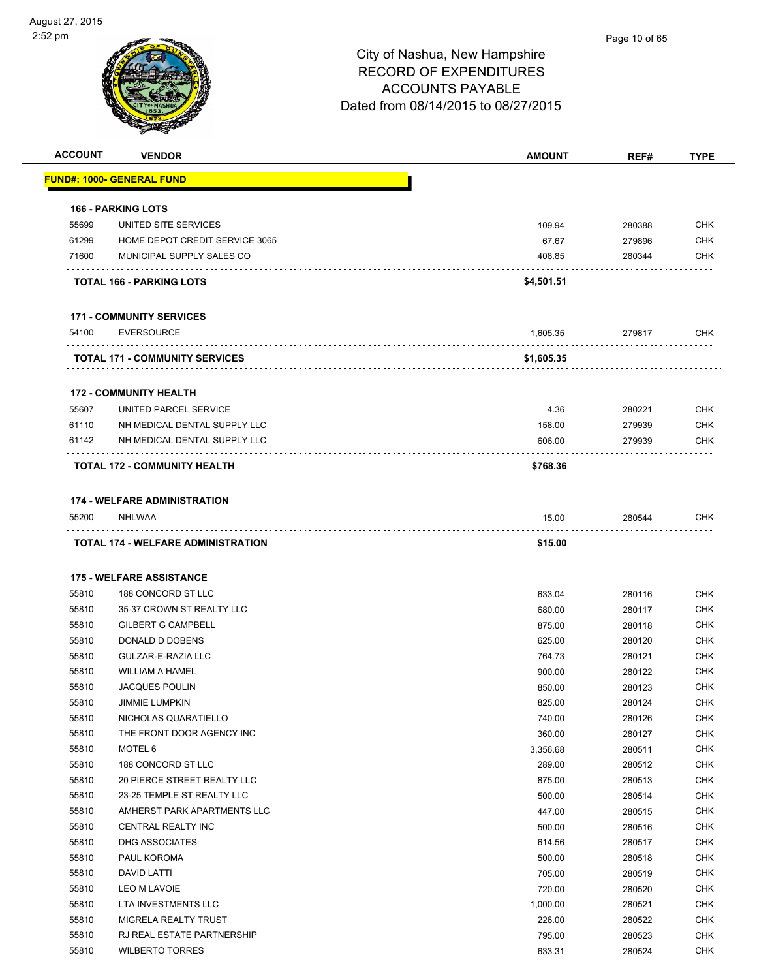| <b>ACCOUNT</b> | <b>VENDOR</b>                         | <b>AMOUNT</b> | REF#   | <b>TYPE</b> |
|----------------|---------------------------------------|---------------|--------|-------------|
|                | <u> FUND#: 1000- GENERAL FUND</u>     |               |        |             |
|                |                                       |               |        |             |
|                | <b>166 - PARKING LOTS</b>             |               |        |             |
| 55699          | UNITED SITE SERVICES                  | 109.94        | 280388 | <b>CHK</b>  |
| 61299          | HOME DEPOT CREDIT SERVICE 3065        | 67.67         | 279896 | <b>CHK</b>  |
| 71600          | MUNICIPAL SUPPLY SALES CO             | 408.85        | 280344 | <b>CHK</b>  |
|                | <b>TOTAL 166 - PARKING LOTS</b>       | \$4,501.51    |        |             |
|                | <b>171 - COMMUNITY SERVICES</b>       |               |        |             |
| 54100          | <b>EVERSOURCE</b>                     | 1,605.35      | 279817 | <b>CHK</b>  |
|                | <b>TOTAL 171 - COMMUNITY SERVICES</b> | \$1,605.35    |        |             |
|                | <b>172 - COMMUNITY HEALTH</b>         |               |        |             |
| 55607          | UNITED PARCEL SERVICE                 | 4.36          | 280221 | <b>CHK</b>  |
| 61110          | NH MEDICAL DENTAL SUPPLY LLC          | 158.00        | 279939 | <b>CHK</b>  |
| 61142          | NH MEDICAL DENTAL SUPPLY LLC          | 606.00        | 279939 | <b>CHK</b>  |
|                |                                       |               |        |             |
|                | TOTAL 172 - COMMUNITY HEALTH          | \$768.36      |        |             |
|                | <b>174 - WELFARE ADMINISTRATION</b>   |               |        |             |
| 55200          | NHLWAA                                | 15.00         | 280544 | <b>CHK</b>  |
|                | TOTAL 174 - WELFARE ADMINISTRATION    | \$15.00       |        |             |
|                | <b>175 - WELFARE ASSISTANCE</b>       |               |        |             |
| 55810          | 188 CONCORD ST LLC                    | 633.04        | 280116 | <b>CHK</b>  |
| 55810          | 35-37 CROWN ST REALTY LLC             | 680.00        | 280117 | <b>CHK</b>  |
| 55810          | <b>GILBERT G CAMPBELL</b>             | 875.00        | 280118 | <b>CHK</b>  |
| 55810          | DONALD D DOBENS                       | 625.00        | 280120 | <b>CHK</b>  |
| 55810          | GULZAR-E-RAZIA LLC                    | 764.73        | 280121 | <b>CHK</b>  |
| 55810          | <b>WILLIAM A HAMEL</b>                | 900.00        | 280122 | <b>CHK</b>  |
| 55810          | <b>JACQUES POULIN</b>                 | 850.00        | 280123 | <b>CHK</b>  |
| 55810          | <b>JIMMIE LUMPKIN</b>                 | 825.00        | 280124 | <b>CHK</b>  |
| 55810          | NICHOLAS QUARATIELLO                  | 740.00        | 280126 | CHK         |
| 55810          | THE FRONT DOOR AGENCY INC             | 360.00        | 280127 | <b>CHK</b>  |
| 55810          | MOTEL 6                               | 3,356.68      | 280511 | <b>CHK</b>  |
| 55810          | 188 CONCORD ST LLC                    | 289.00        | 280512 | <b>CHK</b>  |
| 55810          | 20 PIERCE STREET REALTY LLC           | 875.00        | 280513 | <b>CHK</b>  |
| 55810          | 23-25 TEMPLE ST REALTY LLC            | 500.00        | 280514 | <b>CHK</b>  |
| 55810          | AMHERST PARK APARTMENTS LLC           | 447.00        | 280515 | <b>CHK</b>  |
| 55810          | CENTRAL REALTY INC                    | 500.00        | 280516 | <b>CHK</b>  |
| 55810          | DHG ASSOCIATES                        | 614.56        | 280517 | <b>CHK</b>  |
| 55810          | PAUL KOROMA                           | 500.00        | 280518 | <b>CHK</b>  |
| 55810          | DAVID LATTI                           | 705.00        | 280519 | <b>CHK</b>  |
| 55810          | LEO M LAVOIE                          | 720.00        | 280520 | <b>CHK</b>  |
| 55810          | LTA INVESTMENTS LLC                   | 1,000.00      | 280521 | <b>CHK</b>  |
| 55810          | MIGRELA REALTY TRUST                  | 226.00        | 280522 | <b>CHK</b>  |
| 55810          | RJ REAL ESTATE PARTNERSHIP            | 795.00        | 280523 | <b>CHK</b>  |
| 55810          | <b>WILBERTO TORRES</b>                | 633.31        | 280524 | <b>CHK</b>  |
|                |                                       |               |        |             |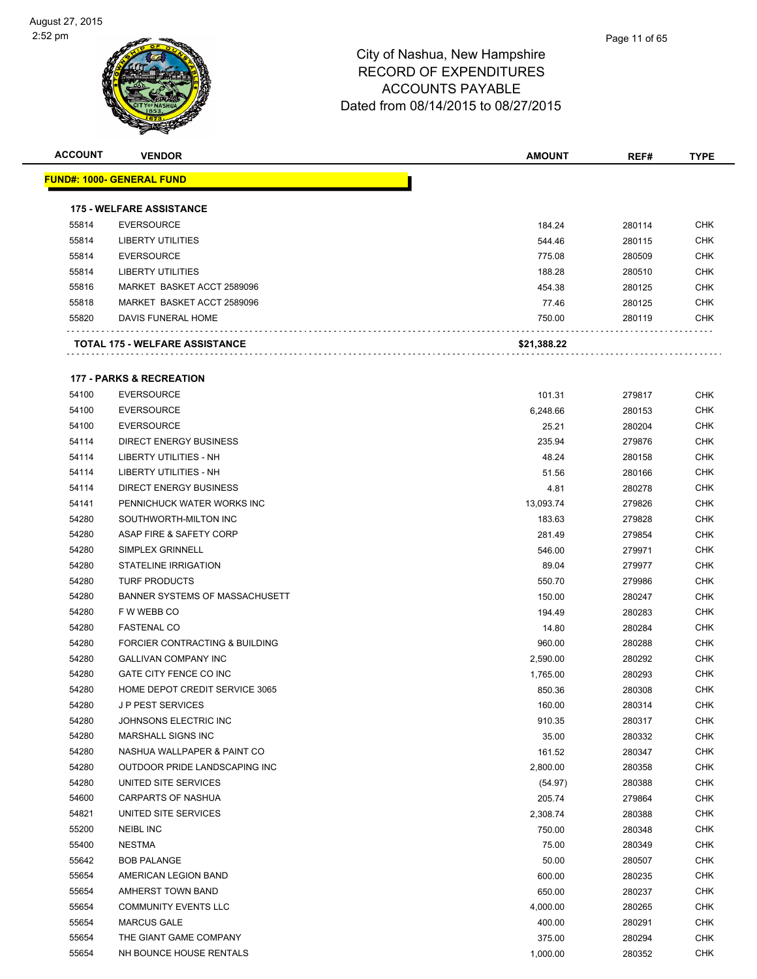| <b>ACCOUNT</b> | <b>VENDOR</b>                       | <b>AMOUNT</b> | REF#   | <b>TYPE</b> |
|----------------|-------------------------------------|---------------|--------|-------------|
|                | <b>FUND#: 1000- GENERAL FUND</b>    |               |        |             |
|                |                                     |               |        |             |
|                | <b>175 - WELFARE ASSISTANCE</b>     |               |        |             |
| 55814          | <b>EVERSOURCE</b>                   | 184.24        | 280114 | <b>CHK</b>  |
| 55814          | <b>LIBERTY UTILITIES</b>            | 544.46        | 280115 | <b>CHK</b>  |
| 55814          | <b>EVERSOURCE</b>                   | 775.08        | 280509 | CHK         |
| 55814          | <b>LIBERTY UTILITIES</b>            | 188.28        | 280510 | CHK         |
| 55816          | MARKET BASKET ACCT 2589096          | 454.38        | 280125 | CHK         |
| 55818          | MARKET BASKET ACCT 2589096          | 77.46         | 280125 | CHK         |
| 55820          | DAVIS FUNERAL HOME                  | 750.00        | 280119 | CHK         |
|                | TOTAL 175 - WELFARE ASSISTANCE      | \$21,388.22   |        |             |
|                | <b>177 - PARKS &amp; RECREATION</b> |               |        |             |
| 54100          | <b>EVERSOURCE</b>                   | 101.31        | 279817 | CHK         |
| 54100          | <b>EVERSOURCE</b>                   | 6,248.66      | 280153 | <b>CHK</b>  |
| 54100          | <b>EVERSOURCE</b>                   | 25.21         | 280204 | <b>CHK</b>  |
| 54114          | <b>DIRECT ENERGY BUSINESS</b>       | 235.94        | 279876 | CHK         |
| 54114          | LIBERTY UTILITIES - NH              | 48.24         | 280158 | CHK         |
| 54114          | LIBERTY UTILITIES - NH              | 51.56         | 280166 | <b>CHK</b>  |
| 54114          | <b>DIRECT ENERGY BUSINESS</b>       | 4.81          | 280278 | CHK         |
| 54141          | PENNICHUCK WATER WORKS INC          | 13,093.74     | 279826 | CHK         |
| 54280          | SOUTHWORTH-MILTON INC               | 183.63        | 279828 | CHK         |
| 54280          | ASAP FIRE & SAFETY CORP             | 281.49        | 279854 | CHK         |
| 54280          | SIMPLEX GRINNELL                    | 546.00        | 279971 | <b>CHK</b>  |
| 54280          | <b>STATELINE IRRIGATION</b>         | 89.04         | 279977 | CHK         |
| 54280          | <b>TURF PRODUCTS</b>                | 550.70        | 279986 | CHK         |
| 54280          | BANNER SYSTEMS OF MASSACHUSETT      | 150.00        | 280247 | <b>CHK</b>  |
| 54280          | F W WEBB CO                         | 194.49        | 280283 | CHK         |
| 54280          | <b>FASTENAL CO</b>                  | 14.80         | 280284 | CHK         |
| 54280          | FORCIER CONTRACTING & BUILDING      | 960.00        | 280288 | CHK         |
| 54280          | <b>GALLIVAN COMPANY INC</b>         | 2,590.00      | 280292 | CHK         |
| 54280          | GATE CITY FENCE CO INC              | 1,765.00      | 280293 | CHK         |
| 54280          | HOME DEPOT CREDIT SERVICE 3065      | 850.36        | 280308 | CHK         |
| 54280          | J P PEST SERVICES                   | 160.00        | 280314 | <b>CHK</b>  |
| 54280          | JOHNSONS ELECTRIC INC               | 910.35        | 280317 | CHK         |
| 54280          | MARSHALL SIGNS INC                  | 35.00         | 280332 | <b>CHK</b>  |
| 54280          | NASHUA WALLPAPER & PAINT CO         | 161.52        | 280347 | <b>CHK</b>  |
| 54280          | OUTDOOR PRIDE LANDSCAPING INC       | 2,800.00      | 280358 | <b>CHK</b>  |
| 54280          | UNITED SITE SERVICES                | (54.97)       | 280388 | CHK         |
| 54600          | <b>CARPARTS OF NASHUA</b>           | 205.74        | 279864 | <b>CHK</b>  |
| 54821          | UNITED SITE SERVICES                | 2,308.74      | 280388 | <b>CHK</b>  |
| 55200          | NEIBL INC                           | 750.00        | 280348 | CHK         |
| 55400          | <b>NESTMA</b>                       | 75.00         | 280349 | <b>CHK</b>  |
| 55642          | <b>BOB PALANGE</b>                  | 50.00         | 280507 | CHK         |
| 55654          | AMERICAN LEGION BAND                | 600.00        | 280235 | CHK         |
| 55654          | AMHERST TOWN BAND                   | 650.00        | 280237 | <b>CHK</b>  |
| 55654          | <b>COMMUNITY EVENTS LLC</b>         | 4,000.00      | 280265 | <b>CHK</b>  |
| 55654          | <b>MARCUS GALE</b>                  | 400.00        | 280291 | <b>CHK</b>  |
| 55654          | THE GIANT GAME COMPANY              | 375.00        | 280294 | <b>CHK</b>  |
| 55654          | NH BOUNCE HOUSE RENTALS             | 1,000.00      | 280352 | <b>CHK</b>  |
|                |                                     |               |        |             |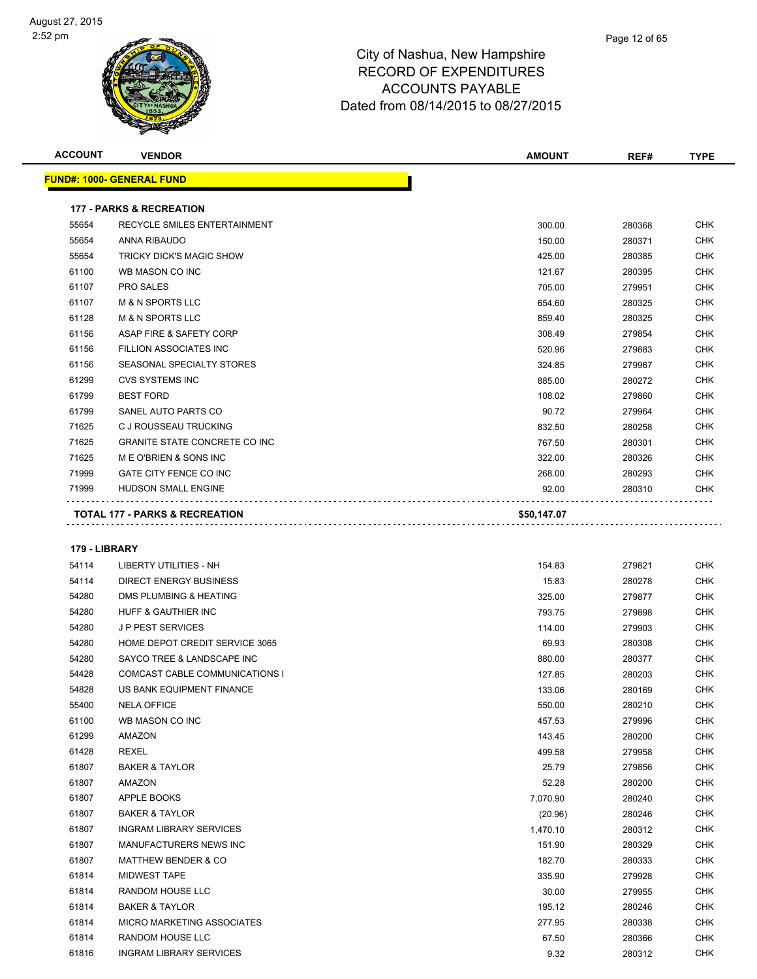| <b>ACCOUNT</b> | <b>VENDOR</b>                             | <b>AMOUNT</b> | REF#   | <b>TYPE</b> |
|----------------|-------------------------------------------|---------------|--------|-------------|
|                | <b>FUND#: 1000- GENERAL FUND</b>          |               |        |             |
|                | <b>177 - PARKS &amp; RECREATION</b>       |               |        |             |
| 55654          | <b>RECYCLE SMILES ENTERTAINMENT</b>       | 300.00        | 280368 | <b>CHK</b>  |
| 55654          | ANNA RIBAUDO                              | 150.00        | 280371 | <b>CHK</b>  |
| 55654          | <b>TRICKY DICK'S MAGIC SHOW</b>           | 425.00        | 280385 | <b>CHK</b>  |
| 61100          | WB MASON CO INC                           | 121.67        | 280395 | <b>CHK</b>  |
| 61107          | PRO SALES                                 | 705.00        | 279951 | <b>CHK</b>  |
| 61107          | <b>M &amp; N SPORTS LLC</b>               | 654.60        | 280325 | <b>CHK</b>  |
| 61128          | <b>M &amp; N SPORTS LLC</b>               | 859.40        | 280325 | <b>CHK</b>  |
| 61156          | ASAP FIRE & SAFETY CORP                   | 308.49        | 279854 | <b>CHK</b>  |
| 61156          | FILLION ASSOCIATES INC                    | 520.96        | 279883 | <b>CHK</b>  |
| 61156          | SEASONAL SPECIALTY STORES                 | 324.85        | 279967 | <b>CHK</b>  |
| 61299          | <b>CVS SYSTEMS INC</b>                    | 885.00        | 280272 | <b>CHK</b>  |
| 61799          | <b>BEST FORD</b>                          | 108.02        | 279860 | <b>CHK</b>  |
| 61799          | SANEL AUTO PARTS CO                       | 90.72         | 279964 | <b>CHK</b>  |
| 71625          | C J ROUSSEAU TRUCKING                     | 832.50        | 280258 | <b>CHK</b>  |
| 71625          | <b>GRANITE STATE CONCRETE CO INC</b>      | 767.50        | 280301 | <b>CHK</b>  |
| 71625          | ME O'BRIEN & SONS INC                     | 322.00        | 280326 | <b>CHK</b>  |
| 71999          | GATE CITY FENCE CO INC                    | 268.00        | 280293 | <b>CHK</b>  |
| 71999          | <b>HUDSON SMALL ENGINE</b>                | 92.00         | 280310 | <b>CHK</b>  |
|                | <b>TOTAL 177 - PARKS &amp; RECREATION</b> | \$50,147.07   |        |             |
| 179 - LIBRARY  |                                           |               |        |             |
| 54114          | <b>LIBERTY UTILITIES - NH</b>             | 154.83        | 279821 | <b>CHK</b>  |
| 54114          | <b>DIRECT ENERGY BUSINESS</b>             | 15.83         | 280278 | <b>CHK</b>  |
| 54280          | DMS PLUMBING & HEATING                    | 325.00        | 279877 | <b>CHK</b>  |
| 54280          | HUFF & GAUTHIER INC                       | 793.75        | 279898 | <b>CHK</b>  |
| 54280          | <b>JP PEST SERVICES</b>                   | 114.00        | 279903 | <b>CHK</b>  |
| 54280          | HOME DEPOT CREDIT SERVICE 3065            | 69.93         | 280308 | <b>CHK</b>  |

| 54280 | <b>JP PEST SERVICES</b>               | 114.00   | 279903 | CHK        |
|-------|---------------------------------------|----------|--------|------------|
| 54280 | HOME DEPOT CREDIT SERVICE 3065        | 69.93    | 280308 | <b>CHK</b> |
| 54280 | SAYCO TREE & LANDSCAPE INC            | 880.00   | 280377 | <b>CHK</b> |
| 54428 | <b>COMCAST CABLE COMMUNICATIONS I</b> | 127.85   | 280203 | <b>CHK</b> |
| 54828 | US BANK EQUIPMENT FINANCE             | 133.06   | 280169 | <b>CHK</b> |
| 55400 | <b>NELA OFFICE</b>                    | 550.00   | 280210 | <b>CHK</b> |
| 61100 | WB MASON CO INC                       | 457.53   | 279996 | <b>CHK</b> |
| 61299 | <b>AMAZON</b>                         | 143.45   | 280200 | <b>CHK</b> |
| 61428 | <b>REXEL</b>                          | 499.58   | 279958 | <b>CHK</b> |
| 61807 | <b>BAKER &amp; TAYLOR</b>             | 25.79    | 279856 | <b>CHK</b> |
| 61807 | <b>AMAZON</b>                         | 52.28    | 280200 | <b>CHK</b> |
| 61807 | <b>APPLE BOOKS</b>                    | 7.070.90 | 280240 | <b>CHK</b> |
| 61807 | <b>BAKER &amp; TAYLOR</b>             | (20.96)  | 280246 | <b>CHK</b> |
| 61807 | <b>INGRAM LIBRARY SERVICES</b>        | 1,470.10 | 280312 | <b>CHK</b> |
| 61807 | <b>MANUFACTURERS NEWS INC</b>         | 151.90   | 280329 | <b>CHK</b> |
| 61807 | <b>MATTHEW BENDER &amp; CO</b>        | 182.70   | 280333 | <b>CHK</b> |
| 61814 | <b>MIDWEST TAPE</b>                   | 335.90   | 279928 | <b>CHK</b> |
| 61814 | <b>RANDOM HOUSE LLC</b>               | 30.00    | 279955 | <b>CHK</b> |
| 61814 | <b>BAKER &amp; TAYLOR</b>             | 195.12   | 280246 | <b>CHK</b> |
| 61814 | <b>MICRO MARKETING ASSOCIATES</b>     | 277.95   | 280338 | <b>CHK</b> |
| 61814 | <b>RANDOM HOUSE LLC</b>               | 67.50    | 280366 | <b>CHK</b> |
| 61816 | <b>INGRAM LIBRARY SERVICES</b>        | 9.32     | 280312 | <b>CHK</b> |
|       |                                       |          |        |            |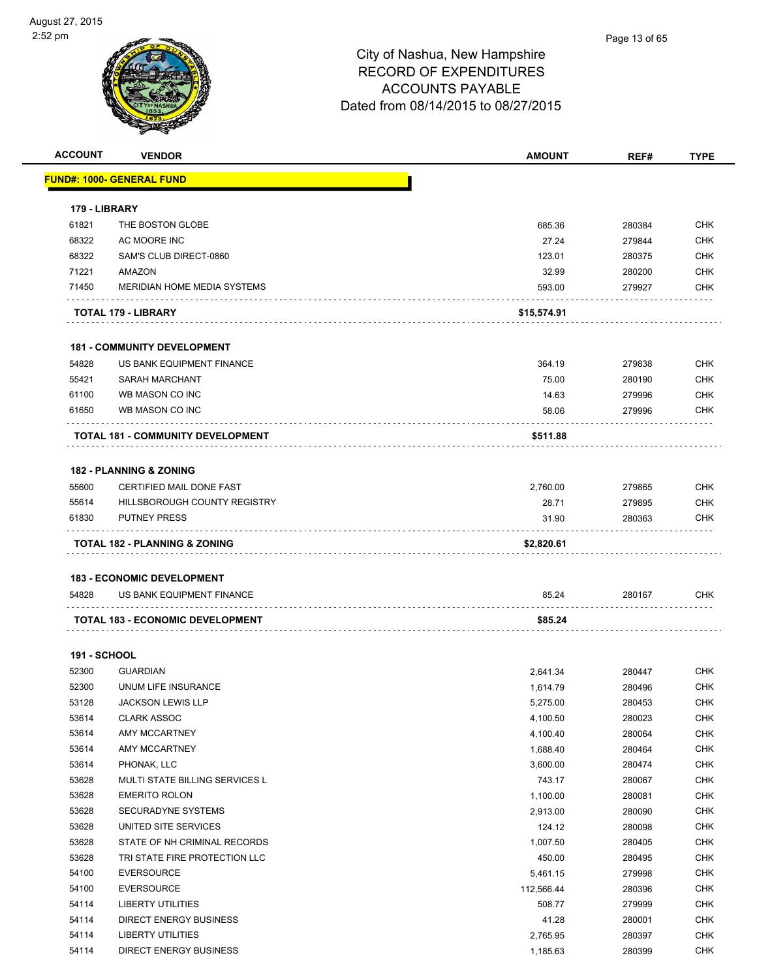| <b>ACCOUNT</b>      | <b>VENDOR</b>                      | <b>AMOUNT</b> | REF#   | <b>TYPE</b> |
|---------------------|------------------------------------|---------------|--------|-------------|
|                     | <u> FUND#: 1000- GENERAL FUND</u>  |               |        |             |
|                     |                                    |               |        |             |
| 179 - LIBRARY       |                                    |               |        |             |
| 61821               | THE BOSTON GLOBE                   | 685.36        | 280384 | <b>CHK</b>  |
| 68322               | AC MOORE INC                       | 27.24         | 279844 | <b>CHK</b>  |
| 68322               | SAM'S CLUB DIRECT-0860             | 123.01        | 280375 | <b>CHK</b>  |
| 71221               | AMAZON                             | 32.99         | 280200 | <b>CHK</b>  |
| 71450               | MERIDIAN HOME MEDIA SYSTEMS        | 593.00        | 279927 | CHK         |
|                     | TOTAL 179 - LIBRARY                | \$15,574.91   |        |             |
|                     | <b>181 - COMMUNITY DEVELOPMENT</b> |               |        |             |
| 54828               | US BANK EQUIPMENT FINANCE          | 364.19        | 279838 | <b>CHK</b>  |
| 55421               | <b>SARAH MARCHANT</b>              | 75.00         | 280190 | <b>CHK</b>  |
| 61100               | WB MASON CO INC                    | 14.63         | 279996 | <b>CHK</b>  |
| 61650               | WB MASON CO INC                    | 58.06         | 279996 | CHK         |
|                     | TOTAL 181 - COMMUNITY DEVELOPMENT  | \$511.88      |        |             |
|                     | <b>182 - PLANNING &amp; ZONING</b> |               |        |             |
| 55600               | CERTIFIED MAIL DONE FAST           | 2.760.00      | 279865 | <b>CHK</b>  |
| 55614               | HILLSBOROUGH COUNTY REGISTRY       | 28.71         | 279895 | <b>CHK</b>  |
| 61830               | <b>PUTNEY PRESS</b>                | 31.90         | 280363 | CHK         |
|                     |                                    |               |        |             |
|                     | TOTAL 182 - PLANNING & ZONING      | \$2,820.61    |        |             |
|                     |                                    |               |        |             |
|                     | <b>183 - ECONOMIC DEVELOPMENT</b>  |               |        |             |
| 54828               | US BANK EQUIPMENT FINANCE          | 85.24         | 280167 | <b>CHK</b>  |
|                     | TOTAL 183 - ECONOMIC DEVELOPMENT   | \$85.24       |        |             |
| <b>191 - SCHOOL</b> |                                    |               |        |             |
| 52300               | <b>GUARDIAN</b>                    | 2,641.34      | 280447 | <b>CHK</b>  |
| 52300               | UNUM LIFE INSURANCE                | 1,614.79      | 280496 | <b>CHK</b>  |
| 53128               | JACKSON LEWIS LLP                  | 5,275.00      | 280453 | <b>CHK</b>  |
| 53614               | <b>CLARK ASSOC</b>                 | 4,100.50      | 280023 | <b>CHK</b>  |
| 53614               | AMY MCCARTNEY                      | 4,100.40      | 280064 | <b>CHK</b>  |
| 53614               | AMY MCCARTNEY                      | 1,688.40      | 280464 | <b>CHK</b>  |
| 53614               | PHONAK, LLC                        | 3,600.00      | 280474 | <b>CHK</b>  |
| 53628               | MULTI STATE BILLING SERVICES L     | 743.17        | 280067 | <b>CHK</b>  |
| 53628               | <b>EMERITO ROLON</b>               | 1,100.00      | 280081 | <b>CHK</b>  |
| 53628               | SECURADYNE SYSTEMS                 | 2,913.00      | 280090 | <b>CHK</b>  |
| 53628               | UNITED SITE SERVICES               | 124.12        | 280098 | <b>CHK</b>  |
| 53628               | STATE OF NH CRIMINAL RECORDS       | 1,007.50      | 280405 | <b>CHK</b>  |
| 53628               | TRI STATE FIRE PROTECTION LLC      | 450.00        | 280495 | <b>CHK</b>  |
| 54100               | <b>EVERSOURCE</b>                  | 5,461.15      | 279998 | <b>CHK</b>  |
| 54100               | <b>EVERSOURCE</b>                  | 112,566.44    | 280396 | <b>CHK</b>  |
| 54114               | <b>LIBERTY UTILITIES</b>           | 508.77        | 279999 | <b>CHK</b>  |
| 54114               | <b>DIRECT ENERGY BUSINESS</b>      | 41.28         | 280001 | <b>CHK</b>  |
| 54114               | <b>LIBERTY UTILITIES</b>           | 2,765.95      | 280397 | <b>CHK</b>  |
| 54114               | <b>DIRECT ENERGY BUSINESS</b>      | 1,185.63      | 280399 | <b>CHK</b>  |
|                     |                                    |               |        |             |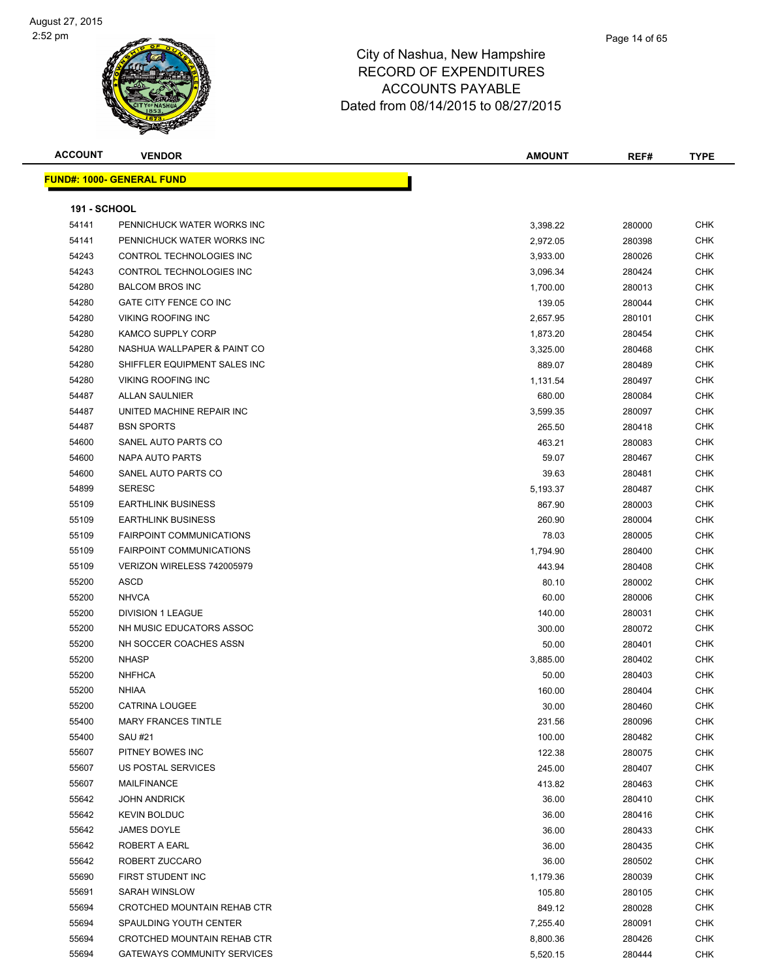#### Page 14 of 65

| <b>ACCOUNT</b>      | <b>VENDOR</b>                      | <b>AMOUNT</b> | REF#   | <b>TYPE</b> |
|---------------------|------------------------------------|---------------|--------|-------------|
|                     | <b>FUND#: 1000- GENERAL FUND</b>   |               |        |             |
|                     |                                    |               |        |             |
| <b>191 - SCHOOL</b> |                                    |               |        |             |
| 54141               | PENNICHUCK WATER WORKS INC         | 3,398.22      | 280000 | <b>CHK</b>  |
| 54141               | PENNICHUCK WATER WORKS INC         | 2,972.05      | 280398 | <b>CHK</b>  |
| 54243               | CONTROL TECHNOLOGIES INC           | 3,933.00      | 280026 | CHK         |
| 54243               | CONTROL TECHNOLOGIES INC           | 3,096.34      | 280424 | <b>CHK</b>  |
| 54280               | <b>BALCOM BROS INC</b>             | 1,700.00      | 280013 | <b>CHK</b>  |
| 54280               | GATE CITY FENCE CO INC             | 139.05        | 280044 | CHK         |
| 54280               | <b>VIKING ROOFING INC</b>          | 2,657.95      | 280101 | <b>CHK</b>  |
| 54280               | KAMCO SUPPLY CORP                  | 1,873.20      | 280454 | <b>CHK</b>  |
| 54280               | NASHUA WALLPAPER & PAINT CO        | 3,325.00      | 280468 | CHK         |
| 54280               | SHIFFLER EQUIPMENT SALES INC       | 889.07        | 280489 | <b>CHK</b>  |
| 54280               | <b>VIKING ROOFING INC</b>          | 1,131.54      | 280497 | <b>CHK</b>  |
| 54487               | <b>ALLAN SAULNIER</b>              | 680.00        | 280084 | <b>CHK</b>  |
| 54487               | UNITED MACHINE REPAIR INC          | 3,599.35      | 280097 | <b>CHK</b>  |
| 54487               | <b>BSN SPORTS</b>                  | 265.50        | 280418 | CHK         |
| 54600               | SANEL AUTO PARTS CO                | 463.21        | 280083 | CHK         |
| 54600               | NAPA AUTO PARTS                    | 59.07         | 280467 | <b>CHK</b>  |
| 54600               | SANEL AUTO PARTS CO                | 39.63         | 280481 | CHK         |
| 54899               | <b>SERESC</b>                      | 5,193.37      | 280487 | CHK         |
| 55109               | <b>EARTHLINK BUSINESS</b>          | 867.90        | 280003 | <b>CHK</b>  |
| 55109               | <b>EARTHLINK BUSINESS</b>          | 260.90        | 280004 | CHK         |
| 55109               | <b>FAIRPOINT COMMUNICATIONS</b>    | 78.03         | 280005 | <b>CHK</b>  |
| 55109               | <b>FAIRPOINT COMMUNICATIONS</b>    | 1,794.90      | 280400 | <b>CHK</b>  |
| 55109               | VERIZON WIRELESS 742005979         | 443.94        | 280408 | CHK         |
| 55200               | <b>ASCD</b>                        | 80.10         | 280002 | CHK         |
| 55200               | <b>NHVCA</b>                       | 60.00         | 280006 | CHK         |
| 55200               | <b>DIVISION 1 LEAGUE</b>           | 140.00        | 280031 | CHK         |
| 55200               | NH MUSIC EDUCATORS ASSOC           | 300.00        | 280072 | <b>CHK</b>  |
| 55200               | NH SOCCER COACHES ASSN             | 50.00         | 280401 | CHK         |
| 55200               | <b>NHASP</b>                       | 3,885.00      | 280402 | CHK         |
| 55200               | <b>NHFHCA</b>                      | 50.00         | 280403 | <b>CHK</b>  |
| 55200               | <b>NHIAA</b>                       | 160.00        | 280404 | <b>CHK</b>  |
| 55200               | <b>CATRINA LOUGEE</b>              | 30.00         | 280460 | <b>CHK</b>  |
| 55400               | <b>MARY FRANCES TINTLE</b>         | 231.56        | 280096 | <b>CHK</b>  |
| 55400               | SAU #21                            | 100.00        | 280482 | <b>CHK</b>  |
| 55607               | PITNEY BOWES INC                   | 122.38        | 280075 | <b>CHK</b>  |
| 55607               | US POSTAL SERVICES                 | 245.00        | 280407 | <b>CHK</b>  |
| 55607               | MAILFINANCE                        | 413.82        | 280463 | <b>CHK</b>  |
| 55642               | <b>JOHN ANDRICK</b>                | 36.00         | 280410 | <b>CHK</b>  |
| 55642               | <b>KEVIN BOLDUC</b>                | 36.00         | 280416 | <b>CHK</b>  |
| 55642               | JAMES DOYLE                        | 36.00         | 280433 | <b>CHK</b>  |
| 55642               | ROBERT A EARL                      | 36.00         | 280435 | <b>CHK</b>  |
| 55642               | ROBERT ZUCCARO                     | 36.00         | 280502 | <b>CHK</b>  |
| 55690               | FIRST STUDENT INC                  | 1,179.36      | 280039 | <b>CHK</b>  |
| 55691               | SARAH WINSLOW                      | 105.80        | 280105 | <b>CHK</b>  |
| 55694               | CROTCHED MOUNTAIN REHAB CTR        | 849.12        | 280028 | <b>CHK</b>  |
| 55694               | SPAULDING YOUTH CENTER             | 7,255.40      | 280091 | <b>CHK</b>  |
| 55694               | CROTCHED MOUNTAIN REHAB CTR        | 8,800.36      | 280426 | <b>CHK</b>  |
| 55694               | <b>GATEWAYS COMMUNITY SERVICES</b> | 5,520.15      | 280444 | <b>CHK</b>  |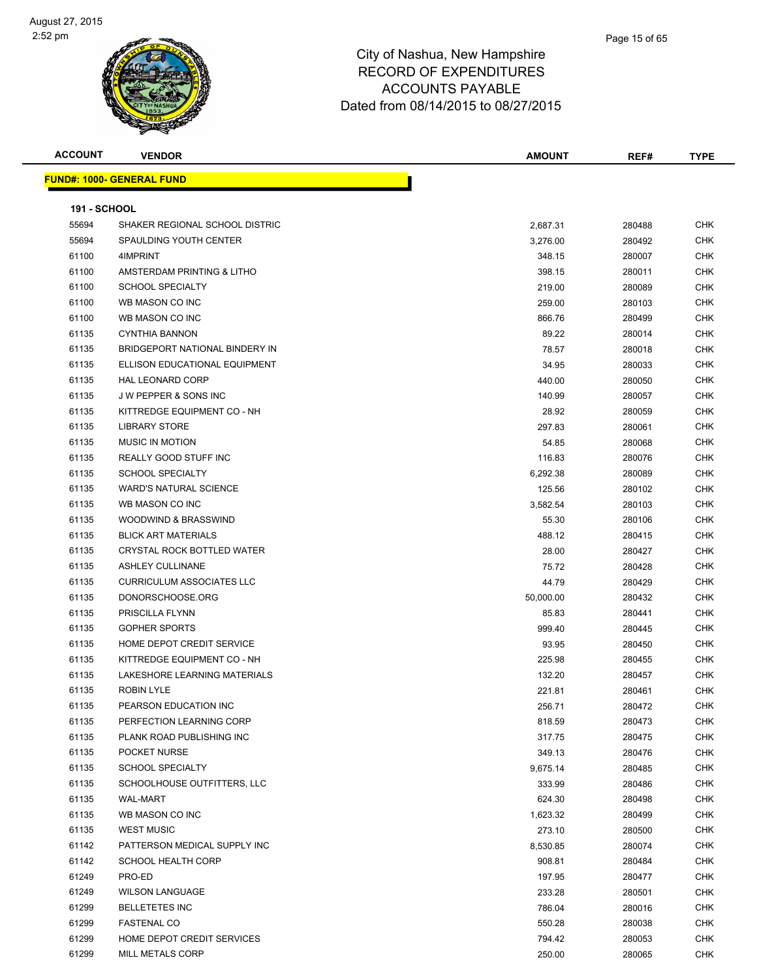| <b>ACCOUNT</b>      | <b>VENDOR</b>                    | <b>AMOUNT</b> | REF#   | <b>TYPE</b> |
|---------------------|----------------------------------|---------------|--------|-------------|
|                     | <b>FUND#: 1000- GENERAL FUND</b> |               |        |             |
|                     |                                  |               |        |             |
| <b>191 - SCHOOL</b> |                                  |               |        |             |
| 55694               | SHAKER REGIONAL SCHOOL DISTRIC   | 2,687.31      | 280488 | CHK         |
| 55694               | SPAULDING YOUTH CENTER           | 3,276.00      | 280492 | CHK         |
| 61100               | 4IMPRINT                         | 348.15        | 280007 | <b>CHK</b>  |
| 61100               | AMSTERDAM PRINTING & LITHO       | 398.15        | 280011 | CHK         |
| 61100               | <b>SCHOOL SPECIALTY</b>          | 219.00        | 280089 | CHK         |
| 61100               | WB MASON CO INC                  | 259.00        | 280103 | <b>CHK</b>  |
| 61100               | WB MASON CO INC                  | 866.76        | 280499 | CHK         |
| 61135               | <b>CYNTHIA BANNON</b>            | 89.22         | 280014 | CHK         |
| 61135               | BRIDGEPORT NATIONAL BINDERY IN   | 78.57         | 280018 | CHK         |
| 61135               | ELLISON EDUCATIONAL EQUIPMENT    | 34.95         | 280033 | CHK         |
| 61135               | <b>HAL LEONARD CORP</b>          | 440.00        | 280050 | CHK         |
| 61135               | J W PEPPER & SONS INC            | 140.99        | 280057 | CHK         |
| 61135               | KITTREDGE EQUIPMENT CO - NH      | 28.92         | 280059 | CHK         |
| 61135               | <b>LIBRARY STORE</b>             | 297.83        | 280061 | <b>CHK</b>  |
| 61135               | <b>MUSIC IN MOTION</b>           | 54.85         | 280068 | CHK         |
| 61135               | REALLY GOOD STUFF INC            | 116.83        | 280076 | CHK         |
| 61135               | <b>SCHOOL SPECIALTY</b>          | 6,292.38      | 280089 | CHK         |
| 61135               | <b>WARD'S NATURAL SCIENCE</b>    | 125.56        | 280102 | CHK         |
| 61135               | WB MASON CO INC                  | 3,582.54      | 280103 | CHK         |
| 61135               | WOODWIND & BRASSWIND             | 55.30         | 280106 | CHK         |
| 61135               | <b>BLICK ART MATERIALS</b>       | 488.12        | 280415 | CHK         |
| 61135               | CRYSTAL ROCK BOTTLED WATER       | 28.00         | 280427 | <b>CHK</b>  |
| 61135               | <b>ASHLEY CULLINANE</b>          | 75.72         | 280428 | <b>CHK</b>  |
| 61135               | <b>CURRICULUM ASSOCIATES LLC</b> | 44.79         | 280429 | <b>CHK</b>  |
| 61135               | DONORSCHOOSE.ORG                 | 50,000.00     | 280432 | <b>CHK</b>  |
| 61135               | PRISCILLA FLYNN                  | 85.83         | 280441 | CHK         |
| 61135               | <b>GOPHER SPORTS</b>             | 999.40        | 280445 | CHK         |
| 61135               | HOME DEPOT CREDIT SERVICE        | 93.95         | 280450 | CHK         |
| 61135               | KITTREDGE EQUIPMENT CO - NH      | 225.98        | 280455 | CHK         |
| 61135               | LAKESHORE LEARNING MATERIALS     | 132.20        | 280457 | CHK         |
| 61135               | <b>ROBIN LYLE</b>                | 221.81        | 280461 | CHK         |
| 61135               | PEARSON EDUCATION INC            | 256.71        | 280472 | <b>CHK</b>  |
| 61135               | PERFECTION LEARNING CORP         | 818.59        | 280473 | <b>CHK</b>  |
| 61135               | PLANK ROAD PUBLISHING INC        | 317.75        | 280475 | <b>CHK</b>  |
| 61135               | POCKET NURSE                     | 349.13        | 280476 | <b>CHK</b>  |
| 61135               | SCHOOL SPECIALTY                 | 9,675.14      | 280485 | <b>CHK</b>  |
| 61135               | SCHOOLHOUSE OUTFITTERS, LLC      | 333.99        | 280486 | CHK         |
| 61135               | <b>WAL-MART</b>                  | 624.30        | 280498 | CHK         |
| 61135               | WB MASON CO INC                  | 1,623.32      | 280499 | CHK         |
| 61135               | <b>WEST MUSIC</b>                | 273.10        | 280500 | CHK         |
| 61142               | PATTERSON MEDICAL SUPPLY INC     | 8,530.85      | 280074 | <b>CHK</b>  |
| 61142               | <b>SCHOOL HEALTH CORP</b>        | 908.81        | 280484 | <b>CHK</b>  |
| 61249               | PRO-ED                           | 197.95        | 280477 | CHK         |
| 61249               | <b>WILSON LANGUAGE</b>           | 233.28        | 280501 | <b>CHK</b>  |
| 61299               | <b>BELLETETES INC</b>            | 786.04        | 280016 | CHK         |
| 61299               | <b>FASTENAL CO</b>               | 550.28        | 280038 | CHK         |
| 61299               | HOME DEPOT CREDIT SERVICES       | 794.42        | 280053 | CHK         |
| 61299               | MILL METALS CORP                 | 250.00        | 280065 | CHK         |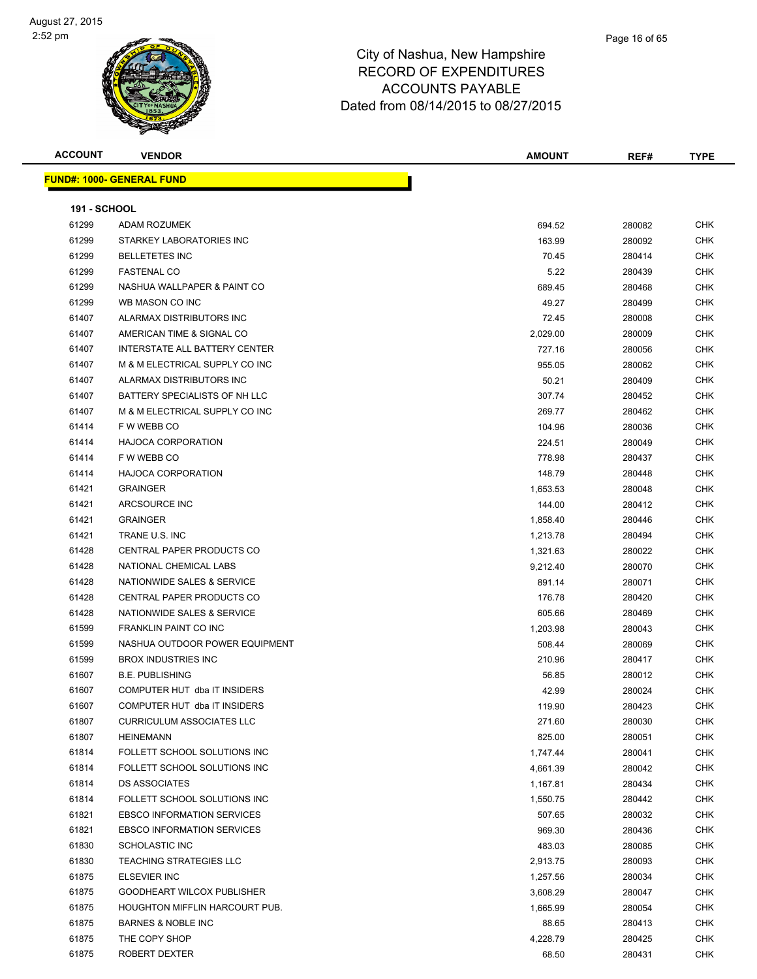| <b>ACCOUNT</b>      | <b>VENDOR</b>                     | <b>AMOUNT</b> | REF#   | <b>TYPE</b> |
|---------------------|-----------------------------------|---------------|--------|-------------|
|                     | <b>FUND#: 1000- GENERAL FUND</b>  |               |        |             |
|                     |                                   |               |        |             |
| <b>191 - SCHOOL</b> |                                   |               |        |             |
| 61299               | <b>ADAM ROZUMEK</b>               | 694.52        | 280082 | <b>CHK</b>  |
| 61299               | STARKEY LABORATORIES INC          | 163.99        | 280092 | <b>CHK</b>  |
| 61299               | <b>BELLETETES INC</b>             | 70.45         | 280414 | CHK         |
| 61299               | <b>FASTENAL CO</b>                | 5.22          | 280439 | CHK         |
| 61299               | NASHUA WALLPAPER & PAINT CO       | 689.45        | 280468 | CHK         |
| 61299               | WB MASON CO INC                   | 49.27         | 280499 | CHK         |
| 61407               | ALARMAX DISTRIBUTORS INC          | 72.45         | 280008 | <b>CHK</b>  |
| 61407               | AMERICAN TIME & SIGNAL CO         | 2,029.00      | 280009 | CHK         |
| 61407               | INTERSTATE ALL BATTERY CENTER     | 727.16        | 280056 | CHK         |
| 61407               | M & M ELECTRICAL SUPPLY CO INC    | 955.05        | 280062 | <b>CHK</b>  |
| 61407               | ALARMAX DISTRIBUTORS INC          | 50.21         | 280409 | CHK         |
| 61407               | BATTERY SPECIALISTS OF NH LLC     | 307.74        | 280452 | CHK         |
| 61407               | M & M ELECTRICAL SUPPLY CO INC    | 269.77        | 280462 | CHK         |
| 61414               | F W WEBB CO                       | 104.96        | 280036 | CHK         |
| 61414               | <b>HAJOCA CORPORATION</b>         | 224.51        | 280049 | CHK         |
| 61414               | F W WEBB CO                       | 778.98        | 280437 | CHK         |
| 61414               | <b>HAJOCA CORPORATION</b>         | 148.79        | 280448 | CHK         |
| 61421               | <b>GRAINGER</b>                   | 1,653.53      | 280048 | <b>CHK</b>  |
| 61421               | ARCSOURCE INC                     | 144.00        | 280412 | CHK         |
| 61421               | <b>GRAINGER</b>                   | 1,858.40      | 280446 | <b>CHK</b>  |
| 61421               | TRANE U.S. INC                    | 1,213.78      | 280494 | <b>CHK</b>  |
| 61428               | CENTRAL PAPER PRODUCTS CO         | 1,321.63      | 280022 | CHK         |
| 61428               | NATIONAL CHEMICAL LABS            | 9,212.40      | 280070 | CHK         |
| 61428               | NATIONWIDE SALES & SERVICE        | 891.14        | 280071 | CHK         |
| 61428               | CENTRAL PAPER PRODUCTS CO         | 176.78        | 280420 | CHK         |
| 61428               | NATIONWIDE SALES & SERVICE        | 605.66        | 280469 | CHK         |
| 61599               | <b>FRANKLIN PAINT CO INC</b>      | 1,203.98      | 280043 | CHK         |
| 61599               | NASHUA OUTDOOR POWER EQUIPMENT    | 508.44        | 280069 | CHK         |
| 61599               | <b>BROX INDUSTRIES INC</b>        | 210.96        | 280417 | <b>CHK</b>  |
| 61607               | <b>B.E. PUBLISHING</b>            | 56.85         | 280012 | CHK         |
| 61607               | COMPUTER HUT dba IT INSIDERS      | 42.99         | 280024 | CHK         |
| 61607               | COMPUTER HUT dba IT INSIDERS      | 119.90        | 280423 | <b>CHK</b>  |
| 61807               | <b>CURRICULUM ASSOCIATES LLC</b>  | 271.60        | 280030 | <b>CHK</b>  |
| 61807               | <b>HEINEMANN</b>                  | 825.00        | 280051 | CHK         |
| 61814               | FOLLETT SCHOOL SOLUTIONS INC      | 1,747.44      | 280041 | CHK         |
| 61814               | FOLLETT SCHOOL SOLUTIONS INC      | 4,661.39      | 280042 | CHK         |
| 61814               | <b>DS ASSOCIATES</b>              | 1,167.81      | 280434 | <b>CHK</b>  |
| 61814               | FOLLETT SCHOOL SOLUTIONS INC      | 1,550.75      | 280442 | CHK         |
| 61821               | <b>EBSCO INFORMATION SERVICES</b> | 507.65        | 280032 | <b>CHK</b>  |
| 61821               | <b>EBSCO INFORMATION SERVICES</b> | 969.30        | 280436 | <b>CHK</b>  |
| 61830               | SCHOLASTIC INC                    | 483.03        | 280085 | CHK         |
| 61830               | <b>TEACHING STRATEGIES LLC</b>    | 2,913.75      | 280093 | <b>CHK</b>  |
| 61875               | ELSEVIER INC                      | 1,257.56      | 280034 | <b>CHK</b>  |
| 61875               | GOODHEART WILCOX PUBLISHER        | 3,608.29      | 280047 | CHK         |
| 61875               | HOUGHTON MIFFLIN HARCOURT PUB.    | 1,665.99      | 280054 | CHK         |
| 61875               | <b>BARNES &amp; NOBLE INC</b>     | 88.65         | 280413 | CHK         |
| 61875               | THE COPY SHOP                     | 4,228.79      | 280425 | CHK         |
| 61875               | ROBERT DEXTER                     | 68.50         | 280431 | <b>CHK</b>  |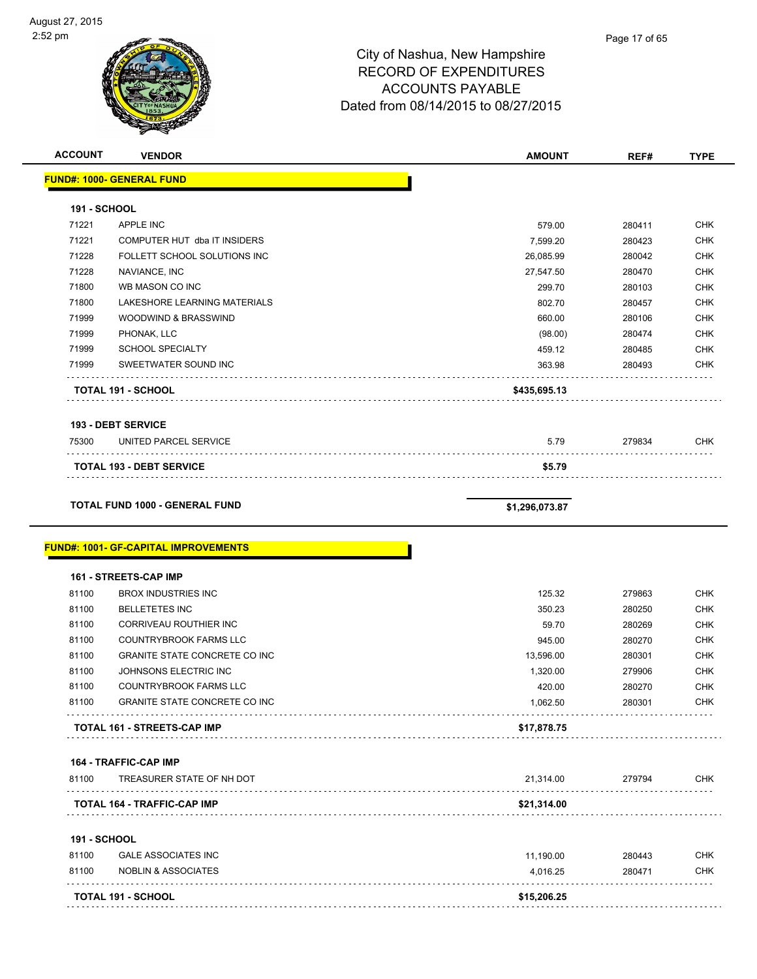

| <b>ACCOUNT</b>      | <b>VENDOR</b>                                                        | <b>AMOUNT</b>  | REF#   | <b>TYPE</b>                                                                                                                                            |
|---------------------|----------------------------------------------------------------------|----------------|--------|--------------------------------------------------------------------------------------------------------------------------------------------------------|
|                     | <b>FUND#: 1000- GENERAL FUND</b>                                     |                |        |                                                                                                                                                        |
| <b>191 - SCHOOL</b> |                                                                      |                |        |                                                                                                                                                        |
| 71221               | <b>APPLE INC</b>                                                     | 579.00         | 280411 | <b>CHK</b>                                                                                                                                             |
| 71221               | COMPUTER HUT dba IT INSIDERS                                         | 7,599.20       | 280423 | <b>CHK</b>                                                                                                                                             |
| 71228               | FOLLETT SCHOOL SOLUTIONS INC                                         | 26,085.99      | 280042 | <b>CHK</b>                                                                                                                                             |
| 71228               | NAVIANCE, INC                                                        | 27,547.50      | 280470 | <b>CHK</b>                                                                                                                                             |
| 71800               | WB MASON CO INC                                                      | 299.70         | 280103 | <b>CHK</b>                                                                                                                                             |
| 71800               | LAKESHORE LEARNING MATERIALS                                         | 802.70         | 280457 | <b>CHK</b>                                                                                                                                             |
| 71999               | WOODWIND & BRASSWIND                                                 | 660.00         | 280106 | <b>CHK</b>                                                                                                                                             |
| 71999               | PHONAK, LLC                                                          | (98.00)        | 280474 | <b>CHK</b>                                                                                                                                             |
| 71999               | <b>SCHOOL SPECIALTY</b>                                              | 459.12         | 280485 | <b>CHK</b>                                                                                                                                             |
| 71999               | SWEETWATER SOUND INC                                                 | 363.98         | 280493 | <b>CHK</b>                                                                                                                                             |
|                     | <b>TOTAL 191 - SCHOOL</b>                                            | \$435,695.13   |        |                                                                                                                                                        |
|                     | <b>193 - DEBT SERVICE</b>                                            |                |        |                                                                                                                                                        |
| 75300               | UNITED PARCEL SERVICE                                                | 5.79           | 279834 | <b>CHK</b>                                                                                                                                             |
|                     | <b>TOTAL 193 - DEBT SERVICE</b>                                      | \$5.79         |        |                                                                                                                                                        |
|                     |                                                                      |                |        |                                                                                                                                                        |
|                     |                                                                      |                |        |                                                                                                                                                        |
|                     | <b>TOTAL FUND 1000 - GENERAL FUND</b>                                | \$1,296,073.87 |        |                                                                                                                                                        |
|                     | <b>FUND#: 1001- GF-CAPITAL IMPROVEMENTS</b><br>161 - STREETS-CAP IMP |                |        |                                                                                                                                                        |
| 81100               | <b>BROX INDUSTRIES INC</b>                                           | 125.32         | 279863 |                                                                                                                                                        |
| 81100               | <b>BELLETETES INC</b>                                                | 350.23         | 280250 |                                                                                                                                                        |
| 81100               | CORRIVEAU ROUTHIER INC                                               | 59.70          | 280269 |                                                                                                                                                        |
| 81100               | COUNTRYBROOK FARMS LLC                                               | 945.00         | 280270 |                                                                                                                                                        |
| 81100               | <b>GRANITE STATE CONCRETE CO INC</b>                                 | 13,596.00      | 280301 |                                                                                                                                                        |
| 81100               | JOHNSONS ELECTRIC INC                                                | 1,320.00       | 279906 |                                                                                                                                                        |
| 81100               | COUNTRYBROOK FARMS LLC                                               | 420.00         | 280270 |                                                                                                                                                        |
| 81100               | GRANITE STATE CONCRETE CO INC                                        | 1,062.50       | 280301 |                                                                                                                                                        |
|                     | TOTAL 161 - STREETS-CAP IMP                                          | \$17,878.75    |        |                                                                                                                                                        |
|                     | <b>164 - TRAFFIC-CAP IMP</b>                                         |                |        |                                                                                                                                                        |
| 81100               | TREASURER STATE OF NH DOT                                            | 21,314.00      | 279794 |                                                                                                                                                        |
|                     | TOTAL 164 - TRAFFIC-CAP IMP                                          | \$21,314.00    |        |                                                                                                                                                        |
| <b>191 - SCHOOL</b> |                                                                      |                |        |                                                                                                                                                        |
| 81100               | <b>GALE ASSOCIATES INC</b>                                           | 11,190.00      | 280443 |                                                                                                                                                        |
| 81100               | <b>NOBLIN &amp; ASSOCIATES</b>                                       | 4,016.25       | 280471 | <b>CHK</b><br><b>CHK</b><br><b>CHK</b><br><b>CHK</b><br><b>CHK</b><br><b>CHK</b><br><b>CHK</b><br><b>CHK</b><br><b>CHK</b><br><b>CHK</b><br><b>CHK</b> |
|                     | <b>TOTAL 191 - SCHOOL</b>                                            | \$15,206.25    |        |                                                                                                                                                        |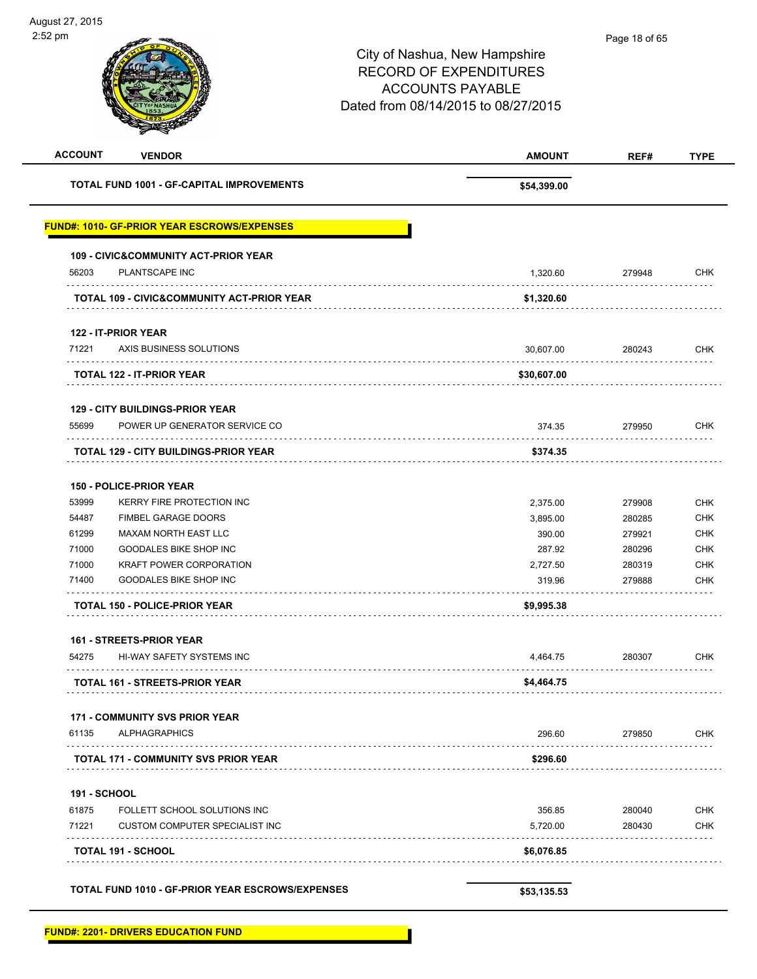| <b>ACCOUNT</b>      | <b>VENDOR</b>                                         | <b>AMOUNT</b> | REF#   | <b>TYPE</b> |
|---------------------|-------------------------------------------------------|---------------|--------|-------------|
|                     | <b>TOTAL FUND 1001 - GF-CAPITAL IMPROVEMENTS</b>      | \$54,399.00   |        |             |
|                     | <b>FUND#: 1010- GF-PRIOR YEAR ESCROWS/EXPENSES</b>    |               |        |             |
|                     | <b>109 - CIVIC&amp;COMMUNITY ACT-PRIOR YEAR</b>       |               |        |             |
| 56203               | PLANTSCAPE INC                                        | 1,320.60      | 279948 | <b>CHK</b>  |
|                     | <b>TOTAL 109 - CIVIC&amp;COMMUNITY ACT-PRIOR YEAR</b> | \$1,320.60    |        |             |
|                     | 122 - IT-PRIOR YEAR                                   |               |        |             |
| 71221               | AXIS BUSINESS SOLUTIONS                               | 30,607.00     | 280243 | <b>CHK</b>  |
|                     | <b>TOTAL 122 - IT-PRIOR YEAR</b>                      | \$30,607.00   |        |             |
|                     | <b>129 - CITY BUILDINGS-PRIOR YEAR</b>                |               |        |             |
| 55699               | POWER UP GENERATOR SERVICE CO                         | 374.35        | 279950 | <b>CHK</b>  |
|                     | TOTAL 129 - CITY BUILDINGS-PRIOR YEAR                 | \$374.35      |        |             |
|                     | <b>150 - POLICE-PRIOR YEAR</b>                        |               |        |             |
| 53999               | <b>KERRY FIRE PROTECTION INC</b>                      | 2,375.00      | 279908 | <b>CHK</b>  |
| 54487               | <b>FIMBEL GARAGE DOORS</b>                            | 3,895.00      | 280285 | <b>CHK</b>  |
| 61299               | MAXAM NORTH EAST LLC                                  | 390.00        | 279921 | <b>CHK</b>  |
| 71000               | GOODALES BIKE SHOP INC                                | 287.92        | 280296 | <b>CHK</b>  |
| 71000               | <b>KRAFT POWER CORPORATION</b>                        | 2,727.50      | 280319 | <b>CHK</b>  |
| 71400               | <b>GOODALES BIKE SHOP INC</b><br>.                    | 319.96        | 279888 | CHK         |
|                     | <b>TOTAL 150 - POLICE-PRIOR YEAR</b>                  | \$9,995.38    |        |             |
|                     | <b>161 - STREETS-PRIOR YEAR</b>                       |               |        |             |
| 54275               | HI-WAY SAFETY SYSTEMS INC                             | 4,464.75      | 280307 | <b>CHK</b>  |
|                     | <b>TOTAL 161 - STREETS-PRIOR YEAR</b>                 | \$4,464.75    |        |             |
|                     | <b>171 - COMMUNITY SVS PRIOR YEAR</b>                 |               |        |             |
| 61135               | <b>ALPHAGRAPHICS</b>                                  | 296.60        | 279850 | <b>CHK</b>  |
|                     | .<br>TOTAL 171 - COMMUNITY SVS PRIOR YEAR             | \$296.60      |        |             |
| <b>191 - SCHOOL</b> |                                                       |               |        |             |
| 61875               | FOLLETT SCHOOL SOLUTIONS INC                          | 356.85        | 280040 | <b>CHK</b>  |
| 71221               | CUSTOM COMPUTER SPECIALIST INC                        | 5,720.00      | 280430 | <b>CHK</b>  |
|                     | TOTAL 191 - SCHOOL                                    | \$6,076.85    |        |             |
|                     |                                                       |               |        |             |
|                     | TOTAL FUND 1010 - GF-PRIOR YEAR ESCROWS/EXPENSES      | \$53,135.53   |        |             |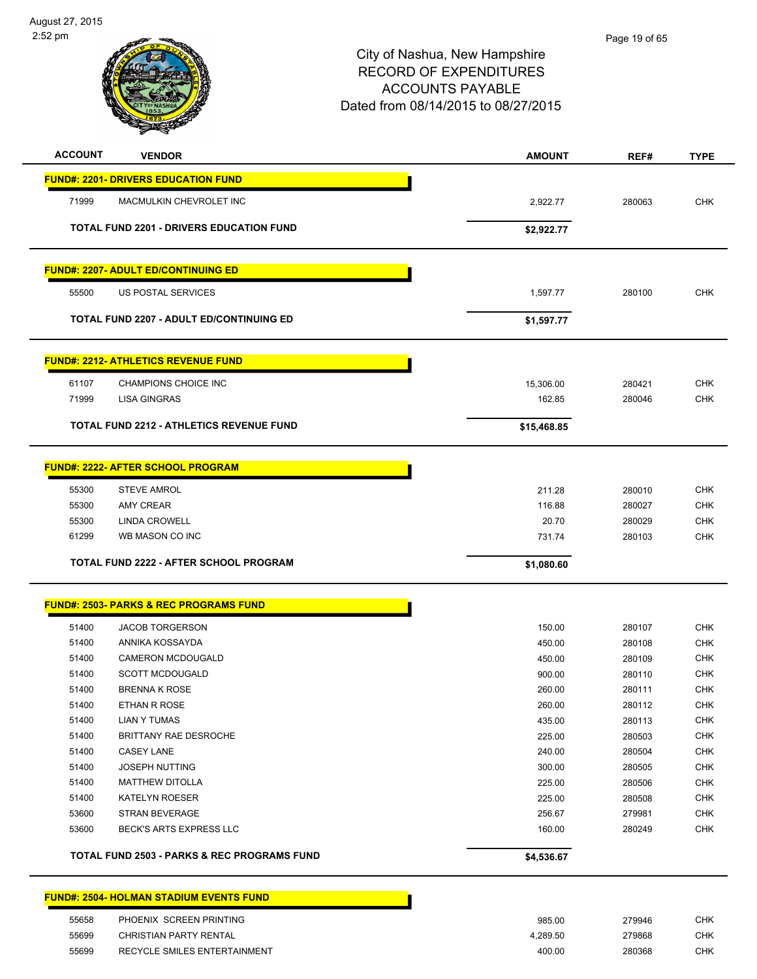August 27, 2015 2:52 pm



## City of Nashua, New Hampshire RECORD OF EXPENDITURES ACCOUNTS PAYABLE Dated from 08/14/2015 to 08/27/2015

Page 19 of 65

| <b>ACCOUNT</b> | <b>VENDOR</b>                                     | <b>AMOUNT</b> | REF#   | <b>TYPE</b> |
|----------------|---------------------------------------------------|---------------|--------|-------------|
|                | <b>FUND#: 2201- DRIVERS EDUCATION FUND</b>        |               |        |             |
| 71999          | MACMULKIN CHEVROLET INC                           | 2,922.77      | 280063 | <b>CHK</b>  |
|                | TOTAL FUND 2201 - DRIVERS EDUCATION FUND          | \$2,922.77    |        |             |
|                | <b>FUND#: 2207- ADULT ED/CONTINUING ED</b>        |               |        |             |
| 55500          | US POSTAL SERVICES                                | 1,597.77      | 280100 | <b>CHK</b>  |
|                | TOTAL FUND 2207 - ADULT ED/CONTINUING ED          | \$1,597.77    |        |             |
|                | <b>FUND#: 2212- ATHLETICS REVENUE FUND</b>        |               |        |             |
| 61107          | CHAMPIONS CHOICE INC                              | 15,306.00     | 280421 | <b>CHK</b>  |
| 71999          | <b>LISA GINGRAS</b>                               | 162.85        | 280046 | <b>CHK</b>  |
|                | <b>TOTAL FUND 2212 - ATHLETICS REVENUE FUND</b>   | \$15,468.85   |        |             |
|                | <b>FUND#: 2222- AFTER SCHOOL PROGRAM</b>          |               |        |             |
| 55300          | <b>STEVE AMROL</b>                                | 211.28        | 280010 | <b>CHK</b>  |
| 55300          | AMY CREAR                                         | 116.88        | 280027 | <b>CHK</b>  |
| 55300          | <b>LINDA CROWELL</b>                              | 20.70         | 280029 | <b>CHK</b>  |
| 61299          | WB MASON CO INC                                   | 731.74        | 280103 | <b>CHK</b>  |
|                | <b>TOTAL FUND 2222 - AFTER SCHOOL PROGRAM</b>     | \$1,080.60    |        |             |
|                | <b>FUND#: 2503- PARKS &amp; REC PROGRAMS FUND</b> |               |        |             |
| 51400          | <b>JACOB TORGERSON</b>                            | 150.00        | 280107 | <b>CHK</b>  |
| 51400          | ANNIKA KOSSAYDA                                   | 450.00        | 280108 | <b>CHK</b>  |
| 51400          | <b>CAMERON MCDOUGALD</b>                          | 450.00        | 280109 | <b>CHK</b>  |
| 51400          | <b>SCOTT MCDOUGALD</b>                            | 900.00        | 280110 | <b>CHK</b>  |
| 51400          | <b>BRENNA K ROSE</b>                              | 260.00        | 280111 | <b>CHK</b>  |
| 51400          | ETHAN R ROSE                                      | 260.00        | 280112 | <b>CHK</b>  |
| 51400          | LIAN Y TUMAS                                      | 435.00        | 280113 | <b>CHK</b>  |
| 51400          | BRITTANY RAE DESROCHE                             | 225.00        | 280503 | <b>CHK</b>  |
| 51400          | <b>CASEY LANE</b>                                 | 240.00        | 280504 | <b>CHK</b>  |
| 51400          | <b>JOSEPH NUTTING</b>                             | 300.00        | 280505 | <b>CHK</b>  |
| 51400          | <b>MATTHEW DITOLLA</b>                            | 225.00        | 280506 | <b>CHK</b>  |
| 51400          | <b>KATELYN ROESER</b>                             | 225.00        | 280508 | <b>CHK</b>  |
| 53600          | <b>STRAN BEVERAGE</b>                             | 256.67        | 279981 | <b>CHK</b>  |
| 53600          | BECK'S ARTS EXPRESS LLC                           | 160.00        | 280249 | CHK         |
|                | TOTAL FUND 2503 - PARKS & REC PROGRAMS FUND       | \$4,536.67    |        |             |
|                | <b>FUND#: 2504- HOLMAN STADIUM EVENTS FUND</b>    |               |        |             |
| 55658          | PHOENIX SCREEN PRINTING                           | 985.00        | 279946 | <b>CHK</b>  |

 55699 CHRISTIAN PARTY RENTAL 4,289.50 279868 CHK 55699 RECYCLE SMILES ENTERTAINMENT 400.00 280368 CHK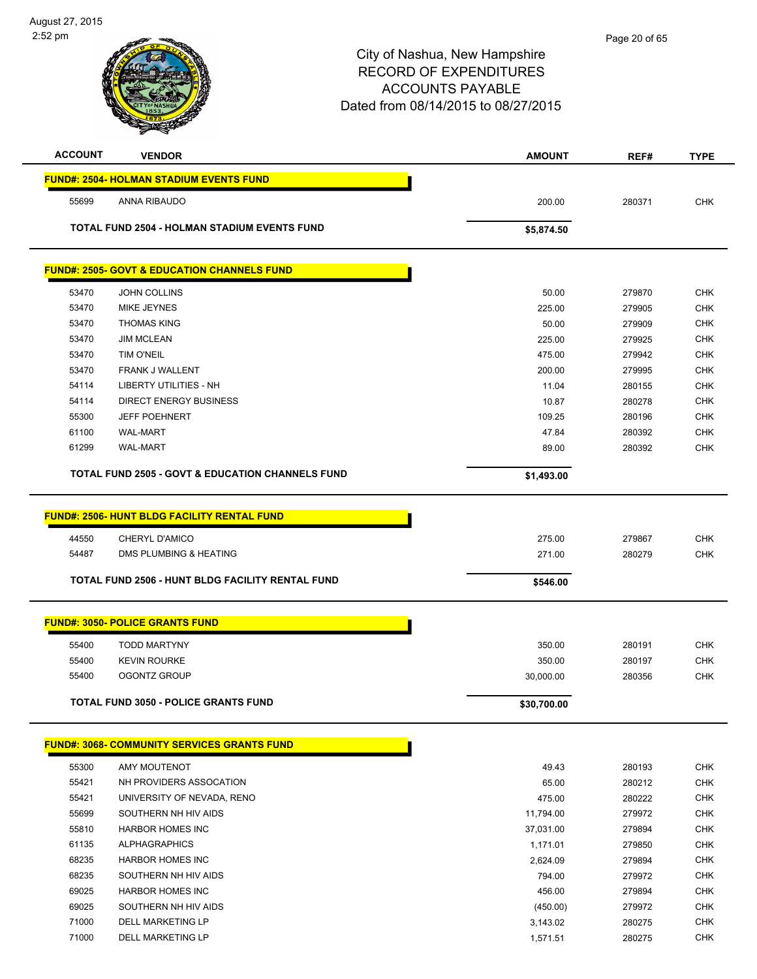| <b>ACCOUNT</b> | <b>VENDOR</b>                                               | <b>AMOUNT</b> | REF#   | <b>TYPE</b> |
|----------------|-------------------------------------------------------------|---------------|--------|-------------|
|                | <b>FUND#: 2504- HOLMAN STADIUM EVENTS FUND</b>              |               |        |             |
| 55699          | ANNA RIBAUDO                                                | 200.00        | 280371 | <b>CHK</b>  |
|                | <b>TOTAL FUND 2504 - HOLMAN STADIUM EVENTS FUND</b>         | \$5,874.50    |        |             |
|                |                                                             |               |        |             |
|                | <u> FUND#: 2505- GOVT &amp; EDUCATION CHANNELS FUND</u>     |               |        |             |
| 53470          | <b>JOHN COLLINS</b>                                         | 50.00         | 279870 | <b>CHK</b>  |
| 53470          | MIKE JEYNES                                                 | 225.00        | 279905 | <b>CHK</b>  |
| 53470          | <b>THOMAS KING</b>                                          | 50.00         | 279909 | <b>CHK</b>  |
| 53470          | <b>JIM MCLEAN</b>                                           | 225.00        | 279925 | <b>CHK</b>  |
| 53470          | <b>TIM O'NEIL</b>                                           | 475.00        | 279942 | <b>CHK</b>  |
| 53470          | <b>FRANK J WALLENT</b>                                      | 200.00        | 279995 | <b>CHK</b>  |
| 54114          | <b>LIBERTY UTILITIES - NH</b>                               | 11.04         | 280155 | <b>CHK</b>  |
| 54114          | <b>DIRECT ENERGY BUSINESS</b>                               | 10.87         | 280278 | <b>CHK</b>  |
| 55300          | <b>JEFF POEHNERT</b>                                        | 109.25        | 280196 | <b>CHK</b>  |
| 61100          | <b>WAL-MART</b>                                             | 47.84         | 280392 | <b>CHK</b>  |
| 61299          | <b>WAL-MART</b>                                             | 89.00         | 280392 | <b>CHK</b>  |
|                | <b>TOTAL FUND 2505 - GOVT &amp; EDUCATION CHANNELS FUND</b> | \$1,493.00    |        |             |
|                |                                                             |               |        |             |
|                | <b>FUND#: 2506- HUNT BLDG FACILITY RENTAL FUND</b>          |               |        |             |
| 44550          | CHERYL D'AMICO                                              | 275.00        | 279867 | <b>CHK</b>  |
| 54487          | DMS PLUMBING & HEATING                                      | 271.00        | 280279 | <b>CHK</b>  |
|                | TOTAL FUND 2506 - HUNT BLDG FACILITY RENTAL FUND            | \$546.00      |        |             |
|                |                                                             |               |        |             |
|                | <b>FUND#: 3050- POLICE GRANTS FUND</b>                      |               |        |             |
| 55400          | <b>TODD MARTYNY</b>                                         | 350.00        | 280191 | <b>CHK</b>  |
| 55400          | <b>KEVIN ROURKE</b>                                         | 350.00        | 280197 | <b>CHK</b>  |
| 55400          | <b>OGONTZ GROUP</b>                                         | 30,000.00     | 280356 | <b>CHK</b>  |
|                | <b>TOTAL FUND 3050 - POLICE GRANTS FUND</b>                 | \$30,700.00   |        |             |
|                |                                                             |               |        |             |
|                | <b>FUND#: 3068- COMMUNITY SERVICES GRANTS FUND</b>          |               |        |             |
| 55300          | AMY MOUTENOT                                                | 49.43         | 280193 | <b>CHK</b>  |
| 55421          | NH PROVIDERS ASSOCATION                                     | 65.00         | 280212 | <b>CHK</b>  |
| 55421          | UNIVERSITY OF NEVADA, RENO                                  | 475.00        | 280222 | <b>CHK</b>  |
| 55699          | SOUTHERN NH HIV AIDS                                        | 11,794.00     | 279972 | <b>CHK</b>  |
| 55810          | <b>HARBOR HOMES INC</b>                                     | 37,031.00     | 279894 | <b>CHK</b>  |
| 61135          | <b>ALPHAGRAPHICS</b>                                        | 1,171.01      | 279850 | <b>CHK</b>  |
| 68235          | <b>HARBOR HOMES INC</b>                                     | 2,624.09      | 279894 | <b>CHK</b>  |
| 68235          | SOUTHERN NH HIV AIDS                                        | 794.00        | 279972 | <b>CHK</b>  |
| 69025          | <b>HARBOR HOMES INC</b>                                     | 456.00        | 279894 | <b>CHK</b>  |
| 69025          | SOUTHERN NH HIV AIDS                                        | (450.00)      | 279972 | <b>CHK</b>  |
| 71000          | <b>DELL MARKETING LP</b>                                    | 3,143.02      | 280275 | <b>CHK</b>  |
| 71000          | DELL MARKETING LP                                           | 1,571.51      | 280275 | <b>CHK</b>  |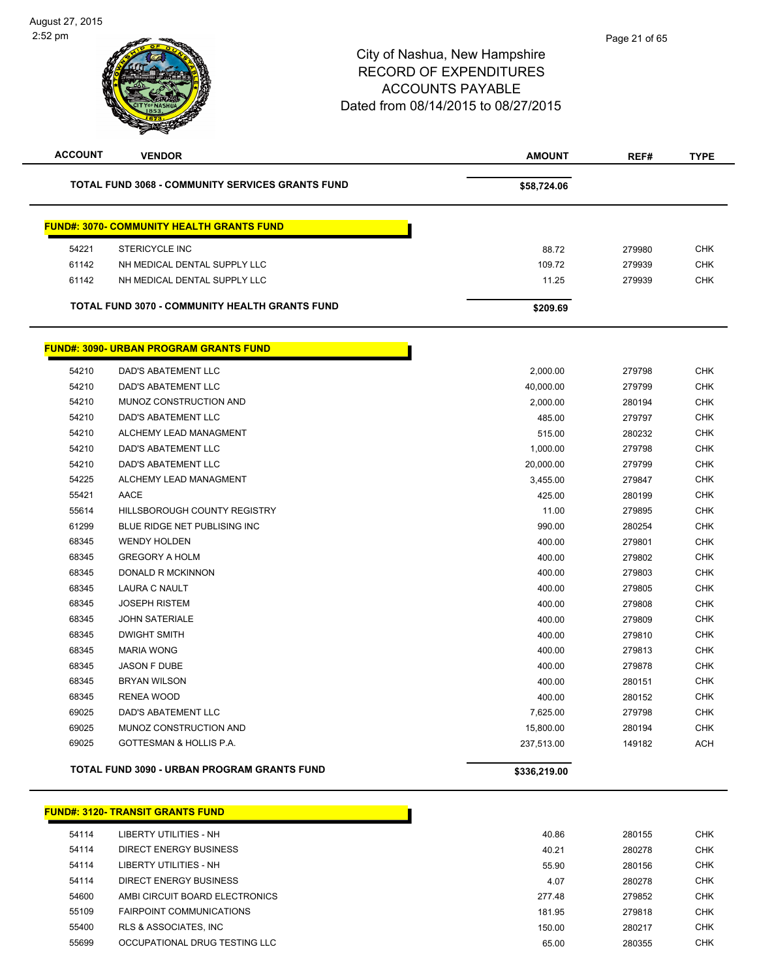| <b>ACCOUNT</b> | <b>VENDOR</b>                                           | <b>AMOUNT</b> | REF#   | <b>TYPE</b> |
|----------------|---------------------------------------------------------|---------------|--------|-------------|
|                | <b>TOTAL FUND 3068 - COMMUNITY SERVICES GRANTS FUND</b> | \$58,724.06   |        |             |
|                | <b>FUND#: 3070- COMMUNITY HEALTH GRANTS FUND</b>        |               |        |             |
| 54221          | STERICYCLE INC                                          | 88.72         | 279980 | <b>CHK</b>  |
| 61142          | NH MEDICAL DENTAL SUPPLY LLC                            | 109.72        | 279939 | <b>CHK</b>  |
| 61142          | NH MEDICAL DENTAL SUPPLY LLC                            | 11.25         | 279939 | <b>CHK</b>  |
|                | TOTAL FUND 3070 - COMMUNITY HEALTH GRANTS FUND          | \$209.69      |        |             |
|                | <b>FUND#: 3090- URBAN PROGRAM GRANTS FUND</b>           |               |        |             |
| 54210          | <b>DAD'S ABATEMENT LLC</b>                              | 2,000.00      | 279798 | <b>CHK</b>  |
| 54210          | DAD'S ABATEMENT LLC                                     | 40,000.00     | 279799 | <b>CHK</b>  |
| 54210          | MUNOZ CONSTRUCTION AND                                  | 2,000.00      | 280194 | <b>CHK</b>  |
| 54210          | <b>DAD'S ABATEMENT LLC</b>                              | 485.00        | 279797 | <b>CHK</b>  |
| 54210          | ALCHEMY LEAD MANAGMENT                                  | 515.00        | 280232 | <b>CHK</b>  |
| 54210          | DAD'S ABATEMENT LLC                                     | 1,000.00      | 279798 | <b>CHK</b>  |
| 54210          | DAD'S ABATEMENT LLC                                     | 20,000.00     | 279799 | <b>CHK</b>  |
| 54225          | ALCHEMY LEAD MANAGMENT                                  | 3,455.00      | 279847 | <b>CHK</b>  |
| 55421          | <b>AACE</b>                                             | 425.00        | 280199 | <b>CHK</b>  |
| 55614          | HILLSBOROUGH COUNTY REGISTRY                            | 11.00         | 279895 | <b>CHK</b>  |
| 61299          | BLUE RIDGE NET PUBLISING INC                            | 990.00        | 280254 | <b>CHK</b>  |
| 68345          | <b>WENDY HOLDEN</b>                                     | 400.00        | 279801 | <b>CHK</b>  |
| 68345          | <b>GREGORY A HOLM</b>                                   | 400.00        | 279802 | <b>CHK</b>  |
| 68345          | DONALD R MCKINNON                                       | 400.00        | 279803 | <b>CHK</b>  |
| 68345          | LAURA C NAULT                                           | 400.00        | 279805 | <b>CHK</b>  |
| 68345          | <b>JOSEPH RISTEM</b>                                    | 400.00        | 279808 | <b>CHK</b>  |
| 68345          | <b>JOHN SATERIALE</b>                                   | 400.00        | 279809 | <b>CHK</b>  |
| 68345          | <b>DWIGHT SMITH</b>                                     | 400.00        | 279810 | <b>CHK</b>  |
| 68345          | <b>MARIA WONG</b>                                       | 400.00        | 279813 | <b>CHK</b>  |
| 68345          | <b>JASON F DUBE</b>                                     | 400.00        | 279878 | <b>CHK</b>  |
| 68345          | <b>BRYAN WILSON</b>                                     | 400.00        | 280151 | <b>CHK</b>  |
| 68345          | <b>RENEA WOOD</b>                                       | 400.00        | 280152 | <b>CHK</b>  |
| 69025          | <b>DAD'S ABATEMENT LLC</b>                              | 7,625.00      | 279798 | <b>CHK</b>  |
| 69025          | MUNOZ CONSTRUCTION AND                                  | 15,800.00     | 280194 | <b>CHK</b>  |
| 69025          | GOTTESMAN & HOLLIS P.A.                                 | 237,513.00    | 149182 | <b>ACH</b>  |
|                | <b>TOTAL FUND 3090 - URBAN PROGRAM GRANTS FUND</b>      | \$336,219.00  |        |             |

|       | <b>FUND#: 3120- TRANSIT GRANTS FUND</b> |        |        |            |
|-------|-----------------------------------------|--------|--------|------------|
| 54114 | LIBERTY UTILITIES - NH                  | 40.86  | 280155 | CHK        |
| 54114 | DIRECT ENERGY BUSINESS                  | 40.21  | 280278 | <b>CHK</b> |
| 54114 | LIBERTY UTILITIES - NH                  | 55.90  | 280156 | <b>CHK</b> |
| 54114 | DIRECT ENERGY BUSINESS                  | 4.07   | 280278 | <b>CHK</b> |
| 54600 | AMBI CIRCUIT BOARD ELECTRONICS          | 277.48 | 279852 | <b>CHK</b> |
| 55109 | <b>FAIRPOINT COMMUNICATIONS</b>         | 181.95 | 279818 | <b>CHK</b> |
| 55400 | RLS & ASSOCIATES, INC                   | 150.00 | 280217 | <b>CHK</b> |
| 55699 | OCCUPATIONAL DRUG TESTING LLC           | 65.00  | 280355 | <b>CHK</b> |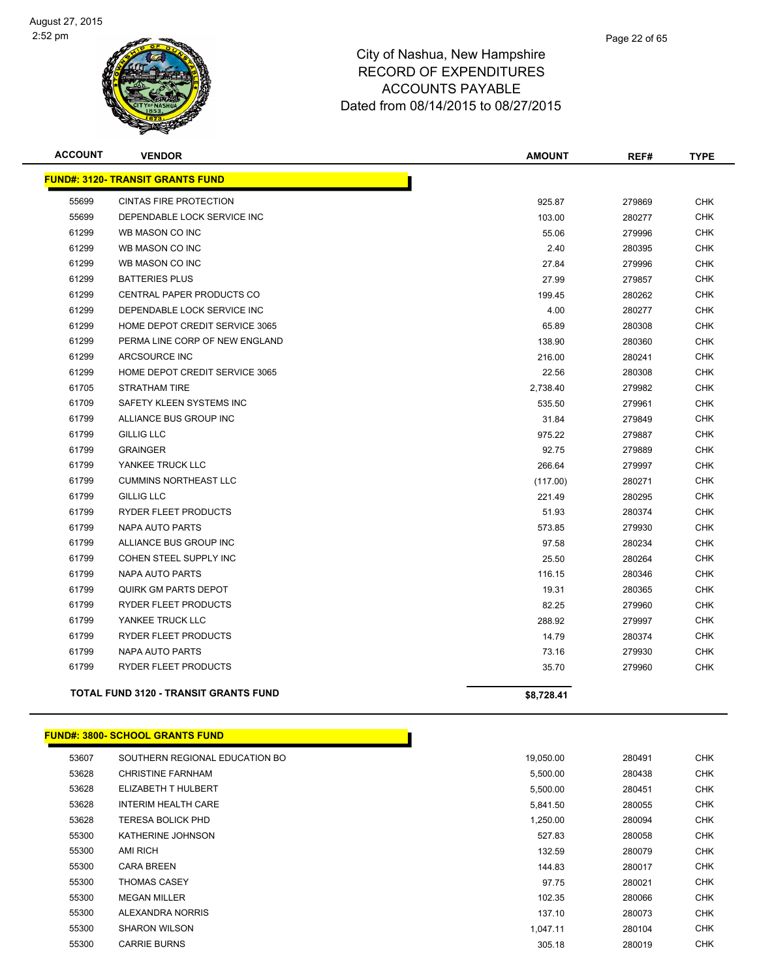

| <b>ACCOUNT</b> | <b>VENDOR</b>                                | <b>AMOUNT</b> | REF#   | <b>TYPE</b> |
|----------------|----------------------------------------------|---------------|--------|-------------|
|                | <b>FUND#: 3120- TRANSIT GRANTS FUND</b>      |               |        |             |
| 55699          | <b>CINTAS FIRE PROTECTION</b>                | 925.87        | 279869 | <b>CHK</b>  |
| 55699          | DEPENDABLE LOCK SERVICE INC                  | 103.00        | 280277 | <b>CHK</b>  |
| 61299          | WB MASON CO INC                              | 55.06         | 279996 | <b>CHK</b>  |
| 61299          | WB MASON CO INC                              | 2.40          | 280395 | <b>CHK</b>  |
| 61299          | WB MASON CO INC                              | 27.84         | 279996 | <b>CHK</b>  |
| 61299          | <b>BATTERIES PLUS</b>                        | 27.99         | 279857 | <b>CHK</b>  |
| 61299          | <b>CENTRAL PAPER PRODUCTS CO</b>             | 199.45        | 280262 | <b>CHK</b>  |
| 61299          | DEPENDABLE LOCK SERVICE INC                  | 4.00          | 280277 | <b>CHK</b>  |
| 61299          | HOME DEPOT CREDIT SERVICE 3065               | 65.89         | 280308 | <b>CHK</b>  |
| 61299          | PERMA LINE CORP OF NEW ENGLAND               | 138.90        | 280360 | CHK         |
| 61299          | ARCSOURCE INC                                | 216.00        | 280241 | <b>CHK</b>  |
| 61299          | HOME DEPOT CREDIT SERVICE 3065               | 22.56         | 280308 | <b>CHK</b>  |
| 61705          | <b>STRATHAM TIRE</b>                         | 2,738.40      | 279982 | <b>CHK</b>  |
| 61709          | SAFETY KLEEN SYSTEMS INC                     | 535.50        | 279961 | <b>CHK</b>  |
| 61799          | ALLIANCE BUS GROUP INC                       | 31.84         | 279849 | <b>CHK</b>  |
| 61799          | <b>GILLIG LLC</b>                            | 975.22        | 279887 | <b>CHK</b>  |
| 61799          | <b>GRAINGER</b>                              | 92.75         | 279889 | <b>CHK</b>  |
| 61799          | YANKEE TRUCK LLC                             | 266.64        | 279997 | <b>CHK</b>  |
| 61799          | <b>CUMMINS NORTHEAST LLC</b>                 | (117.00)      | 280271 | <b>CHK</b>  |
| 61799          | <b>GILLIG LLC</b>                            | 221.49        | 280295 | <b>CHK</b>  |
| 61799          | <b>RYDER FLEET PRODUCTS</b>                  | 51.93         | 280374 | <b>CHK</b>  |
| 61799          | NAPA AUTO PARTS                              | 573.85        | 279930 | <b>CHK</b>  |
| 61799          | ALLIANCE BUS GROUP INC                       | 97.58         | 280234 | <b>CHK</b>  |
| 61799          | COHEN STEEL SUPPLY INC                       | 25.50         | 280264 | <b>CHK</b>  |
| 61799          | <b>NAPA AUTO PARTS</b>                       | 116.15        | 280346 | <b>CHK</b>  |
| 61799          | <b>QUIRK GM PARTS DEPOT</b>                  | 19.31         | 280365 | <b>CHK</b>  |
| 61799          | <b>RYDER FLEET PRODUCTS</b>                  | 82.25         | 279960 | <b>CHK</b>  |
| 61799          | YANKEE TRUCK LLC                             | 288.92        | 279997 | <b>CHK</b>  |
| 61799          | <b>RYDER FLEET PRODUCTS</b>                  | 14.79         | 280374 | <b>CHK</b>  |
| 61799          | NAPA AUTO PARTS                              | 73.16         | 279930 | <b>CHK</b>  |
| 61799          | RYDER FLEET PRODUCTS                         | 35.70         | 279960 | <b>CHK</b>  |
|                | <b>TOTAL FUND 3120 - TRANSIT GRANTS FUND</b> | \$8,728.41    |        |             |

|  | <b>FUND#: 3800- SCHOOL GRANTS FUND</b> |  |
|--|----------------------------------------|--|
|  |                                        |  |

| 53607 | SOUTHERN REGIONAL EDUCATION BO | 19,050.00 | 280491 |  |
|-------|--------------------------------|-----------|--------|--|
| 53628 | <b>CHRISTINE FARNHAM</b>       | 5,500.00  | 280438 |  |
| 53628 | ELIZABETH T HULBERT            | 5,500.00  | 280451 |  |
| 53628 | INTERIM HEALTH CARE            | 5,841.50  | 280055 |  |
| 53628 | TERESA BOLICK PHD              | 1,250.00  | 280094 |  |
| 55300 | KATHERINE JOHNSON              | 527.83    | 280058 |  |
| 55300 | <b>AMI RICH</b>                | 132.59    | 280079 |  |
| 55300 | <b>CARA BREEN</b>              | 144.83    | 280017 |  |
| 55300 | <b>THOMAS CASEY</b>            | 97.75     | 280021 |  |
| 55300 | <b>MEGAN MILLER</b>            | 102.35    | 280066 |  |
| 55300 | ALEXANDRA NORRIS               | 137.10    | 280073 |  |
| 55300 | <b>SHARON WILSON</b>           | 1,047.11  | 280104 |  |
| 55300 | <b>CARRIE BURNS</b>            | 305.18    | 280019 |  |
|       |                                |           |        |  |

and the state of the state of the state of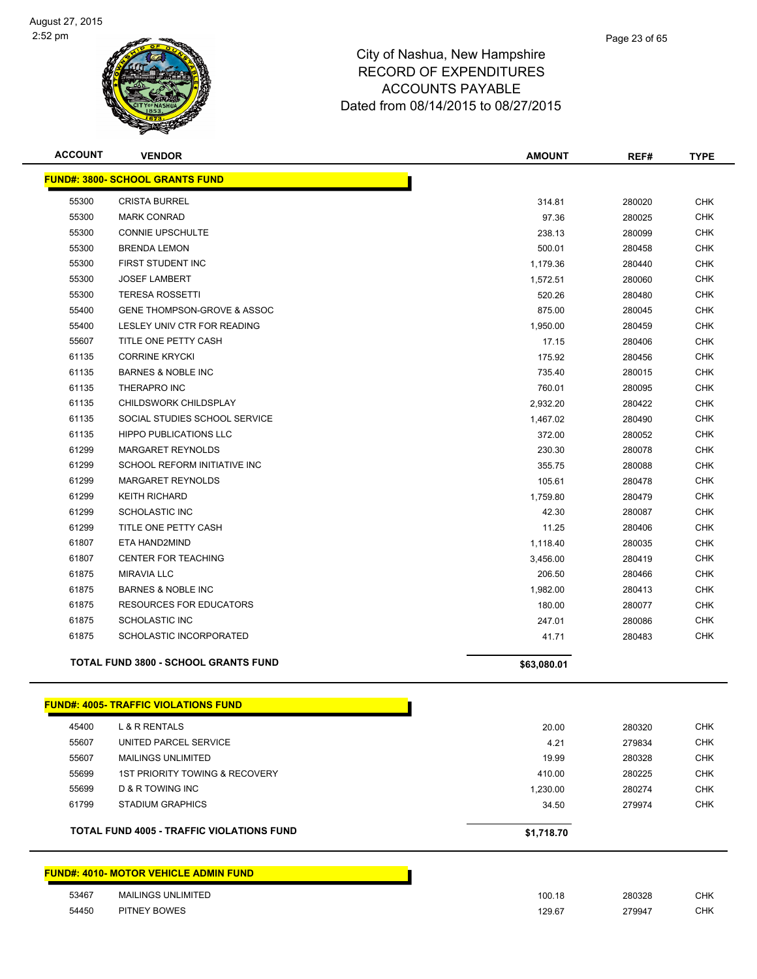

| <b>ACCOUNT</b> | <b>VENDOR</b>                                    | <b>AMOUNT</b> | REF#   | <b>TYPE</b> |
|----------------|--------------------------------------------------|---------------|--------|-------------|
|                | <b>FUND#: 3800- SCHOOL GRANTS FUND</b>           |               |        |             |
| 55300          | <b>CRISTA BURREL</b>                             | 314.81        | 280020 | <b>CHK</b>  |
| 55300          | <b>MARK CONRAD</b>                               | 97.36         | 280025 | <b>CHK</b>  |
| 55300          | <b>CONNIE UPSCHULTE</b>                          | 238.13        | 280099 | <b>CHK</b>  |
| 55300          | <b>BRENDA LEMON</b>                              | 500.01        | 280458 | <b>CHK</b>  |
| 55300          | FIRST STUDENT INC                                | 1,179.36      | 280440 | <b>CHK</b>  |
| 55300          | <b>JOSEF LAMBERT</b>                             | 1,572.51      | 280060 | <b>CHK</b>  |
| 55300          | <b>TERESA ROSSETTI</b>                           | 520.26        | 280480 | <b>CHK</b>  |
| 55400          | <b>GENE THOMPSON-GROVE &amp; ASSOC</b>           | 875.00        | 280045 | <b>CHK</b>  |
| 55400          | LESLEY UNIV CTR FOR READING                      | 1,950.00      | 280459 | <b>CHK</b>  |
| 55607          | TITLE ONE PETTY CASH                             | 17.15         | 280406 | <b>CHK</b>  |
| 61135          | <b>CORRINE KRYCKI</b>                            | 175.92        | 280456 | <b>CHK</b>  |
| 61135          | <b>BARNES &amp; NOBLE INC</b>                    | 735.40        | 280015 | <b>CHK</b>  |
| 61135          | THERAPRO INC                                     | 760.01        | 280095 | <b>CHK</b>  |
| 61135          | CHILDSWORK CHILDSPLAY                            | 2,932.20      | 280422 | <b>CHK</b>  |
| 61135          | SOCIAL STUDIES SCHOOL SERVICE                    | 1,467.02      | 280490 | <b>CHK</b>  |
| 61135          | <b>HIPPO PUBLICATIONS LLC</b>                    | 372.00        | 280052 | <b>CHK</b>  |
| 61299          | MARGARET REYNOLDS                                | 230.30        | 280078 | <b>CHK</b>  |
| 61299          | SCHOOL REFORM INITIATIVE INC                     | 355.75        | 280088 | <b>CHK</b>  |
| 61299          | <b>MARGARET REYNOLDS</b>                         | 105.61        | 280478 | <b>CHK</b>  |
| 61299          | <b>KEITH RICHARD</b>                             | 1,759.80      | 280479 | <b>CHK</b>  |
| 61299          | <b>SCHOLASTIC INC</b>                            | 42.30         | 280087 | <b>CHK</b>  |
| 61299          | TITLE ONE PETTY CASH                             | 11.25         | 280406 | <b>CHK</b>  |
| 61807          | ETA HAND2MIND                                    | 1,118.40      | 280035 | <b>CHK</b>  |
| 61807          | <b>CENTER FOR TEACHING</b>                       | 3,456.00      | 280419 | <b>CHK</b>  |
| 61875          | <b>MIRAVIA LLC</b>                               | 206.50        | 280466 | <b>CHK</b>  |
| 61875          | <b>BARNES &amp; NOBLE INC</b>                    | 1,982.00      | 280413 | <b>CHK</b>  |
| 61875          | <b>RESOURCES FOR EDUCATORS</b>                   | 180.00        | 280077 | <b>CHK</b>  |
| 61875          | <b>SCHOLASTIC INC</b>                            | 247.01        | 280086 | <b>CHK</b>  |
| 61875          | SCHOLASTIC INCORPORATED                          | 41.71         | 280483 | <b>CHK</b>  |
|                | <b>TOTAL FUND 3800 - SCHOOL GRANTS FUND</b>      | \$63,080.01   |        |             |
|                | <b>FUND#: 4005- TRAFFIC VIOLATIONS FUND</b>      |               |        |             |
| 45400          | L & R RENTALS                                    | 20.00         | 280320 | <b>CHK</b>  |
| 55607          | UNITED PARCEL SERVICE                            | 4.21          | 279834 | <b>CHK</b>  |
| 55607          | <b>MAILINGS UNLIMITED</b>                        | 19.99         | 280328 | <b>CHK</b>  |
| 55699          | 1ST PRIORITY TOWING & RECOVERY                   | 410.00        | 280225 | <b>CHK</b>  |
| 55699          | D & R TOWING INC                                 | 1,230.00      | 280274 | <b>CHK</b>  |
| 61799          | <b>STADIUM GRAPHICS</b>                          | 34.50         | 279974 | <b>CHK</b>  |
|                | <b>TOTAL FUND 4005 - TRAFFIC VIOLATIONS FUND</b> | \$1,718.70    |        |             |
|                | <u>FUND#: 4010- MOTOR VEHICLE ADMIN FUND</u>     |               |        |             |
| 53467          | MAILINGS UNLIMITED                               | 100.18        | 280328 | <b>CHK</b>  |

PITNEY BOWES 129.67 279947 CHK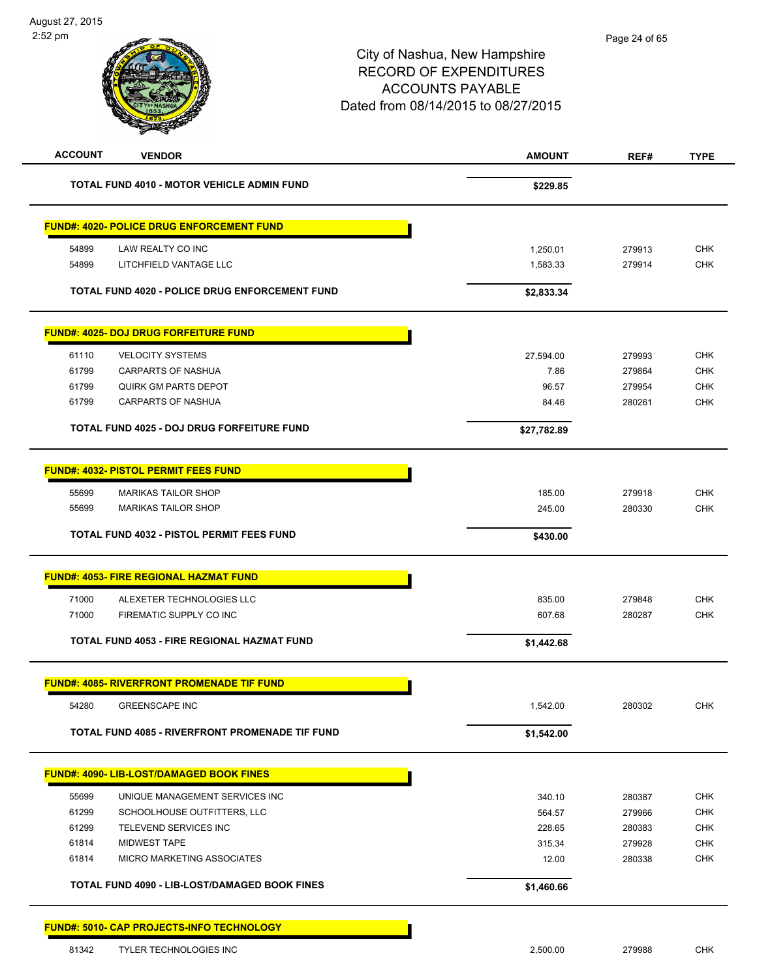| <b>ACCOUNT</b><br><b>VENDOR</b>                  |                                                        | <b>AMOUNT</b> | REF#   | <b>TYPE</b> |
|--------------------------------------------------|--------------------------------------------------------|---------------|--------|-------------|
|                                                  | <b>TOTAL FUND 4010 - MOTOR VEHICLE ADMIN FUND</b>      | \$229.85      |        |             |
| <b>FUND#: 4020- POLICE DRUG ENFORCEMENT FUND</b> |                                                        |               |        |             |
| 54899<br>LAW REALTY CO INC                       |                                                        | 1,250.01      | 279913 | <b>CHK</b>  |
| 54899                                            | LITCHFIELD VANTAGE LLC                                 | 1,583.33      | 279914 | <b>CHK</b>  |
|                                                  | TOTAL FUND 4020 - POLICE DRUG ENFORCEMENT FUND         | \$2,833.34    |        |             |
| <b>FUND#: 4025- DOJ DRUG FORFEITURE FUND</b>     |                                                        |               |        |             |
| <b>VELOCITY SYSTEMS</b><br>61110                 |                                                        | 27,594.00     | 279993 | <b>CHK</b>  |
| 61799                                            | CARPARTS OF NASHUA                                     | 7.86          | 279864 | <b>CHK</b>  |
| 61799                                            | <b>QUIRK GM PARTS DEPOT</b>                            | 96.57         | 279954 | <b>CHK</b>  |
| 61799                                            | <b>CARPARTS OF NASHUA</b>                              | 84.46         | 280261 | <b>CHK</b>  |
|                                                  | TOTAL FUND 4025 - DOJ DRUG FORFEITURE FUND             | \$27,782.89   |        |             |
| <b>FUND#: 4032- PISTOL PERMIT FEES FUND</b>      |                                                        |               |        |             |
|                                                  |                                                        |               |        |             |
| 55699                                            | <b>MARIKAS TAILOR SHOP</b>                             | 185.00        | 279918 | <b>CHK</b>  |
| 55699                                            | <b>MARIKAS TAILOR SHOP</b>                             | 245.00        | 280330 | <b>CHK</b>  |
|                                                  | <b>TOTAL FUND 4032 - PISTOL PERMIT FEES FUND</b>       | \$430.00      |        |             |
| <b>FUND#: 4053- FIRE REGIONAL HAZMAT FUND</b>    |                                                        |               |        |             |
| 71000                                            | ALEXETER TECHNOLOGIES LLC                              | 835.00        | 279848 | <b>CHK</b>  |
| 71000                                            | FIREMATIC SUPPLY CO INC                                | 607.68        | 280287 | <b>CHK</b>  |
|                                                  | TOTAL FUND 4053 - FIRE REGIONAL HAZMAT FUND            | \$1,442.68    |        |             |
|                                                  | <b>FUND#: 4085- RIVERFRONT PROMENADE TIF FUND</b>      |               |        |             |
| 54280<br><b>GREENSCAPE INC</b>                   |                                                        | 1,542.00      | 280302 | <b>CHK</b>  |
|                                                  | <b>TOTAL FUND 4085 - RIVERFRONT PROMENADE TIF FUND</b> | \$1,542.00    |        |             |
| <b>FUND#: 4090- LIB-LOST/DAMAGED BOOK FINES</b>  |                                                        |               |        |             |
|                                                  |                                                        |               |        |             |
| 55699                                            | UNIQUE MANAGEMENT SERVICES INC                         | 340.10        | 280387 | <b>CHK</b>  |
| 61299                                            | SCHOOLHOUSE OUTFITTERS, LLC                            | 564.57        | 279966 | <b>CHK</b>  |
| 61299                                            | TELEVEND SERVICES INC                                  | 228.65        | 280383 | <b>CHK</b>  |
| 61814<br><b>MIDWEST TAPE</b>                     |                                                        | 315.34        | 279928 | <b>CHK</b>  |
| 61814                                            | MICRO MARKETING ASSOCIATES                             | 12.00         | 280338 | <b>CHK</b>  |
|                                                  | TOTAL FUND 4090 - LIB-LOST/DAMAGED BOOK FINES          | \$1,460.66    |        |             |
| <b>FUND#: 5010- CAP PROJECTS-INFO TECHNOLOGY</b> |                                                        |               |        |             |
| 81342                                            | TYLER TECHNOLOGIES INC                                 | 2,500.00      | 279988 | <b>CHK</b>  |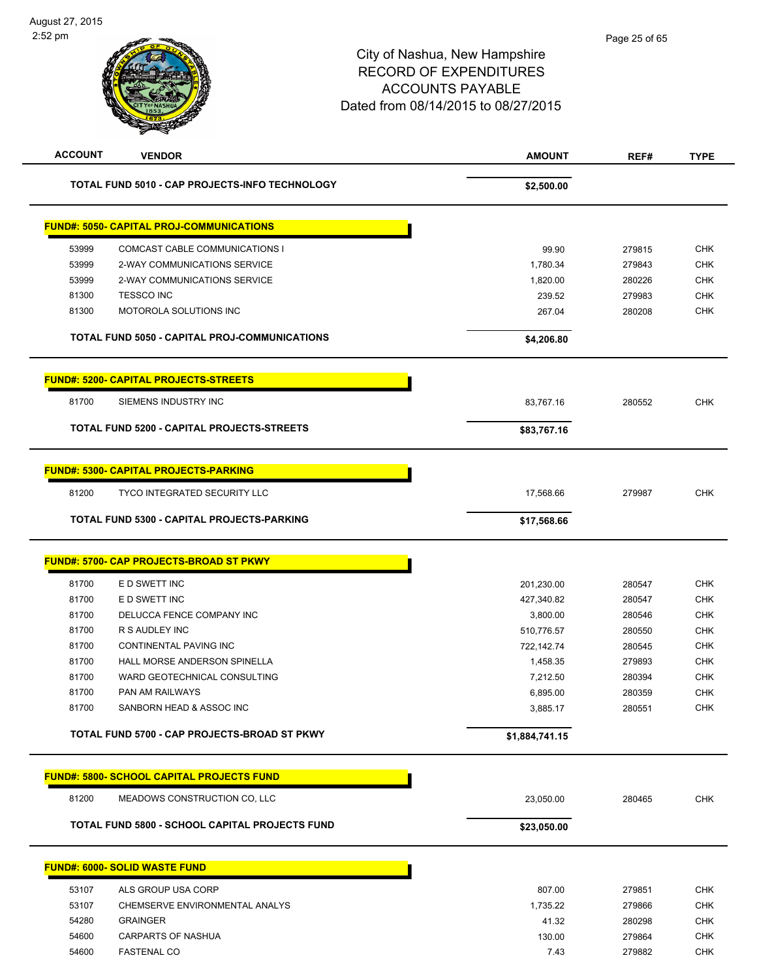| <b>ACCOUNT</b> | <b>VENDOR</b>                                    | <b>AMOUNT</b>  | REF#             | <b>TYPE</b> |
|----------------|--------------------------------------------------|----------------|------------------|-------------|
|                | TOTAL FUND 5010 - CAP PROJECTS-INFO TECHNOLOGY   | \$2,500.00     |                  |             |
|                | <b>FUND#: 5050- CAPITAL PROJ-COMMUNICATIONS</b>  |                |                  |             |
| 53999          | COMCAST CABLE COMMUNICATIONS I                   | 99.90          | 279815           | <b>CHK</b>  |
| 53999          | 2-WAY COMMUNICATIONS SERVICE                     | 1,780.34       | 279843           | <b>CHK</b>  |
| 53999          | 2-WAY COMMUNICATIONS SERVICE                     | 1,820.00       | 280226           | <b>CHK</b>  |
| 81300          | <b>TESSCO INC</b>                                | 239.52         | 279983           | <b>CHK</b>  |
| 81300          | MOTOROLA SOLUTIONS INC                           | 267.04         | 280208           | <b>CHK</b>  |
|                | TOTAL FUND 5050 - CAPITAL PROJ-COMMUNICATIONS    | \$4,206.80     |                  |             |
|                | <b>FUND#: 5200- CAPITAL PROJECTS-STREETS</b>     |                |                  |             |
| 81700          | SIEMENS INDUSTRY INC                             | 83,767.16      | 280552           | <b>CHK</b>  |
|                | TOTAL FUND 5200 - CAPITAL PROJECTS-STREETS       | \$83,767.16    |                  |             |
|                |                                                  |                |                  |             |
|                | <b>FUND#: 5300- CAPITAL PROJECTS-PARKING</b>     |                |                  |             |
| 81200          | <b>TYCO INTEGRATED SECURITY LLC</b>              | 17,568.66      | 279987           | <b>CHK</b>  |
|                | TOTAL FUND 5300 - CAPITAL PROJECTS-PARKING       | \$17,568.66    |                  |             |
|                | <b>FUND#: 5700- CAP PROJECTS-BROAD ST PKWY</b>   |                |                  |             |
|                |                                                  |                |                  |             |
| 81700          | E D SWETT INC                                    | 201,230.00     | 280547           | <b>CHK</b>  |
| 81700          | E D SWETT INC                                    | 427,340.82     | 280547           | <b>CHK</b>  |
| 81700          | DELUCCA FENCE COMPANY INC                        | 3,800.00       | 280546           | <b>CHK</b>  |
| 81700          | R S AUDLEY INC                                   | 510,776.57     | 280550           | <b>CHK</b>  |
| 81700          | CONTINENTAL PAVING INC                           | 722,142.74     | 280545           | <b>CHK</b>  |
| 81700          | HALL MORSE ANDERSON SPINELLA                     | 1,458.35       | 279893           | <b>CHK</b>  |
| 81700          | WARD GEOTECHNICAL CONSULTING                     | 7,212.50       | 280394           | <b>CHK</b>  |
| 81700          | <b>PAN AM RAILWAYS</b>                           | 6,895.00       | 280359           | <b>CHK</b>  |
| 81700          | SANBORN HEAD & ASSOC INC                         | 3,885.17       | 280551           | <b>CHK</b>  |
|                | TOTAL FUND 5700 - CAP PROJECTS-BROAD ST PKWY     | \$1,884,741.15 |                  |             |
|                | <b>FUND#: 5800- SCHOOL CAPITAL PROJECTS FUND</b> |                |                  |             |
| 81200          | MEADOWS CONSTRUCTION CO, LLC                     | 23,050.00      | 280465           | <b>CHK</b>  |
|                | TOTAL FUND 5800 - SCHOOL CAPITAL PROJECTS FUND   | \$23,050.00    |                  |             |
|                | <b>FUND#: 6000- SOLID WASTE FUND</b>             |                |                  |             |
| 53107          | ALS GROUP USA CORP                               | 807.00         | 279851           | <b>CHK</b>  |
| 53107          | CHEMSERVE ENVIRONMENTAL ANALYS                   | 1,735.22       |                  | CHK         |
| 54280          | <b>GRAINGER</b>                                  | 41.32          | 279866           | <b>CHK</b>  |
| 54600          | <b>CARPARTS OF NASHUA</b>                        | 130.00         | 280298<br>279864 | <b>CHK</b>  |
| 54600          | <b>FASTENAL CO</b>                               | 7.43           |                  | <b>CHK</b>  |
|                |                                                  |                | 279882           |             |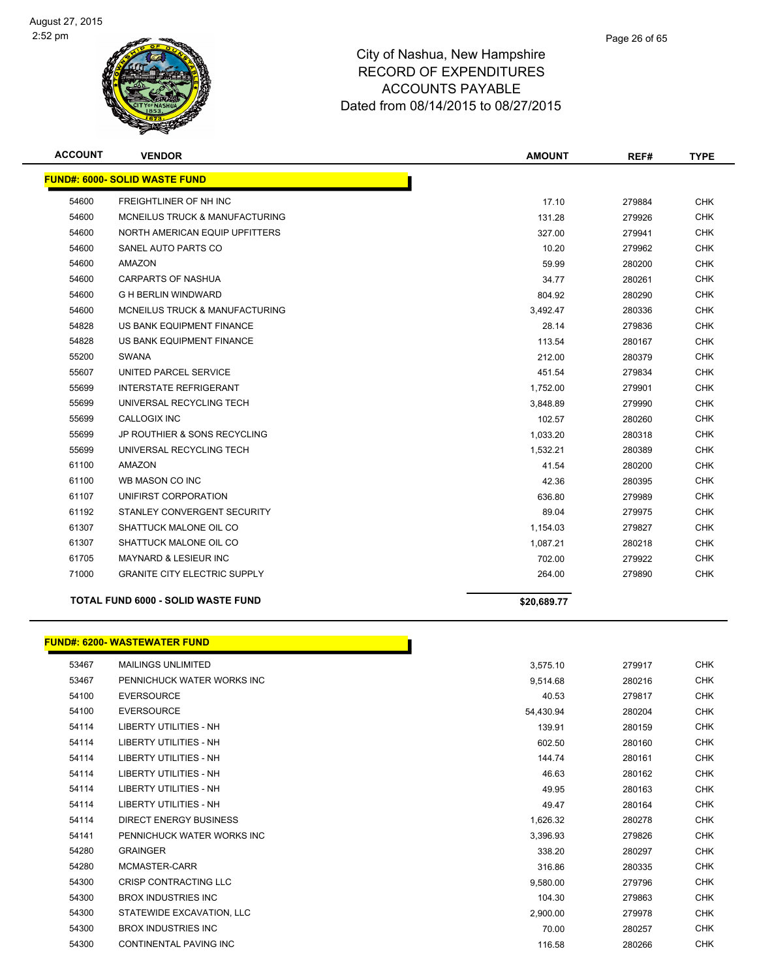

| <b>ACCOUNT</b> | <b>VENDOR</b>                             | <b>AMOUNT</b> | REF#   | <b>TYPE</b> |
|----------------|-------------------------------------------|---------------|--------|-------------|
|                | <b>FUND#: 6000- SOLID WASTE FUND</b>      |               |        |             |
| 54600          | <b>FREIGHTLINER OF NH INC</b>             | 17.10         | 279884 | <b>CHK</b>  |
| 54600          | MCNEILUS TRUCK & MANUFACTURING            | 131.28        | 279926 | <b>CHK</b>  |
| 54600          | NORTH AMERICAN EQUIP UPFITTERS            | 327.00        | 279941 | <b>CHK</b>  |
| 54600          | SANEL AUTO PARTS CO                       | 10.20         | 279962 | <b>CHK</b>  |
| 54600          | <b>AMAZON</b>                             | 59.99         | 280200 | <b>CHK</b>  |
| 54600          | <b>CARPARTS OF NASHUA</b>                 | 34.77         | 280261 | <b>CHK</b>  |
| 54600          | <b>G H BERLIN WINDWARD</b>                | 804.92        | 280290 | <b>CHK</b>  |
| 54600          | MCNEILUS TRUCK & MANUFACTURING            | 3,492.47      | 280336 | <b>CHK</b>  |
| 54828          | US BANK EQUIPMENT FINANCE                 | 28.14         | 279836 | <b>CHK</b>  |
| 54828          | US BANK EQUIPMENT FINANCE                 | 113.54        | 280167 | <b>CHK</b>  |
| 55200          | <b>SWANA</b>                              | 212.00        | 280379 | <b>CHK</b>  |
| 55607          | UNITED PARCEL SERVICE                     | 451.54        | 279834 | <b>CHK</b>  |
| 55699          | <b>INTERSTATE REFRIGERANT</b>             | 1,752.00      | 279901 | <b>CHK</b>  |
| 55699          | UNIVERSAL RECYCLING TECH                  | 3,848.89      | 279990 | <b>CHK</b>  |
| 55699          | <b>CALLOGIX INC</b>                       | 102.57        | 280260 | <b>CHK</b>  |
| 55699          | JP ROUTHIER & SONS RECYCLING              | 1,033.20      | 280318 | <b>CHK</b>  |
| 55699          | UNIVERSAL RECYCLING TECH                  | 1,532.21      | 280389 | <b>CHK</b>  |
| 61100          | <b>AMAZON</b>                             | 41.54         | 280200 | <b>CHK</b>  |
| 61100          | WB MASON CO INC                           | 42.36         | 280395 | <b>CHK</b>  |
| 61107          | UNIFIRST CORPORATION                      | 636.80        | 279989 | <b>CHK</b>  |
| 61192          | STANLEY CONVERGENT SECURITY               | 89.04         | 279975 | <b>CHK</b>  |
| 61307          | SHATTUCK MALONE OIL CO                    | 1,154.03      | 279827 | <b>CHK</b>  |
| 61307          | SHATTUCK MALONE OIL CO                    | 1,087.21      | 280218 | <b>CHK</b>  |
| 61705          | <b>MAYNARD &amp; LESIEUR INC</b>          | 702.00        | 279922 | <b>CHK</b>  |
| 71000          | <b>GRANITE CITY ELECTRIC SUPPLY</b>       | 264.00        | 279890 | <b>CHK</b>  |
|                | <b>TOTAL FUND 6000 - SOLID WASTE FUND</b> | \$20,689.77   |        |             |
|                |                                           |               |        |             |

#### **FUND#: 6200- WASTEWATER FUND**

| 53467 | <b>MAILINGS UNLIMITED</b>     | 3,575.10  | 279917 | <b>CHK</b> |
|-------|-------------------------------|-----------|--------|------------|
| 53467 | PENNICHUCK WATER WORKS INC    | 9,514.68  | 280216 | <b>CHK</b> |
| 54100 | <b>EVERSOURCE</b>             | 40.53     | 279817 | <b>CHK</b> |
| 54100 | <b>EVERSOURCE</b>             | 54,430.94 | 280204 | <b>CHK</b> |
| 54114 | <b>LIBERTY UTILITIES - NH</b> | 139.91    | 280159 | <b>CHK</b> |
| 54114 | <b>LIBERTY UTILITIES - NH</b> | 602.50    | 280160 | <b>CHK</b> |
| 54114 | LIBERTY UTILITIES - NH        | 144.74    | 280161 | CHK        |
| 54114 | <b>LIBERTY UTILITIES - NH</b> | 46.63     | 280162 | <b>CHK</b> |
| 54114 | <b>LIBERTY UTILITIES - NH</b> | 49.95     | 280163 | <b>CHK</b> |
| 54114 | <b>LIBERTY UTILITIES - NH</b> | 49.47     | 280164 | <b>CHK</b> |
| 54114 | <b>DIRECT ENERGY BUSINESS</b> | 1,626.32  | 280278 | <b>CHK</b> |
| 54141 | PENNICHUCK WATER WORKS INC    | 3,396.93  | 279826 | <b>CHK</b> |
| 54280 | <b>GRAINGER</b>               | 338.20    | 280297 | <b>CHK</b> |
| 54280 | MCMASTER-CARR                 | 316.86    | 280335 | <b>CHK</b> |
| 54300 | <b>CRISP CONTRACTING LLC</b>  | 9,580.00  | 279796 | <b>CHK</b> |
| 54300 | <b>BROX INDUSTRIES INC</b>    | 104.30    | 279863 | <b>CHK</b> |
| 54300 | STATEWIDE EXCAVATION, LLC     | 2,900.00  | 279978 | CHK        |
| 54300 | <b>BROX INDUSTRIES INC</b>    | 70.00     | 280257 | CHK        |
| 54300 | CONTINENTAL PAVING INC        | 116.58    | 280266 | <b>CHK</b> |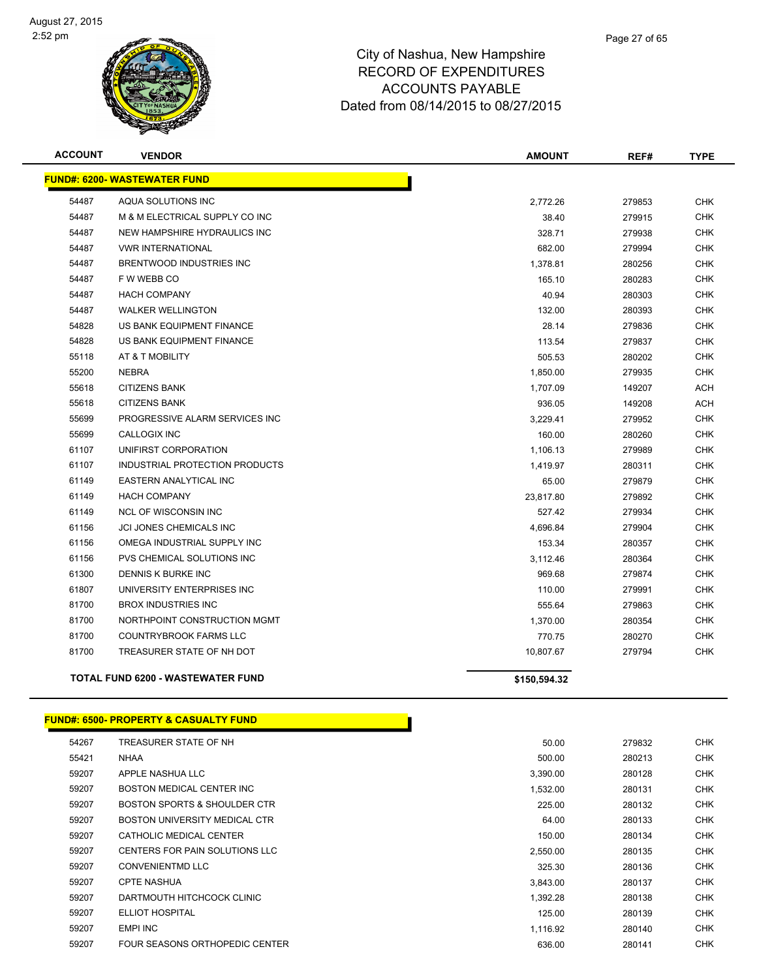

| <b>ACCOUNT</b> | <b>VENDOR</b>                            | <b>AMOUNT</b> | REF#   | <b>TYPE</b> |
|----------------|------------------------------------------|---------------|--------|-------------|
|                | <b>FUND#: 6200- WASTEWATER FUND</b>      |               |        |             |
| 54487          | AQUA SOLUTIONS INC                       | 2,772.26      | 279853 | <b>CHK</b>  |
| 54487          | M & M ELECTRICAL SUPPLY CO INC           | 38.40         | 279915 | <b>CHK</b>  |
| 54487          | NEW HAMPSHIRE HYDRAULICS INC             | 328.71        | 279938 | <b>CHK</b>  |
| 54487          | <b>VWR INTERNATIONAL</b>                 | 682.00        | 279994 | <b>CHK</b>  |
| 54487          | BRENTWOOD INDUSTRIES INC                 | 1,378.81      | 280256 | <b>CHK</b>  |
| 54487          | F W WEBB CO                              | 165.10        | 280283 | <b>CHK</b>  |
| 54487          | <b>HACH COMPANY</b>                      | 40.94         | 280303 | <b>CHK</b>  |
| 54487          | <b>WALKER WELLINGTON</b>                 | 132.00        | 280393 | <b>CHK</b>  |
| 54828          | US BANK EQUIPMENT FINANCE                | 28.14         | 279836 | <b>CHK</b>  |
| 54828          | US BANK EQUIPMENT FINANCE                | 113.54        | 279837 | <b>CHK</b>  |
| 55118          | AT & T MOBILITY                          | 505.53        | 280202 | <b>CHK</b>  |
| 55200          | <b>NEBRA</b>                             | 1,850.00      | 279935 | <b>CHK</b>  |
| 55618          | <b>CITIZENS BANK</b>                     | 1,707.09      | 149207 | <b>ACH</b>  |
| 55618          | <b>CITIZENS BANK</b>                     | 936.05        | 149208 | <b>ACH</b>  |
| 55699          | PROGRESSIVE ALARM SERVICES INC           | 3,229.41      | 279952 | <b>CHK</b>  |
| 55699          | <b>CALLOGIX INC</b>                      | 160.00        | 280260 | <b>CHK</b>  |
| 61107          | UNIFIRST CORPORATION                     | 1,106.13      | 279989 | <b>CHK</b>  |
| 61107          | INDUSTRIAL PROTECTION PRODUCTS           | 1,419.97      | 280311 | <b>CHK</b>  |
| 61149          | EASTERN ANALYTICAL INC                   | 65.00         | 279879 | <b>CHK</b>  |
| 61149          | <b>HACH COMPANY</b>                      | 23,817.80     | 279892 | <b>CHK</b>  |
| 61149          | <b>NCL OF WISCONSIN INC</b>              | 527.42        | 279934 | <b>CHK</b>  |
| 61156          | JCI JONES CHEMICALS INC                  | 4,696.84      | 279904 | <b>CHK</b>  |
| 61156          | OMEGA INDUSTRIAL SUPPLY INC              | 153.34        | 280357 | <b>CHK</b>  |
| 61156          | PVS CHEMICAL SOLUTIONS INC               | 3,112.46      | 280364 | <b>CHK</b>  |
| 61300          | DENNIS K BURKE INC                       | 969.68        | 279874 | <b>CHK</b>  |
| 61807          | UNIVERSITY ENTERPRISES INC               | 110.00        | 279991 | <b>CHK</b>  |
| 81700          | <b>BROX INDUSTRIES INC</b>               | 555.64        | 279863 | <b>CHK</b>  |
| 81700          | NORTHPOINT CONSTRUCTION MGMT             | 1,370.00      | 280354 | <b>CHK</b>  |
| 81700          | <b>COUNTRYBROOK FARMS LLC</b>            | 770.75        | 280270 | <b>CHK</b>  |
| 81700          | TREASURER STATE OF NH DOT                | 10,807.67     | 279794 | <b>CHK</b>  |
|                | <b>TOTAL FUND 6200 - WASTEWATER FUND</b> | \$150,594.32  |        |             |

#### **FUND#: 6500- PROPERTY & CASUALTY FUND**

| 54267 | TREASURER STATE OF NH                   | 50.00    | 279832 | <b>CHK</b> |
|-------|-----------------------------------------|----------|--------|------------|
| 55421 | <b>NHAA</b>                             | 500.00   | 280213 | <b>CHK</b> |
| 59207 | APPLE NASHUA LLC                        | 3,390.00 | 280128 | <b>CHK</b> |
| 59207 | BOSTON MEDICAL CENTER INC               | 1,532.00 | 280131 | <b>CHK</b> |
| 59207 | <b>BOSTON SPORTS &amp; SHOULDER CTR</b> | 225.00   | 280132 | <b>CHK</b> |
| 59207 | <b>BOSTON UNIVERSITY MEDICAL CTR</b>    | 64.00    | 280133 | <b>CHK</b> |
| 59207 | CATHOLIC MEDICAL CENTER                 | 150.00   | 280134 | <b>CHK</b> |
| 59207 | CENTERS FOR PAIN SOLUTIONS LLC          | 2,550.00 | 280135 | <b>CHK</b> |
| 59207 | <b>CONVENIENTMD LLC</b>                 | 325.30   | 280136 | <b>CHK</b> |
| 59207 | <b>CPTE NASHUA</b>                      | 3,843.00 | 280137 | <b>CHK</b> |
| 59207 | DARTMOUTH HITCHCOCK CLINIC              | 1,392.28 | 280138 | <b>CHK</b> |
| 59207 | ELLIOT HOSPITAL                         | 125.00   | 280139 | <b>CHK</b> |
| 59207 | <b>EMPI INC</b>                         | 1,116.92 | 280140 | <b>CHK</b> |
| 59207 | FOUR SEASONS ORTHOPEDIC CENTER          | 636.00   | 280141 | <b>CHK</b> |
|       |                                         |          |        |            |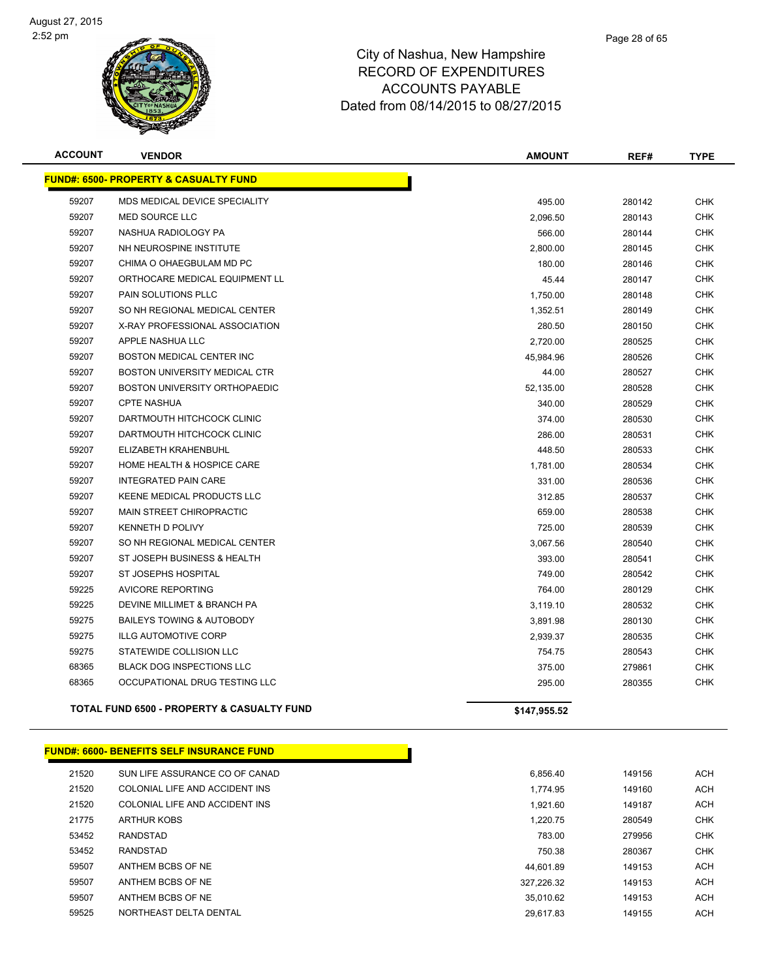

| <b>ACCOUNT</b> | <b>VENDOR</b>                                         | <b>AMOUNT</b> | REF#   | <b>TYPE</b> |
|----------------|-------------------------------------------------------|---------------|--------|-------------|
|                | <b>FUND#: 6500- PROPERTY &amp; CASUALTY FUND</b>      |               |        |             |
| 59207          | MDS MEDICAL DEVICE SPECIALITY                         | 495.00        | 280142 | <b>CHK</b>  |
| 59207          | <b>MED SOURCE LLC</b>                                 | 2,096.50      | 280143 | <b>CHK</b>  |
| 59207          | NASHUA RADIOLOGY PA                                   | 566.00        | 280144 | <b>CHK</b>  |
| 59207          | NH NEUROSPINE INSTITUTE                               | 2,800.00      | 280145 | CHK         |
| 59207          | CHIMA O OHAEGBULAM MD PC                              | 180.00        | 280146 | CHK         |
| 59207          | ORTHOCARE MEDICAL EQUIPMENT LL                        | 45.44         | 280147 | <b>CHK</b>  |
| 59207          | <b>PAIN SOLUTIONS PLLC</b>                            | 1,750.00      | 280148 | <b>CHK</b>  |
| 59207          | SO NH REGIONAL MEDICAL CENTER                         | 1,352.51      | 280149 | <b>CHK</b>  |
| 59207          | X-RAY PROFESSIONAL ASSOCIATION                        | 280.50        | 280150 | <b>CHK</b>  |
| 59207          | APPLE NASHUA LLC                                      | 2,720.00      | 280525 | <b>CHK</b>  |
| 59207          | <b>BOSTON MEDICAL CENTER INC</b>                      | 45,984.96     | 280526 | <b>CHK</b>  |
| 59207          | <b>BOSTON UNIVERSITY MEDICAL CTR</b>                  | 44.00         | 280527 | <b>CHK</b>  |
| 59207          | BOSTON UNIVERSITY ORTHOPAEDIC                         | 52,135.00     | 280528 | <b>CHK</b>  |
| 59207          | <b>CPTE NASHUA</b>                                    | 340.00        | 280529 | <b>CHK</b>  |
| 59207          | DARTMOUTH HITCHCOCK CLINIC                            | 374.00        | 280530 | <b>CHK</b>  |
| 59207          | DARTMOUTH HITCHCOCK CLINIC                            | 286.00        | 280531 | <b>CHK</b>  |
| 59207          | ELIZABETH KRAHENBUHL                                  | 448.50        | 280533 | <b>CHK</b>  |
| 59207          | HOME HEALTH & HOSPICE CARE                            | 1,781.00      | 280534 | <b>CHK</b>  |
| 59207          | <b>INTEGRATED PAIN CARE</b>                           | 331.00        | 280536 | <b>CHK</b>  |
| 59207          | <b>KEENE MEDICAL PRODUCTS LLC</b>                     | 312.85        | 280537 | <b>CHK</b>  |
| 59207          | <b>MAIN STREET CHIROPRACTIC</b>                       | 659.00        | 280538 | <b>CHK</b>  |
| 59207          | <b>KENNETH D POLIVY</b>                               | 725.00        | 280539 | <b>CHK</b>  |
| 59207          | SO NH REGIONAL MEDICAL CENTER                         | 3,067.56      | 280540 | <b>CHK</b>  |
| 59207          | ST JOSEPH BUSINESS & HEALTH                           | 393.00        | 280541 | <b>CHK</b>  |
| 59207          | <b>ST JOSEPHS HOSPITAL</b>                            | 749.00        | 280542 | <b>CHK</b>  |
| 59225          | <b>AVICORE REPORTING</b>                              | 764.00        | 280129 | <b>CHK</b>  |
| 59225          | DEVINE MILLIMET & BRANCH PA                           | 3,119.10      | 280532 | <b>CHK</b>  |
| 59275          | <b>BAILEYS TOWING &amp; AUTOBODY</b>                  | 3,891.98      | 280130 | <b>CHK</b>  |
| 59275          | <b>ILLG AUTOMOTIVE CORP</b>                           | 2,939.37      | 280535 | <b>CHK</b>  |
| 59275          | STATEWIDE COLLISION LLC                               | 754.75        | 280543 | <b>CHK</b>  |
| 68365          | <b>BLACK DOG INSPECTIONS LLC</b>                      | 375.00        | 279861 | <b>CHK</b>  |
| 68365          | OCCUPATIONAL DRUG TESTING LLC                         | 295.00        | 280355 | <b>CHK</b>  |
|                | <b>TOTAL FUND 6500 - PROPERTY &amp; CASUALTY FUND</b> | \$147.955.52  |        |             |

#### **FUND#: 6600- BENEFITS SELF INSURANCE FUND**

| 21520 | SUN LIFE ASSURANCE CO OF CANAD | 6.856.40   | 149156 | <b>ACH</b> |
|-------|--------------------------------|------------|--------|------------|
| 21520 | COLONIAL LIFE AND ACCIDENT INS | 1,774.95   | 149160 | <b>ACH</b> |
| 21520 | COLONIAL LIFE AND ACCIDENT INS | 1.921.60   | 149187 | <b>ACH</b> |
| 21775 | <b>ARTHUR KOBS</b>             | 1.220.75   | 280549 | CHK        |
| 53452 | RANDSTAD                       | 783.00     | 279956 | CHK        |
| 53452 | RANDSTAD                       | 750.38     | 280367 | CHK        |
| 59507 | ANTHEM BCBS OF NE              | 44.601.89  | 149153 | <b>ACH</b> |
| 59507 | ANTHEM BCBS OF NE              | 327.226.32 | 149153 | <b>ACH</b> |
| 59507 | ANTHEM BCBS OF NE              | 35.010.62  | 149153 | <b>ACH</b> |
| 59525 | NORTHEAST DELTA DENTAL         | 29 617 83  | 149155 | ACH        |

| 21520 | SUN LIFE ASSURANCE CO OF CANAD |
|-------|--------------------------------|
| 21520 | COLONIAL LIFE AND ACCIDENT INS |
| 21520 | COLONIAL LIFE AND ACCIDENT INS |
| 21775 | <b>ARTHUR KOBS</b>             |
| 53452 | <b>RANDSTAD</b>                |
| 53452 | <b>RANDSTAD</b>                |
| 59507 | ANTHEM BCBS OF NE              |
| 59507 | ANTHEM BCBS OF NE              |
| 59507 | ANTHEM BCBS OF NE              |
| 59525 | NORTHEAST DELTA DENTAL         |
|       |                                |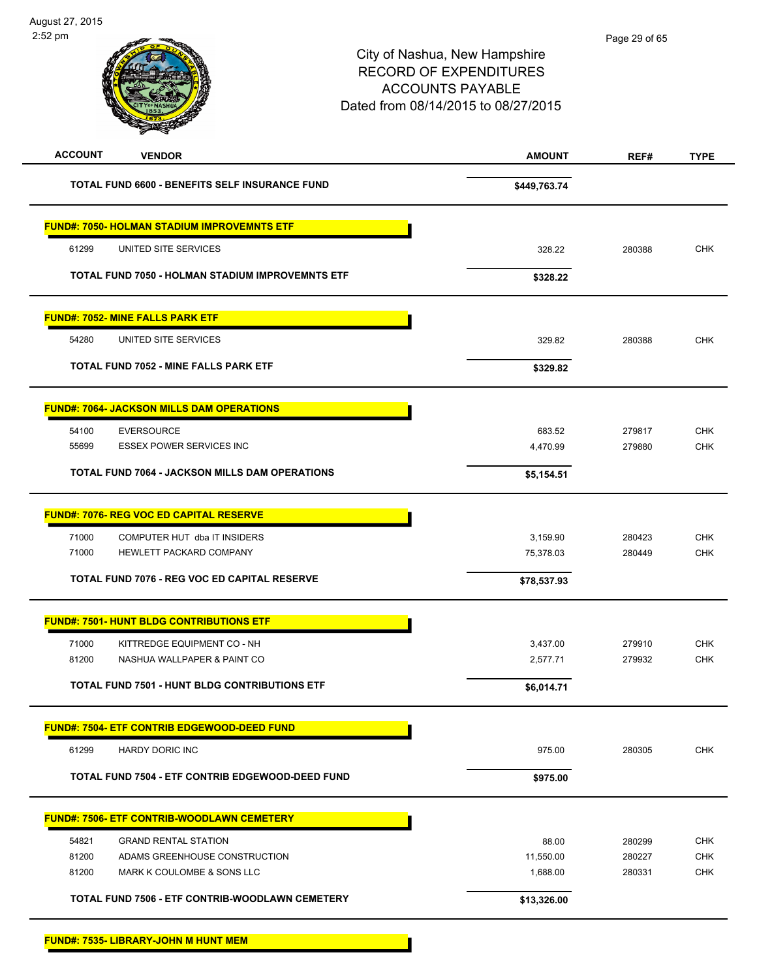**FUND#: 7535- LIBRARY-JOHN M HUNT MEM**

| <b>ACCOUNT</b><br><b>VENDOR</b>                         | <b>AMOUNT</b> | REF#   | <b>TYPE</b> |
|---------------------------------------------------------|---------------|--------|-------------|
| TOTAL FUND 6600 - BENEFITS SELF INSURANCE FUND          | \$449,763.74  |        |             |
| <b>FUND#: 7050- HOLMAN STADIUM IMPROVEMNTS ETF</b>      |               |        |             |
| 61299<br>UNITED SITE SERVICES                           | 328.22        | 280388 | <b>CHK</b>  |
| <b>TOTAL FUND 7050 - HOLMAN STADIUM IMPROVEMNTS ETF</b> | \$328.22      |        |             |
| <b>FUND#: 7052- MINE FALLS PARK ETF</b>                 |               |        |             |
| 54280<br>UNITED SITE SERVICES                           | 329.82        | 280388 | <b>CHK</b>  |
| <b>TOTAL FUND 7052 - MINE FALLS PARK ETF</b>            | \$329.82      |        |             |
| <b>FUND#: 7064- JACKSON MILLS DAM OPERATIONS</b>        |               |        |             |
| 54100<br><b>EVERSOURCE</b>                              | 683.52        | 279817 | <b>CHK</b>  |
| <b>ESSEX POWER SERVICES INC</b><br>55699                | 4,470.99      | 279880 | <b>CHK</b>  |
| TOTAL FUND 7064 - JACKSON MILLS DAM OPERATIONS          | \$5,154.51    |        |             |
| <b>FUND#: 7076- REG VOC ED CAPITAL RESERVE</b>          |               |        |             |
| COMPUTER HUT dba IT INSIDERS<br>71000                   | 3,159.90      | 280423 | <b>CHK</b>  |
| 71000<br>HEWLETT PACKARD COMPANY                        | 75,378.03     | 280449 | <b>CHK</b>  |
| <b>TOTAL FUND 7076 - REG VOC ED CAPITAL RESERVE</b>     | \$78,537.93   |        |             |
| <b>FUND#: 7501- HUNT BLDG CONTRIBUTIONS ETF</b>         |               |        |             |
| 71000<br>KITTREDGE EQUIPMENT CO - NH                    | 3,437.00      | 279910 | <b>CHK</b>  |
| 81200<br>NASHUA WALLPAPER & PAINT CO                    | 2,577.71      | 279932 | <b>CHK</b>  |
| <b>TOTAL FUND 7501 - HUNT BLDG CONTRIBUTIONS ETF</b>    | \$6,014.71    |        |             |
| <b>FUND#: 7504- ETF CONTRIB EDGEWOOD-DEED FUND</b>      |               |        |             |
| 61299<br><b>HARDY DORIC INC</b>                         | 975.00        | 280305 | <b>CHK</b>  |
| TOTAL FUND 7504 - ETF CONTRIB EDGEWOOD-DEED FUND        | \$975.00      |        |             |
| <b>FUND#: 7506- ETF CONTRIB-WOODLAWN CEMETERY</b>       |               |        |             |
| 54821<br><b>GRAND RENTAL STATION</b>                    | 88.00         | 280299 | <b>CHK</b>  |
| 81200<br>ADAMS GREENHOUSE CONSTRUCTION                  | 11,550.00     | 280227 | <b>CHK</b>  |
| 81200<br>MARK K COULOMBE & SONS LLC                     | 1,688.00      | 280331 | <b>CHK</b>  |
| TOTAL FUND 7506 - ETF CONTRIB-WOODLAWN CEMETERY         | \$13,326.00   |        |             |
|                                                         |               |        |             |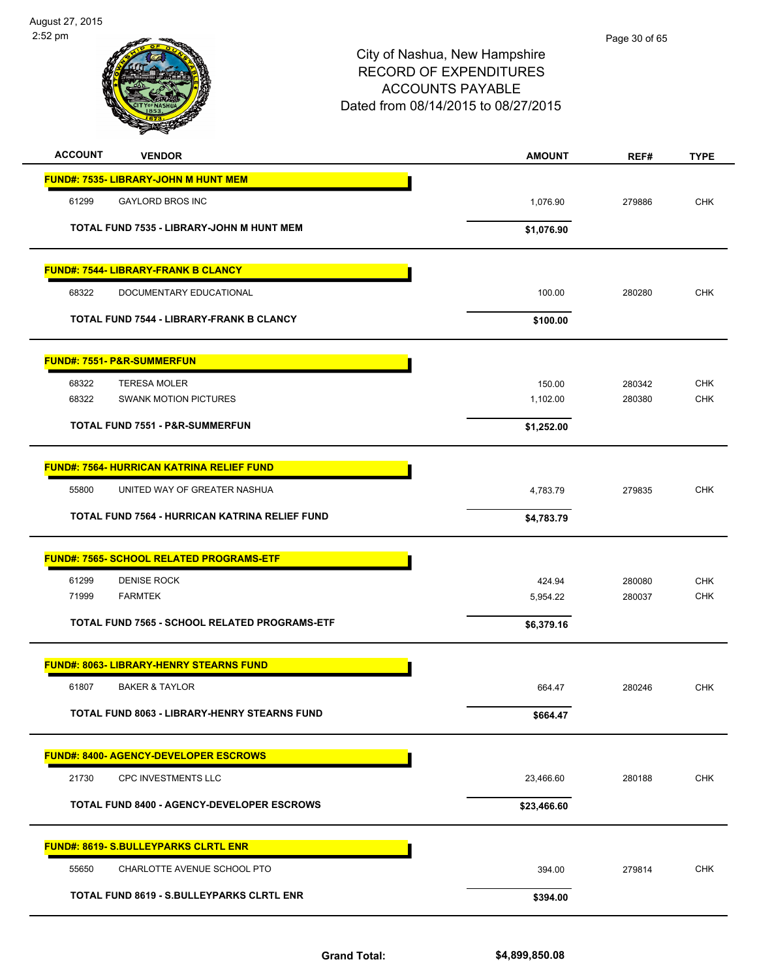

| <b>ACCOUNT</b><br><b>VENDOR</b>                   | <b>AMOUNT</b> | REF#   | <b>TYPE</b> |
|---------------------------------------------------|---------------|--------|-------------|
| <b>FUND#: 7535- LIBRARY-JOHN M HUNT MEM</b>       |               |        |             |
| 61299<br><b>GAYLORD BROS INC</b>                  | 1,076.90      | 279886 | <b>CHK</b>  |
| TOTAL FUND 7535 - LIBRARY-JOHN M HUNT MEM         | \$1,076.90    |        |             |
| FUND#: 7544- LIBRARY-FRANK B CLANCY               |               |        |             |
| 68322<br>DOCUMENTARY EDUCATIONAL                  | 100.00        | 280280 | <b>CHK</b>  |
| <b>TOTAL FUND 7544 - LIBRARY-FRANK B CLANCY</b>   | \$100.00      |        |             |
| <b>FUND#: 7551- P&amp;R-SUMMERFUN</b>             |               |        |             |
| <b>TERESA MOLER</b><br>68322                      | 150.00        | 280342 | <b>CHK</b>  |
| <b>SWANK MOTION PICTURES</b><br>68322             | 1,102.00      | 280380 | <b>CHK</b>  |
| <b>TOTAL FUND 7551 - P&amp;R-SUMMERFUN</b>        | \$1,252.00    |        |             |
| <b>FUND#: 7564- HURRICAN KATRINA RELIEF FUND</b>  |               |        |             |
| UNITED WAY OF GREATER NASHUA<br>55800             | 4,783.79      | 279835 | <b>CHK</b>  |
| TOTAL FUND 7564 - HURRICAN KATRINA RELIEF FUND    | \$4,783.79    |        |             |
| <b>FUND#: 7565- SCHOOL RELATED PROGRAMS-ETF</b>   |               |        |             |
| 61299<br><b>DENISE ROCK</b>                       | 424.94        | 280080 | <b>CHK</b>  |
| <b>FARMTEK</b><br>71999                           | 5,954.22      | 280037 | <b>CHK</b>  |
| TOTAL FUND 7565 - SCHOOL RELATED PROGRAMS-ETF     | \$6,379.16    |        |             |
| <b>FUND#: 8063- LIBRARY-HENRY STEARNS FUND</b>    |               |        |             |
| 61807<br><b>BAKER &amp; TAYLOR</b>                | 664.47        | 280246 | <b>CHK</b>  |
| TOTAL FUND 8063 - LIBRARY-HENRY STEARNS FUND      | \$664.47      |        |             |
| <b>FUND#: 8400- AGENCY-DEVELOPER ESCROWS</b>      |               |        |             |
| 21730<br>CPC INVESTMENTS LLC                      | 23,466.60     | 280188 | <b>CHK</b>  |
| <b>TOTAL FUND 8400 - AGENCY-DEVELOPER ESCROWS</b> | \$23,466.60   |        |             |
| <b>FUND#: 8619- S.BULLEYPARKS CLRTL ENR</b>       |               |        |             |
| CHARLOTTE AVENUE SCHOOL PTO<br>55650              | 394.00        | 279814 | <b>CHK</b>  |
| TOTAL FUND 8619 - S.BULLEYPARKS CLRTL ENR         | \$394.00      |        |             |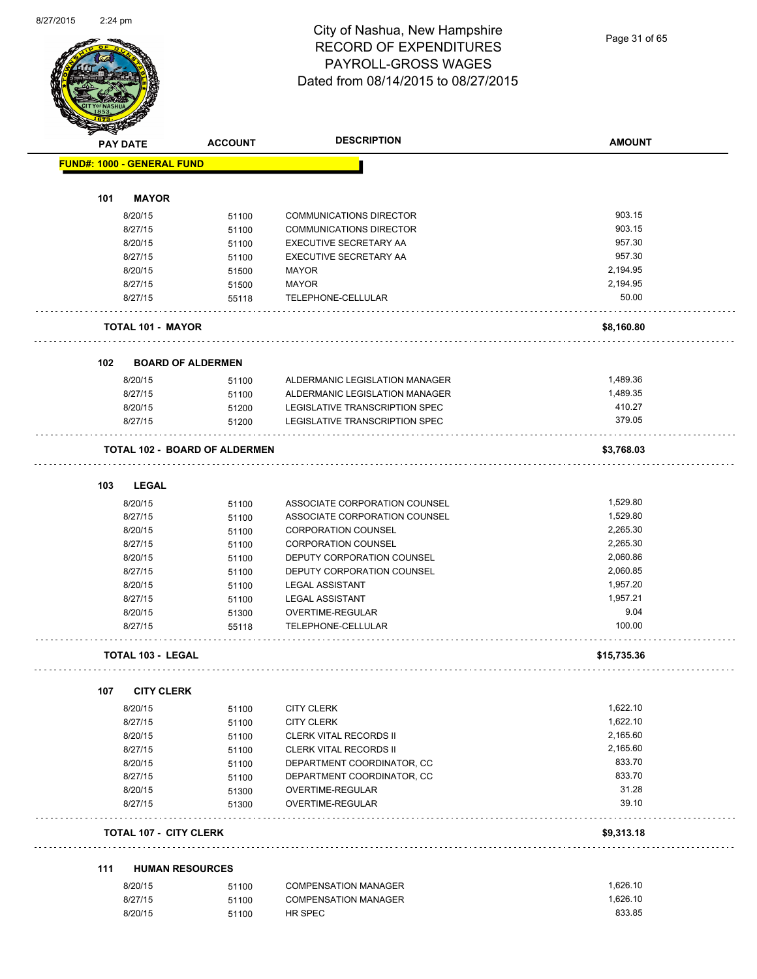Page 31 of 65

|     | <b>PAY DATE</b>                   | <b>ACCOUNT</b>                       | <b>DESCRIPTION</b>                    | <b>AMOUNT</b>     |
|-----|-----------------------------------|--------------------------------------|---------------------------------------|-------------------|
|     | <b>FUND#: 1000 - GENERAL FUND</b> |                                      |                                       |                   |
| 101 | <b>MAYOR</b>                      |                                      |                                       |                   |
|     | 8/20/15                           | 51100                                | <b>COMMUNICATIONS DIRECTOR</b>        | 903.15            |
|     |                                   |                                      |                                       | 903.15            |
|     | 8/27/15                           | 51100                                | <b>COMMUNICATIONS DIRECTOR</b>        |                   |
|     | 8/20/15                           | 51100                                | EXECUTIVE SECRETARY AA                | 957.30            |
|     | 8/27/15                           | 51100                                | EXECUTIVE SECRETARY AA                | 957.30            |
|     | 8/20/15                           | 51500                                | <b>MAYOR</b>                          | 2,194.95          |
|     | 8/27/15                           | 51500                                | <b>MAYOR</b>                          | 2,194.95<br>50.00 |
|     | 8/27/15                           | 55118                                | TELEPHONE-CELLULAR                    |                   |
|     | <b>TOTAL 101 - MAYOR</b>          |                                      |                                       | \$8,160.80        |
| 102 | <b>BOARD OF ALDERMEN</b>          |                                      |                                       |                   |
|     | 8/20/15                           | 51100                                | ALDERMANIC LEGISLATION MANAGER        | 1,489.36          |
|     | 8/27/15                           | 51100                                | ALDERMANIC LEGISLATION MANAGER        | 1,489.35          |
|     | 8/20/15                           | 51200                                | <b>LEGISLATIVE TRANSCRIPTION SPEC</b> | 410.27            |
|     | 8/27/15                           | 51200                                | LEGISLATIVE TRANSCRIPTION SPEC        | 379.05            |
|     |                                   | <b>TOTAL 102 - BOARD OF ALDERMEN</b> |                                       | \$3,768.03        |
| 103 | LEGAL                             |                                      |                                       |                   |
|     | 8/20/15                           | 51100                                | ASSOCIATE CORPORATION COUNSEL         | 1,529.80          |
|     | 8/27/15                           |                                      | ASSOCIATE CORPORATION COUNSEL         | 1,529.80          |
|     |                                   | 51100                                |                                       | 2,265.30          |
|     | 8/20/15                           | 51100                                | <b>CORPORATION COUNSEL</b>            | 2,265.30          |
|     | 8/27/15                           | 51100                                | <b>CORPORATION COUNSEL</b>            |                   |
|     | 8/20/15                           | 51100                                | DEPUTY CORPORATION COUNSEL            | 2,060.86          |
|     | 8/27/15                           | 51100                                | DEPUTY CORPORATION COUNSEL            | 2,060.85          |
|     | 8/20/15                           | 51100                                | <b>LEGAL ASSISTANT</b>                | 1,957.20          |
|     | 8/27/15                           | 51100                                | <b>LEGAL ASSISTANT</b>                | 1.957.21          |
|     | 8/20/15                           | 51300                                | OVERTIME-REGULAR                      | 9.04              |
|     | 8/27/15                           | 55118                                | TELEPHONE-CELLULAR                    | 100.00            |
|     | <b>TOTAL 103 - LEGAL</b>          |                                      |                                       | \$15,735.36       |
| 107 | <b>CITY CLERK</b>                 |                                      |                                       |                   |
|     | 8/20/15                           | 51100                                | <b>CITY CLERK</b>                     | 1,622.10          |
|     | 8/27/15                           | 51100                                | <b>CITY CLERK</b>                     | 1,622.10          |
|     | 8/20/15                           | 51100                                | <b>CLERK VITAL RECORDS II</b>         | 2,165.60          |
|     | 8/27/15                           | 51100                                | <b>CLERK VITAL RECORDS II</b>         | 2,165.60          |
|     | 8/20/15                           | 51100                                | DEPARTMENT COORDINATOR, CC            | 833.70            |
|     | 8/27/15                           | 51100                                | DEPARTMENT COORDINATOR, CC            | 833.70            |
|     | 8/20/15                           | 51300                                | OVERTIME-REGULAR                      | 31.28             |
|     | 8/27/15                           | 51300                                | OVERTIME-REGULAR                      | 39.10             |
|     | <b>TOTAL 107 - CITY CLERK</b>     |                                      |                                       | \$9,313.18        |
| 111 | <b>HUMAN RESOURCES</b>            |                                      |                                       |                   |
|     | 8/20/15                           | 51100                                | <b>COMPENSATION MANAGER</b>           | 1,626.10          |
|     | 8/27/15                           | 51100                                | <b>COMPENSATION MANAGER</b>           | 1,626.10          |
|     |                                   |                                      |                                       |                   |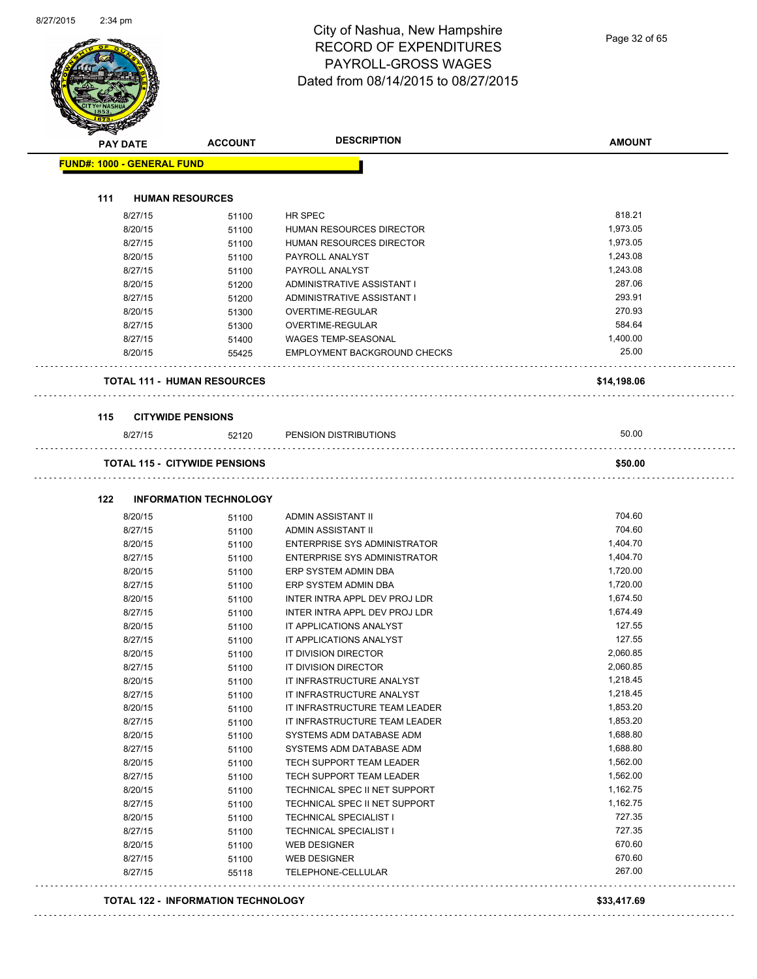| <b>PAY DATE</b>                   | <b>ACCOUNT</b>                       | <b>DESCRIPTION</b>                         | <b>AMOUNT</b>    |
|-----------------------------------|--------------------------------------|--------------------------------------------|------------------|
| <b>FUND#: 1000 - GENERAL FUND</b> |                                      |                                            |                  |
| 111                               | <b>HUMAN RESOURCES</b>               |                                            |                  |
| 8/27/15                           | 51100                                | HR SPEC                                    | 818.21           |
| 8/20/15                           | 51100                                | HUMAN RESOURCES DIRECTOR                   | 1,973.05         |
| 8/27/15                           | 51100                                | HUMAN RESOURCES DIRECTOR                   | 1,973.05         |
| 8/20/15                           | 51100                                | PAYROLL ANALYST                            | 1,243.08         |
| 8/27/15                           | 51100                                | PAYROLL ANALYST                            | 1,243.08         |
| 8/20/15                           | 51200                                | ADMINISTRATIVE ASSISTANT I                 | 287.06           |
| 8/27/15                           | 51200                                | ADMINISTRATIVE ASSISTANT I                 | 293.91           |
| 8/20/15                           | 51300                                | OVERTIME-REGULAR                           | 270.93           |
| 8/27/15                           | 51300                                | OVERTIME-REGULAR                           | 584.64           |
| 8/27/15                           | 51400                                | <b>WAGES TEMP-SEASONAL</b>                 | 1,400.00         |
| 8/20/15                           | 55425                                | <b>EMPLOYMENT BACKGROUND CHECKS</b>        | 25.00            |
|                                   | <b>TOTAL 111 - HUMAN RESOURCES</b>   |                                            | \$14,198.06      |
|                                   |                                      |                                            |                  |
| 115<br>8/27/15                    | <b>CITYWIDE PENSIONS</b><br>52120    | PENSION DISTRIBUTIONS                      | 50.00            |
|                                   |                                      |                                            |                  |
|                                   | <b>TOTAL 115 - CITYWIDE PENSIONS</b> |                                            | \$50.00          |
| 122                               | <b>INFORMATION TECHNOLOGY</b>        |                                            |                  |
| 8/20/15                           | 51100                                | ADMIN ASSISTANT II                         | 704.60           |
| 8/27/15                           | 51100                                | ADMIN ASSISTANT II                         | 704.60           |
| 8/20/15                           | 51100                                | ENTERPRISE SYS ADMINISTRATOR               | 1,404.70         |
| 8/27/15                           | 51100                                | ENTERPRISE SYS ADMINISTRATOR               | 1,404.70         |
| 8/20/15                           | 51100                                | ERP SYSTEM ADMIN DBA                       | 1,720.00         |
| 8/27/15                           | 51100                                | ERP SYSTEM ADMIN DBA                       | 1,720.00         |
| 8/20/15                           | 51100                                | INTER INTRA APPL DEV PROJ LDR              | 1,674.50         |
| 8/27/15                           | 51100                                | INTER INTRA APPL DEV PROJ LDR              | 1,674.49         |
| 8/20/15                           | 51100                                | IT APPLICATIONS ANALYST                    | 127.55           |
| 8/27/15                           | 51100                                | IT APPLICATIONS ANALYST                    | 127.55           |
| 8/20/15                           | 51100                                | IT DIVISION DIRECTOR                       | 2,060.85         |
| 8/27/15                           | 51100                                | IT DIVISION DIRECTOR                       | 2,060.85         |
| 8/20/15                           | 51100                                | IT INFRASTRUCTURE ANALYST                  | 1,218.45         |
| 8/27/15                           | 51100                                | IT INFRASTRUCTURE ANALYST                  | 1,218.45         |
| 8/20/15                           | 51100                                | IT INFRASTRUCTURE TEAM LEADER              | 1,853.20         |
|                                   | 51100                                | IT INFRASTRUCTURE TEAM LEADER              | 1,853.20         |
| 8/27/15                           |                                      | SYSTEMS ADM DATABASE ADM                   | 1,688.80         |
| 8/20/15                           | 51100                                |                                            |                  |
| 8/27/15                           | 51100                                | SYSTEMS ADM DATABASE ADM                   | 1,688.80         |
| 8/20/15                           | 51100                                | TECH SUPPORT TEAM LEADER                   | 1,562.00         |
| 8/27/15                           | 51100                                | TECH SUPPORT TEAM LEADER                   | 1,562.00         |
| 8/20/15                           | 51100                                | TECHNICAL SPEC II NET SUPPORT              | 1,162.75         |
| 8/27/15                           | 51100                                | TECHNICAL SPEC II NET SUPPORT              | 1,162.75         |
| 8/20/15                           | 51100                                | <b>TECHNICAL SPECIALIST I</b>              | 727.35           |
| 8/27/15                           | 51100                                | TECHNICAL SPECIALIST I                     | 727.35           |
| 8/20/15<br>8/27/15                | 51100<br>51100                       | <b>WEB DESIGNER</b><br><b>WEB DESIGNER</b> | 670.60<br>670.60 |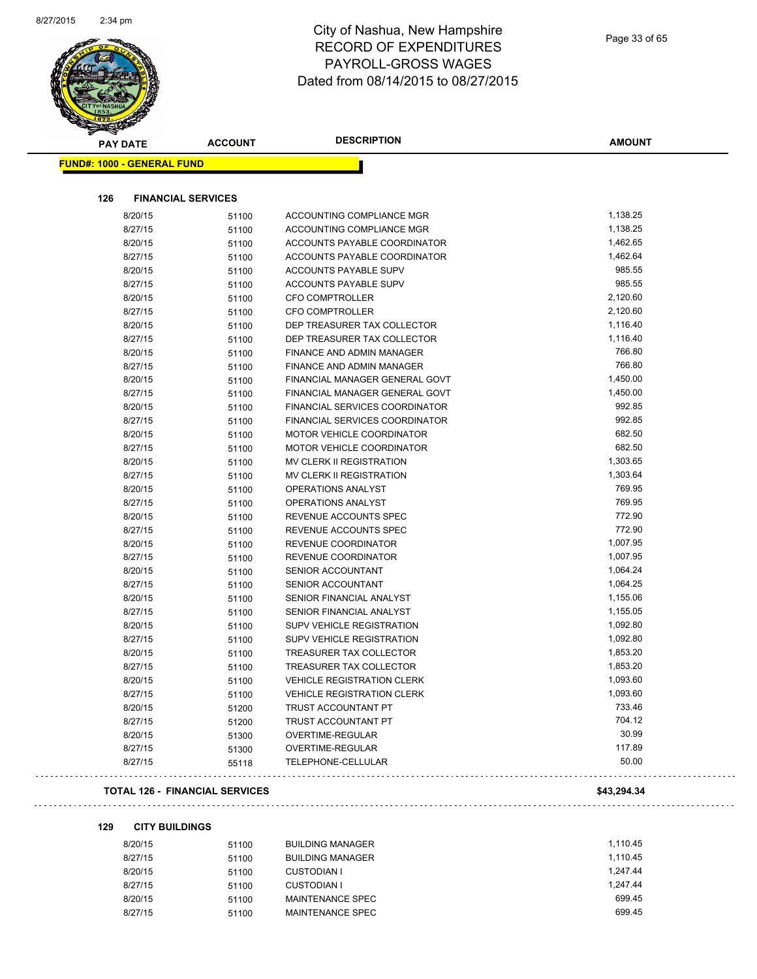

| <b>PAY DATE</b>                   | <b>ACCOUNT</b>            | <b>DESCRIPTION</b>                | <b>AMOUNT</b> |
|-----------------------------------|---------------------------|-----------------------------------|---------------|
| <b>FUND#: 1000 - GENERAL FUND</b> |                           |                                   |               |
| 126                               | <b>FINANCIAL SERVICES</b> |                                   |               |
| 8/20/15                           | 51100                     | ACCOUNTING COMPLIANCE MGR         | 1,138.25      |
| 8/27/15                           | 51100                     | ACCOUNTING COMPLIANCE MGR         | 1,138.25      |
| 8/20/15                           | 51100                     | ACCOUNTS PAYABLE COORDINATOR      | 1,462.65      |
| 8/27/15                           | 51100                     | ACCOUNTS PAYABLE COORDINATOR      | 1,462.64      |
| 8/20/15                           | 51100                     | <b>ACCOUNTS PAYABLE SUPV</b>      | 985.55        |
| 8/27/15                           | 51100                     | ACCOUNTS PAYABLE SUPV             | 985.55        |
| 8/20/15                           | 51100                     | CFO COMPTROLLER                   | 2,120.60      |
| 8/27/15                           | 51100                     | <b>CFO COMPTROLLER</b>            | 2,120.60      |
| 8/20/15                           | 51100                     | DEP TREASURER TAX COLLECTOR       | 1,116.40      |
| 8/27/15                           | 51100                     | DEP TREASURER TAX COLLECTOR       | 1,116.40      |
| 8/20/15                           | 51100                     | <b>FINANCE AND ADMIN MANAGER</b>  | 766.80        |
| 8/27/15                           | 51100                     | FINANCE AND ADMIN MANAGER         | 766.80        |
| 8/20/15                           | 51100                     | FINANCIAL MANAGER GENERAL GOVT    | 1,450.00      |
| 8/27/15                           | 51100                     | FINANCIAL MANAGER GENERAL GOVT    | 1,450.00      |
| 8/20/15                           | 51100                     | FINANCIAL SERVICES COORDINATOR    | 992.85        |
| 8/27/15                           | 51100                     | FINANCIAL SERVICES COORDINATOR    | 992.85        |
| 8/20/15                           | 51100                     | MOTOR VEHICLE COORDINATOR         | 682.50        |
| 8/27/15                           | 51100                     | <b>MOTOR VEHICLE COORDINATOR</b>  | 682.50        |
| 8/20/15                           | 51100                     | MV CLERK II REGISTRATION          | 1,303.65      |
| 8/27/15                           | 51100                     | MV CLERK II REGISTRATION          | 1,303.64      |
| 8/20/15                           | 51100                     | OPERATIONS ANALYST                | 769.95        |
| 8/27/15                           | 51100                     | <b>OPERATIONS ANALYST</b>         | 769.95        |
| 8/20/15                           | 51100                     | REVENUE ACCOUNTS SPEC             | 772.90        |
| 8/27/15                           | 51100                     | REVENUE ACCOUNTS SPEC             | 772.90        |
| 8/20/15                           | 51100                     | REVENUE COORDINATOR               | 1,007.95      |
| 8/27/15                           | 51100                     | REVENUE COORDINATOR               | 1,007.95      |
| 8/20/15                           | 51100                     | SENIOR ACCOUNTANT                 | 1,064.24      |
| 8/27/15                           | 51100                     | SENIOR ACCOUNTANT                 | 1,064.25      |
| 8/20/15                           | 51100                     | SENIOR FINANCIAL ANALYST          | 1,155.06      |
| 8/27/15                           | 51100                     | SENIOR FINANCIAL ANALYST          | 1,155.05      |
| 8/20/15                           | 51100                     | <b>SUPV VEHICLE REGISTRATION</b>  | 1,092.80      |
| 8/27/15                           | 51100                     | <b>SUPV VEHICLE REGISTRATION</b>  | 1,092.80      |
| 8/20/15                           | 51100                     | TREASURER TAX COLLECTOR           | 1,853.20      |
| 8/27/15                           | 51100                     | TREASURER TAX COLLECTOR           | 1,853.20      |
| 8/20/15                           | 51100                     | <b>VEHICLE REGISTRATION CLERK</b> | 1,093.60      |
| 8/27/15                           | 51100                     | <b>VEHICLE REGISTRATION CLERK</b> | 1,093.60      |
| 8/20/15                           | 51200                     | TRUST ACCOUNTANT PT               | 733.46        |
| 8/27/15                           | 51200                     | TRUST ACCOUNTANT PT               | 704.12        |
| 8/20/15                           | 51300                     | OVERTIME-REGULAR                  | 30.99         |
| 8/27/15                           | 51300                     | OVERTIME-REGULAR                  | 117.89        |
| 8/27/15                           | 55118                     | TELEPHONE-CELLULAR                | 50.00         |

#### **TOTAL 126 - FINANCIAL SERVICES \$43,294.34**

#### **129 CITY BUILDINGS**

| 8/20/15 | 51100 | <b>BUILDING MANAGER</b> | 1.110.45 |
|---------|-------|-------------------------|----------|
| 8/27/15 | 51100 | <b>BUILDING MANAGER</b> | 1.110.45 |
| 8/20/15 | 51100 | <b>CUSTODIAN I</b>      | 1.247.44 |
| 8/27/15 | 51100 | CUSTODIAN I             | 1.247.44 |
| 8/20/15 | 51100 | MAINTENANCE SPEC        | 699.45   |
| 8/27/15 | 51100 | MAINTENANCE SPEC        | 699.45   |
|         |       |                         |          |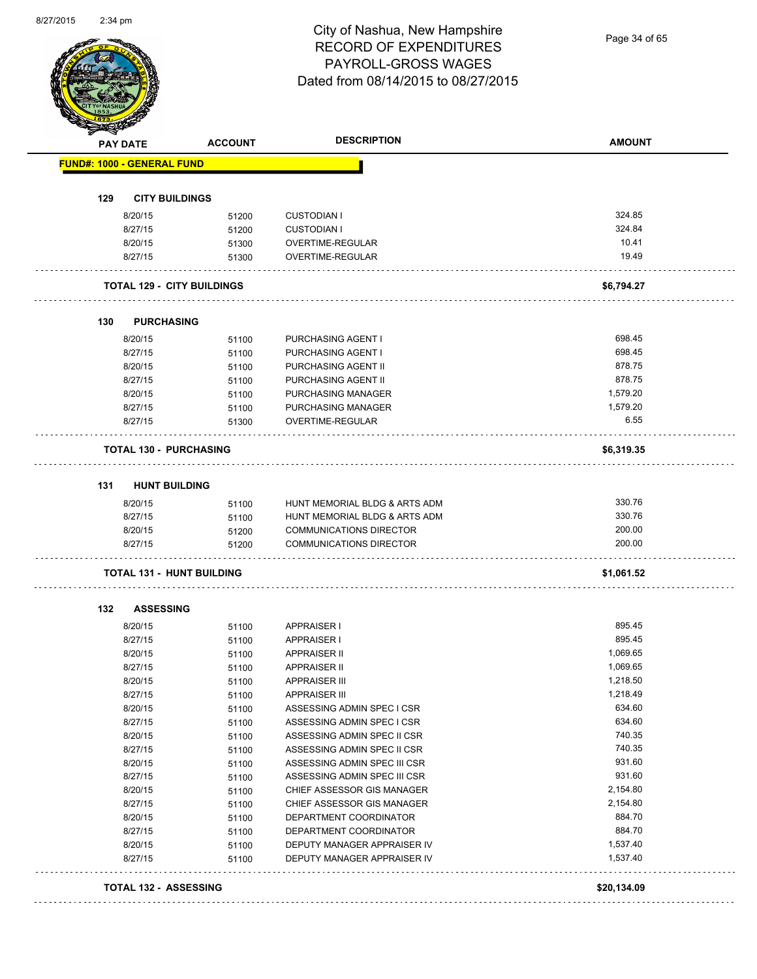Page 34 of 65

|     | <b>PAY DATE</b>                   | <b>ACCOUNT</b>                    | <b>DESCRIPTION</b>                       | <b>AMOUNT</b>    |
|-----|-----------------------------------|-----------------------------------|------------------------------------------|------------------|
|     | <b>FUND#: 1000 - GENERAL FUND</b> |                                   |                                          |                  |
|     |                                   |                                   |                                          |                  |
| 129 | <b>CITY BUILDINGS</b>             |                                   |                                          |                  |
|     | 8/20/15                           | 51200                             | <b>CUSTODIAN I</b>                       | 324.85           |
|     | 8/27/15                           | 51200                             | <b>CUSTODIAN I</b>                       | 324.84           |
|     | 8/20/15                           | 51300                             | OVERTIME-REGULAR                         | 10.41            |
|     | 8/27/15                           | 51300                             | <b>OVERTIME-REGULAR</b>                  | 19.49            |
|     |                                   | <b>TOTAL 129 - CITY BUILDINGS</b> |                                          | \$6,794.27       |
| 130 | <b>PURCHASING</b>                 |                                   |                                          |                  |
|     |                                   |                                   |                                          |                  |
|     | 8/20/15                           | 51100                             | PURCHASING AGENT I                       | 698.45<br>698.45 |
|     | 8/27/15                           | 51100                             | PURCHASING AGENT I                       |                  |
|     | 8/20/15                           | 51100                             | PURCHASING AGENT II                      | 878.75<br>878.75 |
|     | 8/27/15                           | 51100                             | PURCHASING AGENT II                      |                  |
|     | 8/20/15                           | 51100                             | PURCHASING MANAGER                       | 1,579.20         |
|     | 8/27/15<br>8/27/15                | 51100<br>51300                    | PURCHASING MANAGER<br>OVERTIME-REGULAR   | 1,579.20<br>6.55 |
|     |                                   |                                   |                                          |                  |
|     | <b>TOTAL 130 - PURCHASING</b>     |                                   |                                          | \$6,319.35       |
| 131 | <b>HUNT BUILDING</b>              |                                   |                                          |                  |
|     | 8/20/15                           | 51100                             | HUNT MEMORIAL BLDG & ARTS ADM            | 330.76           |
|     | 8/27/15                           | 51100                             | HUNT MEMORIAL BLDG & ARTS ADM            | 330.76           |
|     | 8/20/15                           | 51200                             | <b>COMMUNICATIONS DIRECTOR</b>           | 200.00           |
|     | 8/27/15                           | 51200                             | <b>COMMUNICATIONS DIRECTOR</b>           | 200.00           |
|     | <b>TOTAL 131 - HUNT BUILDING</b>  |                                   |                                          | \$1,061.52       |
|     |                                   |                                   |                                          |                  |
| 132 | <b>ASSESSING</b>                  |                                   |                                          | 895.45           |
|     | 8/20/15<br>8/27/15                | 51100                             | <b>APPRAISER I</b><br><b>APPRAISER I</b> | 895.45           |
|     | 8/20/15                           | 51100                             | APPRAISER II                             | 1,069.65         |
|     | 8/27/15                           | 51100<br>51100                    | <b>APPRAISER II</b>                      | 1,069.65         |
|     | 8/20/15                           | 51100                             | <b>APPRAISER III</b>                     | 1,218.50         |
|     | 8/27/15                           | 51100                             | <b>APPRAISER III</b>                     | 1,218.49         |
|     | 8/20/15                           | 51100                             | ASSESSING ADMIN SPEC I CSR               | 634.60           |
|     | 8/27/15                           | 51100                             | ASSESSING ADMIN SPEC I CSR               | 634.60           |
|     | 8/20/15                           | 51100                             | ASSESSING ADMIN SPEC II CSR              | 740.35           |
|     | 8/27/15                           | 51100                             | ASSESSING ADMIN SPEC II CSR              | 740.35           |
|     | 8/20/15                           | 51100                             | ASSESSING ADMIN SPEC III CSR             | 931.60           |
|     | 8/27/15                           | 51100                             | ASSESSING ADMIN SPEC III CSR             | 931.60           |
|     | 8/20/15                           |                                   | CHIEF ASSESSOR GIS MANAGER               | 2,154.80         |
|     | 8/27/15                           | 51100<br>51100                    | CHIEF ASSESSOR GIS MANAGER               | 2,154.80         |
|     | 8/20/15                           |                                   | DEPARTMENT COORDINATOR                   | 884.70           |
|     | 8/27/15                           | 51100                             | DEPARTMENT COORDINATOR                   | 884.70           |
|     | 8/20/15                           | 51100                             | DEPUTY MANAGER APPRAISER IV              | 1,537.40         |
|     |                                   | 51100                             |                                          |                  |
|     | 8/27/15                           | 51100                             | DEPUTY MANAGER APPRAISER IV              | 1,537.40         |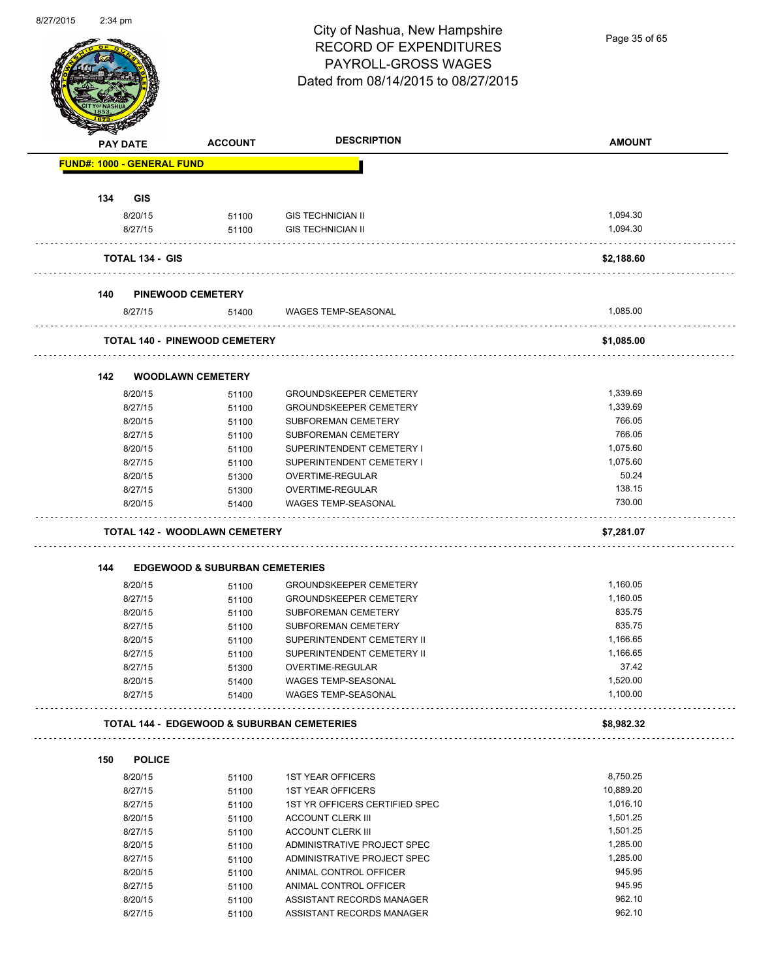

Page 35 of 65

|                                   | <b>PAY DATE</b>        | <b>ACCOUNT</b>                                        | <b>DESCRIPTION</b>             | <b>AMOUNT</b> |
|-----------------------------------|------------------------|-------------------------------------------------------|--------------------------------|---------------|
| <b>FUND#: 1000 - GENERAL FUND</b> |                        |                                                       |                                |               |
|                                   |                        |                                                       |                                |               |
| 134                               | <b>GIS</b>             |                                                       |                                |               |
|                                   | 8/20/15                | 51100                                                 | <b>GIS TECHNICIAN II</b>       | 1,094.30      |
|                                   | 8/27/15                | 51100                                                 | <b>GIS TECHNICIAN II</b>       | 1,094.30      |
|                                   | <b>TOTAL 134 - GIS</b> |                                                       |                                | \$2,188.60    |
| 140                               |                        | <b>PINEWOOD CEMETERY</b>                              |                                |               |
|                                   | 8/27/15                | 51400                                                 | WAGES TEMP-SEASONAL            | 1,085.00      |
|                                   |                        | <b>TOTAL 140 - PINEWOOD CEMETERY</b>                  |                                | \$1,085.00    |
|                                   |                        |                                                       |                                |               |
| 142                               |                        | <b>WOODLAWN CEMETERY</b>                              |                                |               |
|                                   | 8/20/15                | 51100                                                 | <b>GROUNDSKEEPER CEMETERY</b>  | 1,339.69      |
|                                   | 8/27/15                | 51100                                                 | <b>GROUNDSKEEPER CEMETERY</b>  | 1.339.69      |
|                                   | 8/20/15                | 51100                                                 | SUBFOREMAN CEMETERY            | 766.05        |
|                                   | 8/27/15                | 51100                                                 | SUBFOREMAN CEMETERY            | 766.05        |
|                                   | 8/20/15                | 51100                                                 | SUPERINTENDENT CEMETERY I      | 1,075.60      |
|                                   | 8/27/15                | 51100                                                 | SUPERINTENDENT CEMETERY I      | 1,075.60      |
|                                   | 8/20/15                | 51300                                                 | OVERTIME-REGULAR               | 50.24         |
|                                   | 8/27/15                | 51300                                                 | OVERTIME-REGULAR               | 138.15        |
|                                   | 8/20/15                | 51400                                                 | <b>WAGES TEMP-SEASONAL</b>     | 730.00        |
|                                   |                        | <b>TOTAL 142 - WOODLAWN CEMETERY</b>                  |                                | \$7,281.07    |
|                                   |                        |                                                       |                                |               |
| 144                               | 8/20/15                | <b>EDGEWOOD &amp; SUBURBAN CEMETERIES</b>             | <b>GROUNDSKEEPER CEMETERY</b>  | 1,160.05      |
|                                   | 8/27/15                | 51100                                                 | <b>GROUNDSKEEPER CEMETERY</b>  | 1,160.05      |
|                                   |                        | 51100                                                 |                                |               |
|                                   | 8/20/15                | 51100                                                 | SUBFOREMAN CEMETERY            | 835.75        |
|                                   | 8/27/15                | 51100                                                 | SUBFOREMAN CEMETERY            | 835.75        |
|                                   | 8/20/15                | 51100                                                 | SUPERINTENDENT CEMETERY II     | 1,166.65      |
|                                   | 8/27/15                | 51100                                                 | SUPERINTENDENT CEMETERY II     | 1,166.65      |
|                                   | 8/27/15                | 51300                                                 | OVERTIME-REGULAR               | 37.42         |
|                                   | 8/20/15                | 51400                                                 | <b>WAGES TEMP-SEASONAL</b>     | 1,520.00      |
|                                   | 8/27/15                | 51400                                                 | <b>WAGES TEMP-SEASONAL</b>     | 1,100.00      |
|                                   |                        | <b>TOTAL 144 - EDGEWOOD &amp; SUBURBAN CEMETERIES</b> |                                | \$8,982.32    |
|                                   |                        |                                                       |                                |               |
| 150                               | <b>POLICE</b>          |                                                       |                                |               |
|                                   | 8/20/15                | 51100                                                 | <b>1ST YEAR OFFICERS</b>       | 8,750.25      |
|                                   | 8/27/15                | 51100                                                 | <b>1ST YEAR OFFICERS</b>       | 10,889.20     |
|                                   | 8/27/15                | 51100                                                 | 1ST YR OFFICERS CERTIFIED SPEC | 1,016.10      |
|                                   | 8/20/15                | 51100                                                 | <b>ACCOUNT CLERK III</b>       | 1,501.25      |
|                                   | 8/27/15                | 51100                                                 | <b>ACCOUNT CLERK III</b>       | 1,501.25      |
|                                   | 8/20/15                | 51100                                                 | ADMINISTRATIVE PROJECT SPEC    | 1,285.00      |
|                                   | 8/27/15                | 51100                                                 | ADMINISTRATIVE PROJECT SPEC    | 1,285.00      |
|                                   | 8/20/15                | 51100                                                 | ANIMAL CONTROL OFFICER         | 945.95        |
|                                   | 8/27/15                | 51100                                                 | ANIMAL CONTROL OFFICER         | 945.95        |
|                                   | 8/20/15                |                                                       | ASSISTANT RECORDS MANAGER      | 962.10        |
|                                   |                        | 51100                                                 |                                | 962.10        |
|                                   | 8/27/15                | 51100                                                 | ASSISTANT RECORDS MANAGER      |               |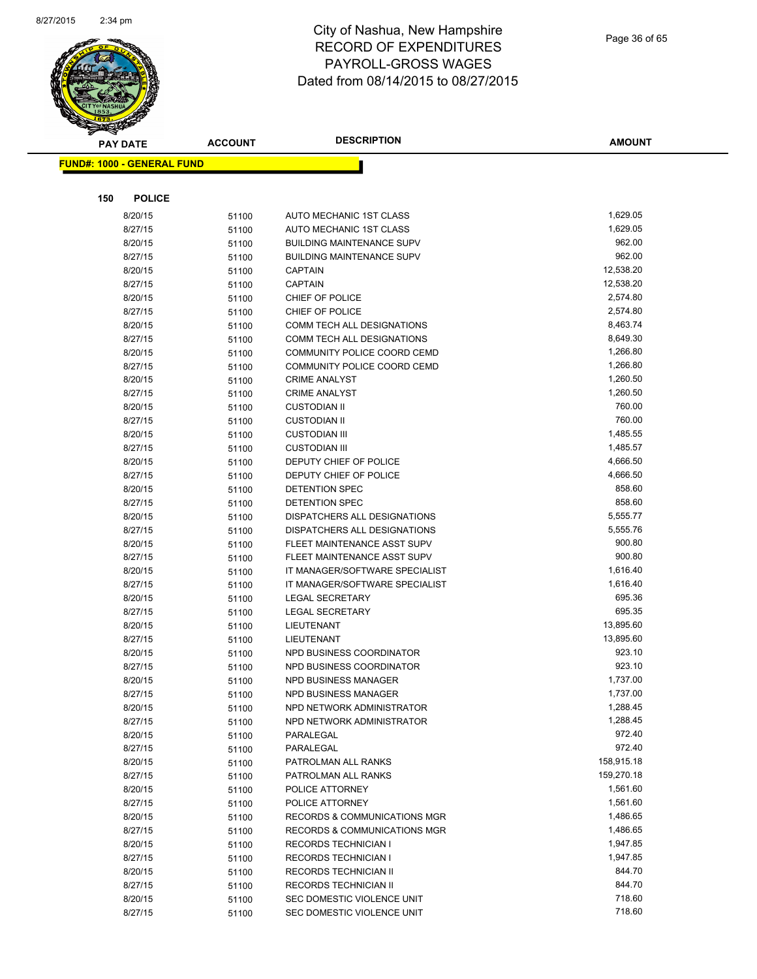

Page 36 of 65

| <b>PAY DATE</b>                   | <b>ACCOUNT</b> | <b>DESCRIPTION</b>               | <b>AMOUNT</b> |
|-----------------------------------|----------------|----------------------------------|---------------|
| <b>FUND#: 1000 - GENERAL FUND</b> |                |                                  |               |
|                                   |                |                                  |               |
|                                   |                |                                  |               |
| 150<br><b>POLICE</b>              |                |                                  |               |
| 8/20/15                           | 51100          | AUTO MECHANIC 1ST CLASS          | 1,629.05      |
| 8/27/15                           | 51100          | AUTO MECHANIC 1ST CLASS          | 1,629.05      |
| 8/20/15                           | 51100          | <b>BUILDING MAINTENANCE SUPV</b> | 962.00        |
| 8/27/15                           | 51100          | <b>BUILDING MAINTENANCE SUPV</b> | 962.00        |
| 8/20/15                           | 51100          | <b>CAPTAIN</b>                   | 12,538.20     |
| 8/27/15                           | 51100          | <b>CAPTAIN</b>                   | 12,538.20     |
| 8/20/15                           | 51100          | CHIEF OF POLICE                  | 2,574.80      |
| 8/27/15                           | 51100          | CHIEF OF POLICE                  | 2,574.80      |
| 8/20/15                           | 51100          | COMM TECH ALL DESIGNATIONS       | 8,463.74      |
| 8/27/15                           | 51100          | COMM TECH ALL DESIGNATIONS       | 8,649.30      |
| 8/20/15                           | 51100          | COMMUNITY POLICE COORD CEMD      | 1,266.80      |
| 8/27/15                           | 51100          | COMMUNITY POLICE COORD CEMD      | 1,266.80      |
| 8/20/15                           | 51100          | <b>CRIME ANALYST</b>             | 1,260.50      |
| 8/27/15                           | 51100          | <b>CRIME ANALYST</b>             | 1,260.50      |
| 8/20/15                           | 51100          | <b>CUSTODIAN II</b>              | 760.00        |
| 8/27/15                           | 51100          | <b>CUSTODIAN II</b>              | 760.00        |
| 8/20/15                           | 51100          | <b>CUSTODIAN III</b>             | 1,485.55      |
| 8/27/15                           | 51100          | <b>CUSTODIAN III</b>             | 1,485.57      |
| 8/20/15                           | 51100          | DEPUTY CHIEF OF POLICE           | 4,666.50      |
| 8/27/15                           | 51100          | DEPUTY CHIEF OF POLICE           | 4,666.50      |
| 8/20/15                           | 51100          | DETENTION SPEC                   | 858.60        |
| 8/27/15                           | 51100          | <b>DETENTION SPEC</b>            | 858.60        |
| 8/20/15                           | 51100          | DISPATCHERS ALL DESIGNATIONS     | 5,555.77      |
| 8/27/15                           | 51100          | DISPATCHERS ALL DESIGNATIONS     | 5,555.76      |
| 8/20/15                           | 51100          | FLEET MAINTENANCE ASST SUPV      | 900.80        |
| 8/27/15                           | 51100          | FLEET MAINTENANCE ASST SUPV      | 900.80        |
| 8/20/15                           | 51100          | IT MANAGER/SOFTWARE SPECIALIST   | 1,616.40      |
| 8/27/15                           | 51100          | IT MANAGER/SOFTWARE SPECIALIST   | 1,616.40      |
| 8/20/15                           | 51100          | <b>LEGAL SECRETARY</b>           | 695.36        |
| 8/27/15                           | 51100          | <b>LEGAL SECRETARY</b>           | 695.35        |
| 8/20/15                           | 51100          | LIEUTENANT                       | 13,895.60     |
| 8/27/15                           | 51100          | LIEUTENANT                       | 13,895.60     |
| 8/20/15                           | 51100          | NPD BUSINESS COORDINATOR         | 923.10        |
| 8/27/15                           | 51100          | NPD BUSINESS COORDINATOR         | 923.10        |
| 8/20/15                           | 51100          | <b>NPD BUSINESS MANAGER</b>      | 1,737.00      |
| 8/27/15                           | 51100          | NPD BUSINESS MANAGER             | 1,737.00      |
| 8/20/15                           | 51100          | NPD NETWORK ADMINISTRATOR        | 1,288.45      |
| 8/27/15                           | 51100          | NPD NETWORK ADMINISTRATOR        | 1,288.45      |
| 8/20/15                           | 51100          | PARALEGAL                        | 972.40        |
| 8/27/15                           | 51100          | PARALEGAL                        | 972.40        |
| 8/20/15                           | 51100          | PATROLMAN ALL RANKS              | 158,915.18    |
| 8/27/15                           | 51100          | PATROLMAN ALL RANKS              | 159,270.18    |
| 8/20/15                           | 51100          | POLICE ATTORNEY                  | 1,561.60      |
| 8/27/15                           | 51100          | POLICE ATTORNEY                  | 1,561.60      |
| 8/20/15                           | 51100          | RECORDS & COMMUNICATIONS MGR     | 1,486.65      |
| 8/27/15                           | 51100          | RECORDS & COMMUNICATIONS MGR     | 1,486.65      |
| 8/20/15                           | 51100          | <b>RECORDS TECHNICIAN I</b>      | 1,947.85      |
| 8/27/15                           | 51100          | <b>RECORDS TECHNICIAN I</b>      | 1,947.85      |
| 8/20/15                           | 51100          | <b>RECORDS TECHNICIAN II</b>     | 844.70        |
| 8/27/15                           | 51100          | <b>RECORDS TECHNICIAN II</b>     | 844.70        |
| 8/20/15                           | 51100          | SEC DOMESTIC VIOLENCE UNIT       | 718.60        |
| 8/27/15                           | 51100          | SEC DOMESTIC VIOLENCE UNIT       | 718.60        |
|                                   |                |                                  |               |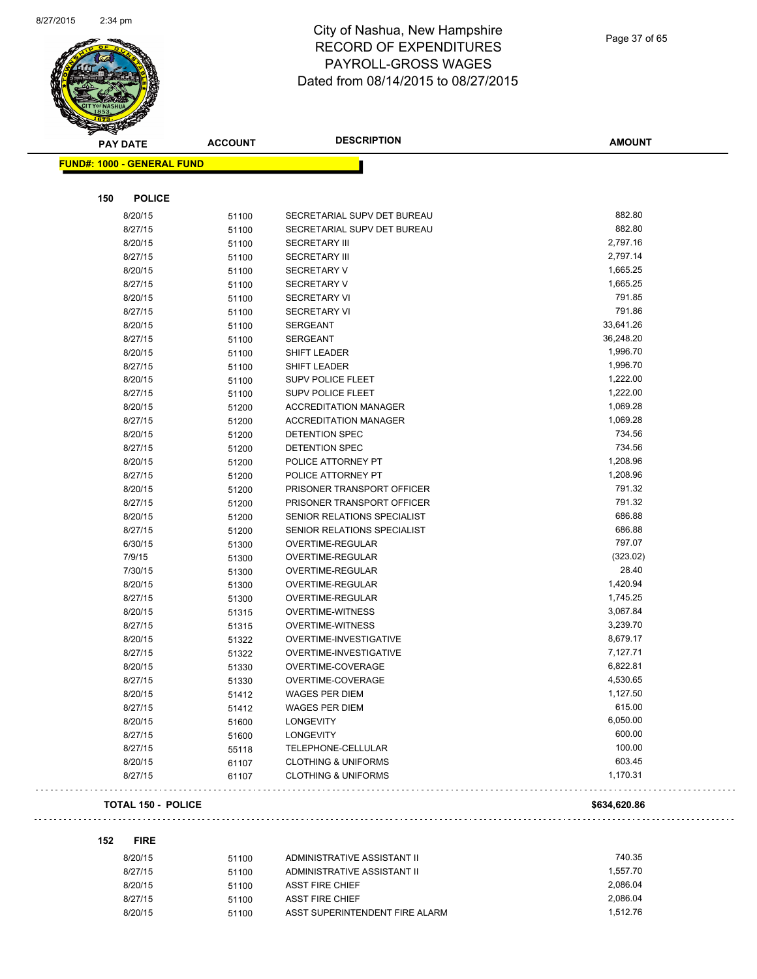

| <b>PAY DATE</b>                   | <b>ACCOUNT</b> | <b>DESCRIPTION</b>             | <b>AMOUNT</b> |
|-----------------------------------|----------------|--------------------------------|---------------|
| <b>FUND#: 1000 - GENERAL FUND</b> |                |                                |               |
|                                   |                |                                |               |
| <b>POLICE</b><br>150              |                |                                |               |
| 8/20/15                           |                | SECRETARIAL SUPV DET BUREAU    | 882.80        |
| 8/27/15                           | 51100          | SECRETARIAL SUPV DET BUREAU    | 882.80        |
| 8/20/15                           | 51100<br>51100 | <b>SECRETARY III</b>           | 2,797.16      |
| 8/27/15                           |                | <b>SECRETARY III</b>           | 2,797.14      |
| 8/20/15                           | 51100<br>51100 | <b>SECRETARY V</b>             | 1,665.25      |
| 8/27/15                           | 51100          | <b>SECRETARY V</b>             | 1,665.25      |
| 8/20/15                           | 51100          | <b>SECRETARY VI</b>            | 791.85        |
| 8/27/15                           | 51100          | <b>SECRETARY VI</b>            | 791.86        |
| 8/20/15                           | 51100          | <b>SERGEANT</b>                | 33,641.26     |
| 8/27/15                           | 51100          | <b>SERGEANT</b>                | 36,248.20     |
| 8/20/15                           | 51100          | SHIFT LEADER                   | 1,996.70      |
| 8/27/15                           | 51100          | SHIFT LEADER                   | 1,996.70      |
| 8/20/15                           | 51100          | <b>SUPV POLICE FLEET</b>       | 1,222.00      |
| 8/27/15                           | 51100          | <b>SUPV POLICE FLEET</b>       | 1,222.00      |
| 8/20/15                           | 51200          | <b>ACCREDITATION MANAGER</b>   | 1,069.28      |
| 8/27/15                           | 51200          | <b>ACCREDITATION MANAGER</b>   | 1,069.28      |
| 8/20/15                           | 51200          | <b>DETENTION SPEC</b>          | 734.56        |
| 8/27/15                           | 51200          | <b>DETENTION SPEC</b>          | 734.56        |
| 8/20/15                           | 51200          | POLICE ATTORNEY PT             | 1,208.96      |
| 8/27/15                           | 51200          | POLICE ATTORNEY PT             | 1,208.96      |
| 8/20/15                           | 51200          | PRISONER TRANSPORT OFFICER     | 791.32        |
| 8/27/15                           | 51200          | PRISONER TRANSPORT OFFICER     | 791.32        |
| 8/20/15                           | 51200          | SENIOR RELATIONS SPECIALIST    | 686.88        |
| 8/27/15                           | 51200          | SENIOR RELATIONS SPECIALIST    | 686.88        |
| 6/30/15                           | 51300          | OVERTIME-REGULAR               | 797.07        |
| 7/9/15                            | 51300          | OVERTIME-REGULAR               | (323.02)      |
| 7/30/15                           | 51300          | OVERTIME-REGULAR               | 28.40         |
| 8/20/15                           | 51300          | OVERTIME-REGULAR               | 1,420.94      |
| 8/27/15                           | 51300          | OVERTIME-REGULAR               | 1,745.25      |
| 8/20/15                           | 51315          | <b>OVERTIME-WITNESS</b>        | 3,067.84      |
| 8/27/15                           | 51315          | <b>OVERTIME-WITNESS</b>        | 3,239.70      |
| 8/20/15                           | 51322          | OVERTIME-INVESTIGATIVE         | 8,679.17      |
| 8/27/15                           | 51322          | OVERTIME-INVESTIGATIVE         | 7,127.71      |
| 8/20/15                           | 51330          | OVERTIME-COVERAGE              | 6,822.81      |
| 8/27/15                           | 51330          | OVERTIME-COVERAGE              | 4,530.65      |
| 8/20/15                           | 51412          | WAGES PER DIEM                 | 1,127.50      |
| 8/27/15                           | 51412          | <b>WAGES PER DIEM</b>          | 615.00        |
| 8/20/15                           | 51600          | <b>LONGEVITY</b>               | 6,050.00      |
| 8/27/15                           | 51600          | LONGEVITY                      | 600.00        |
| 8/27/15                           | 55118          | TELEPHONE-CELLULAR             | 100.00        |
| 8/20/15                           | 61107          | <b>CLOTHING &amp; UNIFORMS</b> | 603.45        |
| 8/27/15                           | 61107          | <b>CLOTHING &amp; UNIFORMS</b> | 1,170.31      |
| <b>TOTAL 150 - POLICE</b>         |                |                                | \$634,620.86  |

**152 FIRE**

 $\sim$ 

| 8/20/15 | 51100 | ADMINISTRATIVE ASSISTANT II    | 740.35   |
|---------|-------|--------------------------------|----------|
| 8/27/15 | 51100 | ADMINISTRATIVE ASSISTANT II    | 1.557.70 |
| 8/20/15 | 51100 | ASST FIRE CHIEF                | 2.086.04 |
| 8/27/15 | 51100 | ASST FIRE CHIEF                | 2.086.04 |
| 8/20/15 | 51100 | ASST SUPERINTENDENT FIRE ALARM | 1.512.76 |

ilian.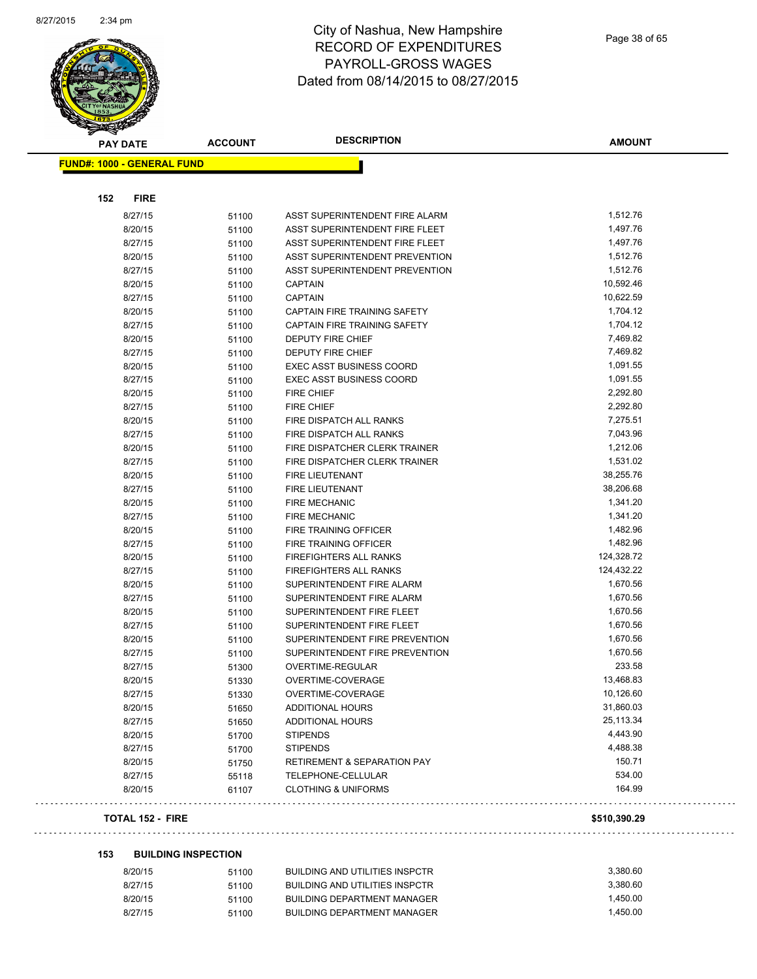

|                                   | <b>PAY DATE</b> | <b>ACCOUNT</b> | <b>DESCRIPTION</b>                                     | <b>AMOUNT</b>          |
|-----------------------------------|-----------------|----------------|--------------------------------------------------------|------------------------|
| <b>FUND#: 1000 - GENERAL FUND</b> |                 |                |                                                        |                        |
|                                   |                 |                |                                                        |                        |
| 152                               | <b>FIRE</b>     |                |                                                        |                        |
|                                   | 8/27/15         | 51100          | ASST SUPERINTENDENT FIRE ALARM                         | 1,512.76               |
|                                   | 8/20/15         | 51100          | ASST SUPERINTENDENT FIRE FLEET                         | 1,497.76               |
|                                   | 8/27/15         | 51100          | ASST SUPERINTENDENT FIRE FLEET                         | 1,497.76               |
|                                   | 8/20/15         | 51100          | ASST SUPERINTENDENT PREVENTION                         | 1,512.76               |
|                                   | 8/27/15         | 51100          | ASST SUPERINTENDENT PREVENTION                         | 1,512.76               |
|                                   | 8/20/15         | 51100          | <b>CAPTAIN</b>                                         | 10,592.46              |
|                                   | 8/27/15         | 51100          | <b>CAPTAIN</b>                                         | 10,622.59              |
|                                   | 8/20/15         | 51100          | CAPTAIN FIRE TRAINING SAFETY                           | 1,704.12               |
|                                   | 8/27/15         | 51100          | CAPTAIN FIRE TRAINING SAFETY                           | 1,704.12               |
|                                   | 8/20/15         | 51100          | DEPUTY FIRE CHIEF                                      | 7,469.82               |
|                                   | 8/27/15         | 51100          | DEPUTY FIRE CHIEF                                      | 7,469.82               |
|                                   | 8/20/15         | 51100          | <b>EXEC ASST BUSINESS COORD</b>                        | 1,091.55               |
|                                   | 8/27/15         | 51100          | <b>EXEC ASST BUSINESS COORD</b>                        | 1,091.55               |
|                                   | 8/20/15         | 51100          | <b>FIRE CHIEF</b>                                      | 2,292.80               |
|                                   | 8/27/15         | 51100          | <b>FIRE CHIEF</b>                                      | 2,292.80               |
|                                   | 8/20/15         | 51100          | FIRE DISPATCH ALL RANKS                                | 7,275.51               |
|                                   | 8/27/15         | 51100          | FIRE DISPATCH ALL RANKS                                | 7,043.96               |
|                                   | 8/20/15         | 51100          | FIRE DISPATCHER CLERK TRAINER                          | 1,212.06               |
|                                   | 8/27/15         | 51100          | FIRE DISPATCHER CLERK TRAINER                          | 1,531.02               |
|                                   | 8/20/15         | 51100          | FIRE LIEUTENANT                                        | 38,255.76              |
|                                   | 8/27/15         |                | FIRE LIEUTENANT                                        | 38,206.68              |
|                                   | 8/20/15         | 51100<br>51100 | <b>FIRE MECHANIC</b>                                   | 1,341.20               |
|                                   | 8/27/15         |                | <b>FIRE MECHANIC</b>                                   | 1,341.20               |
|                                   | 8/20/15         | 51100          | FIRE TRAINING OFFICER                                  | 1,482.96               |
|                                   | 8/27/15         | 51100          | FIRE TRAINING OFFICER                                  | 1,482.96               |
|                                   | 8/20/15         | 51100          | <b>FIREFIGHTERS ALL RANKS</b>                          | 124,328.72             |
|                                   | 8/27/15         | 51100          | FIREFIGHTERS ALL RANKS                                 | 124,432.22             |
|                                   | 8/20/15         | 51100          | SUPERINTENDENT FIRE ALARM                              | 1,670.56               |
|                                   |                 | 51100          |                                                        | 1,670.56               |
|                                   | 8/27/15         | 51100          | SUPERINTENDENT FIRE ALARM<br>SUPERINTENDENT FIRE FLEET | 1,670.56               |
|                                   | 8/20/15         | 51100          | SUPERINTENDENT FIRE FLEET                              | 1,670.56               |
|                                   | 8/27/15         | 51100          | SUPERINTENDENT FIRE PREVENTION                         | 1,670.56               |
|                                   | 8/20/15         | 51100          |                                                        |                        |
|                                   | 8/27/15         | 51100          | SUPERINTENDENT FIRE PREVENTION                         | 1,670.56<br>233.58     |
|                                   | 8/27/15         | 51300          | OVERTIME-REGULAR                                       | 13,468.83              |
|                                   | 8/20/15         | 51330          | OVERTIME-COVERAGE                                      |                        |
|                                   | 8/27/15         | 51330          | OVERTIME-COVERAGE                                      | 10,126.60<br>31,860.03 |
|                                   | 8/20/15         | 51650          | <b>ADDITIONAL HOURS</b>                                | 25,113.34              |
|                                   | 8/27/15         | 51650          | ADDITIONAL HOURS                                       |                        |
|                                   | 8/20/15         | 51700          | <b>STIPENDS</b>                                        | 4,443.90               |
|                                   | 8/27/15         | 51700          | <b>STIPENDS</b>                                        | 4,488.38               |
|                                   | 8/20/15         | 51750          | <b>RETIREMENT &amp; SEPARATION PAY</b>                 | 150.71                 |
|                                   | 8/27/15         | 55118          | TELEPHONE-CELLULAR                                     | 534.00                 |
|                                   | 8/20/15         | 61107          | <b>CLOTHING &amp; UNIFORMS</b>                         | 164.99                 |
|                                   |                 |                |                                                        |                        |

#### **TOTAL 152 - FIRE \$510,390.29**

 $\Box$  .  $\Box$ 

. . .

#### **153 BUILDING INSPECTION**

| 8/20/15 | 51100 | BUILDING AND UTILITIES INSPCTR | 3.380.60 |
|---------|-------|--------------------------------|----------|
| 8/27/15 | 51100 | BUILDING AND UTILITIES INSPCTR | 3.380.60 |
| 8/20/15 | 51100 | BUILDING DEPARTMENT MANAGER    | 1.450.00 |
| 8/27/15 | 51100 | BUILDING DEPARTMENT MANAGER    | 1.450.00 |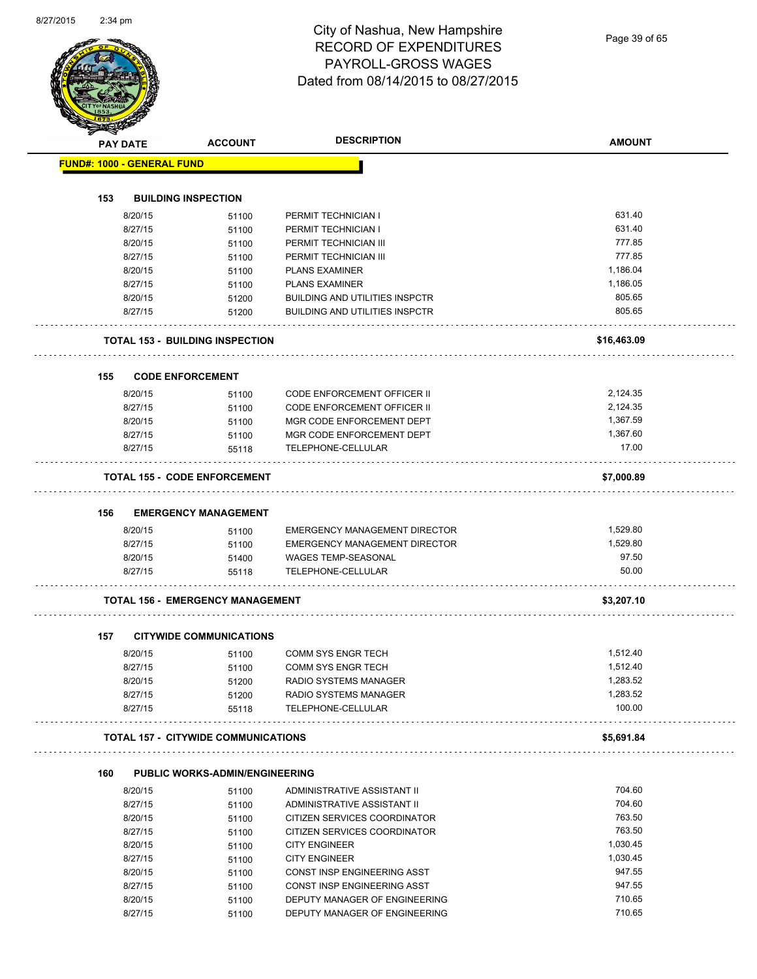Page 39 of 65

|     | <b>PAY DATE</b>                   | <b>ACCOUNT</b>                             | <b>DESCRIPTION</b>                    | <b>AMOUNT</b> |
|-----|-----------------------------------|--------------------------------------------|---------------------------------------|---------------|
|     | <b>FUND#: 1000 - GENERAL FUND</b> |                                            |                                       |               |
|     |                                   |                                            |                                       |               |
| 153 |                                   | <b>BUILDING INSPECTION</b>                 |                                       |               |
|     | 8/20/15                           | 51100                                      | PERMIT TECHNICIAN I                   | 631.40        |
|     | 8/27/15                           | 51100                                      | PERMIT TECHNICIAN I                   | 631.40        |
|     | 8/20/15                           | 51100                                      | PERMIT TECHNICIAN III                 | 777.85        |
|     | 8/27/15                           | 51100                                      | PERMIT TECHNICIAN III                 | 777.85        |
|     | 8/20/15                           | 51100                                      | <b>PLANS EXAMINER</b>                 | 1,186.04      |
|     | 8/27/15                           | 51100                                      | <b>PLANS EXAMINER</b>                 | 1,186.05      |
|     | 8/20/15                           | 51200                                      | <b>BUILDING AND UTILITIES INSPCTR</b> | 805.65        |
|     | 8/27/15                           | 51200                                      | <b>BUILDING AND UTILITIES INSPCTR</b> | 805.65        |
|     |                                   | <b>TOTAL 153 - BUILDING INSPECTION</b>     |                                       | \$16,463.09   |
|     |                                   |                                            |                                       |               |
| 155 |                                   | <b>CODE ENFORCEMENT</b>                    |                                       |               |
|     | 8/20/15                           | 51100                                      | <b>CODE ENFORCEMENT OFFICER II</b>    | 2,124.35      |
|     | 8/27/15                           | 51100                                      | <b>CODE ENFORCEMENT OFFICER II</b>    | 2,124.35      |
|     | 8/20/15                           | 51100                                      | MGR CODE ENFORCEMENT DEPT             | 1,367.59      |
|     | 8/27/15                           | 51100                                      | MGR CODE ENFORCEMENT DEPT             | 1,367.60      |
|     | 8/27/15                           | 55118                                      | TELEPHONE-CELLULAR                    | 17.00         |
|     |                                   | <b>TOTAL 155 - CODE ENFORCEMENT</b>        |                                       | \$7,000.89    |
| 156 |                                   | <b>EMERGENCY MANAGEMENT</b>                |                                       |               |
|     | 8/20/15                           | 51100                                      | EMERGENCY MANAGEMENT DIRECTOR         | 1,529.80      |
|     | 8/27/15                           | 51100                                      | EMERGENCY MANAGEMENT DIRECTOR         | 1,529.80      |
|     | 8/20/15                           | 51400                                      | <b>WAGES TEMP-SEASONAL</b>            | 97.50         |
|     | 8/27/15                           | 55118                                      | TELEPHONE-CELLULAR                    | 50.00         |
|     |                                   | <b>TOTAL 156 - EMERGENCY MANAGEMENT</b>    |                                       | \$3,207.10    |
|     |                                   |                                            |                                       |               |
| 157 |                                   | <b>CITYWIDE COMMUNICATIONS</b>             |                                       |               |
|     | 8/20/15                           | 51100                                      | COMM SYS ENGR TECH                    | 1,512.40      |
|     | 8/27/15                           | 51100                                      | COMM SYS ENGR TECH                    | 1,512.40      |
|     | 8/20/15                           | 51200                                      | RADIO SYSTEMS MANAGER                 | 1,283.52      |
|     | 8/27/15                           | 51200                                      | <b>RADIO SYSTEMS MANAGER</b>          | 1,283.52      |
|     | 8/27/15                           | 55118                                      | TELEPHONE-CELLULAR                    | 100.00        |
|     |                                   | <b>TOTAL 157 - CITYWIDE COMMUNICATIONS</b> |                                       | \$5,691.84    |
| 160 |                                   | <b>PUBLIC WORKS-ADMIN/ENGINEERING</b>      |                                       |               |
|     | 8/20/15                           | 51100                                      | ADMINISTRATIVE ASSISTANT II           | 704.60        |
|     | 8/27/15                           | 51100                                      | ADMINISTRATIVE ASSISTANT II           | 704.60        |
|     | 8/20/15                           | 51100                                      | CITIZEN SERVICES COORDINATOR          | 763.50        |
|     | 8/27/15                           | 51100                                      | CITIZEN SERVICES COORDINATOR          | 763.50        |
|     | 8/20/15                           | 51100                                      | <b>CITY ENGINEER</b>                  | 1,030.45      |
|     | 8/27/15                           | 51100                                      | <b>CITY ENGINEER</b>                  | 1,030.45      |
|     | 8/20/15                           | 51100                                      | CONST INSP ENGINEERING ASST           | 947.55        |
|     | 8/27/15                           | 51100                                      | CONST INSP ENGINEERING ASST           | 947.55        |
|     |                                   |                                            |                                       |               |
|     | 8/20/15                           | 51100                                      | DEPUTY MANAGER OF ENGINEERING         | 710.65        |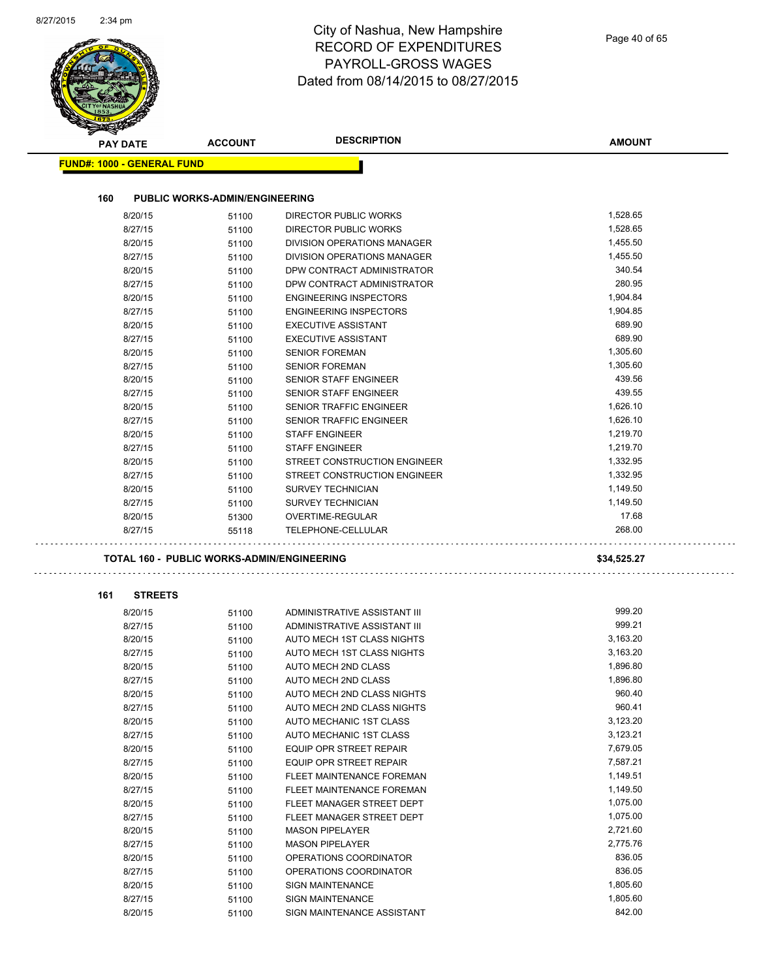|                                   |                                                   | Dated from 08/14/2015 to 08/27/2015                 |               |
|-----------------------------------|---------------------------------------------------|-----------------------------------------------------|---------------|
|                                   |                                                   |                                                     |               |
| <b>PAY DATE</b>                   | <b>ACCOUNT</b>                                    | <b>DESCRIPTION</b>                                  | <b>AMOUNT</b> |
| <b>FUND#: 1000 - GENERAL FUND</b> |                                                   |                                                     |               |
| 160                               | <b>PUBLIC WORKS-ADMIN/ENGINEERING</b>             |                                                     |               |
| 8/20/15                           | 51100                                             | <b>DIRECTOR PUBLIC WORKS</b>                        | 1,528.65      |
| 8/27/15                           | 51100                                             | DIRECTOR PUBLIC WORKS                               | 1,528.65      |
| 8/20/15                           | 51100                                             | DIVISION OPERATIONS MANAGER                         | 1,455.50      |
| 8/27/15                           | 51100                                             | DIVISION OPERATIONS MANAGER                         | 1,455.50      |
| 8/20/15                           | 51100                                             | DPW CONTRACT ADMINISTRATOR                          | 340.54        |
| 8/27/15                           | 51100                                             | DPW CONTRACT ADMINISTRATOR                          | 280.95        |
| 8/20/15                           | 51100                                             | <b>ENGINEERING INSPECTORS</b>                       | 1,904.84      |
| 8/27/15                           | 51100                                             | <b>ENGINEERING INSPECTORS</b>                       | 1,904.85      |
| 8/20/15                           | 51100                                             | <b>EXECUTIVE ASSISTANT</b>                          | 689.90        |
| 8/27/15                           | 51100                                             | <b>EXECUTIVE ASSISTANT</b>                          | 689.90        |
| 8/20/15                           | 51100                                             | <b>SENIOR FOREMAN</b>                               | 1,305.60      |
| 8/27/15                           |                                                   | <b>SENIOR FOREMAN</b>                               | 1,305.60      |
| 8/20/15                           | 51100                                             | <b>SENIOR STAFF ENGINEER</b>                        | 439.56        |
|                                   | 51100                                             |                                                     | 439.55        |
| 8/27/15                           | 51100                                             | SENIOR STAFF ENGINEER                               |               |
| 8/20/15                           | 51100                                             | <b>SENIOR TRAFFIC ENGINEER</b>                      | 1,626.10      |
| 8/27/15                           | 51100                                             | <b>SENIOR TRAFFIC ENGINEER</b>                      | 1,626.10      |
| 8/20/15                           | 51100                                             | <b>STAFF ENGINEER</b>                               | 1,219.70      |
| 8/27/15                           | 51100                                             | <b>STAFF ENGINEER</b>                               | 1,219.70      |
| 8/20/15                           | 51100                                             | STREET CONSTRUCTION ENGINEER                        | 1,332.95      |
| 8/27/15                           | 51100                                             | STREET CONSTRUCTION ENGINEER                        | 1,332.95      |
| 8/20/15                           | 51100                                             | <b>SURVEY TECHNICIAN</b>                            | 1,149.50      |
| 8/27/15                           | 51100                                             | <b>SURVEY TECHNICIAN</b>                            | 1,149.50      |
| 8/20/15                           | 51300                                             | OVERTIME-REGULAR                                    | 17.68         |
| 8/27/15                           | 55118                                             | TELEPHONE-CELLULAR                                  | 268.00        |
|                                   | <b>TOTAL 160 - PUBLIC WORKS-ADMIN/ENGINEERING</b> |                                                     | \$34,525.27   |
| 161<br><b>STREETS</b>             |                                                   |                                                     |               |
| 8/20/15                           | 51100                                             | ADMINISTRATIVE ASSISTANT III                        | 999.20        |
| 8/27/15                           | 51100                                             | ADMINISTRATIVE ASSISTANT III                        | 999.21        |
| 8/20/15                           | 51100                                             | AUTO MECH 1ST CLASS NIGHTS                          | 3,163.20      |
| 8/27/15                           | 51100                                             | AUTO MECH 1ST CLASS NIGHTS                          | 3,163.20      |
| 8/20/15                           | 51100                                             | AUTO MECH 2ND CLASS                                 | 1,896.80      |
| 8/27/15                           | 51100                                             | AUTO MECH 2ND CLASS                                 | 1,896.80      |
| 8/20/15                           | 51100                                             | AUTO MECH 2ND CLASS NIGHTS                          | 960.40        |
| 8/27/15                           | 51100                                             | AUTO MECH 2ND CLASS NIGHTS                          | 960.41        |
| 8/20/15                           | 51100                                             | AUTO MECHANIC 1ST CLASS                             | 3,123.20      |
| 8/27/15                           | 51100                                             | AUTO MECHANIC 1ST CLASS                             | 3,123.21      |
| 8/20/15                           | 51100                                             | <b>EQUIP OPR STREET REPAIR</b>                      | 7,679.05      |
| 8/27/15                           | 51100                                             | EQUIP OPR STREET REPAIR                             | 7,587.21      |
| 8/20/15                           | 51100                                             | FLEET MAINTENANCE FOREMAN                           | 1,149.51      |
| 8/27/15                           |                                                   | FLEET MAINTENANCE FOREMAN                           | 1,149.50      |
| 8/20/15                           | 51100                                             | FLEET MANAGER STREET DEPT                           | 1,075.00      |
|                                   | 51100                                             |                                                     | 1,075.00      |
| 8/27/15                           | 51100                                             | FLEET MANAGER STREET DEPT<br><b>MASON PIPELAYER</b> | 2,721.60      |
| 8/20/15                           | 51100                                             |                                                     | 2,775.76      |
| 8/27/15                           | 51100                                             | <b>MASON PIPELAYER</b>                              | 836.05        |
| 8/20/15                           | 51100                                             | OPERATIONS COORDINATOR                              | 836.05        |
| 8/27/15                           | 51100                                             | OPERATIONS COORDINATOR                              |               |
| 8/20/15                           | 51100                                             | <b>SIGN MAINTENANCE</b>                             | 1,805.60      |
| 8/27/15                           | 51100                                             | <b>SIGN MAINTENANCE</b>                             | 1,805.60      |
| 8/20/15                           | 51100                                             | SIGN MAINTENANCE ASSISTANT                          | 842.00        |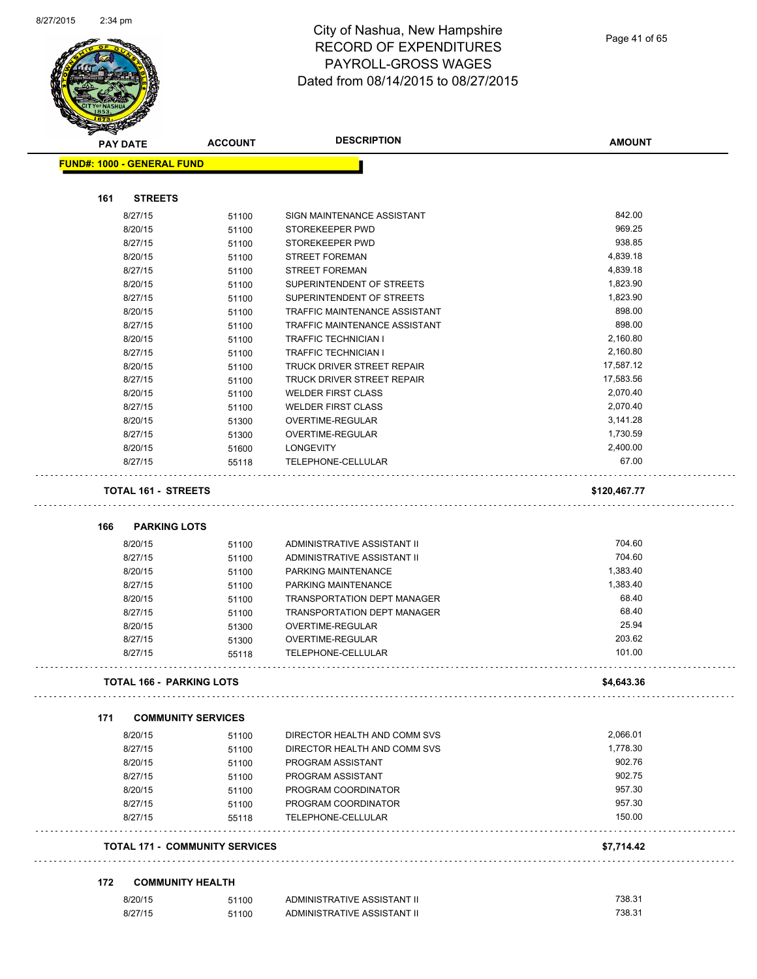$\overline{\phantom{a}}$ 



|     | <b>PAY DATE</b>                       | <b>ACCOUNT</b> | <b>DESCRIPTION</b>                        | <b>AMOUNT</b> |
|-----|---------------------------------------|----------------|-------------------------------------------|---------------|
|     | <b>FUND#: 1000 - GENERAL FUND</b>     |                |                                           |               |
|     |                                       |                |                                           |               |
| 161 | <b>STREETS</b>                        |                |                                           |               |
|     | 8/27/15                               | 51100          | SIGN MAINTENANCE ASSISTANT                | 842.00        |
|     | 8/20/15                               | 51100          | STOREKEEPER PWD                           | 969.25        |
|     | 8/27/15                               | 51100          | STOREKEEPER PWD                           | 938.85        |
|     | 8/20/15                               | 51100          | STREET FOREMAN                            | 4,839.18      |
|     | 8/27/15                               | 51100          | <b>STREET FOREMAN</b>                     | 4,839.18      |
|     | 8/20/15                               | 51100          | SUPERINTENDENT OF STREETS                 | 1,823.90      |
|     | 8/27/15                               | 51100          | SUPERINTENDENT OF STREETS                 | 1,823.90      |
|     | 8/20/15                               | 51100          | TRAFFIC MAINTENANCE ASSISTANT             | 898.00        |
|     | 8/27/15                               | 51100          | TRAFFIC MAINTENANCE ASSISTANT             | 898.00        |
|     | 8/20/15                               | 51100          | <b>TRAFFIC TECHNICIAN I</b>               | 2,160.80      |
|     | 8/27/15                               | 51100          | <b>TRAFFIC TECHNICIAN I</b>               | 2,160.80      |
|     | 8/20/15                               | 51100          | TRUCK DRIVER STREET REPAIR                | 17,587.12     |
|     | 8/27/15                               | 51100          | TRUCK DRIVER STREET REPAIR                | 17,583.56     |
|     | 8/20/15                               | 51100          | <b>WELDER FIRST CLASS</b>                 | 2,070.40      |
|     | 8/27/15                               | 51100          | <b>WELDER FIRST CLASS</b>                 | 2,070.40      |
|     | 8/20/15                               | 51300          | OVERTIME-REGULAR                          | 3,141.28      |
|     | 8/27/15                               | 51300          | OVERTIME-REGULAR                          | 1,730.59      |
|     | 8/20/15                               |                | <b>LONGEVITY</b>                          | 2,400.00      |
|     |                                       | 51600          |                                           | 67.00         |
|     | 8/27/15                               | 55118          | TELEPHONE-CELLULAR                        |               |
|     | <b>TOTAL 161 - STREETS</b>            |                |                                           | \$120,467.77  |
|     |                                       |                |                                           |               |
| 166 | <b>PARKING LOTS</b>                   |                |                                           |               |
|     | 8/20/15                               | 51100          | ADMINISTRATIVE ASSISTANT II               | 704.60        |
|     | 8/27/15                               | 51100          | ADMINISTRATIVE ASSISTANT II               | 704.60        |
|     | 8/20/15                               | 51100          | PARKING MAINTENANCE                       | 1,383.40      |
|     | 8/27/15                               | 51100          | PARKING MAINTENANCE                       | 1,383.40      |
|     | 8/20/15                               | 51100          | TRANSPORTATION DEPT MANAGER               | 68.40         |
|     | 8/27/15                               | 51100          | <b>TRANSPORTATION DEPT MANAGER</b>        | 68.40         |
|     | 8/20/15                               | 51300          | <b>OVERTIME-REGULAR</b>                   | 25.94         |
|     | 8/27/15                               | 51300          | OVERTIME-REGULAR                          | 203.62        |
|     | 8/27/15                               | 55118          | TELEPHONE-CELLULAR                        | 101.00        |
|     | <b>TOTAL 166 - PARKING LOTS</b>       |                |                                           | \$4,643.36    |
|     |                                       |                |                                           |               |
| 171 | <b>COMMUNITY SERVICES</b>             |                |                                           |               |
|     | 8/20/15                               | 51100          | DIRECTOR HEALTH AND COMM SVS              | 2,066.01      |
|     | 8/27/15                               | 51100          | DIRECTOR HEALTH AND COMM SVS              | 1,778.30      |
|     | 8/20/15                               | 51100          | PROGRAM ASSISTANT                         | 902.76        |
|     | 8/27/15                               |                | PROGRAM ASSISTANT                         | 902.75        |
|     | 8/20/15                               | 51100          | PROGRAM COORDINATOR                       | 957.30        |
|     |                                       | 51100          |                                           | 957.30        |
|     | 8/27/15<br>8/27/15                    | 51100          | PROGRAM COORDINATOR<br>TELEPHONE-CELLULAR | 150.00        |
|     |                                       | 55118          |                                           |               |
|     | <b>TOTAL 171 - COMMUNITY SERVICES</b> |                |                                           | \$7,714.42    |
| 172 | <b>COMMUNITY HEALTH</b>               |                |                                           |               |
|     | 8/20/15                               | 51100          | ADMINISTRATIVE ASSISTANT II               | 738.31        |
|     |                                       |                | ADMINISTRATIVE ASSISTANT II               | 738.31        |
|     | 8/27/15                               | 51100          |                                           |               |
|     |                                       |                |                                           |               |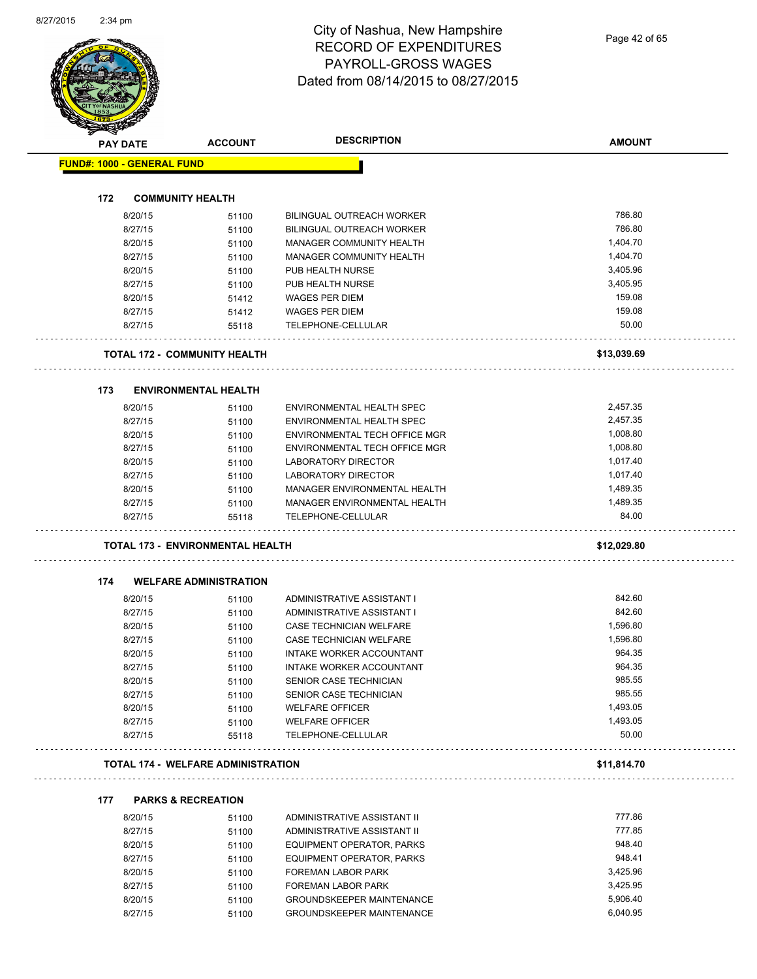Page 42 of 65

|                                   | <b>PAY DATE</b>    | <b>ACCOUNT</b>                            | <b>DESCRIPTION</b>                           | <b>AMOUNT</b>     |
|-----------------------------------|--------------------|-------------------------------------------|----------------------------------------------|-------------------|
| <b>FUND#: 1000 - GENERAL FUND</b> |                    |                                           |                                              |                   |
|                                   |                    |                                           |                                              |                   |
| 172                               |                    | <b>COMMUNITY HEALTH</b>                   |                                              |                   |
|                                   | 8/20/15            | 51100                                     | <b>BILINGUAL OUTREACH WORKER</b>             | 786.80            |
|                                   | 8/27/15            | 51100                                     | BILINGUAL OUTREACH WORKER                    | 786.80            |
|                                   | 8/20/15            | 51100                                     | <b>MANAGER COMMUNITY HEALTH</b>              | 1,404.70          |
|                                   | 8/27/15            | 51100                                     | <b>MANAGER COMMUNITY HEALTH</b>              | 1,404.70          |
|                                   | 8/20/15            | 51100                                     | PUB HEALTH NURSE                             | 3,405.96          |
|                                   | 8/27/15            | 51100                                     | PUB HEALTH NURSE                             | 3,405.95          |
|                                   | 8/20/15            | 51412                                     | WAGES PER DIEM                               | 159.08            |
|                                   | 8/27/15            | 51412                                     | WAGES PER DIEM                               | 159.08            |
|                                   | 8/27/15            | 55118                                     | TELEPHONE-CELLULAR                           | 50.00             |
|                                   |                    | <b>TOTAL 172 - COMMUNITY HEALTH</b>       |                                              | \$13,039.69       |
|                                   |                    |                                           |                                              |                   |
| 173                               |                    | <b>ENVIRONMENTAL HEALTH</b>               |                                              |                   |
|                                   | 8/20/15            | 51100                                     | ENVIRONMENTAL HEALTH SPEC                    | 2,457.35          |
|                                   | 8/27/15            | 51100                                     | ENVIRONMENTAL HEALTH SPEC                    | 2,457.35          |
|                                   | 8/20/15            | 51100                                     | ENVIRONMENTAL TECH OFFICE MGR                | 1,008.80          |
|                                   | 8/27/15            | 51100                                     | ENVIRONMENTAL TECH OFFICE MGR                | 1,008.80          |
|                                   | 8/20/15            | 51100                                     | LABORATORY DIRECTOR                          | 1,017.40          |
|                                   | 8/27/15            | 51100                                     | LABORATORY DIRECTOR                          | 1,017.40          |
|                                   | 8/20/15            | 51100                                     | MANAGER ENVIRONMENTAL HEALTH                 | 1,489.35          |
|                                   | 8/27/15            | 51100                                     | MANAGER ENVIRONMENTAL HEALTH                 | 1,489.35          |
|                                   | 8/27/15            | 55118                                     | TELEPHONE-CELLULAR                           | 84.00             |
|                                   |                    |                                           |                                              |                   |
|                                   |                    | <b>TOTAL 173 - ENVIRONMENTAL HEALTH</b>   |                                              | \$12,029.80       |
| 174                               |                    | <b>WELFARE ADMINISTRATION</b>             |                                              |                   |
|                                   | 8/20/15            | 51100                                     | ADMINISTRATIVE ASSISTANT I                   | 842.60            |
|                                   | 8/27/15            | 51100                                     | ADMINISTRATIVE ASSISTANT I                   | 842.60            |
|                                   | 8/20/15            | 51100                                     | CASE TECHNICIAN WELFARE                      | 1,596.80          |
|                                   | 8/27/15            | 51100                                     | CASE TECHNICIAN WELFARE                      | 1,596.80          |
|                                   | 8/20/15            | 51100                                     | INTAKE WORKER ACCOUNTANT                     | 964.35            |
|                                   | 8/27/15            | 51100                                     | INTAKE WORKER ACCOUNTANT                     | 964.35            |
|                                   | 8/20/15            | 51100                                     | SENIOR CASE TECHNICIAN                       | 985.55            |
|                                   | 8/27/15            |                                           | SENIOR CASE TECHNICIAN                       | 985.55            |
|                                   |                    | 51100                                     |                                              | 1,493.05          |
|                                   | 8/20/15            | 51100                                     | <b>WELFARE OFFICER</b>                       |                   |
|                                   | 8/27/15<br>8/27/15 | 51100<br>55118                            | <b>WELFARE OFFICER</b><br>TELEPHONE-CELLULAR | 1,493.05<br>50.00 |
|                                   |                    | <b>TOTAL 174 - WELFARE ADMINISTRATION</b> |                                              | \$11,814.70       |
|                                   |                    |                                           |                                              |                   |
| 177                               |                    | <b>PARKS &amp; RECREATION</b>             |                                              |                   |
|                                   | 8/20/15            | 51100                                     | ADMINISTRATIVE ASSISTANT II                  | 777.86            |
|                                   | 8/27/15            | 51100                                     | ADMINISTRATIVE ASSISTANT II                  | 777.85            |
|                                   | 8/20/15            | 51100                                     | EQUIPMENT OPERATOR, PARKS                    | 948.40            |
|                                   | 8/27/15            | 51100                                     | EQUIPMENT OPERATOR, PARKS                    | 948.41            |
|                                   | 8/20/15            | 51100                                     | FOREMAN LABOR PARK                           | 3,425.96          |
|                                   | 8/27/15            | 51100                                     | FOREMAN LABOR PARK                           | 3,425.95          |
|                                   | 8/20/15            | 51100                                     | GROUNDSKEEPER MAINTENANCE                    | 5,906.40          |
|                                   | 8/27/15            | 51100                                     | GROUNDSKEEPER MAINTENANCE                    | 6,040.95          |
|                                   |                    |                                           |                                              |                   |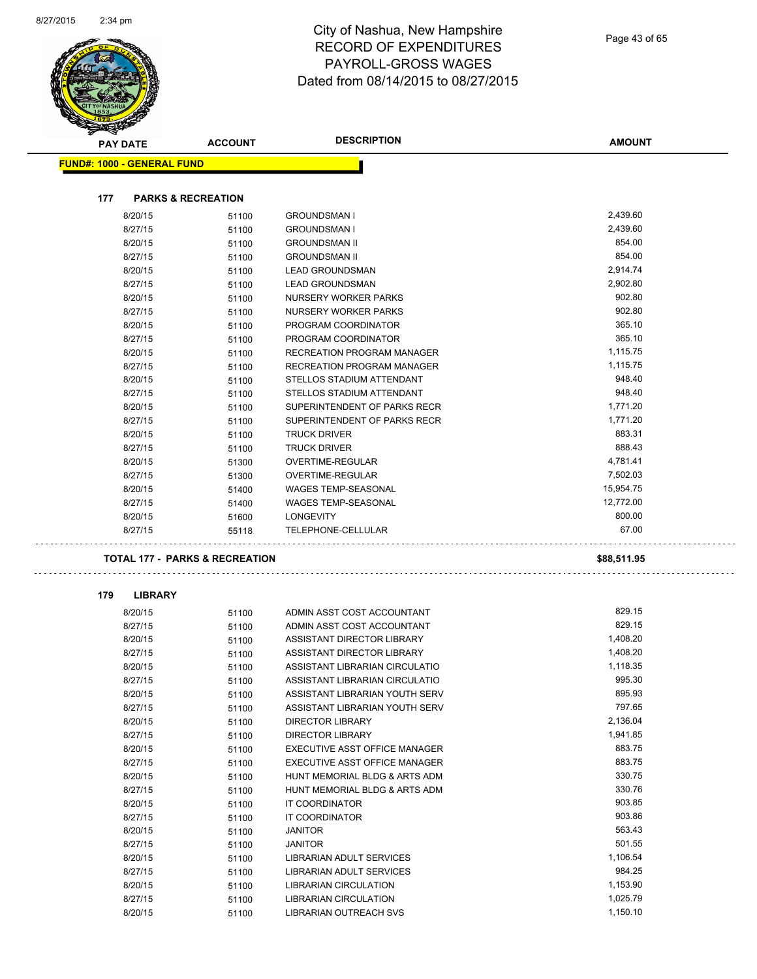|     | <b>PAY DATE</b>                   | <b>ACCOUNT</b>                            | <b>DESCRIPTION</b>                | <b>AMOUNT</b> |
|-----|-----------------------------------|-------------------------------------------|-----------------------------------|---------------|
|     | <b>FUND#: 1000 - GENERAL FUND</b> |                                           |                                   |               |
|     |                                   |                                           |                                   |               |
| 177 | <b>PARKS &amp; RECREATION</b>     |                                           |                                   |               |
|     | 8/20/15                           | 51100                                     | <b>GROUNDSMAN I</b>               | 2,439.60      |
|     | 8/27/15                           | 51100                                     | <b>GROUNDSMAN I</b>               | 2,439.60      |
|     | 8/20/15                           | 51100                                     | <b>GROUNDSMAN II</b>              | 854.00        |
|     | 8/27/15                           | 51100                                     | <b>GROUNDSMAN II</b>              | 854.00        |
|     | 8/20/15                           | 51100                                     | <b>LEAD GROUNDSMAN</b>            | 2,914.74      |
|     | 8/27/15                           | 51100                                     | <b>LEAD GROUNDSMAN</b>            | 2,902.80      |
|     | 8/20/15                           | 51100                                     | NURSERY WORKER PARKS              | 902.80        |
|     | 8/27/15                           | 51100                                     | NURSERY WORKER PARKS              | 902.80        |
|     | 8/20/15                           | 51100                                     | PROGRAM COORDINATOR               | 365.10        |
|     | 8/27/15                           | 51100                                     | PROGRAM COORDINATOR               | 365.10        |
|     | 8/20/15                           | 51100                                     | <b>RECREATION PROGRAM MANAGER</b> | 1,115.75      |
|     | 8/27/15                           | 51100                                     | <b>RECREATION PROGRAM MANAGER</b> | 1,115.75      |
|     | 8/20/15                           | 51100                                     | STELLOS STADIUM ATTENDANT         | 948.40        |
|     | 8/27/15                           | 51100                                     | STELLOS STADIUM ATTENDANT         | 948.40        |
|     | 8/20/15                           | 51100                                     | SUPERINTENDENT OF PARKS RECR      | 1,771.20      |
|     | 8/27/15                           | 51100                                     | SUPERINTENDENT OF PARKS RECR      | 1,771.20      |
|     | 8/20/15                           | 51100                                     | <b>TRUCK DRIVER</b>               | 883.31        |
|     | 8/27/15                           | 51100                                     | <b>TRUCK DRIVER</b>               | 888.43        |
|     | 8/20/15                           | 51300                                     | <b>OVERTIME-REGULAR</b>           | 4,781.41      |
|     | 8/27/15                           | 51300                                     | OVERTIME-REGULAR                  | 7,502.03      |
|     | 8/20/15                           | 51400                                     | <b>WAGES TEMP-SEASONAL</b>        | 15,954.75     |
|     | 8/27/15                           | 51400                                     | <b>WAGES TEMP-SEASONAL</b>        | 12,772.00     |
|     | 8/20/15                           | 51600                                     | <b>LONGEVITY</b>                  | 800.00        |
|     | 8/27/15                           | 55118                                     | TELEPHONE-CELLULAR                | 67.00         |
|     |                                   |                                           |                                   |               |
|     |                                   | <b>TOTAL 177 - PARKS &amp; RECREATION</b> |                                   | \$88,511.95   |
| 179 | <b>LIBRARY</b>                    |                                           |                                   |               |
|     | 8/20/15                           | 51100                                     | ADMIN ASST COST ACCOUNTANT        | 829.15        |
|     | 8/27/15                           | 51100                                     | ADMIN ASST COST ACCOUNTANT        | 829.15        |
|     | 8/20/15                           | 51100                                     | ASSISTANT DIRECTOR LIBRARY        | 1,408.20      |
|     | 8/27/15                           | 51100                                     | ASSISTANT DIRECTOR LIBRARY        | 1,408.20      |
|     | 8/20/15                           | 51100                                     | ASSISTANT LIBRARIAN CIRCULATIO    | 1,118.35      |
|     | 8/27/15                           | 51100                                     | ASSISTANT LIBRARIAN CIRCULATIO    | 995.30        |
|     | 8/20/15                           | 51100                                     | ASSISTANT LIBRARIAN YOUTH SERV    | 895.93        |
|     | 8/27/15                           | 51100                                     | ASSISTANT LIBRARIAN YOUTH SERV    | 797.65        |
|     | 8/20/15                           | 51100                                     | <b>DIRECTOR LIBRARY</b>           | 2,136.04      |
|     | 8/27/15                           |                                           | DIRECTOR LIBRARY                  | 1,941.85      |
|     |                                   | 51100                                     |                                   | 883.75        |
|     | 8/20/15                           | 51100                                     | EXECUTIVE ASST OFFICE MANAGER     | 883.75        |
|     | 8/27/15                           | 51100                                     | EXECUTIVE ASST OFFICE MANAGER     | 330.75        |
|     | 8/20/15                           | 51100                                     | HUNT MEMORIAL BLDG & ARTS ADM     |               |
|     | 8/27/15                           | 51100                                     | HUNT MEMORIAL BLDG & ARTS ADM     | 330.76        |
|     | 8/20/15                           | 51100                                     | IT COORDINATOR                    | 903.85        |
|     | 8/27/15                           | 51100                                     | IT COORDINATOR                    | 903.86        |
|     | 8/20/15                           | 51100                                     | <b>JANITOR</b>                    | 563.43        |
|     | 8/27/15                           | 51100                                     | <b>JANITOR</b>                    | 501.55        |
|     | 8/20/15                           | 51100                                     | LIBRARIAN ADULT SERVICES          | 1,106.54      |
|     | 8/27/15                           | 51100                                     | LIBRARIAN ADULT SERVICES          | 984.25        |
|     | 8/20/15                           | 51100                                     | LIBRARIAN CIRCULATION             | 1,153.90      |
|     | 8/27/15                           | 51100                                     | LIBRARIAN CIRCULATION             | 1,025.79      |
|     | 8/20/15                           | 51100                                     | <b>LIBRARIAN OUTREACH SVS</b>     | 1,150.10      |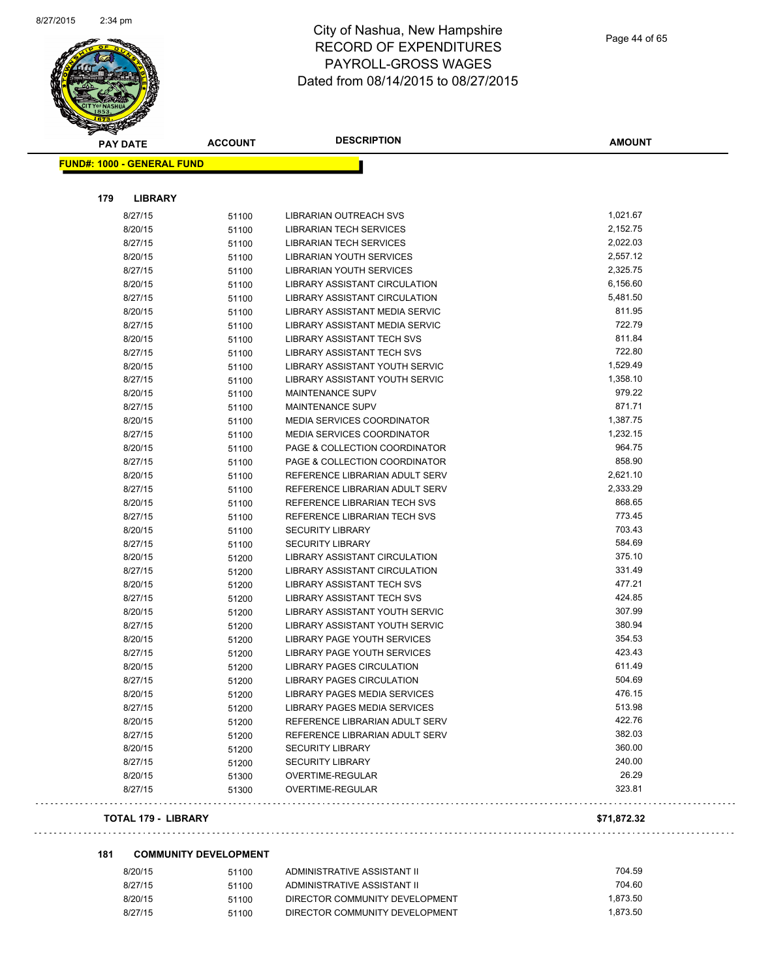

| <b>PAY DATE</b>                   | <b>ACCOUNT</b> | <b>DESCRIPTION</b>                | <b>AMOUNT</b> |
|-----------------------------------|----------------|-----------------------------------|---------------|
| <b>FUND#: 1000 - GENERAL FUND</b> |                |                                   |               |
|                                   |                |                                   |               |
| 179<br><b>LIBRARY</b>             |                |                                   |               |
| 8/27/15                           | 51100          | <b>LIBRARIAN OUTREACH SVS</b>     | 1,021.67      |
| 8/20/15                           | 51100          | <b>LIBRARIAN TECH SERVICES</b>    | 2,152.75      |
| 8/27/15                           | 51100          | LIBRARIAN TECH SERVICES           | 2,022.03      |
| 8/20/15                           | 51100          | LIBRARIAN YOUTH SERVICES          | 2,557.12      |
| 8/27/15                           | 51100          | LIBRARIAN YOUTH SERVICES          | 2,325.75      |
| 8/20/15                           | 51100          | LIBRARY ASSISTANT CIRCULATION     | 6,156.60      |
| 8/27/15                           | 51100          | LIBRARY ASSISTANT CIRCULATION     | 5,481.50      |
| 8/20/15                           | 51100          | LIBRARY ASSISTANT MEDIA SERVIC    | 811.95        |
| 8/27/15                           | 51100          | LIBRARY ASSISTANT MEDIA SERVIC    | 722.79        |
| 8/20/15                           | 51100          | LIBRARY ASSISTANT TECH SVS        | 811.84        |
| 8/27/15                           | 51100          | LIBRARY ASSISTANT TECH SVS        | 722.80        |
| 8/20/15                           | 51100          | LIBRARY ASSISTANT YOUTH SERVIC    | 1,529.49      |
| 8/27/15                           | 51100          | LIBRARY ASSISTANT YOUTH SERVIC    | 1,358.10      |
| 8/20/15                           | 51100          | <b>MAINTENANCE SUPV</b>           | 979.22        |
| 8/27/15                           | 51100          | <b>MAINTENANCE SUPV</b>           | 871.71        |
| 8/20/15                           | 51100          | <b>MEDIA SERVICES COORDINATOR</b> | 1,387.75      |
| 8/27/15                           | 51100          | <b>MEDIA SERVICES COORDINATOR</b> | 1,232.15      |
| 8/20/15                           | 51100          | PAGE & COLLECTION COORDINATOR     | 964.75        |
| 8/27/15                           | 51100          | PAGE & COLLECTION COORDINATOR     | 858.90        |
| 8/20/15                           | 51100          | REFERENCE LIBRARIAN ADULT SERV    | 2,621.10      |
| 8/27/15                           | 51100          | REFERENCE LIBRARIAN ADULT SERV    | 2,333.29      |
| 8/20/15                           | 51100          | REFERENCE LIBRARIAN TECH SVS      | 868.65        |
| 8/27/15                           | 51100          | REFERENCE LIBRARIAN TECH SVS      | 773.45        |
| 8/20/15                           | 51100          | <b>SECURITY LIBRARY</b>           | 703.43        |
| 8/27/15                           | 51100          | <b>SECURITY LIBRARY</b>           | 584.69        |
| 8/20/15                           | 51200          | LIBRARY ASSISTANT CIRCULATION     | 375.10        |
| 8/27/15                           | 51200          | LIBRARY ASSISTANT CIRCULATION     | 331.49        |
| 8/20/15                           | 51200          | LIBRARY ASSISTANT TECH SVS        | 477.21        |
| 8/27/15                           | 51200          | LIBRARY ASSISTANT TECH SVS        | 424.85        |
| 8/20/15                           | 51200          | LIBRARY ASSISTANT YOUTH SERVIC    | 307.99        |
| 8/27/15                           | 51200          | LIBRARY ASSISTANT YOUTH SERVIC    | 380.94        |
| 8/20/15                           | 51200          | LIBRARY PAGE YOUTH SERVICES       | 354.53        |
| 8/27/15                           | 51200          | LIBRARY PAGE YOUTH SERVICES       | 423.43        |
| 8/20/15                           | 51200          | <b>LIBRARY PAGES CIRCULATION</b>  | 611.49        |
| 8/27/15                           | 51200          | LIBRARY PAGES CIRCULATION         | 504.69        |
| 8/20/15                           | 51200          | LIBRARY PAGES MEDIA SERVICES      | 476.15        |
| 8/27/15                           | 51200          | LIBRARY PAGES MEDIA SERVICES      | 513.98        |
| 8/20/15                           | 51200          | REFERENCE LIBRARIAN ADULT SERV    | 422.76        |
| 8/27/15                           | 51200          | REFERENCE LIBRARIAN ADULT SERV    | 382.03        |
| 8/20/15                           | 51200          | <b>SECURITY LIBRARY</b>           | 360.00        |
| 8/27/15                           | 51200          | <b>SECURITY LIBRARY</b>           | 240.00        |
| 8/20/15                           | 51300          | OVERTIME-REGULAR                  | 26.29         |
| 8/27/15                           | 51300          | OVERTIME-REGULAR                  | 323.81        |
| <b>TOTAL 179 - LIBRARY</b>        |                |                                   | \$71,872.32   |
|                                   |                |                                   |               |

#### **181 COMMUNITY DEVELOPMENT**

| 8/20/15 | 51100 | ADMINISTRATIVE ASSISTANT II    | 704.59   |
|---------|-------|--------------------------------|----------|
| 8/27/15 | 51100 | ADMINISTRATIVE ASSISTANT II    | 704.60   |
| 8/20/15 | 51100 | DIRECTOR COMMUNITY DEVELOPMENT | 1.873.50 |
| 8/27/15 | 51100 | DIRECTOR COMMUNITY DEVELOPMENT | 1.873.50 |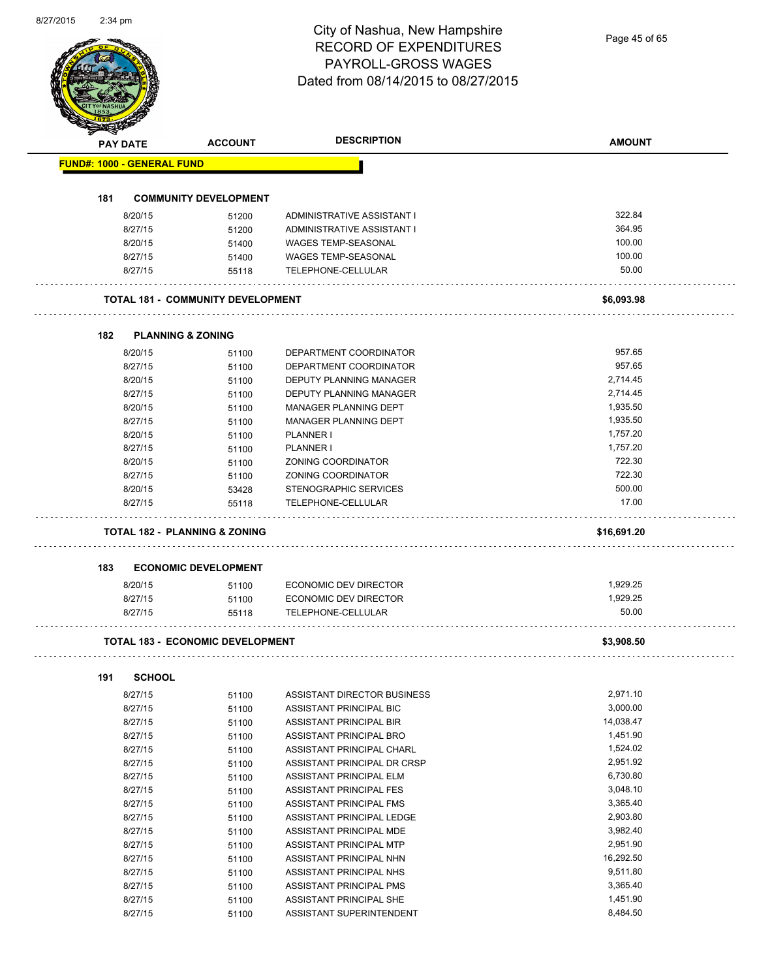Page 45 of 65

|     | <b>PAY DATE</b>                   | <b>ACCOUNT</b>                           | <b>DESCRIPTION</b>                                 | <b>AMOUNT</b>        |
|-----|-----------------------------------|------------------------------------------|----------------------------------------------------|----------------------|
|     | <b>FUND#: 1000 - GENERAL FUND</b> |                                          |                                                    |                      |
|     |                                   |                                          |                                                    |                      |
| 181 |                                   | <b>COMMUNITY DEVELOPMENT</b>             |                                                    |                      |
|     | 8/20/15                           | 51200                                    | ADMINISTRATIVE ASSISTANT I                         | 322.84               |
|     | 8/27/15                           | 51200                                    | ADMINISTRATIVE ASSISTANT I                         | 364.95               |
|     | 8/20/15                           | 51400                                    | WAGES TEMP-SEASONAL                                | 100.00               |
|     | 8/27/15                           | 51400                                    | WAGES TEMP-SEASONAL                                | 100.00               |
|     | 8/27/15                           | 55118                                    | TELEPHONE-CELLULAR                                 | 50.00                |
|     |                                   | <b>TOTAL 181 - COMMUNITY DEVELOPMENT</b> |                                                    | \$6,093.98           |
| 182 |                                   | <b>PLANNING &amp; ZONING</b>             |                                                    |                      |
|     | 8/20/15                           | 51100                                    | DEPARTMENT COORDINATOR                             | 957.65               |
|     | 8/27/15                           | 51100                                    | DEPARTMENT COORDINATOR                             | 957.65               |
|     | 8/20/15                           | 51100                                    | DEPUTY PLANNING MANAGER                            | 2,714.45             |
|     | 8/27/15                           | 51100                                    | DEPUTY PLANNING MANAGER                            | 2,714.45             |
|     | 8/20/15                           | 51100                                    | MANAGER PLANNING DEPT                              | 1,935.50             |
|     | 8/27/15                           | 51100                                    | MANAGER PLANNING DEPT                              | 1,935.50             |
|     | 8/20/15                           | 51100                                    | PLANNER I                                          | 1,757.20             |
|     | 8/27/15                           | 51100                                    | PLANNER I                                          | 1,757.20             |
|     | 8/20/15                           | 51100                                    | ZONING COORDINATOR                                 | 722.30               |
|     | 8/27/15                           | 51100                                    | ZONING COORDINATOR                                 | 722.30               |
|     | 8/20/15                           | 53428                                    | STENOGRAPHIC SERVICES                              | 500.00               |
|     | 8/27/15                           | 55118                                    | TELEPHONE-CELLULAR                                 | 17.00                |
|     |                                   |                                          |                                                    |                      |
|     |                                   | <b>TOTAL 182 - PLANNING &amp; ZONING</b> |                                                    | \$16,691.20          |
| 183 |                                   | <b>ECONOMIC DEVELOPMENT</b>              |                                                    |                      |
|     | 8/20/15                           | 51100                                    | ECONOMIC DEV DIRECTOR                              | 1,929.25             |
|     | 8/27/15                           | 51100                                    | <b>ECONOMIC DEV DIRECTOR</b>                       | 1,929.25             |
|     | 8/27/15                           | 55118                                    | TELEPHONE-CELLULAR                                 | 50.00                |
|     |                                   | TOTAL 183 - ECONOMIC DEVELOPMENT         |                                                    | \$3,908.50           |
|     |                                   |                                          |                                                    |                      |
|     |                                   |                                          |                                                    |                      |
| 191 | <b>SCHOOL</b>                     |                                          |                                                    |                      |
|     | 8/27/15                           | 51100                                    | ASSISTANT DIRECTOR BUSINESS                        | 2,971.10             |
|     | 8/27/15                           | 51100                                    | ASSISTANT PRINCIPAL BIC                            | 3,000.00             |
|     | 8/27/15                           | 51100                                    | ASSISTANT PRINCIPAL BIR                            | 14,038.47            |
|     | 8/27/15                           | 51100                                    | ASSISTANT PRINCIPAL BRO                            | 1,451.90             |
|     | 8/27/15                           | 51100                                    | ASSISTANT PRINCIPAL CHARL                          | 1,524.02             |
|     | 8/27/15                           | 51100                                    | ASSISTANT PRINCIPAL DR CRSP                        | 2,951.92             |
|     | 8/27/15                           | 51100                                    | ASSISTANT PRINCIPAL ELM                            | 6,730.80             |
|     | 8/27/15                           | 51100                                    | ASSISTANT PRINCIPAL FES                            | 3,048.10             |
|     | 8/27/15                           | 51100                                    | ASSISTANT PRINCIPAL FMS                            | 3,365.40             |
|     | 8/27/15                           | 51100                                    | ASSISTANT PRINCIPAL LEDGE                          | 2,903.80             |
|     | 8/27/15                           | 51100                                    | ASSISTANT PRINCIPAL MDE                            | 3,982.40             |
|     | 8/27/15                           | 51100                                    | ASSISTANT PRINCIPAL MTP                            | 2,951.90             |
|     | 8/27/15                           | 51100                                    | ASSISTANT PRINCIPAL NHN                            | 16,292.50            |
|     | 8/27/15                           | 51100                                    | ASSISTANT PRINCIPAL NHS                            | 9,511.80             |
|     | 8/27/15<br>8/27/15                | 51100<br>51100                           | ASSISTANT PRINCIPAL PMS<br>ASSISTANT PRINCIPAL SHE | 3,365.40<br>1,451.90 |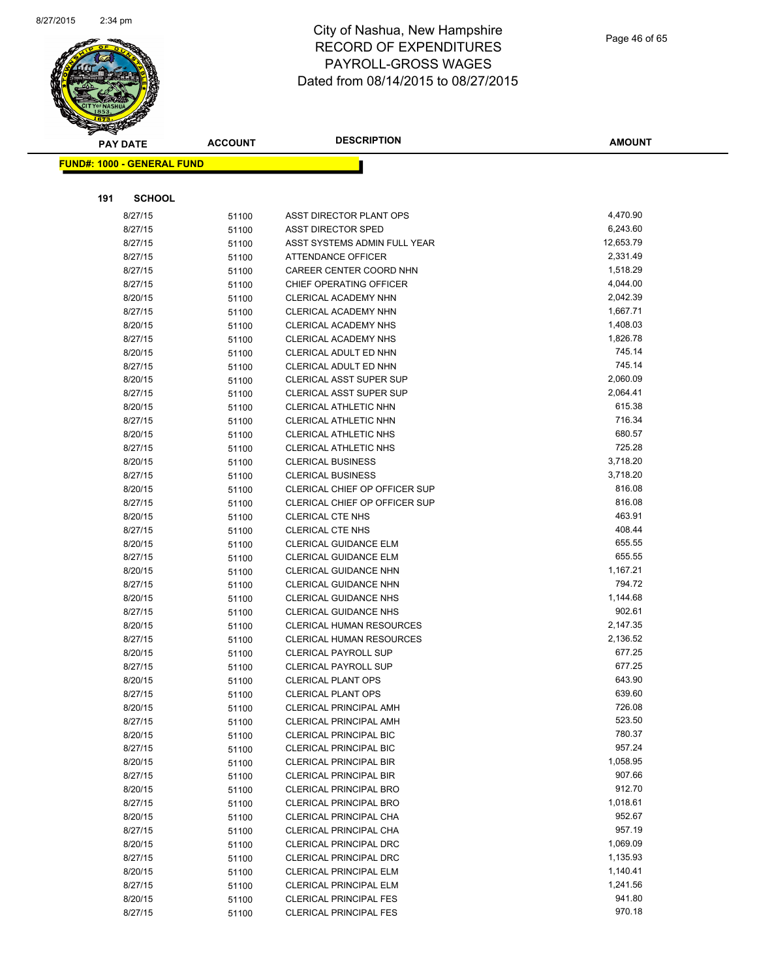

| <b>PAY DATE</b> |                                   | <b>ACCOUNT</b> | <b>DESCRIPTION</b>                                             | <b>AMOUNT</b>        |
|-----------------|-----------------------------------|----------------|----------------------------------------------------------------|----------------------|
|                 | <b>FUND#: 1000 - GENERAL FUND</b> |                |                                                                |                      |
|                 |                                   |                |                                                                |                      |
|                 |                                   |                |                                                                |                      |
| 191             | <b>SCHOOL</b>                     |                |                                                                |                      |
|                 | 8/27/15                           | 51100          | ASST DIRECTOR PLANT OPS                                        | 4,470.90             |
|                 | 8/27/15                           | 51100          | <b>ASST DIRECTOR SPED</b>                                      | 6,243.60             |
|                 | 8/27/15                           | 51100          | ASST SYSTEMS ADMIN FULL YEAR                                   | 12,653.79            |
|                 | 8/27/15                           | 51100          | <b>ATTENDANCE OFFICER</b>                                      | 2,331.49             |
|                 | 8/27/15                           | 51100          | CAREER CENTER COORD NHN                                        | 1,518.29             |
|                 | 8/27/15                           | 51100          | CHIEF OPERATING OFFICER                                        | 4,044.00             |
|                 | 8/20/15                           | 51100          | <b>CLERICAL ACADEMY NHN</b>                                    | 2,042.39             |
|                 | 8/27/15                           | 51100          | CLERICAL ACADEMY NHN                                           | 1,667.71             |
|                 | 8/20/15                           | 51100          | <b>CLERICAL ACADEMY NHS</b>                                    | 1,408.03             |
|                 | 8/27/15                           | 51100          | <b>CLERICAL ACADEMY NHS</b>                                    | 1,826.78             |
|                 | 8/20/15                           | 51100          | CLERICAL ADULT ED NHN                                          | 745.14               |
|                 | 8/27/15                           | 51100          | CLERICAL ADULT ED NHN                                          | 745.14               |
|                 | 8/20/15                           | 51100          | <b>CLERICAL ASST SUPER SUP</b>                                 | 2,060.09             |
|                 | 8/27/15                           | 51100          | CLERICAL ASST SUPER SUP                                        | 2,064.41             |
|                 | 8/20/15                           | 51100          | CLERICAL ATHLETIC NHN                                          | 615.38               |
|                 | 8/27/15                           | 51100          | CLERICAL ATHLETIC NHN                                          | 716.34               |
|                 | 8/20/15                           | 51100          | CLERICAL ATHLETIC NHS                                          | 680.57<br>725.28     |
|                 | 8/27/15                           | 51100          | CLERICAL ATHLETIC NHS                                          |                      |
|                 | 8/20/15                           | 51100          | <b>CLERICAL BUSINESS</b>                                       | 3,718.20<br>3,718.20 |
|                 | 8/27/15                           | 51100          | <b>CLERICAL BUSINESS</b>                                       | 816.08               |
|                 | 8/20/15<br>8/27/15                | 51100          | CLERICAL CHIEF OP OFFICER SUP<br>CLERICAL CHIEF OP OFFICER SUP | 816.08               |
|                 |                                   | 51100          | <b>CLERICAL CTE NHS</b>                                        | 463.91               |
|                 | 8/20/15<br>8/27/15                | 51100          | <b>CLERICAL CTE NHS</b>                                        | 408.44               |
|                 | 8/20/15                           | 51100          | <b>CLERICAL GUIDANCE ELM</b>                                   | 655.55               |
|                 | 8/27/15                           | 51100<br>51100 | <b>CLERICAL GUIDANCE ELM</b>                                   | 655.55               |
|                 | 8/20/15                           | 51100          | <b>CLERICAL GUIDANCE NHN</b>                                   | 1,167.21             |
|                 | 8/27/15                           | 51100          | <b>CLERICAL GUIDANCE NHN</b>                                   | 794.72               |
|                 | 8/20/15                           | 51100          | <b>CLERICAL GUIDANCE NHS</b>                                   | 1,144.68             |
|                 | 8/27/15                           | 51100          | <b>CLERICAL GUIDANCE NHS</b>                                   | 902.61               |
|                 | 8/20/15                           | 51100          | CLERICAL HUMAN RESOURCES                                       | 2,147.35             |
|                 | 8/27/15                           | 51100          | CLERICAL HUMAN RESOURCES                                       | 2,136.52             |
|                 | 8/20/15                           | 51100          | <b>CLERICAL PAYROLL SUP</b>                                    | 677.25               |
|                 | 8/27/15                           | 51100          | <b>CLERICAL PAYROLL SUP</b>                                    | 677.25               |
|                 | 8/20/15                           | 51100          | <b>CLERICAL PLANT OPS</b>                                      | 643.90               |
|                 | 8/27/15                           | 51100          | CLERICAL PLANT OPS                                             | 639.60               |
|                 | 8/20/15                           | 51100          | <b>CLERICAL PRINCIPAL AMH</b>                                  | 726.08               |
|                 | 8/27/15                           | 51100          | <b>CLERICAL PRINCIPAL AMH</b>                                  | 523.50               |
|                 | 8/20/15                           | 51100          | <b>CLERICAL PRINCIPAL BIC</b>                                  | 780.37               |
|                 | 8/27/15                           | 51100          | <b>CLERICAL PRINCIPAL BIC</b>                                  | 957.24               |
|                 | 8/20/15                           | 51100          | <b>CLERICAL PRINCIPAL BIR</b>                                  | 1,058.95             |
|                 | 8/27/15                           | 51100          | <b>CLERICAL PRINCIPAL BIR</b>                                  | 907.66               |
|                 | 8/20/15                           | 51100          | <b>CLERICAL PRINCIPAL BRO</b>                                  | 912.70               |
|                 | 8/27/15                           | 51100          | <b>CLERICAL PRINCIPAL BRO</b>                                  | 1,018.61             |
|                 | 8/20/15                           | 51100          | CLERICAL PRINCIPAL CHA                                         | 952.67               |
|                 | 8/27/15                           | 51100          | CLERICAL PRINCIPAL CHA                                         | 957.19               |
|                 | 8/20/15                           | 51100          | <b>CLERICAL PRINCIPAL DRC</b>                                  | 1,069.09             |
|                 | 8/27/15                           | 51100          | <b>CLERICAL PRINCIPAL DRC</b>                                  | 1,135.93             |
|                 | 8/20/15                           | 51100          | <b>CLERICAL PRINCIPAL ELM</b>                                  | 1,140.41             |
|                 | 8/27/15                           | 51100          | <b>CLERICAL PRINCIPAL ELM</b>                                  | 1,241.56             |
|                 | 8/20/15                           | 51100          | <b>CLERICAL PRINCIPAL FES</b>                                  | 941.80               |
|                 | 8/27/15                           | 51100          | <b>CLERICAL PRINCIPAL FES</b>                                  | 970.18               |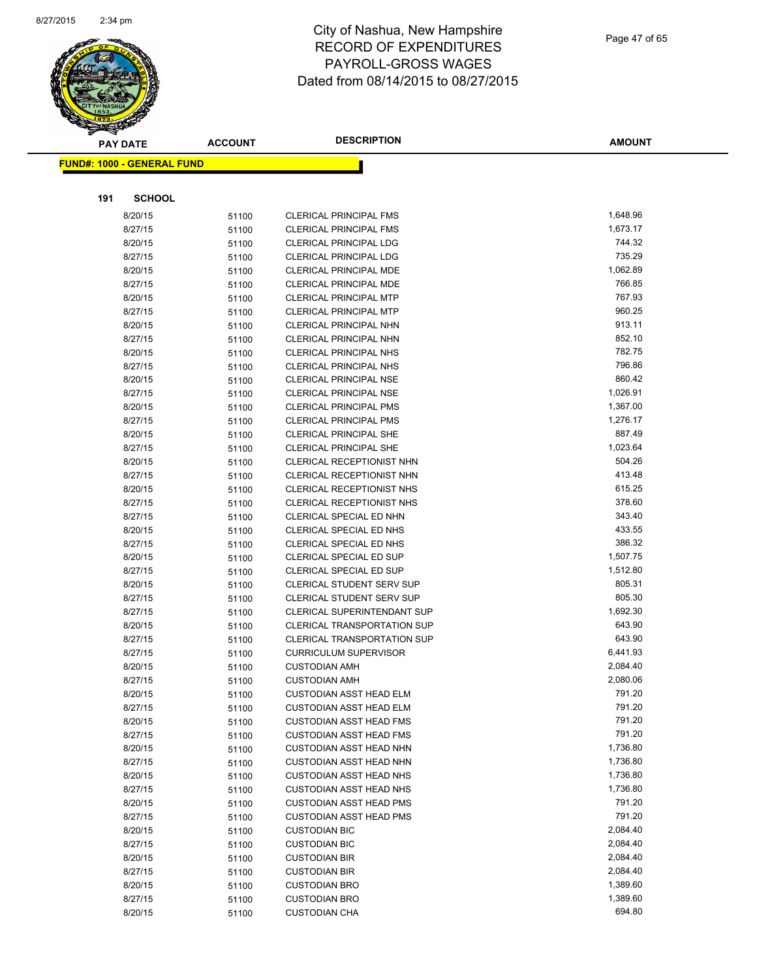

| <b>PAY DATE</b> |                                   | <b>DESCRIPTION</b><br><b>ACCOUNT</b> | <b>AMOUNT</b>                      |          |
|-----------------|-----------------------------------|--------------------------------------|------------------------------------|----------|
|                 | <b>FUND#: 1000 - GENERAL FUND</b> |                                      |                                    |          |
|                 |                                   |                                      |                                    |          |
|                 |                                   |                                      |                                    |          |
| 191             | <b>SCHOOL</b>                     |                                      |                                    |          |
|                 | 8/20/15                           | 51100                                | <b>CLERICAL PRINCIPAL FMS</b>      | 1,648.96 |
|                 | 8/27/15                           | 51100                                | <b>CLERICAL PRINCIPAL FMS</b>      | 1,673.17 |
|                 | 8/20/15                           | 51100                                | <b>CLERICAL PRINCIPAL LDG</b>      | 744.32   |
|                 | 8/27/15                           | 51100                                | <b>CLERICAL PRINCIPAL LDG</b>      | 735.29   |
|                 | 8/20/15                           | 51100                                | CLERICAL PRINCIPAL MDE             | 1,062.89 |
|                 | 8/27/15                           | 51100                                | <b>CLERICAL PRINCIPAL MDE</b>      | 766.85   |
|                 | 8/20/15                           | 51100                                | <b>CLERICAL PRINCIPAL MTP</b>      | 767.93   |
|                 | 8/27/15                           | 51100                                | <b>CLERICAL PRINCIPAL MTP</b>      | 960.25   |
|                 | 8/20/15                           | 51100                                | CLERICAL PRINCIPAL NHN             | 913.11   |
|                 | 8/27/15                           | 51100                                | <b>CLERICAL PRINCIPAL NHN</b>      | 852.10   |
|                 | 8/20/15                           | 51100                                | <b>CLERICAL PRINCIPAL NHS</b>      | 782.75   |
|                 | 8/27/15                           | 51100                                | <b>CLERICAL PRINCIPAL NHS</b>      | 796.86   |
|                 | 8/20/15                           | 51100                                | <b>CLERICAL PRINCIPAL NSE</b>      | 860.42   |
|                 | 8/27/15                           | 51100                                | <b>CLERICAL PRINCIPAL NSE</b>      | 1,026.91 |
|                 | 8/20/15                           | 51100                                | <b>CLERICAL PRINCIPAL PMS</b>      | 1,367.00 |
|                 | 8/27/15                           | 51100                                | <b>CLERICAL PRINCIPAL PMS</b>      | 1,276.17 |
|                 | 8/20/15                           | 51100                                | <b>CLERICAL PRINCIPAL SHE</b>      | 887.49   |
|                 | 8/27/15                           | 51100                                | <b>CLERICAL PRINCIPAL SHE</b>      | 1,023.64 |
|                 | 8/20/15                           | 51100                                | CLERICAL RECEPTIONIST NHN          | 504.26   |
|                 | 8/27/15                           | 51100                                | CLERICAL RECEPTIONIST NHN          | 413.48   |
|                 | 8/20/15                           | 51100                                | CLERICAL RECEPTIONIST NHS          | 615.25   |
|                 | 8/27/15                           | 51100                                | CLERICAL RECEPTIONIST NHS          | 378.60   |
|                 | 8/27/15                           | 51100                                | CLERICAL SPECIAL ED NHN            | 343.40   |
|                 | 8/20/15                           | 51100                                | CLERICAL SPECIAL ED NHS            | 433.55   |
|                 | 8/27/15                           | 51100                                | CLERICAL SPECIAL ED NHS            | 386.32   |
|                 | 8/20/15                           | 51100                                | <b>CLERICAL SPECIAL ED SUP</b>     | 1,507.75 |
|                 | 8/27/15                           | 51100                                | <b>CLERICAL SPECIAL ED SUP</b>     | 1,512.80 |
|                 | 8/20/15                           | 51100                                | <b>CLERICAL STUDENT SERV SUP</b>   | 805.31   |
|                 | 8/27/15                           | 51100                                | <b>CLERICAL STUDENT SERV SUP</b>   | 805.30   |
|                 | 8/27/15                           | 51100                                | CLERICAL SUPERINTENDANT SUP        | 1,692.30 |
|                 | 8/20/15                           | 51100                                | <b>CLERICAL TRANSPORTATION SUP</b> | 643.90   |
|                 | 8/27/15                           | 51100                                | <b>CLERICAL TRANSPORTATION SUP</b> | 643.90   |
|                 | 8/27/15                           | 51100                                | <b>CURRICULUM SUPERVISOR</b>       | 6,441.93 |
|                 | 8/20/15                           | 51100                                | <b>CUSTODIAN AMH</b>               | 2,084.40 |
|                 | 8/27/15                           | 51100                                | <b>CUSTODIAN AMH</b>               | 2,080.06 |
|                 | 8/20/15                           | 51100                                | CUSTODIAN ASST HEAD ELM            | 791.20   |
|                 | 8/27/15                           | 51100                                | <b>CUSTODIAN ASST HEAD ELM</b>     | 791.20   |
|                 | 8/20/15                           | 51100                                | <b>CUSTODIAN ASST HEAD FMS</b>     | 791.20   |
|                 | 8/27/15                           | 51100                                | <b>CUSTODIAN ASST HEAD FMS</b>     | 791.20   |
|                 | 8/20/15                           | 51100                                | <b>CUSTODIAN ASST HEAD NHN</b>     | 1,736.80 |
|                 | 8/27/15                           | 51100                                | <b>CUSTODIAN ASST HEAD NHN</b>     | 1,736.80 |
|                 | 8/20/15                           | 51100                                | <b>CUSTODIAN ASST HEAD NHS</b>     | 1,736.80 |
|                 | 8/27/15                           | 51100                                | <b>CUSTODIAN ASST HEAD NHS</b>     | 1,736.80 |
|                 | 8/20/15                           | 51100                                | <b>CUSTODIAN ASST HEAD PMS</b>     | 791.20   |
|                 | 8/27/15                           | 51100                                | <b>CUSTODIAN ASST HEAD PMS</b>     | 791.20   |
|                 | 8/20/15                           | 51100                                | <b>CUSTODIAN BIC</b>               | 2,084.40 |
|                 | 8/27/15                           | 51100                                | <b>CUSTODIAN BIC</b>               | 2,084.40 |
|                 | 8/20/15                           | 51100                                | <b>CUSTODIAN BIR</b>               | 2,084.40 |
|                 | 8/27/15                           | 51100                                | <b>CUSTODIAN BIR</b>               | 2,084.40 |
|                 | 8/20/15                           | 51100                                | <b>CUSTODIAN BRO</b>               | 1,389.60 |
|                 | 8/27/15                           | 51100                                | <b>CUSTODIAN BRO</b>               | 1,389.60 |
|                 | 8/20/15                           | 51100                                | <b>CUSTODIAN CHA</b>               | 694.80   |
|                 |                                   |                                      |                                    |          |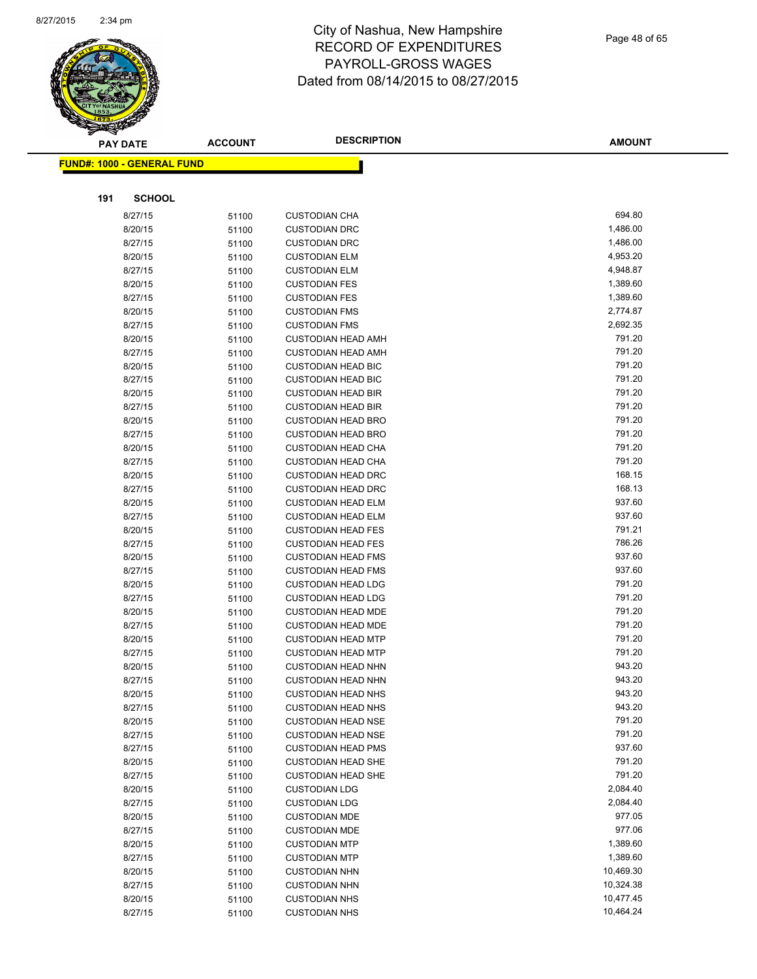

|     | <b>PAY DATE</b>                   | <b>ACCOUNT</b> | <b>DESCRIPTION</b>        | <b>AMOUNT</b> |  |
|-----|-----------------------------------|----------------|---------------------------|---------------|--|
|     | <b>FUND#: 1000 - GENERAL FUND</b> |                |                           |               |  |
|     |                                   |                |                           |               |  |
|     |                                   |                |                           |               |  |
| 191 | <b>SCHOOL</b>                     |                |                           |               |  |
|     | 8/27/15                           | 51100          | <b>CUSTODIAN CHA</b>      | 694.80        |  |
|     | 8/20/15                           | 51100          | <b>CUSTODIAN DRC</b>      | 1,486.00      |  |
|     | 8/27/15                           | 51100          | <b>CUSTODIAN DRC</b>      | 1,486.00      |  |
|     | 8/20/15                           | 51100          | <b>CUSTODIAN ELM</b>      | 4,953.20      |  |
|     | 8/27/15                           | 51100          | <b>CUSTODIAN ELM</b>      | 4,948.87      |  |
|     | 8/20/15                           | 51100          | <b>CUSTODIAN FES</b>      | 1,389.60      |  |
|     | 8/27/15                           | 51100          | <b>CUSTODIAN FES</b>      | 1,389.60      |  |
|     | 8/20/15                           | 51100          | <b>CUSTODIAN FMS</b>      | 2,774.87      |  |
|     | 8/27/15                           | 51100          | <b>CUSTODIAN FMS</b>      | 2,692.35      |  |
|     | 8/20/15                           | 51100          | <b>CUSTODIAN HEAD AMH</b> | 791.20        |  |
|     | 8/27/15                           | 51100          | <b>CUSTODIAN HEAD AMH</b> | 791.20        |  |
|     | 8/20/15                           | 51100          | <b>CUSTODIAN HEAD BIC</b> | 791.20        |  |
|     | 8/27/15                           | 51100          | <b>CUSTODIAN HEAD BIC</b> | 791.20        |  |
|     | 8/20/15                           | 51100          | <b>CUSTODIAN HEAD BIR</b> | 791.20        |  |
|     | 8/27/15                           | 51100          | <b>CUSTODIAN HEAD BIR</b> | 791.20        |  |
|     | 8/20/15                           | 51100          | <b>CUSTODIAN HEAD BRO</b> | 791.20        |  |
|     | 8/27/15                           | 51100          | <b>CUSTODIAN HEAD BRO</b> | 791.20        |  |
|     | 8/20/15                           | 51100          | <b>CUSTODIAN HEAD CHA</b> | 791.20        |  |
|     | 8/27/15                           | 51100          | <b>CUSTODIAN HEAD CHA</b> | 791.20        |  |
|     | 8/20/15                           | 51100          | <b>CUSTODIAN HEAD DRC</b> | 168.15        |  |
|     | 8/27/15                           | 51100          | <b>CUSTODIAN HEAD DRC</b> | 168.13        |  |
|     | 8/20/15                           | 51100          | <b>CUSTODIAN HEAD ELM</b> | 937.60        |  |
|     | 8/27/15                           | 51100          | <b>CUSTODIAN HEAD ELM</b> | 937.60        |  |
|     | 8/20/15                           | 51100          | <b>CUSTODIAN HEAD FES</b> | 791.21        |  |
|     | 8/27/15                           | 51100          | <b>CUSTODIAN HEAD FES</b> | 786.26        |  |
|     | 8/20/15                           | 51100          | <b>CUSTODIAN HEAD FMS</b> | 937.60        |  |
|     | 8/27/15                           | 51100          | <b>CUSTODIAN HEAD FMS</b> | 937.60        |  |
|     | 8/20/15                           | 51100          | <b>CUSTODIAN HEAD LDG</b> | 791.20        |  |
|     | 8/27/15                           | 51100          | <b>CUSTODIAN HEAD LDG</b> | 791.20        |  |
|     | 8/20/15                           | 51100          | <b>CUSTODIAN HEAD MDE</b> | 791.20        |  |
|     | 8/27/15                           | 51100          | <b>CUSTODIAN HEAD MDE</b> | 791.20        |  |
|     | 8/20/15                           | 51100          | <b>CUSTODIAN HEAD MTP</b> | 791.20        |  |
|     | 8/27/15                           | 51100          | <b>CUSTODIAN HEAD MTP</b> | 791.20        |  |
|     | 8/20/15                           | 51100          | <b>CUSTODIAN HEAD NHN</b> | 943.20        |  |
|     | 8/27/15                           | 51100          | <b>CUSTODIAN HEAD NHN</b> | 943.20        |  |
|     | 8/20/15                           | 51100          | <b>CUSTODIAN HEAD NHS</b> | 943.20        |  |
|     | 8/27/15                           | 51100          | <b>CUSTODIAN HEAD NHS</b> | 943.20        |  |
|     | 8/20/15                           | 51100          | <b>CUSTODIAN HEAD NSE</b> | 791.20        |  |
|     | 8/27/15                           | 51100          | <b>CUSTODIAN HEAD NSE</b> | 791.20        |  |
|     | 8/27/15                           | 51100          | <b>CUSTODIAN HEAD PMS</b> | 937.60        |  |
|     | 8/20/15                           | 51100          | <b>CUSTODIAN HEAD SHE</b> | 791.20        |  |
|     | 8/27/15                           | 51100          | <b>CUSTODIAN HEAD SHE</b> | 791.20        |  |
|     | 8/20/15                           | 51100          | <b>CUSTODIAN LDG</b>      | 2,084.40      |  |
|     | 8/27/15                           | 51100          | <b>CUSTODIAN LDG</b>      | 2,084.40      |  |
|     | 8/20/15                           | 51100          | <b>CUSTODIAN MDE</b>      | 977.05        |  |
|     | 8/27/15                           | 51100          | <b>CUSTODIAN MDE</b>      | 977.06        |  |
|     | 8/20/15                           | 51100          | <b>CUSTODIAN MTP</b>      | 1,389.60      |  |
|     | 8/27/15                           | 51100          | <b>CUSTODIAN MTP</b>      | 1,389.60      |  |
|     | 8/20/15                           | 51100          | <b>CUSTODIAN NHN</b>      | 10,469.30     |  |
|     | 8/27/15                           | 51100          | <b>CUSTODIAN NHN</b>      | 10,324.38     |  |
|     | 8/20/15                           | 51100          | <b>CUSTODIAN NHS</b>      | 10,477.45     |  |
|     | 8/27/15                           | 51100          | <b>CUSTODIAN NHS</b>      | 10,464.24     |  |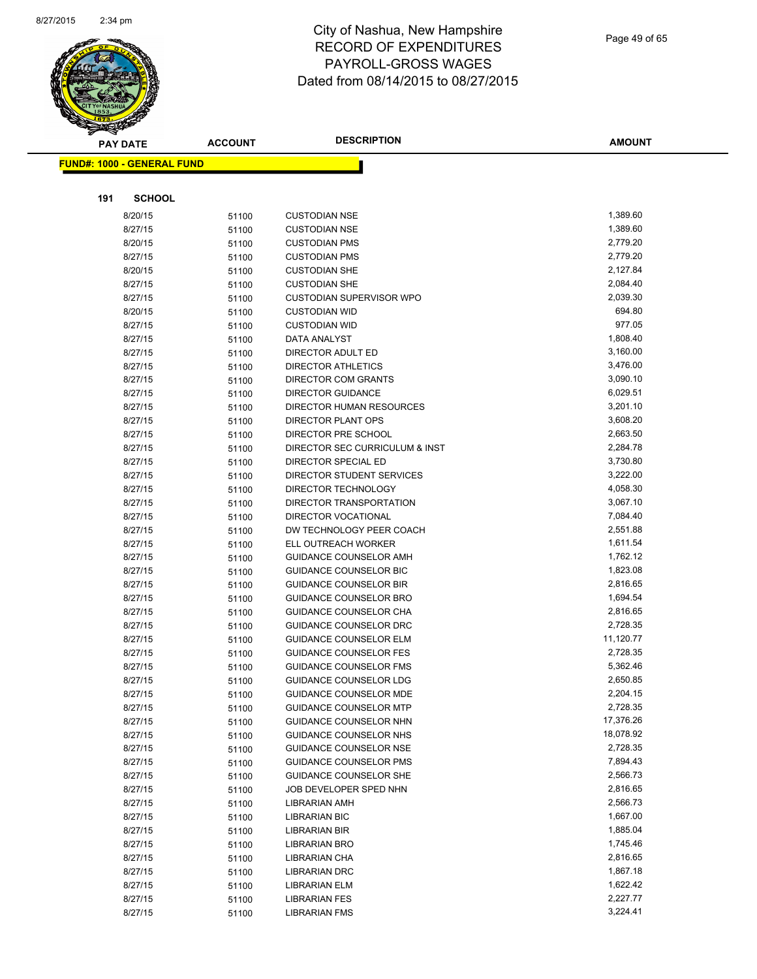

| <b>PAY DATE</b>                   | <b>ACCOUNT</b> | <b>DESCRIPTION</b>                             | <b>AMOUNT</b>        |
|-----------------------------------|----------------|------------------------------------------------|----------------------|
| <b>FUND#: 1000 - GENERAL FUND</b> |                |                                                |                      |
|                                   |                |                                                |                      |
|                                   |                |                                                |                      |
| 191<br><b>SCHOOL</b>              |                |                                                |                      |
| 8/20/15                           | 51100          | <b>CUSTODIAN NSE</b>                           | 1,389.60             |
| 8/27/15                           | 51100          | <b>CUSTODIAN NSE</b>                           | 1,389.60             |
| 8/20/15                           | 51100          | <b>CUSTODIAN PMS</b>                           | 2,779.20             |
| 8/27/15                           | 51100          | <b>CUSTODIAN PMS</b>                           | 2,779.20             |
| 8/20/15                           | 51100          | <b>CUSTODIAN SHE</b>                           | 2,127.84             |
| 8/27/15                           | 51100          | <b>CUSTODIAN SHE</b>                           | 2,084.40             |
| 8/27/15                           | 51100          | <b>CUSTODIAN SUPERVISOR WPO</b>                | 2,039.30             |
| 8/20/15                           | 51100          | <b>CUSTODIAN WID</b>                           | 694.80               |
| 8/27/15                           | 51100          | <b>CUSTODIAN WID</b>                           | 977.05<br>1,808.40   |
| 8/27/15                           | 51100          | DATA ANALYST                                   |                      |
| 8/27/15<br>8/27/15                | 51100          | DIRECTOR ADULT ED<br><b>DIRECTOR ATHLETICS</b> | 3,160.00<br>3,476.00 |
| 8/27/15                           | 51100          | <b>DIRECTOR COM GRANTS</b>                     | 3,090.10             |
| 8/27/15                           | 51100<br>51100 | <b>DIRECTOR GUIDANCE</b>                       | 6,029.51             |
| 8/27/15                           | 51100          | DIRECTOR HUMAN RESOURCES                       | 3,201.10             |
| 8/27/15                           | 51100          | <b>DIRECTOR PLANT OPS</b>                      | 3,608.20             |
| 8/27/15                           | 51100          | DIRECTOR PRE SCHOOL                            | 2,663.50             |
| 8/27/15                           | 51100          | DIRECTOR SEC CURRICULUM & INST                 | 2,284.78             |
| 8/27/15                           | 51100          | DIRECTOR SPECIAL ED                            | 3,730.80             |
| 8/27/15                           | 51100          | DIRECTOR STUDENT SERVICES                      | 3,222.00             |
| 8/27/15                           | 51100          | DIRECTOR TECHNOLOGY                            | 4,058.30             |
| 8/27/15                           | 51100          | DIRECTOR TRANSPORTATION                        | 3,067.10             |
| 8/27/15                           | 51100          | DIRECTOR VOCATIONAL                            | 7,084.40             |
| 8/27/15                           | 51100          | DW TECHNOLOGY PEER COACH                       | 2,551.88             |
| 8/27/15                           | 51100          | ELL OUTREACH WORKER                            | 1,611.54             |
| 8/27/15                           | 51100          | GUIDANCE COUNSELOR AMH                         | 1,762.12             |
| 8/27/15                           | 51100          | <b>GUIDANCE COUNSELOR BIC</b>                  | 1,823.08             |
| 8/27/15                           | 51100          | <b>GUIDANCE COUNSELOR BIR</b>                  | 2,816.65             |
| 8/27/15                           | 51100          | <b>GUIDANCE COUNSELOR BRO</b>                  | 1,694.54             |
| 8/27/15                           | 51100          | GUIDANCE COUNSELOR CHA                         | 2,816.65             |
| 8/27/15                           | 51100          | GUIDANCE COUNSELOR DRC                         | 2,728.35             |
| 8/27/15                           | 51100          | <b>GUIDANCE COUNSELOR ELM</b>                  | 11,120.77            |
| 8/27/15                           | 51100          | <b>GUIDANCE COUNSELOR FES</b>                  | 2,728.35             |
| 8/27/15                           | 51100          | <b>GUIDANCE COUNSELOR FMS</b>                  | 5,362.46             |
| 8/27/15                           | 51100          | <b>GUIDANCE COUNSELOR LDG</b>                  | 2,650.85             |
| 8/27/15                           | 51100          | <b>GUIDANCE COUNSELOR MDE</b>                  | 2,204.15             |
| 8/27/15                           | 51100          | <b>GUIDANCE COUNSELOR MTP</b>                  | 2,728.35             |
| 8/27/15                           | 51100          | GUIDANCE COUNSELOR NHN                         | 17,376.26            |
| 8/27/15                           | 51100          | GUIDANCE COUNSELOR NHS                         | 18,078.92            |
| 8/27/15                           | 51100          | GUIDANCE COUNSELOR NSE                         | 2,728.35             |
| 8/27/15                           | 51100          | GUIDANCE COUNSELOR PMS                         | 7,894.43             |
| 8/27/15                           | 51100          | GUIDANCE COUNSELOR SHE                         | 2,566.73             |
| 8/27/15                           | 51100          | JOB DEVELOPER SPED NHN                         | 2,816.65             |
| 8/27/15                           | 51100          | <b>LIBRARIAN AMH</b>                           | 2,566.73             |
| 8/27/15                           | 51100          | <b>LIBRARIAN BIC</b>                           | 1,667.00             |
| 8/27/15                           | 51100          | LIBRARIAN BIR                                  | 1,885.04             |
| 8/27/15                           | 51100          | <b>LIBRARIAN BRO</b>                           | 1,745.46<br>2,816.65 |
| 8/27/15<br>8/27/15                | 51100          | LIBRARIAN CHA<br><b>LIBRARIAN DRC</b>          | 1,867.18             |
| 8/27/15                           | 51100<br>51100 | <b>LIBRARIAN ELM</b>                           | 1,622.42             |
| 8/27/15                           | 51100          | <b>LIBRARIAN FES</b>                           | 2,227.77             |
| 8/27/15                           | 51100          | <b>LIBRARIAN FMS</b>                           | 3,224.41             |
|                                   |                |                                                |                      |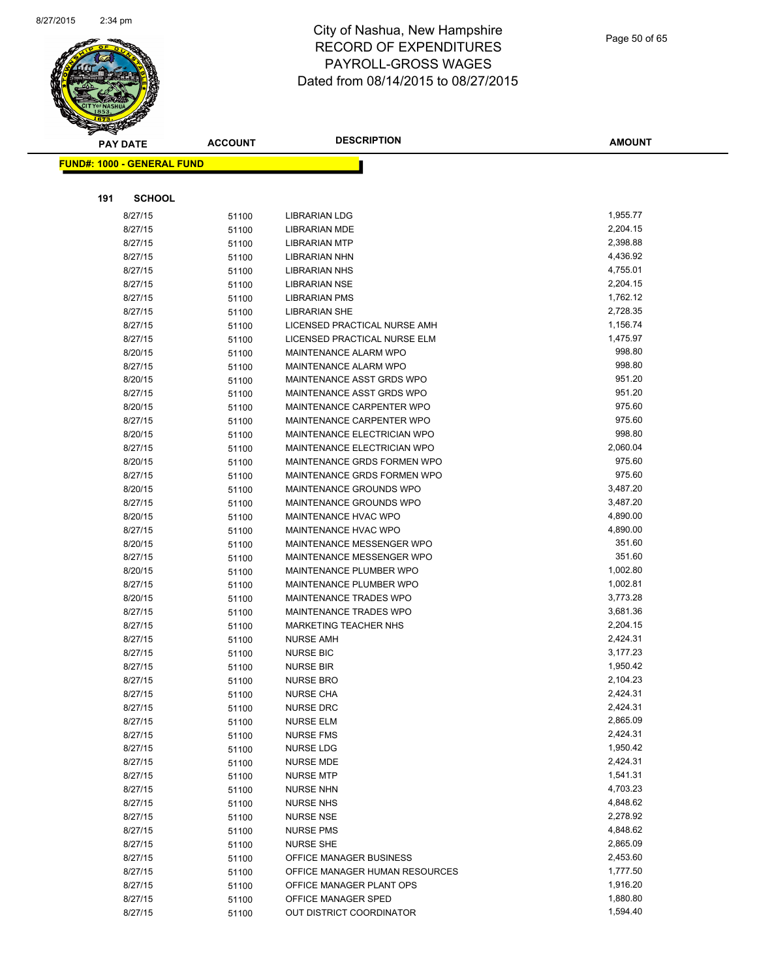

|     | <b>PAY DATE</b>                   | <b>ACCOUNT</b> | <b>DESCRIPTION</b>                                           | <b>AMOUNT</b>        |
|-----|-----------------------------------|----------------|--------------------------------------------------------------|----------------------|
|     | <b>FUND#: 1000 - GENERAL FUND</b> |                |                                                              |                      |
|     |                                   |                |                                                              |                      |
|     |                                   |                |                                                              |                      |
| 191 | <b>SCHOOL</b>                     |                |                                                              |                      |
|     | 8/27/15                           | 51100          | <b>LIBRARIAN LDG</b>                                         | 1,955.77             |
|     | 8/27/15                           | 51100          | <b>LIBRARIAN MDE</b>                                         | 2,204.15             |
|     | 8/27/15                           | 51100          | <b>LIBRARIAN MTP</b>                                         | 2,398.88             |
|     | 8/27/15                           | 51100          | LIBRARIAN NHN                                                | 4,436.92             |
|     | 8/27/15                           | 51100          | <b>LIBRARIAN NHS</b>                                         | 4,755.01             |
|     | 8/27/15                           | 51100          | LIBRARIAN NSE                                                | 2,204.15             |
|     | 8/27/15                           | 51100          | <b>LIBRARIAN PMS</b>                                         | 1,762.12<br>2,728.35 |
|     | 8/27/15                           | 51100          | <b>LIBRARIAN SHE</b>                                         | 1,156.74             |
|     | 8/27/15<br>8/27/15                | 51100          | LICENSED PRACTICAL NURSE AMH<br>LICENSED PRACTICAL NURSE ELM | 1,475.97             |
|     | 8/20/15                           | 51100<br>51100 | MAINTENANCE ALARM WPO                                        | 998.80               |
|     | 8/27/15                           | 51100          | MAINTENANCE ALARM WPO                                        | 998.80               |
|     | 8/20/15                           | 51100          | MAINTENANCE ASST GRDS WPO                                    | 951.20               |
|     | 8/27/15                           | 51100          | MAINTENANCE ASST GRDS WPO                                    | 951.20               |
|     | 8/20/15                           | 51100          | MAINTENANCE CARPENTER WPO                                    | 975.60               |
|     | 8/27/15                           | 51100          | MAINTENANCE CARPENTER WPO                                    | 975.60               |
|     | 8/20/15                           | 51100          | MAINTENANCE ELECTRICIAN WPO                                  | 998.80               |
|     | 8/27/15                           | 51100          | MAINTENANCE ELECTRICIAN WPO                                  | 2,060.04             |
|     | 8/20/15                           | 51100          | MAINTENANCE GRDS FORMEN WPO                                  | 975.60               |
|     | 8/27/15                           | 51100          | MAINTENANCE GRDS FORMEN WPO                                  | 975.60               |
|     | 8/20/15                           | 51100          | MAINTENANCE GROUNDS WPO                                      | 3,487.20             |
|     | 8/27/15                           | 51100          | MAINTENANCE GROUNDS WPO                                      | 3,487.20             |
|     | 8/20/15                           | 51100          | MAINTENANCE HVAC WPO                                         | 4,890.00             |
|     | 8/27/15                           | 51100          | MAINTENANCE HVAC WPO                                         | 4,890.00             |
|     | 8/20/15                           | 51100          | MAINTENANCE MESSENGER WPO                                    | 351.60               |
|     | 8/27/15                           | 51100          | MAINTENANCE MESSENGER WPO                                    | 351.60               |
|     | 8/20/15                           | 51100          | MAINTENANCE PLUMBER WPO                                      | 1,002.80             |
|     | 8/27/15                           | 51100          | MAINTENANCE PLUMBER WPO                                      | 1,002.81             |
|     | 8/20/15                           | 51100          | MAINTENANCE TRADES WPO                                       | 3,773.28             |
|     | 8/27/15                           | 51100          | MAINTENANCE TRADES WPO                                       | 3,681.36             |
|     | 8/27/15                           | 51100          | <b>MARKETING TEACHER NHS</b>                                 | 2,204.15             |
|     | 8/27/15                           | 51100          | <b>NURSE AMH</b>                                             | 2,424.31             |
|     | 8/27/15                           | 51100          | <b>NURSE BIC</b>                                             | 3,177.23             |
|     | 8/27/15                           | 51100          | <b>NURSE BIR</b>                                             | 1,950.42             |
|     | 8/27/15                           | 51100          | <b>NURSE BRO</b>                                             | 2,104.23             |
|     | 8/27/15                           | 51100          | <b>NURSE CHA</b>                                             | 2,424.31             |
|     | 8/27/15                           | 51100          | <b>NURSE DRC</b>                                             | 2,424.31             |
|     | 8/27/15                           | 51100          | NURSE ELM                                                    | 2,865.09             |
|     | 8/27/15                           | 51100          | <b>NURSE FMS</b>                                             | 2,424.31             |
|     | 8/27/15                           | 51100          | NURSE LDG                                                    | 1,950.42             |
|     | 8/27/15                           | 51100          | <b>NURSE MDE</b>                                             | 2,424.31             |
|     | 8/27/15                           | 51100          | <b>NURSE MTP</b>                                             | 1,541.31             |
|     | 8/27/15                           | 51100          | <b>NURSE NHN</b>                                             | 4,703.23             |
|     | 8/27/15                           | 51100          | <b>NURSE NHS</b>                                             | 4,848.62             |
|     | 8/27/15                           | 51100          | <b>NURSE NSE</b>                                             | 2,278.92             |
|     | 8/27/15                           | 51100          | <b>NURSE PMS</b>                                             | 4,848.62             |
|     | 8/27/15                           | 51100          | <b>NURSE SHE</b>                                             | 2,865.09             |
|     | 8/27/15                           | 51100          | OFFICE MANAGER BUSINESS                                      | 2,453.60             |
|     | 8/27/15                           | 51100          | OFFICE MANAGER HUMAN RESOURCES                               | 1,777.50             |
|     | 8/27/15                           | 51100          | OFFICE MANAGER PLANT OPS                                     | 1,916.20             |
|     | 8/27/15                           | 51100          | OFFICE MANAGER SPED                                          | 1,880.80             |
|     | 8/27/15                           | 51100          | OUT DISTRICT COORDINATOR                                     | 1,594.40             |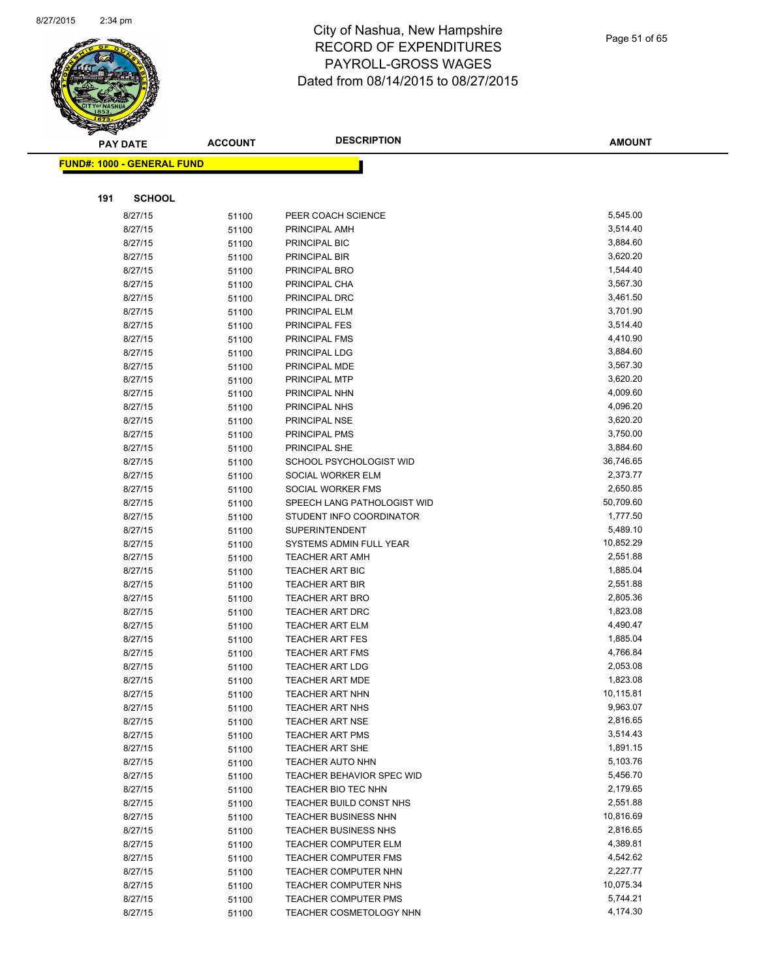

|     | <b>PAY DATE</b>                    | <b>ACCOUNT</b> | <b>DESCRIPTION</b>                    | <b>AMOUNT</b>        |
|-----|------------------------------------|----------------|---------------------------------------|----------------------|
|     | <u> FUND#: 1000 - GENERAL FUND</u> |                |                                       |                      |
|     |                                    |                |                                       |                      |
|     |                                    |                |                                       |                      |
| 191 | <b>SCHOOL</b>                      |                |                                       |                      |
|     | 8/27/15                            | 51100          | PEER COACH SCIENCE                    | 5,545.00             |
|     | 8/27/15                            | 51100          | PRINCIPAL AMH                         | 3,514.40             |
|     | 8/27/15                            | 51100          | PRINCIPAL BIC                         | 3,884.60             |
|     | 8/27/15                            | 51100          | PRINCIPAL BIR                         | 3,620.20             |
|     | 8/27/15                            | 51100          | PRINCIPAL BRO                         | 1,544.40             |
|     | 8/27/15                            | 51100          | PRINCIPAL CHA                         | 3,567.30             |
|     | 8/27/15                            | 51100          | PRINCIPAL DRC                         | 3,461.50<br>3,701.90 |
|     | 8/27/15<br>8/27/15                 | 51100          | PRINCIPAL ELM                         | 3,514.40             |
|     | 8/27/15                            | 51100          | <b>PRINCIPAL FES</b><br>PRINCIPAL FMS | 4,410.90             |
|     | 8/27/15                            | 51100          | PRINCIPAL LDG                         | 3,884.60             |
|     | 8/27/15                            | 51100          | PRINCIPAL MDE                         | 3,567.30             |
|     | 8/27/15                            | 51100<br>51100 | PRINCIPAL MTP                         | 3,620.20             |
|     | 8/27/15                            | 51100          | PRINCIPAL NHN                         | 4,009.60             |
|     | 8/27/15                            | 51100          | PRINCIPAL NHS                         | 4,096.20             |
|     | 8/27/15                            | 51100          | PRINCIPAL NSE                         | 3,620.20             |
|     | 8/27/15                            | 51100          | PRINCIPAL PMS                         | 3,750.00             |
|     | 8/27/15                            | 51100          | PRINCIPAL SHE                         | 3,884.60             |
|     | 8/27/15                            | 51100          | SCHOOL PSYCHOLOGIST WID               | 36,746.65            |
|     | 8/27/15                            | 51100          | SOCIAL WORKER ELM                     | 2,373.77             |
|     | 8/27/15                            | 51100          | SOCIAL WORKER FMS                     | 2,650.85             |
|     | 8/27/15                            | 51100          | SPEECH LANG PATHOLOGIST WID           | 50,709.60            |
|     | 8/27/15                            | 51100          | STUDENT INFO COORDINATOR              | 1,777.50             |
|     | 8/27/15                            | 51100          | <b>SUPERINTENDENT</b>                 | 5,489.10             |
|     | 8/27/15                            | 51100          | SYSTEMS ADMIN FULL YEAR               | 10,852.29            |
|     | 8/27/15                            | 51100          | <b>TEACHER ART AMH</b>                | 2,551.88             |
|     | 8/27/15                            | 51100          | <b>TEACHER ART BIC</b>                | 1,885.04             |
|     | 8/27/15                            | 51100          | <b>TEACHER ART BIR</b>                | 2,551.88             |
|     | 8/27/15                            | 51100          | <b>TEACHER ART BRO</b>                | 2,805.36             |
|     | 8/27/15                            | 51100          | <b>TEACHER ART DRC</b>                | 1,823.08             |
|     | 8/27/15                            | 51100          | <b>TEACHER ART ELM</b>                | 4,490.47             |
|     | 8/27/15                            | 51100          | <b>TEACHER ART FES</b>                | 1,885.04             |
|     | 8/27/15                            | 51100          | <b>TEACHER ART FMS</b>                | 4,766.84             |
|     | 8/27/15                            | 51100          | <b>TEACHER ART LDG</b>                | 2,053.08             |
|     | 8/27/15                            | 51100          | <b>TEACHER ART MDE</b>                | 1,823.08             |
|     | 8/27/15                            | 51100          | <b>TEACHER ART NHN</b>                | 10,115.81            |
|     | 8/27/15                            | 51100          | <b>TEACHER ART NHS</b>                | 9,963.07             |
|     | 8/27/15                            | 51100          | <b>TEACHER ART NSE</b>                | 2,816.65             |
|     | 8/27/15                            | 51100          | <b>TEACHER ART PMS</b>                | 3,514.43             |
|     | 8/27/15                            | 51100          | <b>TEACHER ART SHE</b>                | 1,891.15             |
|     | 8/27/15                            | 51100          | <b>TEACHER AUTO NHN</b>               | 5,103.76             |
|     | 8/27/15                            | 51100          | <b>TEACHER BEHAVIOR SPEC WID</b>      | 5,456.70             |
|     | 8/27/15                            | 51100          | TEACHER BIO TEC NHN                   | 2,179.65             |
|     | 8/27/15                            | 51100          | TEACHER BUILD CONST NHS               | 2,551.88             |
|     | 8/27/15                            | 51100          | <b>TEACHER BUSINESS NHN</b>           | 10,816.69            |
|     | 8/27/15                            | 51100          | <b>TEACHER BUSINESS NHS</b>           | 2,816.65             |
|     | 8/27/15                            | 51100          | TEACHER COMPUTER ELM                  | 4,389.81             |
|     | 8/27/15                            | 51100          | <b>TEACHER COMPUTER FMS</b>           | 4,542.62             |
|     | 8/27/15                            | 51100          | TEACHER COMPUTER NHN                  | 2,227.77             |
|     | 8/27/15                            | 51100          | TEACHER COMPUTER NHS                  | 10,075.34            |
|     | 8/27/15                            | 51100          | TEACHER COMPUTER PMS                  | 5,744.21             |
|     | 8/27/15                            | 51100          | TEACHER COSMETOLOGY NHN               | 4,174.30             |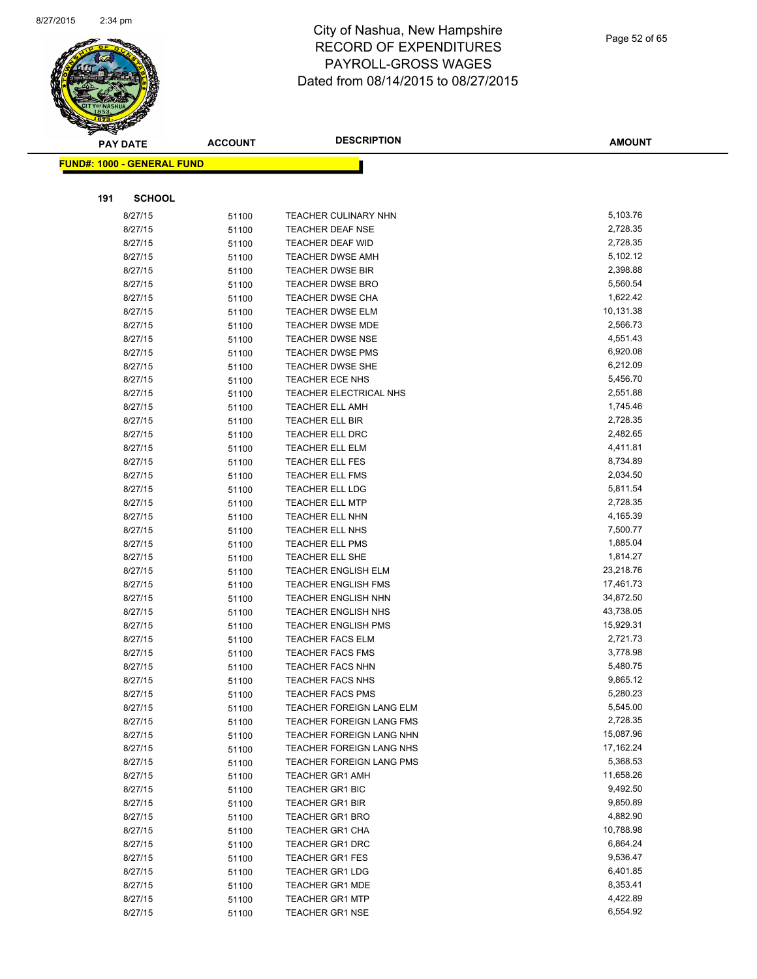

|     | <b>PAY DATE</b>                    | <b>ACCOUNT</b> | <b>DESCRIPTION</b>              | <b>AMOUNT</b> |
|-----|------------------------------------|----------------|---------------------------------|---------------|
|     | <u> FUND#: 1000 - GENERAL FUND</u> |                |                                 |               |
|     |                                    |                |                                 |               |
|     |                                    |                |                                 |               |
| 191 | <b>SCHOOL</b>                      |                |                                 |               |
|     | 8/27/15                            | 51100          | <b>TEACHER CULINARY NHN</b>     | 5,103.76      |
|     | 8/27/15                            | 51100          | <b>TEACHER DEAF NSE</b>         | 2,728.35      |
|     | 8/27/15                            | 51100          | TEACHER DEAF WID                | 2,728.35      |
|     | 8/27/15                            | 51100          | <b>TEACHER DWSE AMH</b>         | 5,102.12      |
|     | 8/27/15                            | 51100          | <b>TEACHER DWSE BIR</b>         | 2,398.88      |
|     | 8/27/15                            | 51100          | <b>TEACHER DWSE BRO</b>         | 5,560.54      |
|     | 8/27/15                            | 51100          | <b>TEACHER DWSE CHA</b>         | 1,622.42      |
|     | 8/27/15                            | 51100          | <b>TEACHER DWSE ELM</b>         | 10,131.38     |
|     | 8/27/15                            | 51100          | <b>TEACHER DWSE MDE</b>         | 2,566.73      |
|     | 8/27/15                            | 51100          | <b>TEACHER DWSE NSE</b>         | 4,551.43      |
|     | 8/27/15                            | 51100          | <b>TEACHER DWSE PMS</b>         | 6,920.08      |
|     | 8/27/15                            | 51100          | <b>TEACHER DWSE SHE</b>         | 6,212.09      |
|     | 8/27/15                            | 51100          | TEACHER ECE NHS                 | 5,456.70      |
|     | 8/27/15                            | 51100          | TEACHER ELECTRICAL NHS          | 2,551.88      |
|     | 8/27/15                            | 51100          | <b>TEACHER ELL AMH</b>          | 1,745.46      |
|     | 8/27/15                            | 51100          | <b>TEACHER ELL BIR</b>          | 2,728.35      |
|     | 8/27/15                            | 51100          | <b>TEACHER ELL DRC</b>          | 2,482.65      |
|     | 8/27/15                            | 51100          | <b>TEACHER ELL ELM</b>          | 4,411.81      |
|     | 8/27/15                            | 51100          | <b>TEACHER ELL FES</b>          | 8,734.89      |
|     | 8/27/15                            | 51100          | <b>TEACHER ELL FMS</b>          | 2,034.50      |
|     | 8/27/15                            | 51100          | <b>TEACHER ELL LDG</b>          | 5,811.54      |
|     | 8/27/15                            | 51100          | TEACHER ELL MTP                 | 2,728.35      |
|     | 8/27/15                            | 51100          | <b>TEACHER ELL NHN</b>          | 4,165.39      |
|     | 8/27/15                            | 51100          | <b>TEACHER ELL NHS</b>          | 7,500.77      |
|     | 8/27/15                            | 51100          | <b>TEACHER ELL PMS</b>          | 1,885.04      |
|     | 8/27/15                            | 51100          | TEACHER ELL SHE                 | 1,814.27      |
|     | 8/27/15                            | 51100          | <b>TEACHER ENGLISH ELM</b>      | 23,218.76     |
|     | 8/27/15                            | 51100          | <b>TEACHER ENGLISH FMS</b>      | 17,461.73     |
|     | 8/27/15                            | 51100          | <b>TEACHER ENGLISH NHN</b>      | 34,872.50     |
|     | 8/27/15                            | 51100          | <b>TEACHER ENGLISH NHS</b>      | 43,738.05     |
|     | 8/27/15                            | 51100          | <b>TEACHER ENGLISH PMS</b>      | 15,929.31     |
|     | 8/27/15                            | 51100          | <b>TEACHER FACS ELM</b>         | 2,721.73      |
|     | 8/27/15                            | 51100          | <b>TEACHER FACS FMS</b>         | 3,778.98      |
|     | 8/27/15                            | 51100          | <b>TEACHER FACS NHN</b>         | 5,480.75      |
|     | 8/27/15                            | 51100          | <b>TEACHER FACS NHS</b>         | 9,865.12      |
|     | 8/27/15                            | 51100          | TEACHER FACS PMS                | 5,280.23      |
|     | 8/27/15                            | 51100          | TEACHER FOREIGN LANG ELM        | 5,545.00      |
|     | 8/27/15                            | 51100          | <b>TEACHER FOREIGN LANG FMS</b> | 2,728.35      |
|     | 8/27/15                            | 51100          | TEACHER FOREIGN LANG NHN        | 15,087.96     |
|     | 8/27/15                            | 51100          | TEACHER FOREIGN LANG NHS        | 17,162.24     |
|     | 8/27/15                            | 51100          | <b>TEACHER FOREIGN LANG PMS</b> | 5,368.53      |
|     | 8/27/15                            | 51100          | <b>TEACHER GR1 AMH</b>          | 11,658.26     |
|     | 8/27/15                            | 51100          | <b>TEACHER GR1 BIC</b>          | 9,492.50      |
|     | 8/27/15                            | 51100          | <b>TEACHER GR1 BIR</b>          | 9,850.89      |
|     | 8/27/15                            | 51100          | <b>TEACHER GR1 BRO</b>          | 4,882.90      |
|     | 8/27/15                            | 51100          | <b>TEACHER GR1 CHA</b>          | 10,788.98     |
|     | 8/27/15                            | 51100          | <b>TEACHER GR1 DRC</b>          | 6,864.24      |
|     | 8/27/15                            | 51100          | <b>TEACHER GR1 FES</b>          | 9,536.47      |
|     | 8/27/15                            | 51100          | <b>TEACHER GR1 LDG</b>          | 6,401.85      |
|     | 8/27/15                            | 51100          | <b>TEACHER GR1 MDE</b>          | 8,353.41      |
|     | 8/27/15                            | 51100          | <b>TEACHER GR1 MTP</b>          | 4,422.89      |
|     | 8/27/15                            | 51100          | <b>TEACHER GR1 NSE</b>          | 6,554.92      |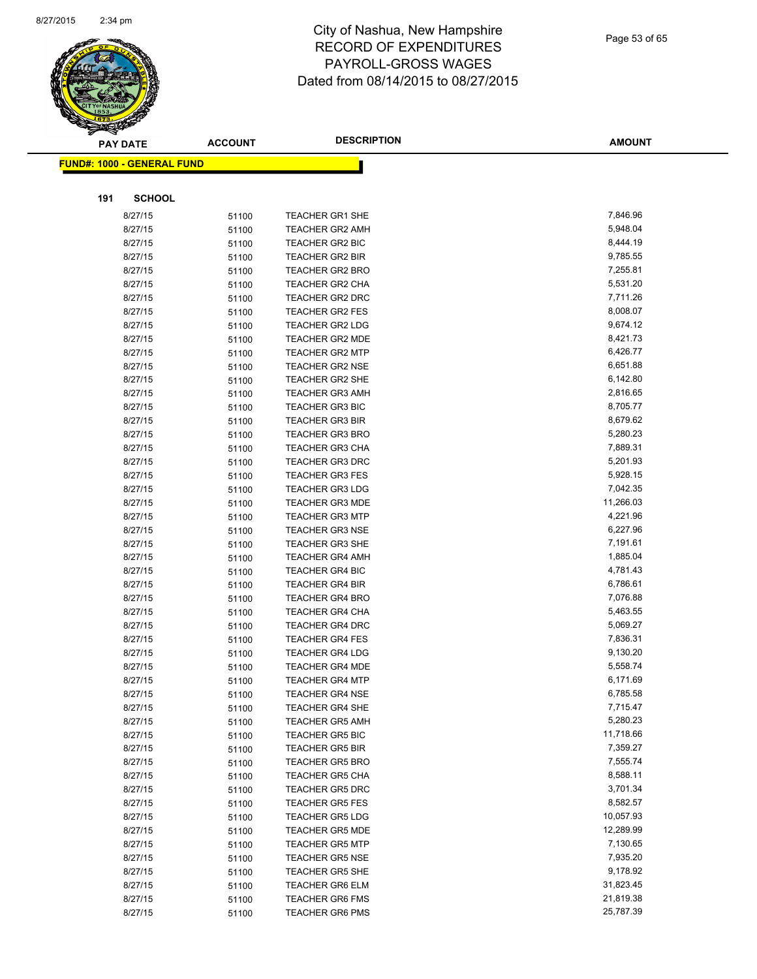

|     | <b>PAY DATE</b>                   | <b>ACCOUNT</b> | <b>DESCRIPTION</b>                               | <b>AMOUNT</b>        |
|-----|-----------------------------------|----------------|--------------------------------------------------|----------------------|
|     | <b>FUND#: 1000 - GENERAL FUND</b> |                |                                                  |                      |
|     |                                   |                |                                                  |                      |
| 191 | <b>SCHOOL</b>                     |                |                                                  |                      |
|     | 8/27/15                           | 51100          | <b>TEACHER GR1 SHE</b>                           | 7,846.96             |
|     | 8/27/15                           | 51100          | <b>TEACHER GR2 AMH</b>                           | 5,948.04             |
|     | 8/27/15                           | 51100          | <b>TEACHER GR2 BIC</b>                           | 8,444.19             |
|     | 8/27/15                           | 51100          | <b>TEACHER GR2 BIR</b>                           | 9,785.55             |
|     | 8/27/15                           | 51100          | <b>TEACHER GR2 BRO</b>                           | 7,255.81             |
|     | 8/27/15                           | 51100          | TEACHER GR2 CHA                                  | 5,531.20             |
|     | 8/27/15                           | 51100          | TEACHER GR2 DRC                                  | 7,711.26             |
|     | 8/27/15                           | 51100          | <b>TEACHER GR2 FES</b>                           | 8,008.07             |
|     | 8/27/15                           | 51100          | <b>TEACHER GR2 LDG</b>                           | 9,674.12             |
|     | 8/27/15                           | 51100          | <b>TEACHER GR2 MDE</b>                           | 8,421.73             |
|     | 8/27/15                           | 51100          | <b>TEACHER GR2 MTP</b>                           | 6,426.77             |
|     | 8/27/15                           | 51100          | <b>TEACHER GR2 NSE</b>                           | 6,651.88             |
|     | 8/27/15                           | 51100          | TEACHER GR2 SHE                                  | 6,142.80             |
|     | 8/27/15                           | 51100          | <b>TEACHER GR3 AMH</b>                           | 2,816.65             |
|     | 8/27/15                           | 51100          | <b>TEACHER GR3 BIC</b>                           | 8,705.77             |
|     | 8/27/15                           | 51100          | <b>TEACHER GR3 BIR</b>                           | 8,679.62             |
|     | 8/27/15                           | 51100          | <b>TEACHER GR3 BRO</b>                           | 5,280.23             |
|     | 8/27/15                           | 51100          | <b>TEACHER GR3 CHA</b>                           | 7,889.31             |
|     | 8/27/15                           | 51100          | <b>TEACHER GR3 DRC</b>                           | 5,201.93             |
|     | 8/27/15                           | 51100          | <b>TEACHER GR3 FES</b>                           | 5,928.15             |
|     | 8/27/15                           | 51100          | <b>TEACHER GR3 LDG</b>                           | 7,042.35             |
|     | 8/27/15                           | 51100          | <b>TEACHER GR3 MDE</b>                           | 11,266.03            |
|     | 8/27/15                           | 51100          | <b>TEACHER GR3 MTP</b>                           | 4,221.96             |
|     | 8/27/15                           | 51100          | <b>TEACHER GR3 NSE</b>                           | 6,227.96             |
|     | 8/27/15                           | 51100          | <b>TEACHER GR3 SHE</b>                           | 7,191.61             |
|     | 8/27/15                           | 51100          | <b>TEACHER GR4 AMH</b>                           | 1,885.04             |
|     | 8/27/15                           | 51100          | <b>TEACHER GR4 BIC</b>                           | 4,781.43             |
|     | 8/27/15                           | 51100          | <b>TEACHER GR4 BIR</b>                           | 6,786.61             |
|     | 8/27/15                           | 51100          | <b>TEACHER GR4 BRO</b>                           | 7,076.88             |
|     | 8/27/15                           | 51100          | <b>TEACHER GR4 CHA</b>                           | 5,463.55<br>5,069.27 |
|     | 8/27/15<br>8/27/15                | 51100          | <b>TEACHER GR4 DRC</b><br><b>TEACHER GR4 FES</b> | 7,836.31             |
|     | 8/27/15                           | 51100<br>51100 | <b>TEACHER GR4 LDG</b>                           | 9,130.20             |
|     | 8/27/15                           | 51100          | <b>TEACHER GR4 MDE</b>                           | 5,558.74             |
|     | 8/27/15                           | 51100          | <b>TEACHER GR4 MTP</b>                           | 6,171.69             |
|     | 8/27/15                           | 51100          | <b>TEACHER GR4 NSE</b>                           | 6,785.58             |
|     | 8/27/15                           | 51100          | <b>TEACHER GR4 SHE</b>                           | 7,715.47             |
|     | 8/27/15                           | 51100          | <b>TEACHER GR5 AMH</b>                           | 5,280.23             |
|     | 8/27/15                           | 51100          | <b>TEACHER GR5 BIC</b>                           | 11,718.66            |
|     | 8/27/15                           | 51100          | <b>TEACHER GR5 BIR</b>                           | 7,359.27             |
|     | 8/27/15                           | 51100          | <b>TEACHER GR5 BRO</b>                           | 7,555.74             |
|     | 8/27/15                           | 51100          | <b>TEACHER GR5 CHA</b>                           | 8,588.11             |
|     | 8/27/15                           | 51100          | <b>TEACHER GR5 DRC</b>                           | 3,701.34             |
|     | 8/27/15                           | 51100          | <b>TEACHER GR5 FES</b>                           | 8,582.57             |
|     | 8/27/15                           | 51100          | <b>TEACHER GR5 LDG</b>                           | 10,057.93            |
|     | 8/27/15                           | 51100          | <b>TEACHER GR5 MDE</b>                           | 12,289.99            |
|     | 8/27/15                           | 51100          | <b>TEACHER GR5 MTP</b>                           | 7,130.65             |
|     | 8/27/15                           | 51100          | <b>TEACHER GR5 NSE</b>                           | 7,935.20             |
|     | 8/27/15                           | 51100          | <b>TEACHER GR5 SHE</b>                           | 9,178.92             |
|     | 8/27/15                           | 51100          | <b>TEACHER GR6 ELM</b>                           | 31,823.45            |
|     | 8/27/15                           | 51100          | <b>TEACHER GR6 FMS</b>                           | 21,819.38            |
|     | 8/27/15                           | 51100          | <b>TEACHER GR6 PMS</b>                           | 25,787.39            |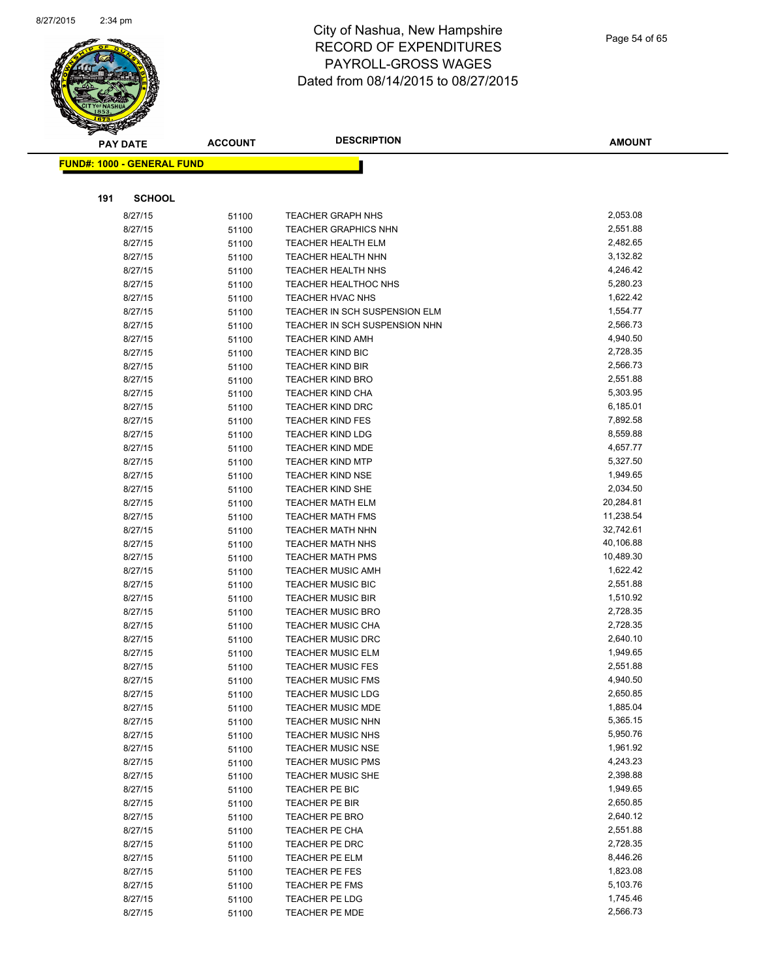

|     | <b>PAY DATE</b>                    | <b>ACCOUNT</b> | <b>DESCRIPTION</b>                                 | <b>AMOUNT</b>        |
|-----|------------------------------------|----------------|----------------------------------------------------|----------------------|
|     | <u> FUND#: 1000 - GENERAL FUND</u> |                |                                                    |                      |
|     |                                    |                |                                                    |                      |
|     |                                    |                |                                                    |                      |
| 191 | <b>SCHOOL</b>                      |                |                                                    |                      |
|     | 8/27/15                            | 51100          | <b>TEACHER GRAPH NHS</b>                           | 2,053.08             |
|     | 8/27/15                            | 51100          | <b>TEACHER GRAPHICS NHN</b>                        | 2,551.88             |
|     | 8/27/15                            | 51100          | <b>TEACHER HEALTH ELM</b>                          | 2,482.65             |
|     | 8/27/15                            | 51100          | <b>TEACHER HEALTH NHN</b>                          | 3,132.82             |
|     | 8/27/15                            | 51100          | <b>TEACHER HEALTH NHS</b>                          | 4,246.42             |
|     | 8/27/15                            | 51100          | <b>TEACHER HEALTHOC NHS</b>                        | 5,280.23             |
|     | 8/27/15                            | 51100          | TEACHER HVAC NHS                                   | 1,622.42             |
|     | 8/27/15                            | 51100          | TEACHER IN SCH SUSPENSION ELM                      | 1,554.77             |
|     | 8/27/15                            | 51100          | TEACHER IN SCH SUSPENSION NHN                      | 2,566.73             |
|     | 8/27/15                            | 51100          | <b>TEACHER KIND AMH</b>                            | 4,940.50             |
|     | 8/27/15                            | 51100          | <b>TEACHER KIND BIC</b>                            | 2,728.35             |
|     | 8/27/15                            | 51100          | <b>TEACHER KIND BIR</b>                            | 2,566.73             |
|     | 8/27/15                            | 51100          | <b>TEACHER KIND BRO</b>                            | 2,551.88<br>5,303.95 |
|     | 8/27/15<br>8/27/15                 | 51100          | <b>TEACHER KIND CHA</b><br><b>TEACHER KIND DRC</b> | 6,185.01             |
|     |                                    | 51100          |                                                    | 7,892.58             |
|     | 8/27/15<br>8/27/15                 | 51100          | <b>TEACHER KIND FES</b><br>TEACHER KIND LDG        | 8,559.88             |
|     | 8/27/15                            | 51100<br>51100 | <b>TEACHER KIND MDE</b>                            | 4,657.77             |
|     | 8/27/15                            |                | <b>TEACHER KIND MTP</b>                            | 5,327.50             |
|     | 8/27/15                            | 51100<br>51100 | <b>TEACHER KIND NSE</b>                            | 1,949.65             |
|     | 8/27/15                            | 51100          | <b>TEACHER KIND SHE</b>                            | 2,034.50             |
|     | 8/27/15                            | 51100          | <b>TEACHER MATH ELM</b>                            | 20,284.81            |
|     | 8/27/15                            | 51100          | <b>TEACHER MATH FMS</b>                            | 11,238.54            |
|     | 8/27/15                            | 51100          | <b>TEACHER MATH NHN</b>                            | 32,742.61            |
|     | 8/27/15                            | 51100          | <b>TEACHER MATH NHS</b>                            | 40,106.88            |
|     | 8/27/15                            | 51100          | <b>TEACHER MATH PMS</b>                            | 10,489.30            |
|     | 8/27/15                            | 51100          | <b>TEACHER MUSIC AMH</b>                           | 1,622.42             |
|     | 8/27/15                            | 51100          | <b>TEACHER MUSIC BIC</b>                           | 2,551.88             |
|     | 8/27/15                            | 51100          | <b>TEACHER MUSIC BIR</b>                           | 1,510.92             |
|     | 8/27/15                            | 51100          | <b>TEACHER MUSIC BRO</b>                           | 2,728.35             |
|     | 8/27/15                            | 51100          | <b>TEACHER MUSIC CHA</b>                           | 2,728.35             |
|     | 8/27/15                            | 51100          | <b>TEACHER MUSIC DRC</b>                           | 2,640.10             |
|     | 8/27/15                            | 51100          | <b>TEACHER MUSIC ELM</b>                           | 1,949.65             |
|     | 8/27/15                            | 51100          | <b>TEACHER MUSIC FES</b>                           | 2,551.88             |
|     | 8/27/15                            | 51100          | <b>TEACHER MUSIC FMS</b>                           | 4,940.50             |
|     | 8/27/15                            | 51100          | TEACHER MUSIC LDG                                  | 2,650.85             |
|     | 8/27/15                            | 51100          | <b>TEACHER MUSIC MDE</b>                           | 1,885.04             |
|     | 8/27/15                            | 51100          | TEACHER MUSIC NHN                                  | 5,365.15             |
|     | 8/27/15                            | 51100          | TEACHER MUSIC NHS                                  | 5,950.76             |
|     | 8/27/15                            | 51100          | <b>TEACHER MUSIC NSE</b>                           | 1,961.92             |
|     | 8/27/15                            | 51100          | <b>TEACHER MUSIC PMS</b>                           | 4,243.23             |
|     | 8/27/15                            | 51100          | <b>TEACHER MUSIC SHE</b>                           | 2,398.88             |
|     | 8/27/15                            | 51100          | TEACHER PE BIC                                     | 1,949.65             |
|     | 8/27/15                            | 51100          | TEACHER PE BIR                                     | 2,650.85             |
|     | 8/27/15                            | 51100          | <b>TEACHER PE BRO</b>                              | 2,640.12             |
|     | 8/27/15                            | 51100          | TEACHER PE CHA                                     | 2,551.88             |
|     | 8/27/15                            | 51100          | TEACHER PE DRC                                     | 2,728.35             |
|     | 8/27/15                            | 51100          | TEACHER PE ELM                                     | 8,446.26             |
|     | 8/27/15                            | 51100          | TEACHER PE FES                                     | 1,823.08             |
|     | 8/27/15                            | 51100          | TEACHER PE FMS                                     | 5,103.76             |
|     | 8/27/15                            | 51100          | TEACHER PE LDG                                     | 1,745.46             |
|     | 8/27/15                            | 51100          | TEACHER PE MDE                                     | 2,566.73             |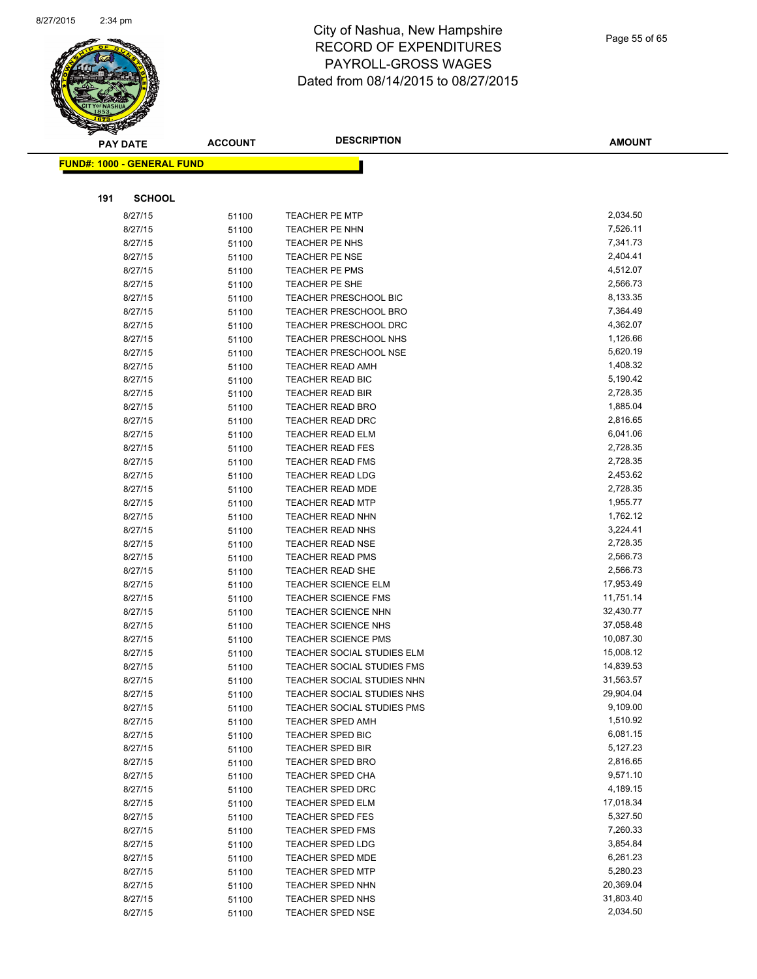

|     | <b>PAY DATE</b>                   | <b>ACCOUNT</b> | <b>DESCRIPTION</b>                   | <b>AMOUNT</b>        |
|-----|-----------------------------------|----------------|--------------------------------------|----------------------|
|     | <b>FUND#: 1000 - GENERAL FUND</b> |                |                                      |                      |
|     |                                   |                |                                      |                      |
| 191 | <b>SCHOOL</b>                     |                |                                      |                      |
|     | 8/27/15                           | 51100          | <b>TEACHER PE MTP</b>                | 2,034.50             |
|     | 8/27/15                           | 51100          | TEACHER PE NHN                       | 7,526.11             |
|     | 8/27/15                           | 51100          | TEACHER PE NHS                       | 7,341.73             |
|     | 8/27/15                           | 51100          | TEACHER PE NSE                       | 2,404.41             |
|     | 8/27/15                           | 51100          | <b>TEACHER PE PMS</b>                | 4,512.07             |
|     | 8/27/15                           | 51100          | TEACHER PE SHE                       | 2,566.73             |
|     | 8/27/15                           | 51100          | TEACHER PRESCHOOL BIC                | 8,133.35             |
|     | 8/27/15                           | 51100          | <b>TEACHER PRESCHOOL BRO</b>         | 7,364.49             |
|     | 8/27/15                           | 51100          | TEACHER PRESCHOOL DRC                | 4,362.07             |
|     | 8/27/15                           | 51100          | TEACHER PRESCHOOL NHS                | 1,126.66             |
|     | 8/27/15                           | 51100          | <b>TEACHER PRESCHOOL NSE</b>         | 5,620.19             |
|     | 8/27/15                           | 51100          | <b>TEACHER READ AMH</b>              | 1,408.32             |
|     | 8/27/15                           | 51100          | TEACHER READ BIC                     | 5,190.42             |
|     | 8/27/15                           | 51100          | <b>TEACHER READ BIR</b>              | 2,728.35             |
|     | 8/27/15                           | 51100          | <b>TEACHER READ BRO</b>              | 1,885.04             |
|     | 8/27/15                           | 51100          | <b>TEACHER READ DRC</b>              | 2,816.65             |
|     | 8/27/15                           | 51100          | <b>TEACHER READ ELM</b>              | 6,041.06             |
|     | 8/27/15                           | 51100          | <b>TEACHER READ FES</b>              | 2,728.35             |
|     | 8/27/15                           | 51100          | <b>TEACHER READ FMS</b>              | 2,728.35             |
|     | 8/27/15                           | 51100          | <b>TEACHER READ LDG</b>              | 2,453.62             |
|     | 8/27/15                           | 51100          | <b>TEACHER READ MDE</b>              | 2,728.35             |
|     | 8/27/15                           | 51100          | <b>TEACHER READ MTP</b>              | 1,955.77             |
|     | 8/27/15                           | 51100          | <b>TEACHER READ NHN</b>              | 1,762.12             |
|     | 8/27/15                           | 51100          | <b>TEACHER READ NHS</b>              | 3,224.41             |
|     | 8/27/15                           | 51100          | <b>TEACHER READ NSE</b>              | 2,728.35             |
|     | 8/27/15                           | 51100          | <b>TEACHER READ PMS</b>              | 2,566.73             |
|     | 8/27/15                           | 51100          | <b>TEACHER READ SHE</b>              | 2,566.73             |
|     | 8/27/15                           | 51100          | <b>TEACHER SCIENCE ELM</b>           | 17,953.49            |
|     | 8/27/15                           | 51100          | <b>TEACHER SCIENCE FMS</b>           | 11,751.14            |
|     | 8/27/15                           | 51100          | <b>TEACHER SCIENCE NHN</b>           | 32,430.77            |
|     | 8/27/15                           | 51100          | <b>TEACHER SCIENCE NHS</b>           | 37,058.48            |
|     | 8/27/15                           | 51100          | TEACHER SCIENCE PMS                  | 10,087.30            |
|     | 8/27/15                           | 51100          | TEACHER SOCIAL STUDIES ELM           | 15,008.12            |
|     | 8/27/15                           | 51100          | TEACHER SOCIAL STUDIES FMS           | 14,839.53            |
|     | 8/27/15                           | 51100          | TEACHER SOCIAL STUDIES NHN           | 31,563.57            |
|     | 8/27/15                           | 51100          | TEACHER SOCIAL STUDIES NHS           | 29,904.04            |
|     | 8/27/15<br>8/27/15                | 51100          | TEACHER SOCIAL STUDIES PMS           | 9,109.00<br>1,510.92 |
|     |                                   | 51100          | TEACHER SPED AMH                     | 6,081.15             |
|     | 8/27/15<br>8/27/15                | 51100          | TEACHER SPED BIC<br>TEACHER SPED BIR | 5,127.23             |
|     | 8/27/15                           | 51100<br>51100 | <b>TEACHER SPED BRO</b>              | 2,816.65             |
|     | 8/27/15                           | 51100          | TEACHER SPED CHA                     | 9,571.10             |
|     | 8/27/15                           | 51100          | <b>TEACHER SPED DRC</b>              | 4,189.15             |
|     | 8/27/15                           | 51100          | <b>TEACHER SPED ELM</b>              | 17,018.34            |
|     | 8/27/15                           | 51100          | <b>TEACHER SPED FES</b>              | 5,327.50             |
|     | 8/27/15                           | 51100          | <b>TEACHER SPED FMS</b>              | 7,260.33             |
|     | 8/27/15                           | 51100          | <b>TEACHER SPED LDG</b>              | 3,854.84             |
|     | 8/27/15                           | 51100          | TEACHER SPED MDE                     | 6,261.23             |
|     | 8/27/15                           | 51100          | <b>TEACHER SPED MTP</b>              | 5,280.23             |
|     | 8/27/15                           | 51100          | TEACHER SPED NHN                     | 20,369.04            |
|     | 8/27/15                           | 51100          | TEACHER SPED NHS                     | 31,803.40            |
|     | 8/27/15                           | 51100          | TEACHER SPED NSE                     | 2,034.50             |
|     |                                   |                |                                      |                      |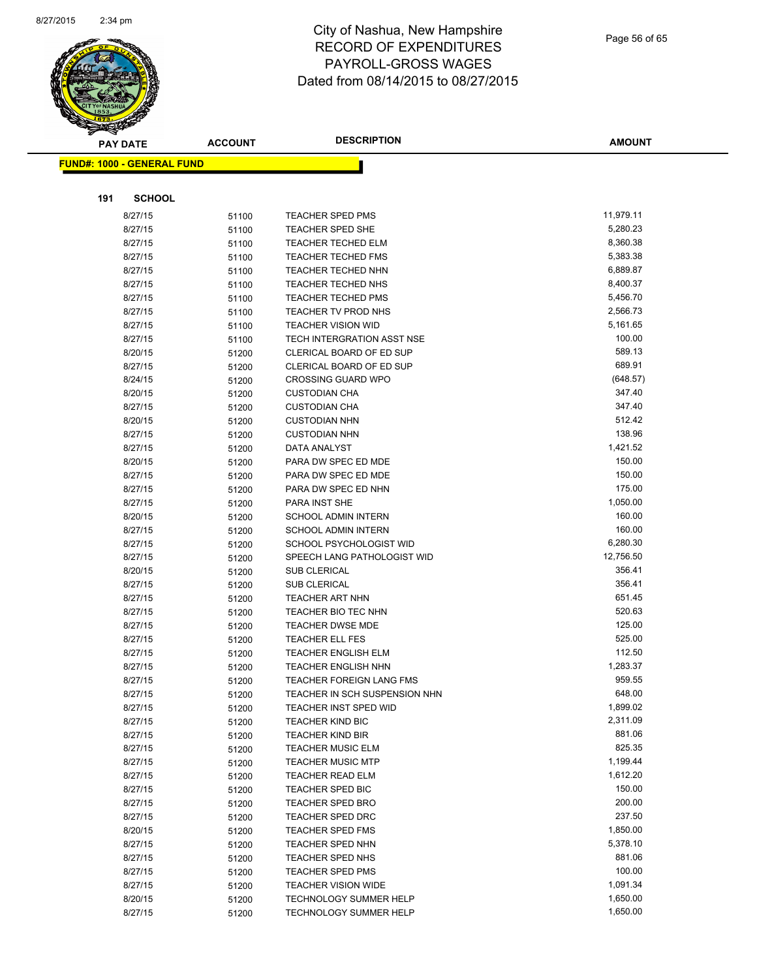

| <b>PAY DATE</b>                   | <b>ACCOUNT</b> | <b>DESCRIPTION</b>                                      | <b>AMOUNT</b>        |
|-----------------------------------|----------------|---------------------------------------------------------|----------------------|
| <b>FUND#: 1000 - GENERAL FUND</b> |                |                                                         |                      |
|                                   |                |                                                         |                      |
|                                   |                |                                                         |                      |
| 191<br><b>SCHOOL</b>              |                |                                                         |                      |
| 8/27/15                           | 51100          | <b>TEACHER SPED PMS</b>                                 | 11,979.11            |
| 8/27/15                           | 51100          | TEACHER SPED SHE                                        | 5,280.23<br>8,360.38 |
| 8/27/15                           | 51100          | <b>TEACHER TECHED ELM</b>                               | 5,383.38             |
| 8/27/15                           | 51100          | <b>TEACHER TECHED FMS</b>                               |                      |
| 8/27/15                           | 51100          | <b>TEACHER TECHED NHN</b>                               | 6,889.87             |
| 8/27/15                           | 51100          | TEACHER TECHED NHS                                      | 8,400.37             |
| 8/27/15                           | 51100          | TEACHER TECHED PMS                                      | 5,456.70<br>2,566.73 |
| 8/27/15                           | 51100          | TEACHER TV PROD NHS                                     | 5,161.65             |
| 8/27/15                           | 51100          | <b>TEACHER VISION WID</b><br>TECH INTERGRATION ASST NSE | 100.00               |
| 8/27/15<br>8/20/15                | 51100          | CLERICAL BOARD OF ED SUP                                | 589.13               |
| 8/27/15                           | 51200          | CLERICAL BOARD OF ED SUP                                | 689.91               |
| 8/24/15                           | 51200<br>51200 | <b>CROSSING GUARD WPO</b>                               | (648.57)             |
| 8/20/15                           | 51200          | <b>CUSTODIAN CHA</b>                                    | 347.40               |
| 8/27/15                           | 51200          | <b>CUSTODIAN CHA</b>                                    | 347.40               |
| 8/20/15                           | 51200          | <b>CUSTODIAN NHN</b>                                    | 512.42               |
| 8/27/15                           | 51200          | <b>CUSTODIAN NHN</b>                                    | 138.96               |
| 8/27/15                           | 51200          | DATA ANALYST                                            | 1,421.52             |
| 8/20/15                           | 51200          | PARA DW SPEC ED MDE                                     | 150.00               |
| 8/27/15                           | 51200          | PARA DW SPEC ED MDE                                     | 150.00               |
| 8/27/15                           | 51200          | PARA DW SPEC ED NHN                                     | 175.00               |
| 8/27/15                           | 51200          | PARA INST SHE                                           | 1,050.00             |
| 8/20/15                           | 51200          | <b>SCHOOL ADMIN INTERN</b>                              | 160.00               |
| 8/27/15                           | 51200          | <b>SCHOOL ADMIN INTERN</b>                              | 160.00               |
| 8/27/15                           | 51200          | SCHOOL PSYCHOLOGIST WID                                 | 6,280.30             |
| 8/27/15                           | 51200          | SPEECH LANG PATHOLOGIST WID                             | 12,756.50            |
| 8/20/15                           | 51200          | <b>SUB CLERICAL</b>                                     | 356.41               |
| 8/27/15                           | 51200          | SUB CLERICAL                                            | 356.41               |
| 8/27/15                           | 51200          | TEACHER ART NHN                                         | 651.45               |
| 8/27/15                           | 51200          | TEACHER BIO TEC NHN                                     | 520.63               |
| 8/27/15                           | 51200          | <b>TEACHER DWSE MDE</b>                                 | 125.00               |
| 8/27/15                           | 51200          | <b>TEACHER ELL FES</b>                                  | 525.00               |
| 8/27/15                           | 51200          | <b>TEACHER ENGLISH ELM</b>                              | 112.50               |
| 8/27/15                           | 51200          | <b>TEACHER ENGLISH NHN</b>                              | 1,283.37             |
| 8/27/15                           | 51200          | <b>TEACHER FOREIGN LANG FMS</b>                         | 959.55               |
| 8/27/15                           | 51200          | TEACHER IN SCH SUSPENSION NHN                           | 648.00               |
| 8/27/15                           | 51200          | TEACHER INST SPED WID                                   | 1,899.02             |
| 8/27/15                           | 51200          | <b>TEACHER KIND BIC</b>                                 | 2,311.09             |
| 8/27/15                           | 51200          | <b>TEACHER KIND BIR</b><br><b>TEACHER MUSIC ELM</b>     | 881.06<br>825.35     |
| 8/27/15<br>8/27/15                | 51200          | <b>TEACHER MUSIC MTP</b>                                | 1,199.44             |
| 8/27/15                           | 51200          | <b>TEACHER READ ELM</b>                                 | 1,612.20             |
| 8/27/15                           | 51200<br>51200 | TEACHER SPED BIC                                        | 150.00               |
| 8/27/15                           | 51200          | <b>TEACHER SPED BRO</b>                                 | 200.00               |
| 8/27/15                           | 51200          | <b>TEACHER SPED DRC</b>                                 | 237.50               |
| 8/20/15                           | 51200          | <b>TEACHER SPED FMS</b>                                 | 1,850.00             |
| 8/27/15                           | 51200          | TEACHER SPED NHN                                        | 5,378.10             |
| 8/27/15                           | 51200          | TEACHER SPED NHS                                        | 881.06               |
| 8/27/15                           | 51200          | <b>TEACHER SPED PMS</b>                                 | 100.00               |
| 8/27/15                           | 51200          | <b>TEACHER VISION WIDE</b>                              | 1,091.34             |
| 8/20/15                           | 51200          | <b>TECHNOLOGY SUMMER HELP</b>                           | 1,650.00             |
| 8/27/15                           | 51200          | TECHNOLOGY SUMMER HELP                                  | 1,650.00             |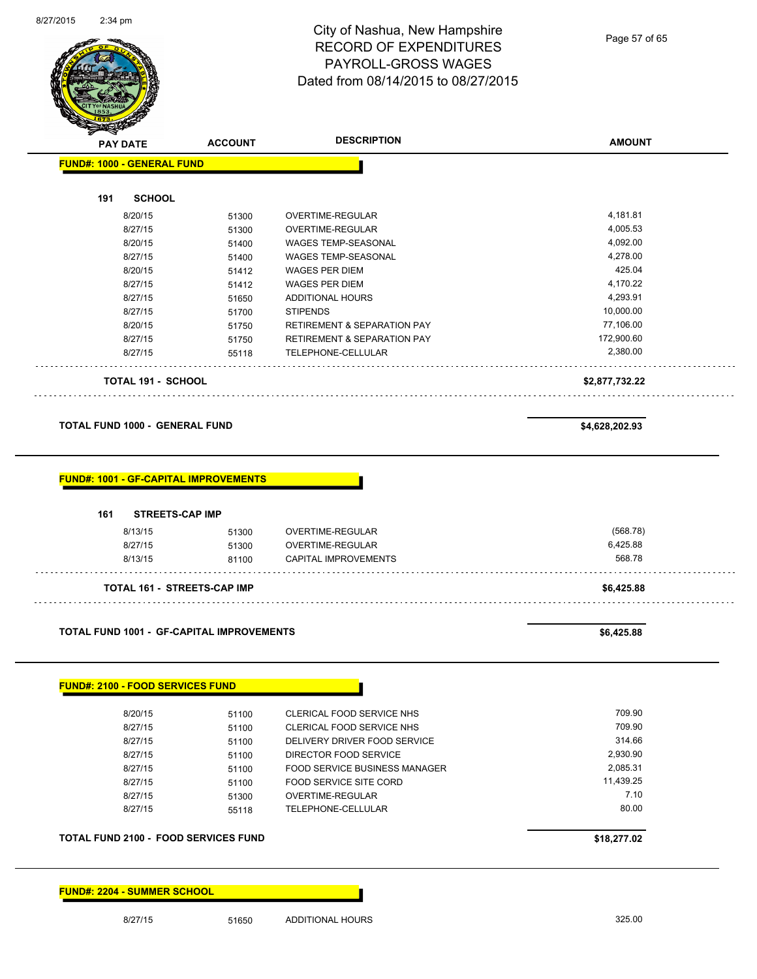

| <b>PAY DATE</b>                                  | <b>ACCOUNT</b> | <b>DESCRIPTION</b>                       | <b>AMOUNT</b>      |
|--------------------------------------------------|----------------|------------------------------------------|--------------------|
| <b>FUND#: 1000 - GENERAL FUND</b>                |                |                                          |                    |
|                                                  |                |                                          |                    |
| 191<br><b>SCHOOL</b>                             |                |                                          |                    |
| 8/20/15                                          | 51300          | OVERTIME-REGULAR                         | 4,181.81           |
| 8/27/15                                          | 51300          | OVERTIME-REGULAR                         | 4,005.53           |
| 8/20/15                                          | 51400          | WAGES TEMP-SEASONAL                      | 4,092.00           |
| 8/27/15                                          | 51400          | WAGES TEMP-SEASONAL                      | 4,278.00           |
| 8/20/15                                          | 51412          | <b>WAGES PER DIEM</b>                    | 425.04             |
| 8/27/15                                          | 51412          | <b>WAGES PER DIEM</b>                    | 4,170.22           |
| 8/27/15                                          | 51650          | <b>ADDITIONAL HOURS</b>                  | 4,293.91           |
| 8/27/15                                          | 51700          | <b>STIPENDS</b>                          | 10,000.00          |
| 8/20/15                                          | 51750          | <b>RETIREMENT &amp; SEPARATION PAY</b>   | 77,106.00          |
| 8/27/15                                          | 51750          | <b>RETIREMENT &amp; SEPARATION PAY</b>   | 172,900.60         |
| 8/27/15                                          | 55118          | TELEPHONE-CELLULAR                       | 2,380.00           |
| <b>TOTAL 191 - SCHOOL</b>                        |                |                                          | \$2,877,732.22     |
|                                                  |                |                                          |                    |
| <b>TOTAL FUND 1000 - GENERAL FUND</b>            |                |                                          | \$4,628,202.93     |
| <b>FUND#: 1001 - GF-CAPITAL IMPROVEMENTS</b>     |                |                                          |                    |
|                                                  |                |                                          |                    |
| 161<br><b>STREETS-CAP IMP</b>                    |                |                                          |                    |
| 8/13/15                                          | 51300          | OVERTIME-REGULAR                         | (568.78)           |
| 8/27/15<br>8/13/15                               | 51300<br>81100 | OVERTIME-REGULAR<br>CAPITAL IMPROVEMENTS | 6,425.88<br>568.78 |
| <b>TOTAL 161 - STREETS-CAP IMP</b>               |                |                                          | \$6,425.88         |
|                                                  |                |                                          |                    |
| <b>TOTAL FUND 1001 - GF-CAPITAL IMPROVEMENTS</b> |                |                                          | \$6,425.88         |
| <b>FUND#: 2100 - FOOD SERVICES FUND</b>          |                |                                          |                    |
| 8/20/15                                          | 51100          | CLERICAL FOOD SERVICE NHS                | 709.90             |
| 8/27/15                                          | 51100          | CLERICAL FOOD SERVICE NHS                | 709.90             |
| 8/27/15                                          | 51100          | DELIVERY DRIVER FOOD SERVICE             | 314.66             |
| 8/27/15                                          | 51100          | DIRECTOR FOOD SERVICE                    | 2,930.90           |
| 8/27/15                                          | 51100          | <b>FOOD SERVICE BUSINESS MANAGER</b>     | 2,085.31           |
| 8/27/15                                          | 51100          | <b>FOOD SERVICE SITE CORD</b>            | 11,439.25          |
| 8/27/15                                          | 51300          | OVERTIME-REGULAR                         | 7.10<br>80.00      |

**TOTAL FUND 2100 - FOOD SERVICES FUND \$18,277.02** 

**FUND#: 2204 - SUMMER SCHOOL**

8/27/15 51650 ADDITIONAL HOURS 325.00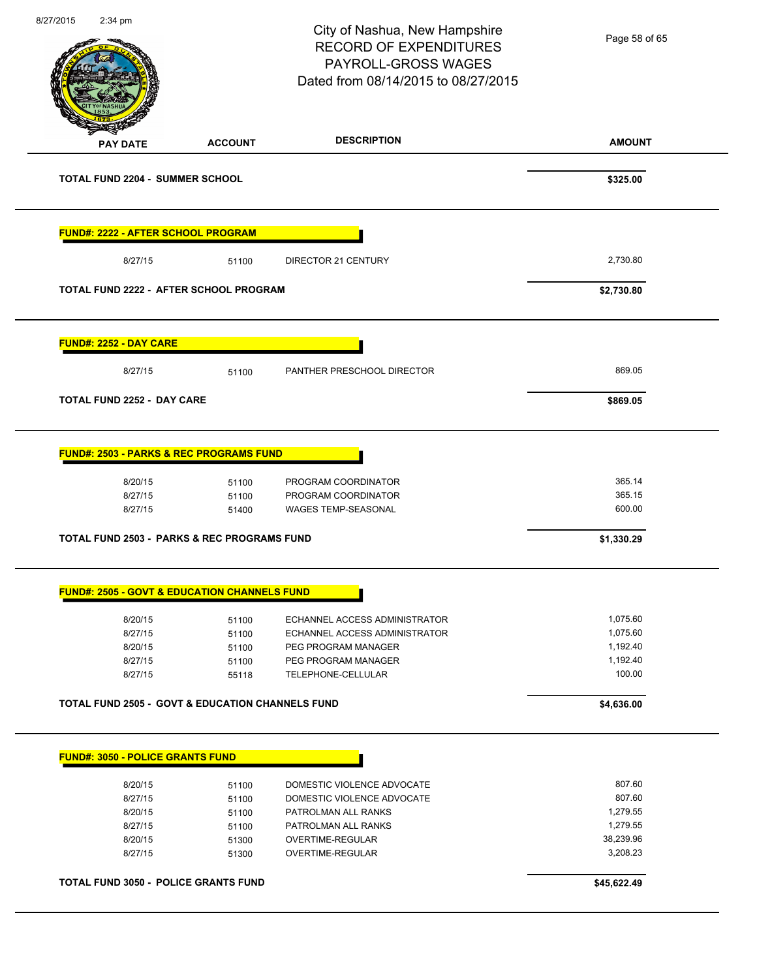|                                                             |                | City of Nashua, New Hampshire<br><b>RECORD OF EXPENDITURES</b><br>PAYROLL-GROSS WAGES<br>Dated from 08/14/2015 to 08/27/2015 | Page 58 of 65      |
|-------------------------------------------------------------|----------------|------------------------------------------------------------------------------------------------------------------------------|--------------------|
| <b>PAY DATE</b>                                             | <b>ACCOUNT</b> | <b>DESCRIPTION</b>                                                                                                           | <b>AMOUNT</b>      |
| <b>TOTAL FUND 2204 - SUMMER SCHOOL</b>                      |                |                                                                                                                              | \$325.00           |
| <b>FUND#: 2222 - AFTER SCHOOL PROGRAM</b>                   |                |                                                                                                                              |                    |
| 8/27/15                                                     | 51100          | DIRECTOR 21 CENTURY                                                                                                          | 2,730.80           |
| <b>TOTAL FUND 2222 - AFTER SCHOOL PROGRAM</b>               |                |                                                                                                                              | \$2,730.80         |
| <b>FUND#: 2252 - DAY CARE</b>                               |                |                                                                                                                              |                    |
| 8/27/15                                                     | 51100          | PANTHER PRESCHOOL DIRECTOR                                                                                                   | 869.05             |
| <b>TOTAL FUND 2252 - DAY CARE</b>                           |                |                                                                                                                              | \$869.05           |
| <b>FUND#: 2503 - PARKS &amp; REC PROGRAMS FUND</b>          |                |                                                                                                                              |                    |
| 8/20/15                                                     | 51100          | PROGRAM COORDINATOR                                                                                                          | 365.14             |
| 8/27/15<br>8/27/15                                          | 51100<br>51400 | PROGRAM COORDINATOR<br><b>WAGES TEMP-SEASONAL</b>                                                                            | 365.15<br>600.00   |
| <b>TOTAL FUND 2503 - PARKS &amp; REC PROGRAMS FUND</b>      |                |                                                                                                                              | \$1,330.29         |
| <b>FUND#: 2505 - GOVT &amp; EDUCATION CHANNELS FUND</b>     |                |                                                                                                                              |                    |
| 8/20/15                                                     | 51100          | ECHANNEL ACCESS ADMINISTRATOR                                                                                                | 1,075.60           |
| 8/27/15                                                     | 51100          | ECHANNEL ACCESS ADMINISTRATOR                                                                                                | 1,075.60           |
|                                                             | 51100          | PEG PROGRAM MANAGER                                                                                                          | 1,192.40           |
| 8/20/15                                                     |                |                                                                                                                              |                    |
| 8/27/15<br>8/27/15                                          | 51100<br>55118 | PEG PROGRAM MANAGER<br>TELEPHONE-CELLULAR                                                                                    | 1,192.40<br>100.00 |
| <b>TOTAL FUND 2505 - GOVT &amp; EDUCATION CHANNELS FUND</b> |                |                                                                                                                              | \$4,636.00         |
| <b>FUND#: 3050 - POLICE GRANTS FUND</b>                     |                |                                                                                                                              |                    |
| 8/20/15                                                     | 51100          | DOMESTIC VIOLENCE ADVOCATE                                                                                                   | 807.60             |
| 8/27/15                                                     | 51100          | DOMESTIC VIOLENCE ADVOCATE                                                                                                   | 807.60             |
| 8/20/15                                                     | 51100          | PATROLMAN ALL RANKS                                                                                                          | 1,279.55           |
| 8/27/15                                                     | 51100          | PATROLMAN ALL RANKS                                                                                                          | 1,279.55           |
| 8/20/15                                                     | 51300          | OVERTIME-REGULAR                                                                                                             | 38,239.96          |
| 8/27/15                                                     | 51300          | OVERTIME-REGULAR                                                                                                             | 3,208.23           |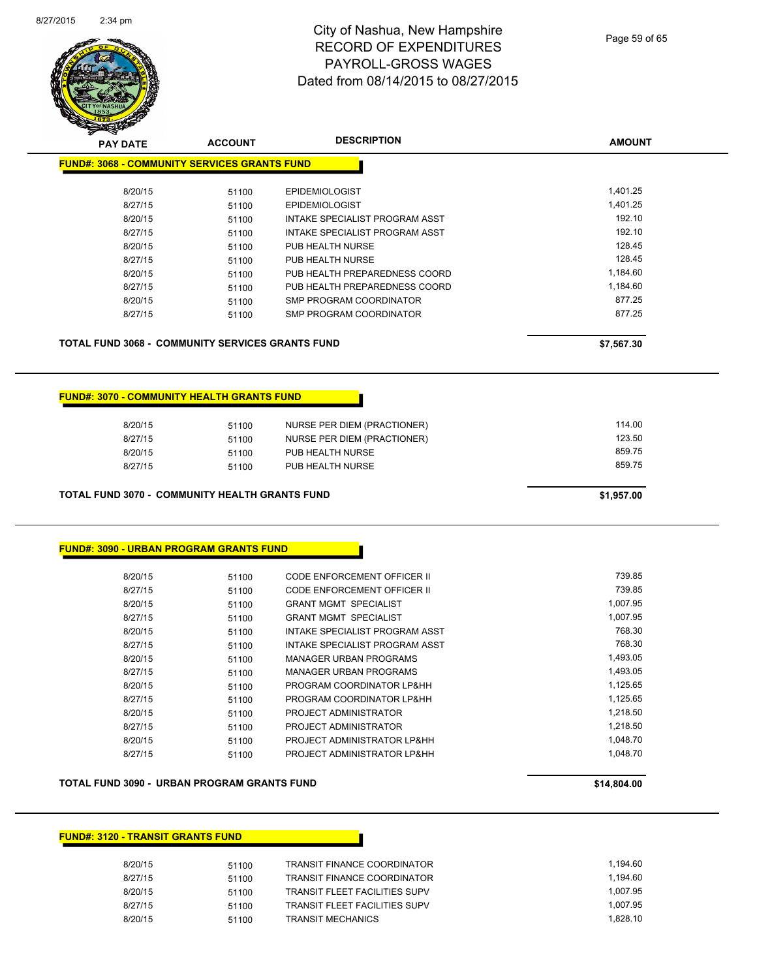

| <b>PAY DATE</b>                                         | <b>ACCOUNT</b> | <b>DESCRIPTION</b>                 | <b>AMOUNT</b> |
|---------------------------------------------------------|----------------|------------------------------------|---------------|
| <b>FUND#: 3068 - COMMUNITY SERVICES GRANTS FUND</b>     |                |                                    |               |
| 8/20/15                                                 | 51100          | <b>EPIDEMIOLOGIST</b>              | 1,401.25      |
| 8/27/15                                                 | 51100          | <b>EPIDEMIOLOGIST</b>              | 1,401.25      |
| 8/20/15                                                 | 51100          | INTAKE SPECIALIST PROGRAM ASST     | 192.10        |
| 8/27/15                                                 | 51100          | INTAKE SPECIALIST PROGRAM ASST     | 192.10        |
| 8/20/15                                                 | 51100          | PUB HEALTH NURSE                   | 128.45        |
| 8/27/15                                                 | 51100          | PUB HEALTH NURSE                   | 128.45        |
| 8/20/15                                                 | 51100          | PUB HEALTH PREPAREDNESS COORD      | 1,184.60      |
| 8/27/15                                                 | 51100          | PUB HEALTH PREPAREDNESS COORD      | 1,184.60      |
| 8/20/15                                                 | 51100          | SMP PROGRAM COORDINATOR            | 877.25        |
| 8/27/15                                                 | 51100          | SMP PROGRAM COORDINATOR            | 877.25        |
| <b>TOTAL FUND 3068 - COMMUNITY SERVICES GRANTS FUND</b> |                |                                    | \$7,567.30    |
|                                                         |                |                                    |               |
| <b>FUND#: 3070 - COMMUNITY HEALTH GRANTS FUND</b>       |                |                                    |               |
| 8/20/15                                                 | 51100          | NURSE PER DIEM (PRACTIONER)        | 114.00        |
| 8/27/15                                                 | 51100          | NURSE PER DIEM (PRACTIONER)        | 123.50        |
| 8/20/15                                                 | 51100          | PUB HEALTH NURSE                   | 859.75        |
| 8/27/15                                                 | 51100          | PUB HEALTH NURSE                   | 859.75        |
| <b>TOTAL FUND 3070 - COMMUNITY HEALTH GRANTS FUND</b>   |                |                                    | \$1,957.00    |
| <b>FUND#: 3090 - URBAN PROGRAM GRANTS FUND</b>          |                |                                    |               |
| 8/20/15                                                 | 51100          | CODE ENFORCEMENT OFFICER II        | 739.85        |
| 8/27/15                                                 | 51100          | <b>CODE ENFORCEMENT OFFICER II</b> | 739.85        |
| 8/20/15                                                 | 51100          | <b>GRANT MGMT SPECIALIST</b>       | 1,007.95      |
| 8/27/15                                                 | 51100          | <b>GRANT MGMT SPECIALIST</b>       | 1,007.95      |

8/20/15 51100 INTAKE SPECIALIST PROGRAM ASST 768.30 8/27/15 51100 INTAKE SPECIALIST PROGRAM ASST 768.30 8/20/15 51100 MANAGER URBAN PROGRAMS 1,493.05 8/27/15 51100 MANAGER URBAN PROGRAMS 1,493.05 8/20/15 51100 PROGRAM COORDINATOR LP&HH 1,125.65 8/27/15 51100 PROGRAM COORDINATOR LP&HH 1,125.65 8/20/15 51100 PROJECT ADMINISTRATOR 1,218.50 8/27/15 51100 PROJECT ADMINISTRATOR 1,218.50 8/20/15 51100 PROJECT ADMINISTRATOR LP&HH 1,048.70 8/27/15 51100 PROJECT ADMINISTRATOR LP&HH 1,048.70

**TOTAL FUND 3090 - URBAN PROGRAM GRANTS FUND \$14,804.00** 

#### **FUND#: 3120 - TRANSIT GRANTS FUND**

| 8/20/15 | 51100 | TRANSIT FINANCE COORDINATOR   | 1.194.60 |
|---------|-------|-------------------------------|----------|
| 8/27/15 | 51100 | TRANSIT FINANCE COORDINATOR   | 1.194.60 |
| 8/20/15 | 51100 | TRANSIT FLEET FACILITIES SUPV | 1.007.95 |
| 8/27/15 | 51100 | TRANSIT FLEET FACILITIES SUPV | 1.007.95 |
| 8/20/15 | 51100 | TRANSIT MECHANICS             | 1.828.10 |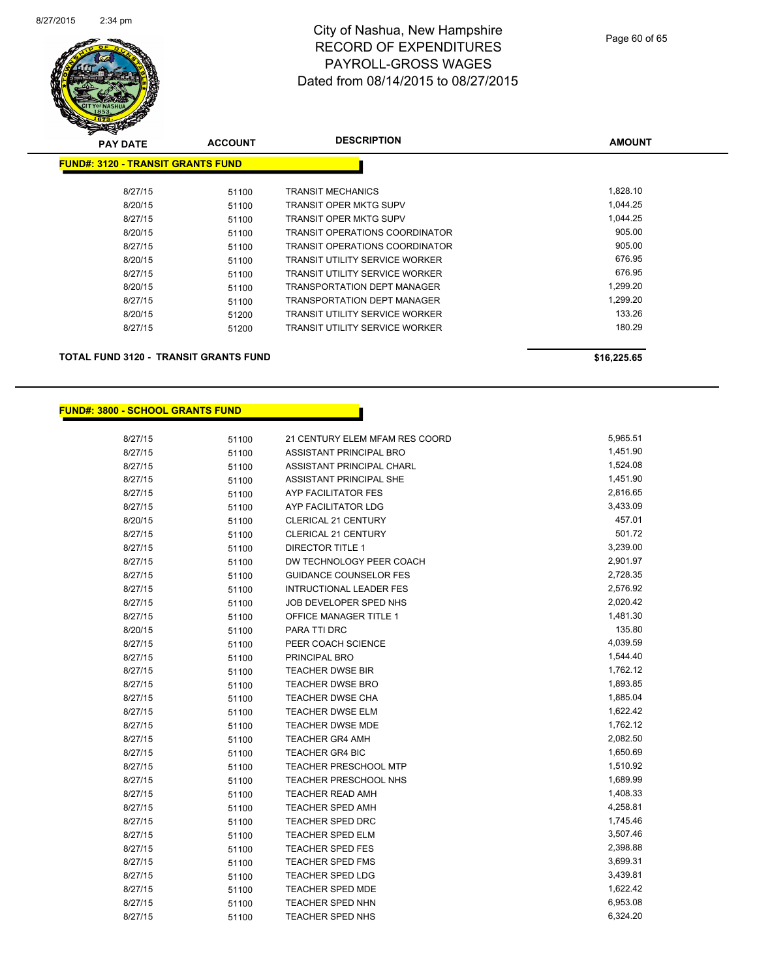

| <b>PAY DATE</b>                          | <b>ACCOUNT</b> | <b>DESCRIPTION</b>                    | <b>AMOUNT</b> |
|------------------------------------------|----------------|---------------------------------------|---------------|
| <b>FUND#: 3120 - TRANSIT GRANTS FUND</b> |                |                                       |               |
| 8/27/15                                  | 51100          | <b>TRANSIT MECHANICS</b>              | 1,828.10      |
| 8/20/15                                  | 51100          | <b>TRANSIT OPER MKTG SUPV</b>         | 1,044.25      |
| 8/27/15                                  | 51100          | <b>TRANSIT OPER MKTG SUPV</b>         | 1,044.25      |
| 8/20/15                                  | 51100          | <b>TRANSIT OPERATIONS COORDINATOR</b> | 905.00        |
| 8/27/15                                  | 51100          | <b>TRANSIT OPERATIONS COORDINATOR</b> | 905.00        |
| 8/20/15                                  | 51100          | <b>TRANSIT UTILITY SERVICE WORKER</b> | 676.95        |
| 8/27/15                                  | 51100          | <b>TRANSIT UTILITY SERVICE WORKER</b> | 676.95        |
| 8/20/15                                  | 51100          | <b>TRANSPORTATION DEPT MANAGER</b>    | 1,299.20      |
| 8/27/15                                  | 51100          | <b>TRANSPORTATION DEPT MANAGER</b>    | 1,299.20      |
| 8/20/15                                  | 51200          | <b>TRANSIT UTILITY SERVICE WORKER</b> | 133.26        |
| 8/27/15                                  | 51200          | <b>TRANSIT UTILITY SERVICE WORKER</b> | 180.29        |
|                                          |                |                                       |               |
|                                          |                |                                       |               |

**TOTAL FUND 3120 - TRANSIT GRANTS FUND \$16,225.65** 

#### **FUND#: 3800 - SCHOOL GRANTS FUND**

| 8/27/15 | 51100 | 21 CENTURY ELEM MFAM RES COORD | 5,965.51 |
|---------|-------|--------------------------------|----------|
| 8/27/15 | 51100 | ASSISTANT PRINCIPAL BRO        | 1,451.90 |
| 8/27/15 | 51100 | ASSISTANT PRINCIPAL CHARL      | 1,524.08 |
| 8/27/15 | 51100 | ASSISTANT PRINCIPAL SHE        | 1,451.90 |
| 8/27/15 | 51100 | <b>AYP FACILITATOR FES</b>     | 2,816.65 |
| 8/27/15 | 51100 | AYP FACILITATOR LDG            | 3,433.09 |
| 8/20/15 | 51100 | CLERICAL 21 CENTURY            | 457.01   |
| 8/27/15 | 51100 | CLERICAL 21 CENTURY            | 501.72   |
| 8/27/15 | 51100 | <b>DIRECTOR TITLE 1</b>        | 3,239.00 |
| 8/27/15 | 51100 | DW TECHNOLOGY PEER COACH       | 2,901.97 |
| 8/27/15 | 51100 | <b>GUIDANCE COUNSELOR FES</b>  | 2,728.35 |
| 8/27/15 | 51100 | <b>INTRUCTIONAL LEADER FES</b> | 2,576.92 |
| 8/27/15 | 51100 | JOB DEVELOPER SPED NHS         | 2,020.42 |
| 8/27/15 | 51100 | OFFICE MANAGER TITLE 1         | 1,481.30 |
| 8/20/15 | 51100 | PARA TTI DRC                   | 135.80   |
| 8/27/15 | 51100 | PEER COACH SCIENCE             | 4,039.59 |
| 8/27/15 | 51100 | PRINCIPAL BRO                  | 1,544.40 |
| 8/27/15 | 51100 | <b>TEACHER DWSE BIR</b>        | 1,762.12 |
| 8/27/15 | 51100 | <b>TEACHER DWSE BRO</b>        | 1,893.85 |
| 8/27/15 | 51100 | <b>TEACHER DWSE CHA</b>        | 1,885.04 |
| 8/27/15 | 51100 | <b>TEACHER DWSE ELM</b>        | 1,622.42 |
| 8/27/15 | 51100 | <b>TEACHER DWSE MDE</b>        | 1,762.12 |
| 8/27/15 | 51100 | <b>TEACHER GR4 AMH</b>         | 2,082.50 |
| 8/27/15 | 51100 | <b>TEACHER GR4 BIC</b>         | 1,650.69 |
| 8/27/15 | 51100 | <b>TEACHER PRESCHOOL MTP</b>   | 1,510.92 |
| 8/27/15 | 51100 | TEACHER PRESCHOOL NHS          | 1,689.99 |
| 8/27/15 | 51100 | <b>TEACHER READ AMH</b>        | 1,408.33 |
| 8/27/15 | 51100 | <b>TEACHER SPED AMH</b>        | 4,258.81 |
| 8/27/15 | 51100 | <b>TEACHER SPED DRC</b>        | 1,745.46 |
| 8/27/15 | 51100 | <b>TEACHER SPED ELM</b>        | 3,507.46 |
| 8/27/15 | 51100 | <b>TEACHER SPED FES</b>        | 2,398.88 |
| 8/27/15 | 51100 | <b>TEACHER SPED FMS</b>        | 3,699.31 |
| 8/27/15 | 51100 | <b>TEACHER SPED LDG</b>        | 3,439.81 |
| 8/27/15 | 51100 | <b>TEACHER SPED MDE</b>        | 1,622.42 |
| 8/27/15 | 51100 | <b>TEACHER SPED NHN</b>        | 6,953.08 |
| 8/27/15 | 51100 | TEACHER SPED NHS               | 6,324.20 |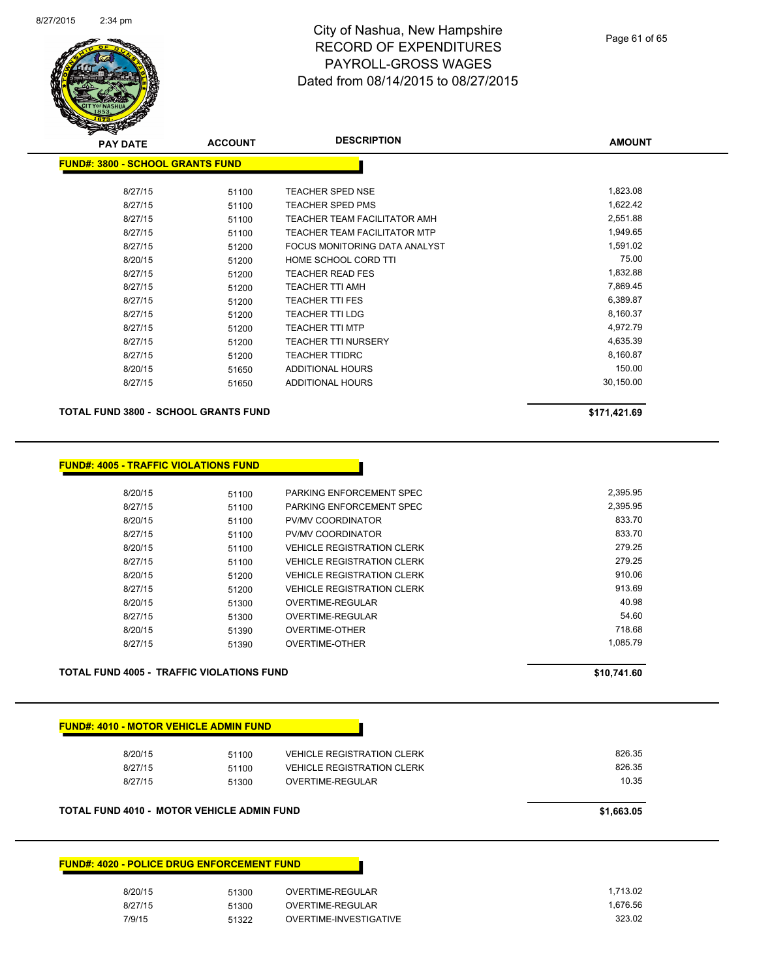

| <b>PAY DATE</b>                         | <b>ACCOUNT</b> | <b>DESCRIPTION</b>                  | <b>AMOUNT</b> |  |
|-----------------------------------------|----------------|-------------------------------------|---------------|--|
| <b>FUND#: 3800 - SCHOOL GRANTS FUND</b> |                |                                     |               |  |
|                                         |                |                                     |               |  |
| 8/27/15                                 | 51100          | TEACHER SPED NSE                    | 1,823.08      |  |
| 8/27/15                                 | 51100          | <b>TEACHER SPED PMS</b>             | 1,622.42      |  |
| 8/27/15                                 | 51100          | TEACHER TEAM FACILITATOR AMH        | 2,551.88      |  |
| 8/27/15                                 | 51100          | <b>TEACHER TEAM FACILITATOR MTP</b> | 1,949.65      |  |
| 8/27/15                                 | 51200          | FOCUS MONITORING DATA ANALYST       | 1,591.02      |  |
| 8/20/15                                 | 51200          | HOME SCHOOL CORD TTI                | 75.00         |  |
| 8/27/15                                 | 51200          | <b>TEACHER READ FES</b>             | 1,832.88      |  |
| 8/27/15                                 | 51200          | <b>TEACHER TTI AMH</b>              | 7,869.45      |  |
| 8/27/15                                 | 51200          | <b>TEACHER TTI FES</b>              | 6,389.87      |  |
| 8/27/15                                 | 51200          | <b>TEACHER TTI LDG</b>              | 8,160.37      |  |
| 8/27/15                                 | 51200          | <b>TEACHER TTI MTP</b>              | 4,972.79      |  |
| 8/27/15                                 | 51200          | <b>TEACHER TTI NURSERY</b>          | 4,635.39      |  |
| 8/27/15                                 | 51200          | <b>TEACHER TTIDRC</b>               | 8,160.87      |  |
| 8/20/15                                 | 51650          | ADDITIONAL HOURS                    | 150.00        |  |
| 8/27/15                                 | 51650          | ADDITIONAL HOURS                    | 30,150.00     |  |
|                                         |                |                                     |               |  |

**TOTAL FUND 3800 - SCHOOL GRANTS FUND \$171,421.69** 

|         | <b>TOTAL FUND 4005 - TRAFFIC VIOLATIONS FUND</b> |                                   | \$10,741.60 |
|---------|--------------------------------------------------|-----------------------------------|-------------|
| 8/27/15 | 51390                                            | <b>OVERTIME-OTHER</b>             | 1,085.79    |
| 8/20/15 | 51390                                            | OVERTIME-OTHER                    | 718.68      |
| 8/27/15 | 51300                                            | OVERTIME-REGULAR                  | 54.60       |
| 8/20/15 | 51300                                            | OVERTIME-REGULAR                  | 40.98       |
| 8/27/15 | 51200                                            | <b>VEHICLE REGISTRATION CLERK</b> | 913.69      |
| 8/20/15 | 51200                                            | <b>VEHICLE REGISTRATION CLERK</b> | 910.06      |
| 8/27/15 | 51100                                            | <b>VEHICLE REGISTRATION CLERK</b> | 279.25      |
| 8/20/15 | 51100                                            | <b>VEHICLE REGISTRATION CLERK</b> | 279.25      |
| 8/27/15 | 51100                                            | <b>PV/MV COORDINATOR</b>          | 833.70      |
| 8/20/15 | 51100                                            | <b>PV/MV COORDINATOR</b>          | 833.70      |
| 8/27/15 | 51100                                            | PARKING ENFORCEMENT SPEC          | 2,395.95    |
| 8/20/15 | 51100                                            | PARKING ENFORCEMENT SPEC          | 2,395.95    |

| <b>FUND#: 4010 - MOTOR VEHICLE ADMIN FUND</b> |       |                                   |            |
|-----------------------------------------------|-------|-----------------------------------|------------|
| 8/20/15                                       | 51100 | <b>VEHICLE REGISTRATION CLERK</b> | 826.35     |
| 8/27/15                                       | 51100 | <b>VEHICLE REGISTRATION CLERK</b> | 826.35     |
| 8/27/15                                       | 51300 | OVERTIME-REGULAR                  | 10.35      |
| TOTAL FUND 4010 - MOTOR VEHICLE ADMIN FUND    |       |                                   | \$1,663.05 |

| <b>FUND#: 4020 - POLICE DRUG ENFORCEMENT FUND</b> |       |                        |  |
|---------------------------------------------------|-------|------------------------|--|
| 8/20/15                                           | 51300 | OVERTIME-REGULAR       |  |
| 8/27/15                                           | 51300 | OVERTIME-REGULAR       |  |
| 7/9/15                                            | 51322 | OVERTIME-INVESTIGATIVE |  |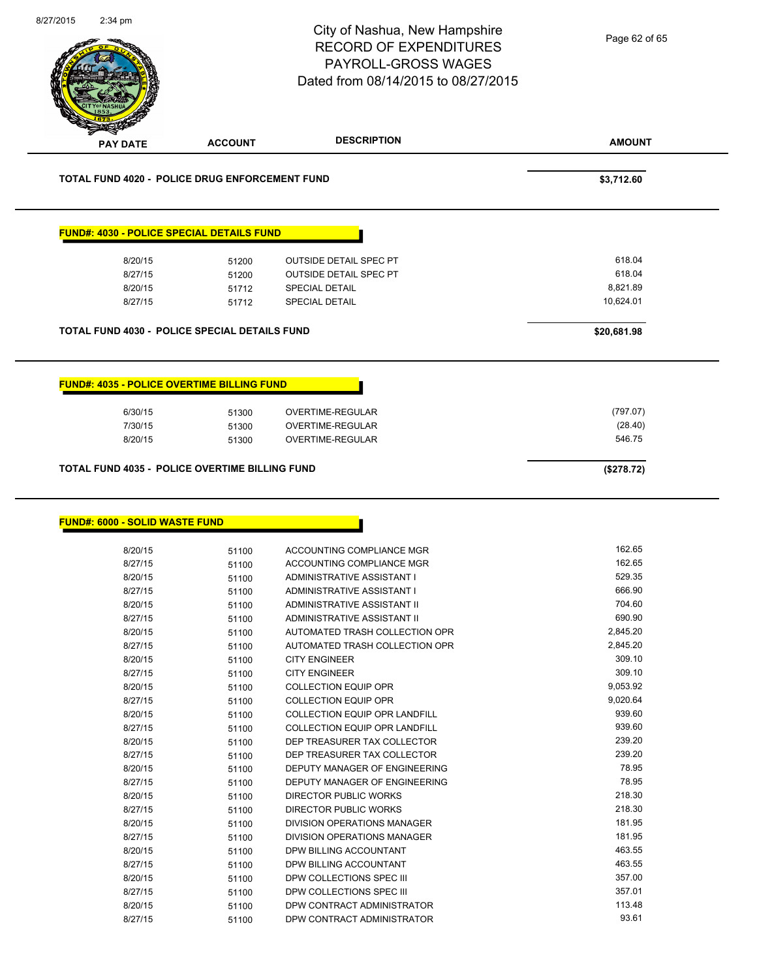| $2:34$ pm                                |                                                                                          | City of Nashua, New Hampshire<br><b>RECORD OF EXPENDITURES</b><br><b>PAYROLL-GROSS WAGES</b><br>Dated from 08/14/2015 to 08/27/2015 | Page 62 of 65                                            |
|------------------------------------------|------------------------------------------------------------------------------------------|-------------------------------------------------------------------------------------------------------------------------------------|----------------------------------------------------------|
| <b>PAY DATE</b>                          | <b>ACCOUNT</b>                                                                           | <b>DESCRIPTION</b>                                                                                                                  | <b>AMOUNT</b>                                            |
|                                          | TOTAL FUND 4020 - POLICE DRUG ENFORCEMENT FUND                                           |                                                                                                                                     | \$3,712.60                                               |
|                                          | <b>FUND#: 4030 - POLICE SPECIAL DETAILS FUND</b>                                         |                                                                                                                                     |                                                          |
| 8/20/15<br>8/27/15<br>8/20/15<br>8/27/15 | 51200<br>51200<br>51712<br>51712<br><b>TOTAL FUND 4030 - POLICE SPECIAL DETAILS FUND</b> | <b>OUTSIDE DETAIL SPEC PT</b><br>OUTSIDE DETAIL SPEC PT<br>SPECIAL DETAIL<br>SPECIAL DETAIL                                         | 618.04<br>618.04<br>8,821.89<br>10,624.01<br>\$20,681.98 |
|                                          |                                                                                          |                                                                                                                                     |                                                          |
|                                          | <b>FUND#: 4035 - POLICE OVERTIME BILLING FUND</b>                                        |                                                                                                                                     |                                                          |
| 6/30/15                                  | 51300                                                                                    | OVERTIME-REGULAR                                                                                                                    | (797.07)                                                 |
| 7/30/15<br>8/20/15                       | 51300<br>51300                                                                           | OVERTIME-REGULAR<br>OVERTIME-REGULAR                                                                                                | (28.40)<br>546.75                                        |
| <b>FUND#: 6000 - SOLID WASTE FUND</b>    |                                                                                          |                                                                                                                                     |                                                          |
| 8/20/15                                  |                                                                                          |                                                                                                                                     |                                                          |
|                                          | 51100                                                                                    | ACCOUNTING COMPLIANCE MGR                                                                                                           | 162.65                                                   |
| 8/27/15                                  | 51100                                                                                    | ACCOUNTING COMPLIANCE MGR                                                                                                           | 162.65                                                   |
| 8/20/15                                  | 51100                                                                                    | ADMINISTRATIVE ASSISTANT I                                                                                                          | 529.35                                                   |
| 8/27/15                                  | 51100                                                                                    | ADMINISTRATIVE ASSISTANT I<br>ADMINISTRATIVE ASSISTANT II                                                                           | 666.90<br>704.60                                         |
| 8/20/15<br>8/27/15                       | 51100<br>51100                                                                           | ADMINISTRATIVE ASSISTANT II                                                                                                         | 690.90                                                   |
| 8/20/15                                  | 51100                                                                                    | AUTOMATED TRASH COLLECTION OPR                                                                                                      | 2,845.20                                                 |
| 8/27/15                                  | 51100                                                                                    | AUTOMATED TRASH COLLECTION OPR                                                                                                      | 2,845.20                                                 |
| 8/20/15                                  | 51100                                                                                    | <b>CITY ENGINEER</b>                                                                                                                | 309.10                                                   |
| 8/27/15<br>8/20/15                       | 51100<br>51100                                                                           | <b>CITY ENGINEER</b><br>COLLECTION EQUIP OPR                                                                                        | 309.10<br>9,053.92                                       |
| 8/27/15                                  | 51100                                                                                    | <b>COLLECTION EQUIP OPR</b>                                                                                                         | 9,020.64                                                 |
| 8/20/15                                  | 51100                                                                                    | <b>COLLECTION EQUIP OPR LANDFILL</b>                                                                                                | 939.60                                                   |
| 8/27/15                                  | 51100                                                                                    | COLLECTION EQUIP OPR LANDFILL                                                                                                       | 939.60                                                   |
| 8/20/15                                  | 51100                                                                                    | DEP TREASURER TAX COLLECTOR                                                                                                         | 239.20                                                   |
| 8/27/15                                  | 51100                                                                                    | DEP TREASURER TAX COLLECTOR                                                                                                         | 239.20                                                   |
| 8/20/15<br>8/27/15                       | 51100<br>51100                                                                           | DEPUTY MANAGER OF ENGINEERING<br>DEPUTY MANAGER OF ENGINEERING                                                                      | 78.95<br>78.95                                           |
| 8/20/15                                  | 51100                                                                                    | DIRECTOR PUBLIC WORKS                                                                                                               | 218.30                                                   |
| 8/27/15                                  | 51100                                                                                    | DIRECTOR PUBLIC WORKS                                                                                                               | 218.30                                                   |
| 8/20/15                                  | 51100                                                                                    | DIVISION OPERATIONS MANAGER                                                                                                         | 181.95                                                   |
| 8/27/15                                  | 51100                                                                                    | DIVISION OPERATIONS MANAGER                                                                                                         | 181.95                                                   |
| 8/20/15                                  | 51100                                                                                    | DPW BILLING ACCOUNTANT                                                                                                              | 463.55                                                   |
| 8/27/15                                  | 51100                                                                                    | DPW BILLING ACCOUNTANT                                                                                                              | 463.55                                                   |
| 8/20/15                                  | 51100                                                                                    | DPW COLLECTIONS SPEC III                                                                                                            | 357.00<br>357.01                                         |
| 8/27/15<br>8/20/15                       | 51100<br>51100                                                                           | DPW COLLECTIONS SPEC III<br>DPW CONTRACT ADMINISTRATOR                                                                              | 113.48                                                   |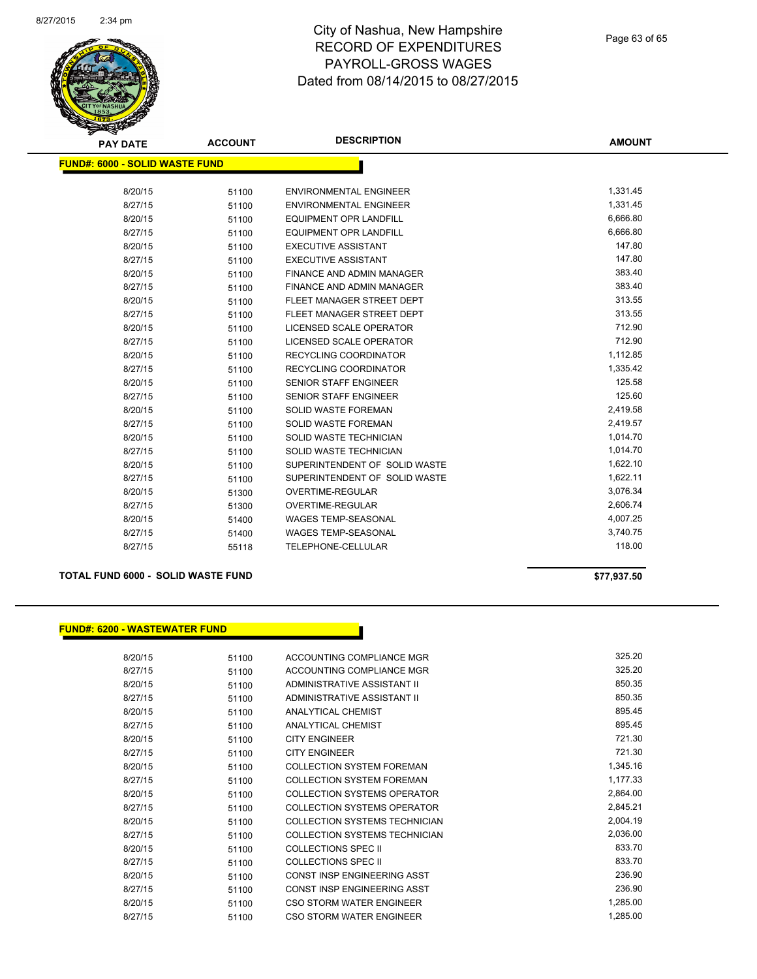

| <b>PAY DATE</b>                       | <b>ACCOUNT</b> | <b>DESCRIPTION</b>             | <b>AMOUNT</b> |
|---------------------------------------|----------------|--------------------------------|---------------|
| <b>FUND#: 6000 - SOLID WASTE FUND</b> |                |                                |               |
|                                       |                |                                |               |
| 8/20/15                               | 51100          | <b>ENVIRONMENTAL ENGINEER</b>  | 1,331.45      |
| 8/27/15                               | 51100          | <b>ENVIRONMENTAL ENGINEER</b>  | 1,331.45      |
| 8/20/15                               | 51100          | <b>EQUIPMENT OPR LANDFILL</b>  | 6,666.80      |
| 8/27/15                               | 51100          | <b>EQUIPMENT OPR LANDFILL</b>  | 6,666.80      |
| 8/20/15                               | 51100          | <b>EXECUTIVE ASSISTANT</b>     | 147.80        |
| 8/27/15                               | 51100          | <b>EXECUTIVE ASSISTANT</b>     | 147.80        |
| 8/20/15                               | 51100          | FINANCE AND ADMIN MANAGER      | 383.40        |
| 8/27/15                               | 51100          | FINANCE AND ADMIN MANAGER      | 383.40        |
| 8/20/15                               | 51100          | FLEET MANAGER STREET DEPT      | 313.55        |
| 8/27/15                               | 51100          | FLEET MANAGER STREET DEPT      | 313.55        |
| 8/20/15                               | 51100          | LICENSED SCALE OPERATOR        | 712.90        |
| 8/27/15                               | 51100          | <b>LICENSED SCALE OPERATOR</b> | 712.90        |
| 8/20/15                               | 51100          | <b>RECYCLING COORDINATOR</b>   | 1,112.85      |
| 8/27/15                               | 51100          | RECYCLING COORDINATOR          | 1,335.42      |
| 8/20/15                               | 51100          | <b>SENIOR STAFF ENGINEER</b>   | 125.58        |
| 8/27/15                               | 51100          | <b>SENIOR STAFF ENGINEER</b>   | 125.60        |
| 8/20/15                               | 51100          | <b>SOLID WASTE FOREMAN</b>     | 2,419.58      |
| 8/27/15                               | 51100          | <b>SOLID WASTE FOREMAN</b>     | 2,419.57      |
| 8/20/15                               | 51100          | SOLID WASTE TECHNICIAN         | 1,014.70      |
| 8/27/15                               | 51100          | SOLID WASTE TECHNICIAN         | 1,014.70      |
| 8/20/15                               | 51100          | SUPERINTENDENT OF SOLID WASTE  | 1,622.10      |
| 8/27/15                               | 51100          | SUPERINTENDENT OF SOLID WASTE  | 1,622.11      |
| 8/20/15                               | 51300          | <b>OVERTIME-REGULAR</b>        | 3,076.34      |
| 8/27/15                               | 51300          | OVERTIME-REGULAR               | 2,606.74      |
| 8/20/15                               | 51400          | <b>WAGES TEMP-SEASONAL</b>     | 4,007.25      |
| 8/27/15                               | 51400          | <b>WAGES TEMP-SEASONAL</b>     | 3,740.75      |
| 8/27/15                               | 55118          | TELEPHONE-CELLULAR             | 118.00        |
|                                       |                |                                |               |

**TOTAL FUND 6000 - SOLID WASTE FUND \$77,937.50** 

#### **FUND#: 6200 - WASTEWATER FUND**

| 8/20/15 | 51100 | ACCOUNTING COMPLIANCE MGR            | 325.20   |
|---------|-------|--------------------------------------|----------|
| 8/27/15 | 51100 | ACCOUNTING COMPLIANCE MGR            | 325.20   |
| 8/20/15 | 51100 | ADMINISTRATIVE ASSISTANT II          | 850.35   |
| 8/27/15 | 51100 | ADMINISTRATIVE ASSISTANT II          | 850.35   |
| 8/20/15 | 51100 | <b>ANALYTICAL CHEMIST</b>            | 895.45   |
| 8/27/15 | 51100 | <b>ANALYTICAL CHEMIST</b>            | 895.45   |
| 8/20/15 | 51100 | <b>CITY ENGINEER</b>                 | 721.30   |
| 8/27/15 | 51100 | <b>CITY ENGINEER</b>                 | 721.30   |
| 8/20/15 | 51100 | <b>COLLECTION SYSTEM FOREMAN</b>     | 1,345.16 |
| 8/27/15 | 51100 | <b>COLLECTION SYSTEM FOREMAN</b>     | 1,177.33 |
| 8/20/15 | 51100 | COLLECTION SYSTEMS OPERATOR          | 2,864.00 |
| 8/27/15 | 51100 | COLLECTION SYSTEMS OPERATOR          | 2,845.21 |
| 8/20/15 | 51100 | <b>COLLECTION SYSTEMS TECHNICIAN</b> | 2,004.19 |
| 8/27/15 | 51100 | <b>COLLECTION SYSTEMS TECHNICIAN</b> | 2,036.00 |
| 8/20/15 | 51100 | <b>COLLECTIONS SPEC II</b>           | 833.70   |
| 8/27/15 | 51100 | <b>COLLECTIONS SPEC II</b>           | 833.70   |
| 8/20/15 | 51100 | <b>CONST INSP ENGINEERING ASST</b>   | 236.90   |
| 8/27/15 | 51100 | <b>CONST INSP ENGINEERING ASST</b>   | 236.90   |
| 8/20/15 | 51100 | CSO STORM WATER ENGINEER             | 1,285.00 |
| 8/27/15 | 51100 | CSO STORM WATER ENGINEER             | 1,285.00 |
|         |       |                                      |          |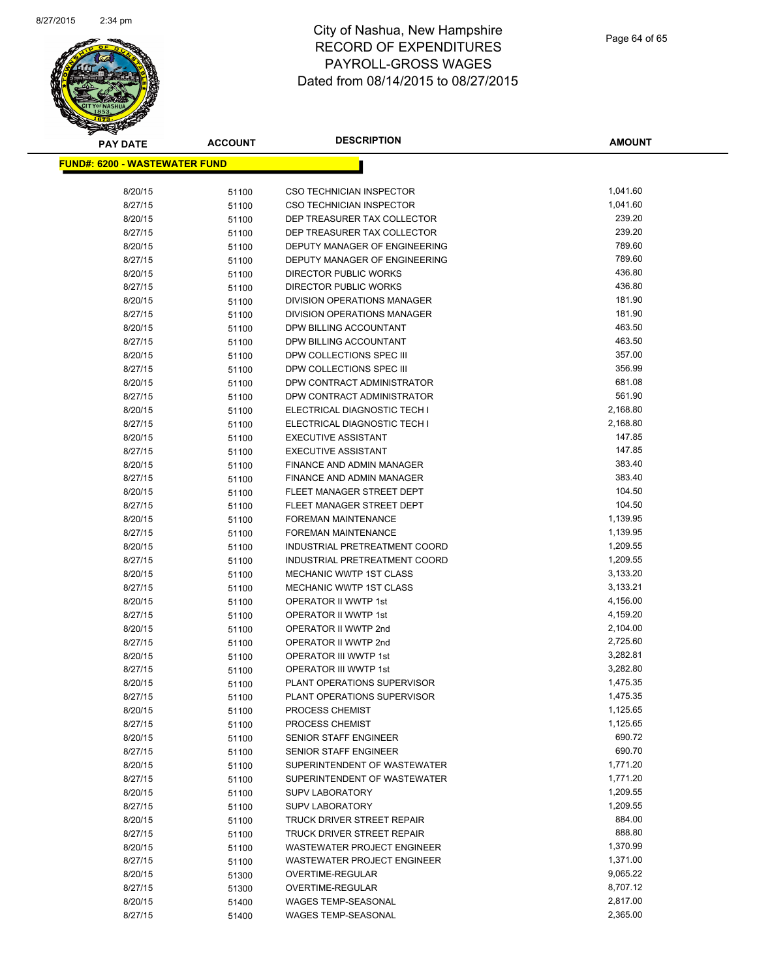

| <b>PAY DATE</b>                       | <b>ACCOUNT</b> | <b>DESCRIPTION</b>                                   | AMOUNT           |
|---------------------------------------|----------------|------------------------------------------------------|------------------|
| <u> FUND#: 6200 - WASTEWATER FUND</u> |                |                                                      |                  |
|                                       |                |                                                      |                  |
| 8/20/15                               | 51100          | <b>CSO TECHNICIAN INSPECTOR</b>                      | 1,041.60         |
| 8/27/15                               | 51100          | <b>CSO TECHNICIAN INSPECTOR</b>                      | 1,041.60         |
| 8/20/15                               | 51100          | DEP TREASURER TAX COLLECTOR                          | 239.20           |
| 8/27/15                               | 51100          | DEP TREASURER TAX COLLECTOR                          | 239.20           |
| 8/20/15                               | 51100          | DEPUTY MANAGER OF ENGINEERING                        | 789.60           |
| 8/27/15                               | 51100          | DEPUTY MANAGER OF ENGINEERING                        | 789.60           |
| 8/20/15                               | 51100          | DIRECTOR PUBLIC WORKS                                | 436.80           |
| 8/27/15                               | 51100          | DIRECTOR PUBLIC WORKS                                | 436.80           |
| 8/20/15                               | 51100          | <b>DIVISION OPERATIONS MANAGER</b>                   | 181.90           |
| 8/27/15                               | 51100          | DIVISION OPERATIONS MANAGER                          | 181.90           |
| 8/20/15                               | 51100          | DPW BILLING ACCOUNTANT                               | 463.50           |
| 8/27/15                               | 51100          | DPW BILLING ACCOUNTANT                               | 463.50           |
| 8/20/15                               | 51100          | DPW COLLECTIONS SPEC III                             | 357.00           |
| 8/27/15                               | 51100          | DPW COLLECTIONS SPEC III                             | 356.99           |
| 8/20/15                               | 51100          | DPW CONTRACT ADMINISTRATOR                           | 681.08           |
| 8/27/15                               | 51100          | DPW CONTRACT ADMINISTRATOR                           | 561.90           |
| 8/20/15                               | 51100          | ELECTRICAL DIAGNOSTIC TECH I                         | 2,168.80         |
| 8/27/15                               | 51100          | ELECTRICAL DIAGNOSTIC TECH I                         | 2,168.80         |
| 8/20/15                               | 51100          | <b>EXECUTIVE ASSISTANT</b>                           | 147.85           |
| 8/27/15                               | 51100          | <b>EXECUTIVE ASSISTANT</b>                           | 147.85           |
| 8/20/15                               | 51100          | FINANCE AND ADMIN MANAGER                            | 383.40           |
| 8/27/15                               | 51100          | <b>FINANCE AND ADMIN MANAGER</b>                     | 383.40           |
| 8/20/15                               | 51100          | FLEET MANAGER STREET DEPT                            | 104.50           |
| 8/27/15                               | 51100          | FLEET MANAGER STREET DEPT                            | 104.50           |
| 8/20/15                               | 51100          | <b>FOREMAN MAINTENANCE</b>                           | 1,139.95         |
| 8/27/15                               | 51100          | <b>FOREMAN MAINTENANCE</b>                           | 1,139.95         |
| 8/20/15                               | 51100          | INDUSTRIAL PRETREATMENT COORD                        | 1,209.55         |
| 8/27/15                               | 51100          | INDUSTRIAL PRETREATMENT COORD                        | 1,209.55         |
| 8/20/15                               | 51100          | <b>MECHANIC WWTP 1ST CLASS</b>                       | 3,133.20         |
| 8/27/15                               | 51100          | <b>MECHANIC WWTP 1ST CLASS</b>                       | 3,133.21         |
| 8/20/15                               | 51100          | OPERATOR II WWTP 1st                                 | 4,156.00         |
| 8/27/15                               | 51100          | OPERATOR II WWTP 1st                                 | 4,159.20         |
| 8/20/15                               | 51100          | OPERATOR II WWTP 2nd                                 | 2,104.00         |
| 8/27/15                               | 51100          | OPERATOR II WWTP 2nd                                 | 2,725.60         |
| 8/20/15                               | 51100          | OPERATOR III WWTP 1st                                | 3,282.81         |
| 8/27/15                               | 51100          | OPERATOR III WWTP 1st                                | 3,282.80         |
| 8/20/15                               | 51100          | PLANT OPERATIONS SUPERVISOR                          | 1,475.35         |
| 8/27/15                               | 51100          | PLANT OPERATIONS SUPERVISOR                          | 1,475.35         |
| 8/20/15                               | 51100          | PROCESS CHEMIST                                      | 1,125.65         |
| 8/27/15                               | 51100          | PROCESS CHEMIST                                      | 1,125.65         |
| 8/20/15                               | 51100          | <b>SENIOR STAFF ENGINEER</b>                         | 690.72<br>690.70 |
| 8/27/15                               | 51100          | SENIOR STAFF ENGINEER                                | 1,771.20         |
| 8/20/15                               | 51100          | SUPERINTENDENT OF WASTEWATER                         | 1,771.20         |
| 8/27/15                               | 51100          | SUPERINTENDENT OF WASTEWATER                         | 1,209.55         |
| 8/20/15<br>8/27/15                    | 51100          | <b>SUPV LABORATORY</b>                               | 1,209.55         |
|                                       | 51100          | <b>SUPV LABORATORY</b><br>TRUCK DRIVER STREET REPAIR | 884.00           |
| 8/20/15<br>8/27/15                    | 51100          | TRUCK DRIVER STREET REPAIR                           | 888.80           |
| 8/20/15                               | 51100<br>51100 | WASTEWATER PROJECT ENGINEER                          | 1,370.99         |
| 8/27/15                               |                | WASTEWATER PROJECT ENGINEER                          | 1,371.00         |
| 8/20/15                               | 51100<br>51300 | OVERTIME-REGULAR                                     | 9,065.22         |
| 8/27/15                               | 51300          | OVERTIME-REGULAR                                     | 8,707.12         |
| 8/20/15                               | 51400          | WAGES TEMP-SEASONAL                                  | 2,817.00         |
| 8/27/15                               | 51400          | WAGES TEMP-SEASONAL                                  | 2,365.00         |
|                                       |                |                                                      |                  |